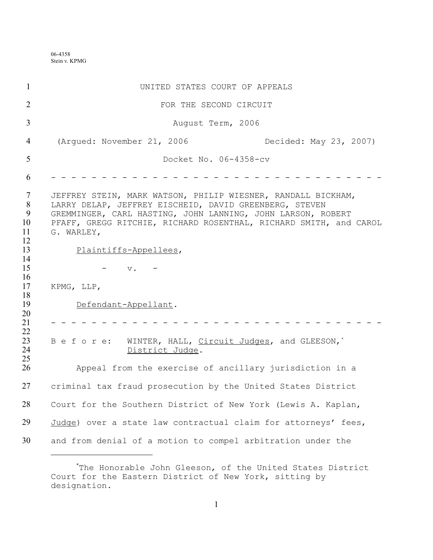06-4358 Stein v. KPMG

| $\mathbf{1}$                                                                                                           | UNITED STATES COURT OF APPEALS                                                                                                                                                                                                                                                                                                                                                                                                                                                                   |
|------------------------------------------------------------------------------------------------------------------------|--------------------------------------------------------------------------------------------------------------------------------------------------------------------------------------------------------------------------------------------------------------------------------------------------------------------------------------------------------------------------------------------------------------------------------------------------------------------------------------------------|
| $\overline{2}$                                                                                                         | FOR THE SECOND CIRCUIT                                                                                                                                                                                                                                                                                                                                                                                                                                                                           |
| $\overline{3}$                                                                                                         | August Term, 2006                                                                                                                                                                                                                                                                                                                                                                                                                                                                                |
| $\overline{4}$                                                                                                         | (Arqued: November 21, 2006)<br>Decided: May 23, 2007)                                                                                                                                                                                                                                                                                                                                                                                                                                            |
| 5                                                                                                                      | Docket No. 06-4358-cv                                                                                                                                                                                                                                                                                                                                                                                                                                                                            |
| 6                                                                                                                      |                                                                                                                                                                                                                                                                                                                                                                                                                                                                                                  |
| $\tau$<br>8<br>9<br>10<br>11<br>12<br>13<br>14<br>15<br>16<br>17<br>18<br>19<br>20<br>21<br>22<br>23<br>24<br>25<br>26 | JEFFREY STEIN, MARK WATSON, PHILIP WIESNER, RANDALL BICKHAM,<br>LARRY DELAP, JEFFREY EISCHEID, DAVID GREENBERG, STEVEN<br>GREMMINGER, CARL HASTING, JOHN LANNING, JOHN LARSON, ROBERT<br>PFAFF, GREGG RITCHIE, RICHARD ROSENTHAL, RICHARD SMITH, and CAROL<br>G. WARLEY,<br>Plaintiffs-Appellees,<br>$\mathbf v$ .<br>KPMG, LLP,<br>Defendant-Appellant.<br>WINTER, HALL, Circuit Judges, and GLEESON,*<br>Before:<br>District Judge.<br>Appeal from the exercise of ancillary jurisdiction in a |
| 27                                                                                                                     | criminal tax fraud prosecution by the United States District                                                                                                                                                                                                                                                                                                                                                                                                                                     |
| 28                                                                                                                     | Court for the Southern District of New York (Lewis A. Kaplan,                                                                                                                                                                                                                                                                                                                                                                                                                                    |
| 29                                                                                                                     | Judge) over a state law contractual claim for attorneys' fees,                                                                                                                                                                                                                                                                                                                                                                                                                                   |
| 30                                                                                                                     | and from denial of a motion to compel arbitration under the                                                                                                                                                                                                                                                                                                                                                                                                                                      |

<sup>\*</sup>The Honorable John Gleeson, of the United States District Court for the Eastern District of New York, sitting by designation.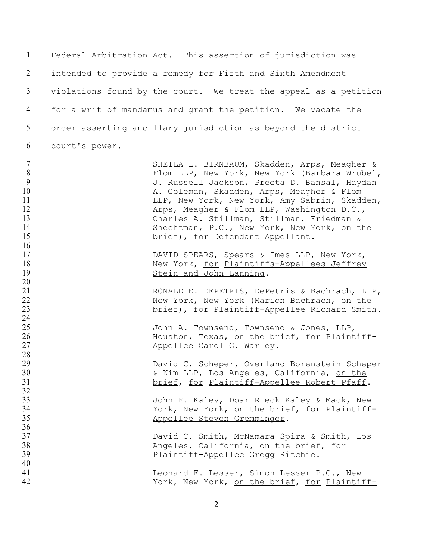| $\mathbf{1}$                                                       |                | Federal Arbitration Act. This assertion of jurisdiction was                                                                                                                                                                                                                                                                                                                                                               |
|--------------------------------------------------------------------|----------------|---------------------------------------------------------------------------------------------------------------------------------------------------------------------------------------------------------------------------------------------------------------------------------------------------------------------------------------------------------------------------------------------------------------------------|
| 2                                                                  |                | intended to provide a remedy for Fifth and Sixth Amendment                                                                                                                                                                                                                                                                                                                                                                |
| 3                                                                  |                | violations found by the court. We treat the appeal as a petition                                                                                                                                                                                                                                                                                                                                                          |
| 4                                                                  |                | for a writ of mandamus and grant the petition. We vacate the                                                                                                                                                                                                                                                                                                                                                              |
| 5                                                                  |                | order asserting ancillary jurisdiction as beyond the district                                                                                                                                                                                                                                                                                                                                                             |
| 6                                                                  | court's power. |                                                                                                                                                                                                                                                                                                                                                                                                                           |
| $\overline{7}$<br>8<br>9<br>10<br>11<br>12<br>13<br>14<br>15<br>16 |                | SHEILA L. BIRNBAUM, Skadden, Arps, Meagher &<br>Flom LLP, New York, New York (Barbara Wrubel,<br>J. Russell Jackson, Preeta D. Bansal, Haydan<br>A. Coleman, Skadden, Arps, Meagher & Flom<br>LLP, New York, New York, Amy Sabrin, Skadden,<br>Arps, Meagher & Flom LLP, Washington D.C.,<br>Charles A. Stillman, Stillman, Friedman &<br>Shechtman, P.C., New York, New York, on the<br>brief), for Defendant Appellant. |
| 17<br>18<br>19<br>20                                               |                | DAVID SPEARS, Spears & Imes LLP, New York,<br>New York, for Plaintiffs-Appellees Jeffrey<br>Stein and John Lanning.                                                                                                                                                                                                                                                                                                       |
| 21<br>22<br>23<br>24                                               |                | RONALD E. DEPETRIS, DePetris & Bachrach, LLP,<br>New York, New York (Marion Bachrach, on the<br>brief), for Plaintiff-Appellee Richard Smith.                                                                                                                                                                                                                                                                             |
| 25<br>26<br>27<br>28                                               |                | John A. Townsend, Townsend & Jones, LLP,<br>Houston, Texas, on the brief, for Plaintiff-<br>Appellee Carol G. Warley.                                                                                                                                                                                                                                                                                                     |
| 29<br>30<br>31<br>32                                               |                | David C. Scheper, Overland Borenstein Scheper<br>& Kim LLP, Los Angeles, California, on the<br>brief, for Plaintiff-Appellee Robert Pfaff.                                                                                                                                                                                                                                                                                |
| 33<br>34<br>35<br>36                                               |                | John F. Kaley, Doar Rieck Kaley & Mack, New<br>York, New York, on the brief, for Plaintiff-<br>Appellee Steven Gremminger.                                                                                                                                                                                                                                                                                                |
| 37<br>38<br>39                                                     |                | David C. Smith, McNamara Spira & Smith, Los<br>Angeles, California, on the brief, for<br>Plaintiff-Appellee Gregg Ritchie.                                                                                                                                                                                                                                                                                                |
| 40<br>41<br>42                                                     |                | Leonard F. Lesser, Simon Lesser P.C., New<br>York, New York, on the brief, for Plaintiff-                                                                                                                                                                                                                                                                                                                                 |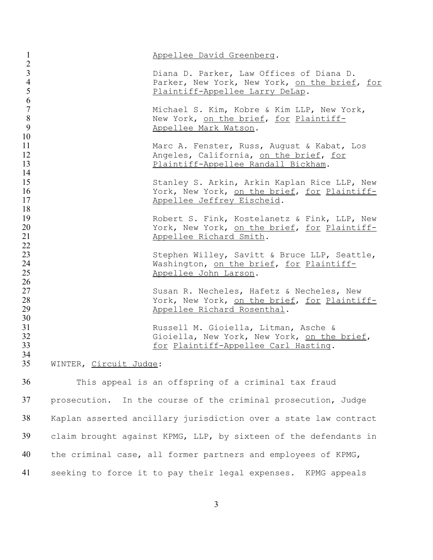| $\mathbf{1}$                         |                        | Appellee David Greenberg.                                                                                                    |
|--------------------------------------|------------------------|------------------------------------------------------------------------------------------------------------------------------|
| $\frac{2}{3}$<br>$\overline{4}$<br>5 |                        | Diana D. Parker, Law Offices of Diana D.<br>Parker, New York, New York, on the brief, for<br>Plaintiff-Appellee Larry DeLap. |
| 6<br>$\overline{7}$<br>$8\,$<br>9    |                        | Michael S. Kim, Kobre & Kim LLP, New York,<br>New York, on the brief, for Plaintiff-<br>Appellee Mark Watson.                |
| 10<br>11<br>12<br>13                 |                        | Marc A. Fenster, Russ, August & Kabat, Los<br>Angeles, California, on the brief, for<br>Plaintiff-Appellee Randall Bickham.  |
| 14<br>15<br>16<br>17                 |                        | Stanley S. Arkin, Arkin Kaplan Rice LLP, New<br>York, New York, on the brief, for Plaintiff-<br>Appellee Jeffrey Eischeid.   |
| 18<br>19<br>20<br>21                 |                        | Robert S. Fink, Kostelanetz & Fink, LLP, New<br>York, New York, on the brief, for Plaintiff-<br>Appellee Richard Smith.      |
| 22<br>23<br>24<br>25                 |                        | Stephen Willey, Savitt & Bruce LLP, Seattle,<br>Washington, on the brief, for Plaintiff-<br>Appellee John Larson.            |
| 26<br>27<br>28<br>29                 |                        | Susan R. Necheles, Hafetz & Necheles, New<br>York, New York, on the brief, for Plaintiff-<br>Appellee Richard Rosenthal.     |
| 30<br>31<br>32<br>33                 |                        | Russell M. Gioiella, Litman, Asche &<br>Gioiella, New York, New York, on the brief,<br>for Plaintiff-Appellee Carl Hasting.  |
| 34<br>35                             | WINTER, Circuit Judge: |                                                                                                                              |
| 36                                   |                        | This appeal is an offspring of a criminal tax fraud                                                                          |
| 37                                   |                        | prosecution. In the course of the criminal prosecution, Judge                                                                |
| 38                                   |                        | Kaplan asserted ancillary jurisdiction over a state law contract                                                             |
| 39                                   |                        | claim brought against KPMG, LLP, by sixteen of the defendants in                                                             |
| 40                                   |                        | the criminal case, all former partners and employees of KPMG,                                                                |
| 41                                   |                        | seeking to force it to pay their legal expenses. KPMG appeals                                                                |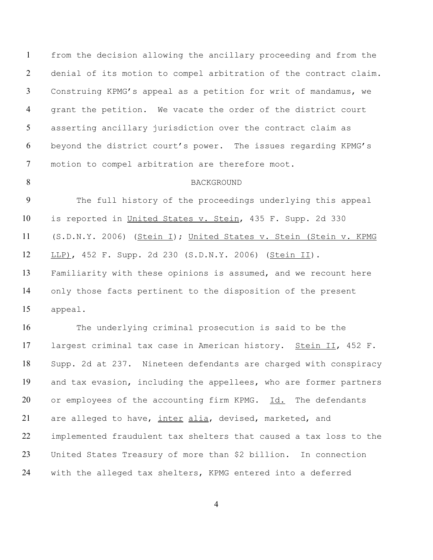from the decision allowing the ancillary proceeding and from the denial of its motion to compel arbitration of the contract claim. Construing KPMG's appeal as a petition for writ of mandamus, we grant the petition. We vacate the order of the district court asserting ancillary jurisdiction over the contract claim as beyond the district court's power. The issues regarding KPMG's motion to compel arbitration are therefore moot.

#### 8 BACKGROUND

 The full history of the proceedings underlying this appeal 10 is reported in United States v. Stein, 435 F. Supp. 2d 330 (S.D.N.Y. 2006) (Stein I); United States v. Stein (Stein v. KPMG LLP), 452 F. Supp. 2d 230 (S.D.N.Y. 2006) (Stein II). Familiarity with these opinions is assumed, and we recount here only those facts pertinent to the disposition of the present appeal.

 The underlying criminal prosecution is said to be the 17 largest criminal tax case in American history. Stein II, 452 F. Supp. 2d at 237. Nineteen defendants are charged with conspiracy and tax evasion, including the appellees, who are former partners or employees of the accounting firm KPMG. Id. The defendants 21 are alleged to have, inter alia, devised, marketed, and implemented fraudulent tax shelters that caused a tax loss to the United States Treasury of more than \$2 billion. In connection with the alleged tax shelters, KPMG entered into a deferred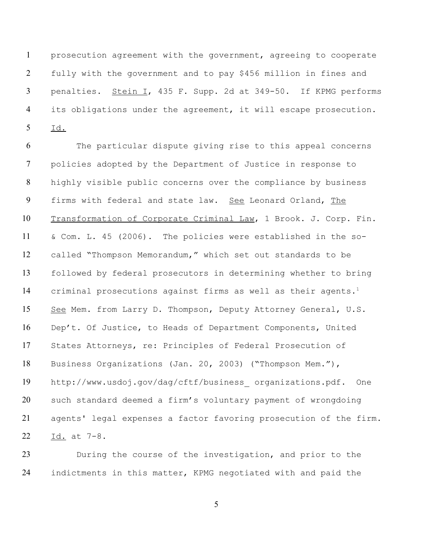prosecution agreement with the government, agreeing to cooperate fully with the government and to pay \$456 million in fines and 3 penalties. Stein I, 435 F. Supp. 2d at 349-50. If KPMG performs its obligations under the agreement, it will escape prosecution. Id.

 The particular dispute giving rise to this appeal concerns policies adopted by the Department of Justice in response to highly visible public concerns over the compliance by business firms with federal and state law. See Leonard Orland, The Transformation of Corporate Criminal Law, 1 Brook. J. Corp. Fin. & Com. L. 45 (2006). The policies were established in the so- called "Thompson Memorandum," which set out standards to be followed by federal prosecutors in determining whether to bring 14 criminal prosecutions against firms as well as their agents.<sup>1</sup> 15 See Mem. from Larry D. Thompson, Deputy Attorney General, U.S. Dep't. Of Justice, to Heads of Department Components, United States Attorneys, re: Principles of Federal Prosecution of Business Organizations (Jan. 20, 2003) ("Thompson Mem."), http://www.usdoj.gov/dag/cftf/business\_ organizations.pdf. One such standard deemed a firm's voluntary payment of wrongdoing agents' legal expenses a factor favoring prosecution of the firm. Id. at 7-8.

 During the course of the investigation, and prior to the indictments in this matter, KPMG negotiated with and paid the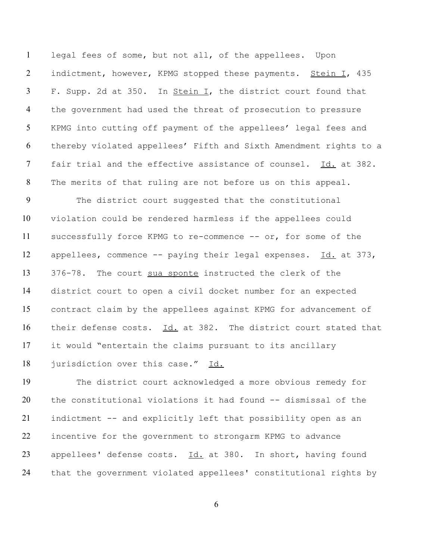legal fees of some, but not all, of the appellees. Upon 2 indictment, however, KPMG stopped these payments. Stein I, 435 3 F. Supp. 2d at 350. In Stein I, the district court found that the government had used the threat of prosecution to pressure KPMG into cutting off payment of the appellees' legal fees and thereby violated appellees' Fifth and Sixth Amendment rights to a 7 fair trial and the effective assistance of counsel. Id. at 382. The merits of that ruling are not before us on this appeal.

 The district court suggested that the constitutional violation could be rendered harmless if the appellees could successfully force KPMG to re-commence -- or, for some of the appellees, commence -- paying their legal expenses. Id. at 373, 376-78. The court sua sponte instructed the clerk of the district court to open a civil docket number for an expected contract claim by the appellees against KPMG for advancement of their defense costs. Id. at 382. The district court stated that it would "entertain the claims pursuant to its ancillary 18 jurisdiction over this case." Id.

 The district court acknowledged a more obvious remedy for the constitutional violations it had found -- dismissal of the indictment -- and explicitly left that possibility open as an incentive for the government to strongarm KPMG to advance 23 appellees' defense costs. Id. at 380. In short, having found that the government violated appellees' constitutional rights by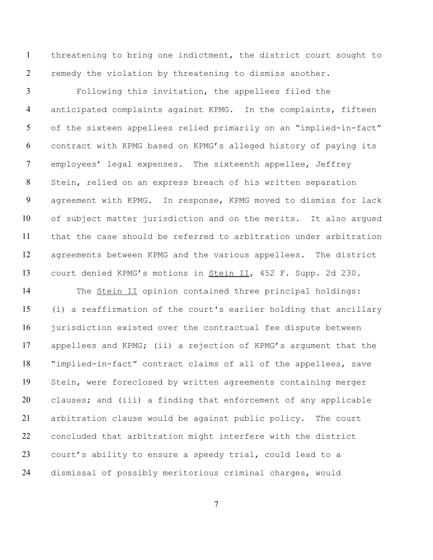threatening to bring one indictment, the district court sought to remedy the violation by threatening to dismiss another.

 Following this invitation, the appellees filed the anticipated complaints against KPMG. In the complaints, fifteen of the sixteen appellees relied primarily on an "implied-in-fact" contract with KPMG based on KPMG's alleged history of paying its employees' legal expenses. The sixteenth appellee, Jeffrey Stein, relied on an express breach of his written separation agreement with KPMG. In response, KPMG moved to dismiss for lack of subject matter jurisdiction and on the merits. It also argued that the case should be referred to arbitration under arbitration agreements between KPMG and the various appellees. The district court denied KPMG's motions in Stein II, 452 F. Supp. 2d 230.

14 The Stein II opinion contained three principal holdings: (i) a reaffirmation of the court's earlier holding that ancillary jurisdiction existed over the contractual fee dispute between appellees and KPMG; (ii) a rejection of KPMG's argument that the "implied-in-fact" contract claims of all of the appellees, save Stein, were foreclosed by written agreements containing merger clauses; and (iii) a finding that enforcement of any applicable arbitration clause would be against public policy. The court concluded that arbitration might interfere with the district court's ability to ensure a speedy trial, could lead to a dismissal of possibly meritorious criminal charges, would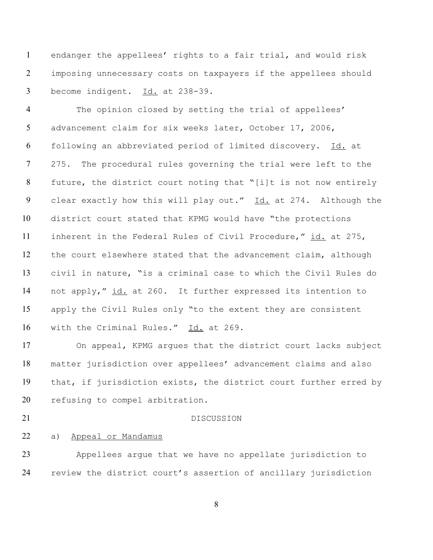endanger the appellees' rights to a fair trial, and would risk imposing unnecessary costs on taxpayers if the appellees should become indigent. Id. at 238-39.

 The opinion closed by setting the trial of appellees' advancement claim for six weeks later, October 17, 2006, following an abbreviated period of limited discovery. Id. at 275. The procedural rules governing the trial were left to the future, the district court noting that "[i]t is not now entirely 9 clear exactly how this will play out." Id. at 274. Although the district court stated that KPMG would have "the protections 11 inherent in the Federal Rules of Civil Procedure," id. at 275, the court elsewhere stated that the advancement claim, although civil in nature, "is a criminal case to which the Civil Rules do 14 not apply," id. at 260. It further expressed its intention to apply the Civil Rules only "to the extent they are consistent with the Criminal Rules." Id. at 269.

 On appeal, KPMG argues that the district court lacks subject matter jurisdiction over appellees' advancement claims and also that, if jurisdiction exists, the district court further erred by 20 refusing to compel arbitration.

#### 21 DISCUSSION

# a) Appeal or Mandamus

 Appellees argue that we have no appellate jurisdiction to review the district court's assertion of ancillary jurisdiction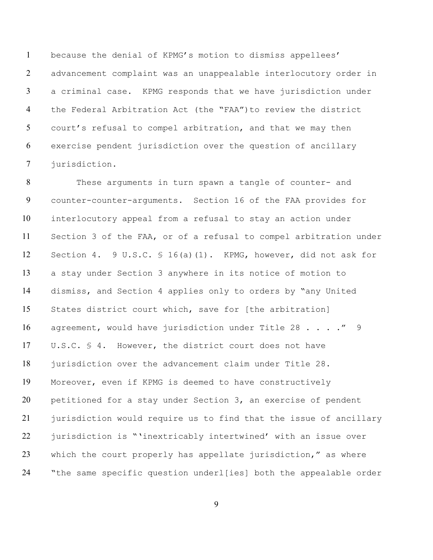because the denial of KPMG's motion to dismiss appellees' advancement complaint was an unappealable interlocutory order in a criminal case. KPMG responds that we have jurisdiction under the Federal Arbitration Act (the "FAA")to review the district court's refusal to compel arbitration, and that we may then exercise pendent jurisdiction over the question of ancillary jurisdiction.

 These arguments in turn spawn a tangle of counter- and counter-counter-arguments. Section 16 of the FAA provides for interlocutory appeal from a refusal to stay an action under Section 3 of the FAA, or of a refusal to compel arbitration under Section 4. 9 U.S.C. § 16(a)(1). KPMG, however, did not ask for a stay under Section 3 anywhere in its notice of motion to dismiss, and Section 4 applies only to orders by "any United States district court which, save for [the arbitration] 16 agreement, would have jurisdiction under Title 28 . . . . " 9 U.S.C. § 4. However, the district court does not have 18 jurisdiction over the advancement claim under Title 28. Moreover, even if KPMG is deemed to have constructively petitioned for a stay under Section 3, an exercise of pendent jurisdiction would require us to find that the issue of ancillary jurisdiction is "'inextricably intertwined' with an issue over which the court properly has appellate jurisdiction," as where "the same specific question underl[ies] both the appealable order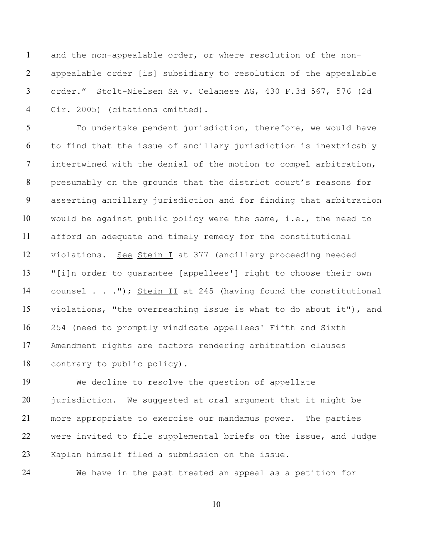and the non-appealable order, or where resolution of the non- appealable order [is] subsidiary to resolution of the appealable 3 order." Stolt-Nielsen SA v. Celanese AG, 430 F.3d 567, 576 (2d Cir. 2005) (citations omitted).

 To undertake pendent jurisdiction, therefore, we would have to find that the issue of ancillary jurisdiction is inextricably intertwined with the denial of the motion to compel arbitration, presumably on the grounds that the district court's reasons for asserting ancillary jurisdiction and for finding that arbitration would be against public policy were the same, i.e., the need to afford an adequate and timely remedy for the constitutional violations. See Stein I at 377 (ancillary proceeding needed "[i]n order to guarantee [appellees'] right to choose their own 14 counsel . . ."); Stein II at 245 (having found the constitutional violations, "the overreaching issue is what to do about it"), and 254 (need to promptly vindicate appellees' Fifth and Sixth Amendment rights are factors rendering arbitration clauses contrary to public policy).

 We decline to resolve the question of appellate jurisdiction. We suggested at oral argument that it might be more appropriate to exercise our mandamus power. The parties were invited to file supplemental briefs on the issue, and Judge Kaplan himself filed a submission on the issue.

We have in the past treated an appeal as a petition for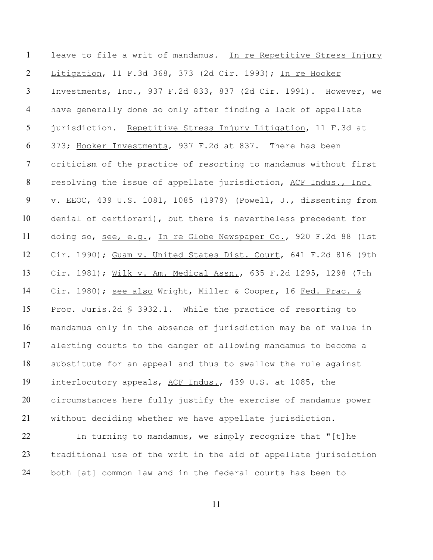leave to file a writ of mandamus. In re Repetitive Stress Injury Litigation, 11 F.3d 368, 373 (2d Cir. 1993); In re Hooker Investments, Inc., 937 F.2d 833, 837 (2d Cir. 1991). However, we have generally done so only after finding a lack of appellate 5 jurisdiction. Repetitive Stress Injury Litigation, 11 F.3d at 373; Hooker Investments, 937 F.2d at 837. There has been criticism of the practice of resorting to mandamus without first resolving the issue of appellate jurisdiction, ACF Indus., Inc. 9 v. EEOC, 439 U.S. 1081, 1085 (1979) (Powell, J., dissenting from denial of certiorari), but there is nevertheless precedent for 11 doing so, see, e.g., In re Globe Newspaper Co., 920 F.2d 88 (1st Cir. 1990); Guam v. United States Dist. Court, 641 F.2d 816 (9th Cir. 1981); Wilk v. Am. Medical Assn., 635 F.2d 1295, 1298 (7th 14 Cir. 1980); see also Wright, Miller & Cooper, 16 Fed. Prac. & 15 Proc. Juris. 2d \$ 3932.1. While the practice of resorting to mandamus only in the absence of jurisdiction may be of value in alerting courts to the danger of allowing mandamus to become a substitute for an appeal and thus to swallow the rule against interlocutory appeals, ACF Indus., 439 U.S. at 1085, the circumstances here fully justify the exercise of mandamus power without deciding whether we have appellate jurisdiction.

 In turning to mandamus, we simply recognize that "[t]he traditional use of the writ in the aid of appellate jurisdiction both [at] common law and in the federal courts has been to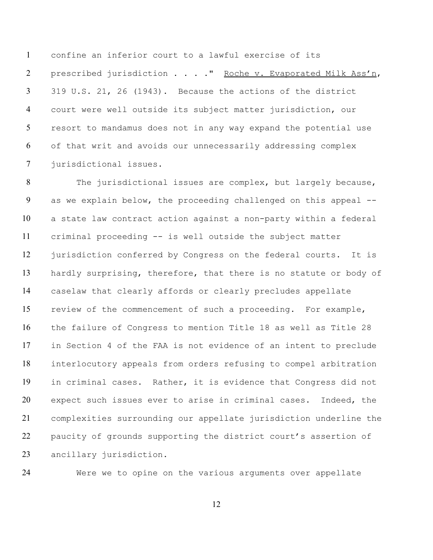confine an inferior court to a lawful exercise of its prescribed jurisdiction . . . ." Roche v. Evaporated Milk Ass'n, 319 U.S. 21, 26 (1943). Because the actions of the district court were well outside its subject matter jurisdiction, our resort to mandamus does not in any way expand the potential use of that writ and avoids our unnecessarily addressing complex jurisdictional issues.

 The jurisdictional issues are complex, but largely because, 9 as we explain below, the proceeding challenged on this appeal -- a state law contract action against a non-party within a federal criminal proceeding -- is well outside the subject matter jurisdiction conferred by Congress on the federal courts. It is 13 hardly surprising, therefore, that there is no statute or body of caselaw that clearly affords or clearly precludes appellate review of the commencement of such a proceeding. For example, the failure of Congress to mention Title 18 as well as Title 28 in Section 4 of the FAA is not evidence of an intent to preclude interlocutory appeals from orders refusing to compel arbitration in criminal cases. Rather, it is evidence that Congress did not expect such issues ever to arise in criminal cases. Indeed, the complexities surrounding our appellate jurisdiction underline the paucity of grounds supporting the district court's assertion of ancillary jurisdiction.

Were we to opine on the various arguments over appellate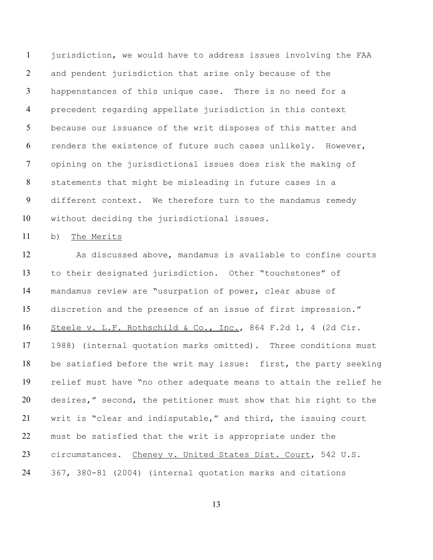jurisdiction, we would have to address issues involving the FAA and pendent jurisdiction that arise only because of the happenstances of this unique case. There is no need for a precedent regarding appellate jurisdiction in this context 5 because our issuance of the writ disposes of this matter and renders the existence of future such cases unlikely. However, opining on the jurisdictional issues does risk the making of statements that might be misleading in future cases in a different context. We therefore turn to the mandamus remedy without deciding the jurisdictional issues.

b) The Merits

 As discussed above, mandamus is available to confine courts to their designated jurisdiction. Other "touchstones" of mandamus review are "usurpation of power, clear abuse of discretion and the presence of an issue of first impression." Steele v. L.F. Rothschild & Co., Inc., 864 F.2d 1, 4 (2d Cir. 1988) (internal quotation marks omitted). Three conditions must be satisfied before the writ may issue: first, the party seeking relief must have "no other adequate means to attain the relief he desires," second, the petitioner must show that his right to the writ is "clear and indisputable," and third, the issuing court must be satisfied that the writ is appropriate under the 23 circumstances. Cheney v. United States Dist. Court, 542 U.S. 367, 380-81 (2004) (internal quotation marks and citations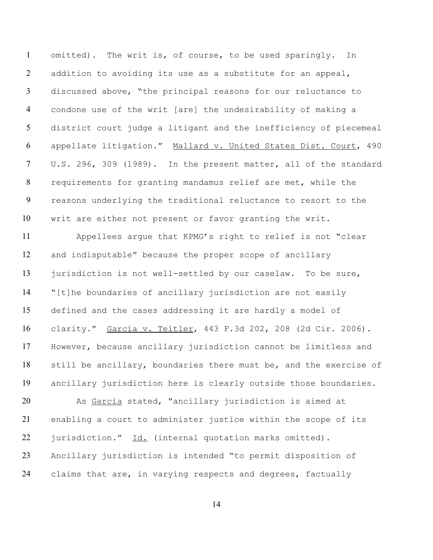omitted). The writ is, of course, to be used sparingly. In 2 addition to avoiding its use as a substitute for an appeal, discussed above, "the principal reasons for our reluctance to condone use of the writ [are] the undesirability of making a district court judge a litigant and the inefficiency of piecemeal appellate litigation." Mallard v. United States Dist. Court, 490 U.S. 296, 309 (1989). In the present matter, all of the standard requirements for granting mandamus relief are met, while the reasons underlying the traditional reluctance to resort to the writ are either not present or favor granting the writ.

 Appellees argue that KPMG's right to relief is not "clear and indisputable" because the proper scope of ancillary 13 jurisdiction is not well-settled by our caselaw. To be sure, "[t]he boundaries of ancillary jurisdiction are not easily defined and the cases addressing it are hardly a model of clarity." Garcia v. Teitler, 443 F.3d 202, 208 (2d Cir. 2006). However, because ancillary jurisdiction cannot be limitless and still be ancillary, boundaries there must be, and the exercise of ancillary jurisdiction here is clearly outside those boundaries.

 As Garcia stated, "ancillary jurisdiction is aimed at enabling a court to administer justice within the scope of its 22 jurisdiction." Id. (internal quotation marks omitted). Ancillary jurisdiction is intended "to permit disposition of 24 claims that are, in varying respects and degrees, factually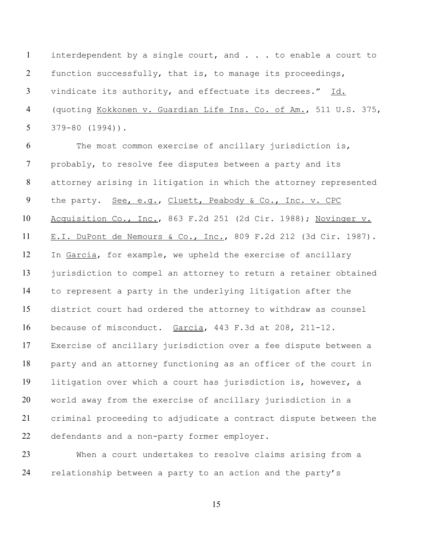interdependent by a single court, and . . . to enable a court to function successfully, that is, to manage its proceedings, vindicate its authority, and effectuate its decrees." Id. (quoting Kokkonen v. Guardian Life Ins. Co. of Am., 511 U.S. 375, 379-80 (1994)).

 The most common exercise of ancillary jurisdiction is, probably, to resolve fee disputes between a party and its attorney arising in litigation in which the attorney represented 9 the party. See, e.g., Cluett, Peabody & Co., Inc. v. CPC Acquisition Co., Inc., 863 F.2d 251 (2d Cir. 1988); Novinger v. E.I. DuPont de Nemours & Co., Inc., 809 F.2d 212 (3d Cir. 1987). In Garcia, for example, we upheld the exercise of ancillary jurisdiction to compel an attorney to return a retainer obtained to represent a party in the underlying litigation after the district court had ordered the attorney to withdraw as counsel because of misconduct. Garcia, 443 F.3d at 208, 211-12. Exercise of ancillary jurisdiction over a fee dispute between a party and an attorney functioning as an officer of the court in litigation over which a court has jurisdiction is, however, a world away from the exercise of ancillary jurisdiction in a criminal proceeding to adjudicate a contract dispute between the defendants and a non-party former employer.

 When a court undertakes to resolve claims arising from a relationship between a party to an action and the party's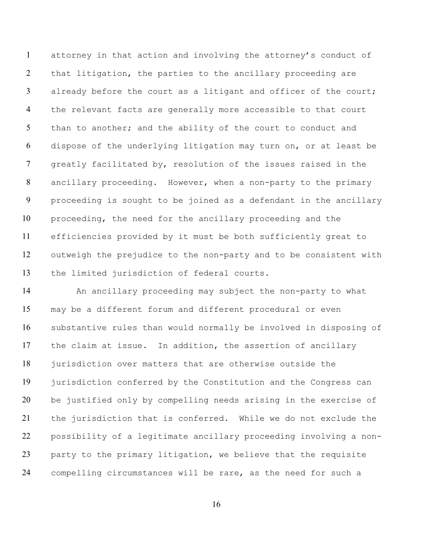attorney in that action and involving the attorney's conduct of that litigation, the parties to the ancillary proceeding are 3 already before the court as a litigant and officer of the court; the relevant facts are generally more accessible to that court 5 than to another; and the ability of the court to conduct and dispose of the underlying litigation may turn on, or at least be greatly facilitated by, resolution of the issues raised in the ancillary proceeding. However, when a non-party to the primary proceeding is sought to be joined as a defendant in the ancillary proceeding, the need for the ancillary proceeding and the efficiencies provided by it must be both sufficiently great to outweigh the prejudice to the non-party and to be consistent with the limited jurisdiction of federal courts.

 An ancillary proceeding may subject the non-party to what may be a different forum and different procedural or even substantive rules than would normally be involved in disposing of the claim at issue. In addition, the assertion of ancillary 18 jurisdiction over matters that are otherwise outside the jurisdiction conferred by the Constitution and the Congress can be justified only by compelling needs arising in the exercise of the jurisdiction that is conferred. While we do not exclude the possibility of a legitimate ancillary proceeding involving a non- party to the primary litigation, we believe that the requisite compelling circumstances will be rare, as the need for such a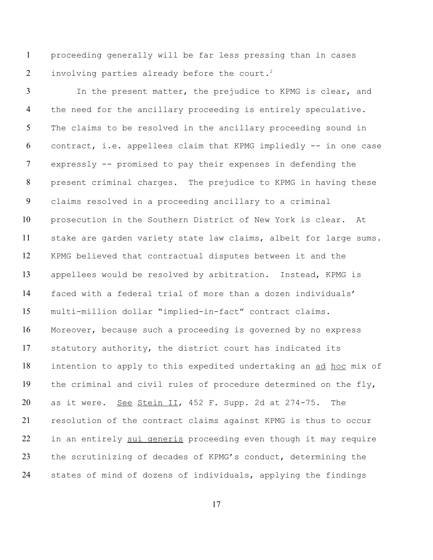proceeding generally will be far less pressing than in cases 2 involving parties already before the court.<sup>2</sup>

 In the present matter, the prejudice to KPMG is clear, and the need for the ancillary proceeding is entirely speculative. The claims to be resolved in the ancillary proceeding sound in contract, i.e. appellees claim that KPMG impliedly -- in one case expressly -- promised to pay their expenses in defending the present criminal charges. The prejudice to KPMG in having these claims resolved in a proceeding ancillary to a criminal prosecution in the Southern District of New York is clear. At stake are garden variety state law claims, albeit for large sums. KPMG believed that contractual disputes between it and the appellees would be resolved by arbitration. Instead, KPMG is faced with a federal trial of more than a dozen individuals' multi-million dollar "implied-in-fact" contract claims. Moreover, because such a proceeding is governed by no express statutory authority, the district court has indicated its intention to apply to this expedited undertaking an ad hoc mix of the criminal and civil rules of procedure determined on the fly, 20 as it were. See Stein II, 452 F. Supp. 2d at 274-75. The resolution of the contract claims against KPMG is thus to occur 22 in an entirely sui generis proceeding even though it may require the scrutinizing of decades of KPMG's conduct, determining the states of mind of dozens of individuals, applying the findings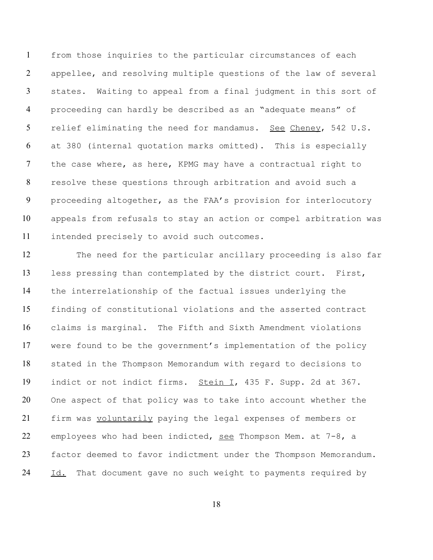from those inquiries to the particular circumstances of each appellee, and resolving multiple questions of the law of several states. Waiting to appeal from a final judgment in this sort of proceeding can hardly be described as an "adequate means" of relief eliminating the need for mandamus. See Cheney, 542 U.S. at 380 (internal quotation marks omitted). This is especially the case where, as here, KPMG may have a contractual right to resolve these questions through arbitration and avoid such a proceeding altogether, as the FAA's provision for interlocutory appeals from refusals to stay an action or compel arbitration was intended precisely to avoid such outcomes.

 The need for the particular ancillary proceeding is also far less pressing than contemplated by the district court. First, the interrelationship of the factual issues underlying the finding of constitutional violations and the asserted contract claims is marginal. The Fifth and Sixth Amendment violations were found to be the government's implementation of the policy stated in the Thompson Memorandum with regard to decisions to indict or not indict firms. Stein I, 435 F. Supp. 2d at 367. One aspect of that policy was to take into account whether the 21 firm was voluntarily paying the legal expenses of members or 22 employees who had been indicted, see Thompson Mem. at  $7-8$ , a factor deemed to favor indictment under the Thompson Memorandum. 24 Id. That document gave no such weight to payments required by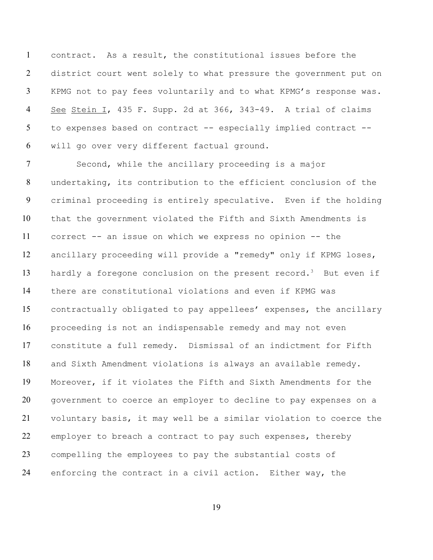contract. As a result, the constitutional issues before the district court went solely to what pressure the government put on KPMG not to pay fees voluntarily and to what KPMG's response was. See Stein I, 435 F. Supp. 2d at 366, 343-49. A trial of claims to expenses based on contract -- especially implied contract -- will go over very different factual ground.

 Second, while the ancillary proceeding is a major undertaking, its contribution to the efficient conclusion of the criminal proceeding is entirely speculative. Even if the holding that the government violated the Fifth and Sixth Amendments is correct -- an issue on which we express no opinion -- the ancillary proceeding will provide a "remedy" only if KPMG loses, 13 hardly a foregone conclusion on the present record.<sup>3</sup> But even if there are constitutional violations and even if KPMG was contractually obligated to pay appellees' expenses, the ancillary proceeding is not an indispensable remedy and may not even constitute a full remedy. Dismissal of an indictment for Fifth and Sixth Amendment violations is always an available remedy. Moreover, if it violates the Fifth and Sixth Amendments for the government to coerce an employer to decline to pay expenses on a voluntary basis, it may well be a similar violation to coerce the employer to breach a contract to pay such expenses, thereby compelling the employees to pay the substantial costs of enforcing the contract in a civil action. Either way, the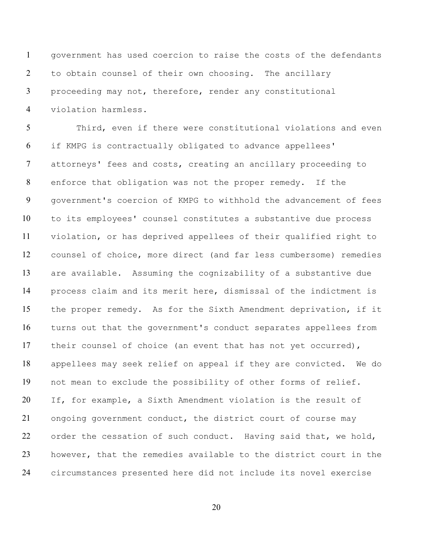government has used coercion to raise the costs of the defendants to obtain counsel of their own choosing. The ancillary proceeding may not, therefore, render any constitutional violation harmless.

 Third, even if there were constitutional violations and even if KMPG is contractually obligated to advance appellees' attorneys' fees and costs, creating an ancillary proceeding to enforce that obligation was not the proper remedy. If the government's coercion of KMPG to withhold the advancement of fees to its employees' counsel constitutes a substantive due process violation, or has deprived appellees of their qualified right to counsel of choice, more direct (and far less cumbersome) remedies are available. Assuming the cognizability of a substantive due process claim and its merit here, dismissal of the indictment is the proper remedy. As for the Sixth Amendment deprivation, if it turns out that the government's conduct separates appellees from 17 their counsel of choice (an event that has not yet occurred), appellees may seek relief on appeal if they are convicted. We do not mean to exclude the possibility of other forms of relief. If, for example, a Sixth Amendment violation is the result of 21 ongoing government conduct, the district court of course may 22 order the cessation of such conduct. Having said that, we hold, however, that the remedies available to the district court in the circumstances presented here did not include its novel exercise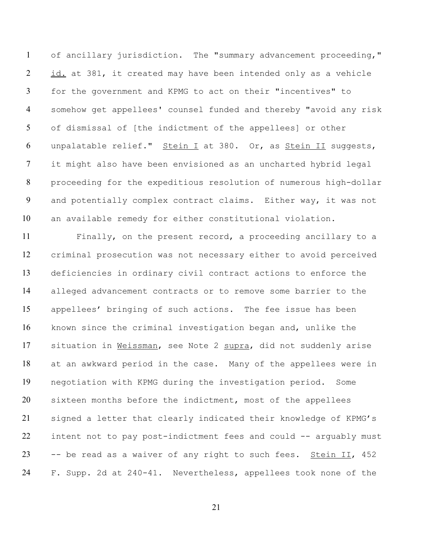of ancillary jurisdiction. The "summary advancement proceeding," 2 id. at 381, it created may have been intended only as a vehicle for the government and KPMG to act on their "incentives" to somehow get appellees' counsel funded and thereby "avoid any risk of dismissal of [the indictment of the appellees] or other 6 unpalatable relief." Stein I at 380. Or, as Stein II suggests, it might also have been envisioned as an uncharted hybrid legal proceeding for the expeditious resolution of numerous high-dollar and potentially complex contract claims. Either way, it was not an available remedy for either constitutional violation.

 Finally, on the present record, a proceeding ancillary to a criminal prosecution was not necessary either to avoid perceived deficiencies in ordinary civil contract actions to enforce the alleged advancement contracts or to remove some barrier to the appellees' bringing of such actions. The fee issue has been known since the criminal investigation began and, unlike the 17 situation in Weissman, see Note 2 supra, did not suddenly arise at an awkward period in the case. Many of the appellees were in negotiation with KPMG during the investigation period. Some sixteen months before the indictment, most of the appellees signed a letter that clearly indicated their knowledge of KPMG's intent not to pay post-indictment fees and could -- arguably must 23 -- be read as a waiver of any right to such fees. Stein  $II$ , 452 F. Supp. 2d at 240-41. Nevertheless, appellees took none of the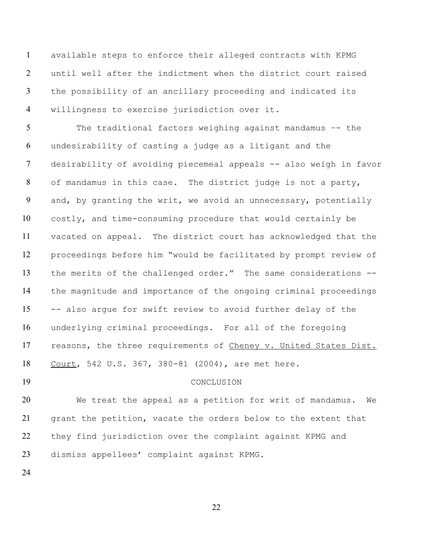available steps to enforce their alleged contracts with KPMG until well after the indictment when the district court raised the possibility of an ancillary proceeding and indicated its willingness to exercise jurisdiction over it.

 The traditional factors weighing against mandamus –- the undesirability of casting a judge as a litigant and the desirability of avoiding piecemeal appeals -- also weigh in favor of mandamus in this case. The district judge is not a party, and, by granting the writ, we avoid an unnecessary, potentially costly, and time-consuming procedure that would certainly be vacated on appeal. The district court has acknowledged that the proceedings before him "would be facilitated by prompt review of the merits of the challenged order." The same considerations -- the magnitude and importance of the ongoing criminal proceedings -- also argue for swift review to avoid further delay of the underlying criminal proceedings. For all of the foregoing 17 reasons, the three requirements of Cheney v. United States Dist. Court, 542 U.S. 367, 380-81 (2004), are met here.

# CONCLUSION

 We treat the appeal as a petition for writ of mandamus. We grant the petition, vacate the orders below to the extent that they find jurisdiction over the complaint against KPMG and dismiss appellees' complaint against KPMG.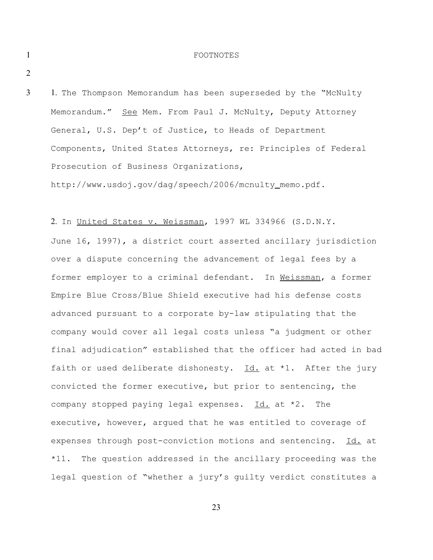#### 1 FOOTNOTES

2

3

1. The Thompson Memorandum has been superseded by the "McNulty Memorandum." See Mem. From Paul J. McNulty, Deputy Attorney General, U.S. Dep't of Justice, to Heads of Department Components, United States Attorneys, re: Principles of Federal Prosecution of Business Organizations,

http://www.usdoj.gov/dag/speech/2006/mcnulty memo.pdf.

2. In United States v. Weissman, 1997 WL 334966 (S.D.N.Y.

June 16, 1997), a district court asserted ancillary jurisdiction over a dispute concerning the advancement of legal fees by a former employer to a criminal defendant. In Weissman, a former Empire Blue Cross/Blue Shield executive had his defense costs advanced pursuant to a corporate by-law stipulating that the company would cover all legal costs unless "a judgment or other final adjudication" established that the officer had acted in bad faith or used deliberate dishonesty. Id. at \*1. After the jury convicted the former executive, but prior to sentencing, the company stopped paying legal expenses.  $Id.$  at  $*2.$  The executive, however, argued that he was entitled to coverage of expenses through post-conviction motions and sentencing. Id. at \*11. The question addressed in the ancillary proceeding was the legal question of "whether a jury's guilty verdict constitutes a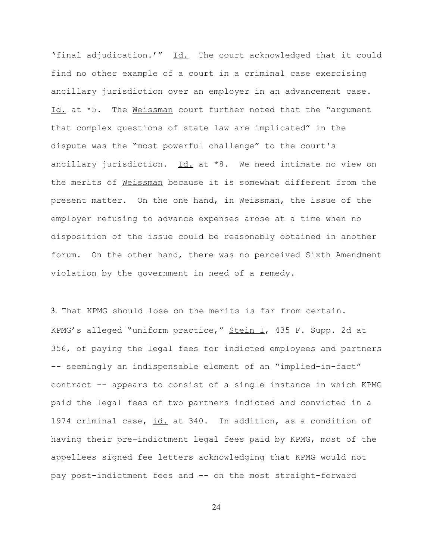'final adjudication.'" Id. The court acknowledged that it could find no other example of a court in a criminal case exercising ancillary jurisdiction over an employer in an advancement case. Id. at \*5. The Weissman court further noted that the "argument that complex questions of state law are implicated" in the dispute was the "most powerful challenge" to the court's ancillary jurisdiction.  $Id.$  at  $*8.$  We need intimate no view on the merits of Weissman because it is somewhat different from the present matter. On the one hand, in *Neissman*, the issue of the employer refusing to advance expenses arose at a time when no disposition of the issue could be reasonably obtained in another forum. On the other hand, there was no perceived Sixth Amendment violation by the government in need of a remedy.

3. That KPMG should lose on the merits is far from certain. KPMG's alleged "uniform practice," Stein I, 435 F. Supp. 2d at 356, of paying the legal fees for indicted employees and partners -- seemingly an indispensable element of an "implied-in-fact" contract -- appears to consist of a single instance in which KPMG paid the legal fees of two partners indicted and convicted in a 1974 criminal case, id. at 340. In addition, as a condition of having their pre-indictment legal fees paid by KPMG, most of the appellees signed fee letters acknowledging that KPMG would not pay post-indictment fees and -- on the most straight-forward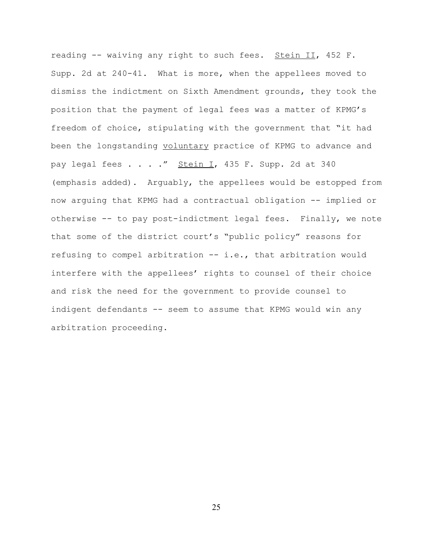reading -- waiving any right to such fees. Stein II, 452 F. Supp. 2d at 240-41. What is more, when the appellees moved to dismiss the indictment on Sixth Amendment grounds, they took the position that the payment of legal fees was a matter of KPMG's freedom of choice, stipulating with the government that "it had been the longstanding voluntary practice of KPMG to advance and pay legal fees . . . ." Stein I, 435 F. Supp. 2d at 340 (emphasis added). Arguably, the appellees would be estopped from now arguing that KPMG had a contractual obligation -- implied or otherwise -- to pay post-indictment legal fees. Finally, we note that some of the district court's "public policy" reasons for refusing to compel arbitration -- i.e., that arbitration would interfere with the appellees' rights to counsel of their choice and risk the need for the government to provide counsel to indigent defendants -- seem to assume that KPMG would win any arbitration proceeding.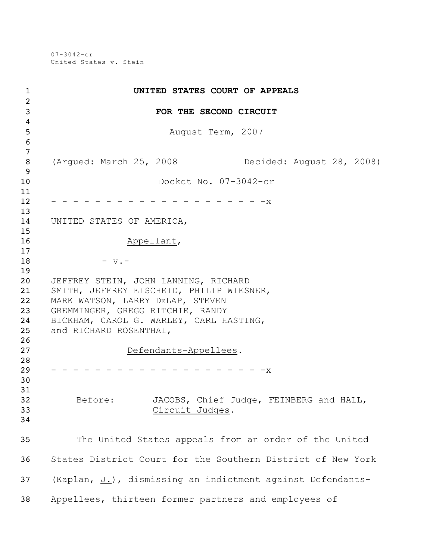07-3042-cr United States v. Stein

| $\mathbf 1$                      | UNITED STATES COURT OF APPEALS                                                                                                                                                                                                |
|----------------------------------|-------------------------------------------------------------------------------------------------------------------------------------------------------------------------------------------------------------------------------|
| $\overline{2}$<br>$\mathbf{3}$   | FOR THE SECOND CIRCUIT                                                                                                                                                                                                        |
| $\overline{4}$<br>5<br>6         | August Term, 2007                                                                                                                                                                                                             |
| $\overline{7}$<br>8<br>9         | (Arqued: March 25, 2008<br>Decided: August 28, 2008)                                                                                                                                                                          |
| 10<br>11                         | Docket No. 07-3042-cr                                                                                                                                                                                                         |
| 12<br>13                         | $-x$                                                                                                                                                                                                                          |
| 14                               | UNITED STATES OF AMERICA,                                                                                                                                                                                                     |
| 15<br>16                         | Appellant,                                                                                                                                                                                                                    |
| 17<br>18<br>19                   | $-$ v. $-$                                                                                                                                                                                                                    |
| 20<br>21<br>22<br>23<br>24<br>25 | JEFFREY STEIN, JOHN LANNING, RICHARD<br>SMITH, JEFFREY EISCHEID, PHILIP WIESNER,<br>MARK WATSON, LARRY DELAP, STEVEN<br>GREMMINGER, GREGG RITCHIE, RANDY<br>BICKHAM, CAROL G. WARLEY, CARL HASTING,<br>and RICHARD ROSENTHAL, |
| 26<br>27                         | Defendants-Appellees.                                                                                                                                                                                                         |
| 28<br>29<br>30<br>31             | - -x                                                                                                                                                                                                                          |
| 32<br>33<br>34                   | JACOBS, Chief Judge, FEINBERG and HALL,<br>Before:<br>Circuit Judges.                                                                                                                                                         |
| 35                               | The United States appeals from an order of the United                                                                                                                                                                         |
| 36                               | States District Court for the Southern District of New York                                                                                                                                                                   |
| 37                               | (Kaplan, J.), dismissing an indictment against Defendants-                                                                                                                                                                    |
| 38                               | Appellees, thirteen former partners and employees of                                                                                                                                                                          |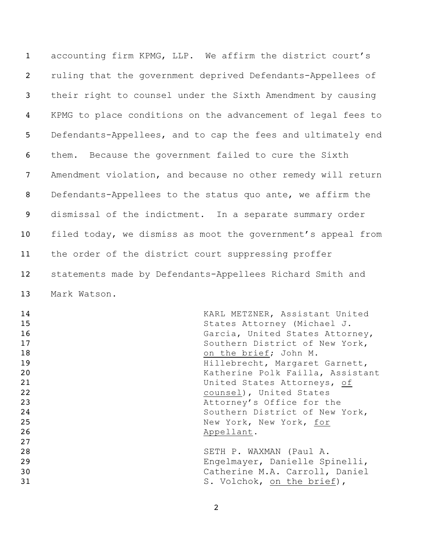accounting firm KPMG, LLP. We affirm the district court's ruling that the government deprived Defendants-Appellees of their right to counsel under the Sixth Amendment by causing KPMG to place conditions on the advancement of legal fees to Defendants-Appellees, and to cap the fees and ultimately end them. Because the government failed to cure the Sixth Amendment violation, and because no other remedy will return Defendants-Appellees to the status quo ante, we affirm the dismissal of the indictment. In a separate summary order 10 filed today, we dismiss as moot the government's appeal from the order of the district court suppressing proffer statements made by Defendants-Appellees Richard Smith and Mark Watson.

| 14 | KARL METZNER, Assistant United   |
|----|----------------------------------|
| 15 | States Attorney (Michael J.      |
| 16 | Garcia, United States Attorney,  |
| 17 | Southern District of New York,   |
| 18 | on the brief; John M.            |
| 19 | Hillebrecht, Margaret Garnett,   |
| 20 | Katherine Polk Failla, Assistant |
| 21 | United States Attorneys, of      |
| 22 | counsel), United States          |
| 23 | Attorney's Office for the        |
| 24 | Southern District of New York,   |
| 25 | New York, New York, for          |
| 26 | Appellant.                       |
| 27 |                                  |
| 28 | SETH P. WAXMAN (Paul A.          |
| 29 | Engelmayer, Danielle Spinelli,   |
| 30 | Catherine M.A. Carroll, Daniel   |
| 31 | S. Volchok, on the brief),       |
|    |                                  |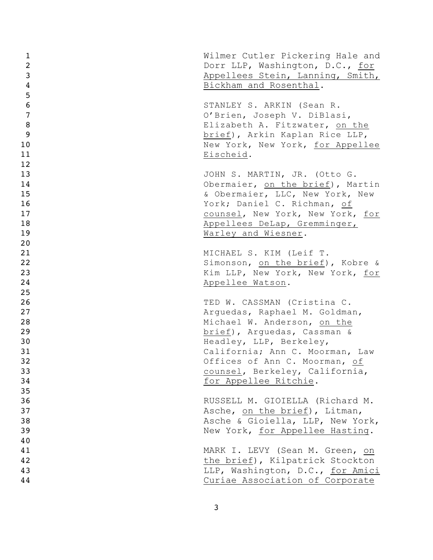| 1                | Wilmer Cutler Pickering Hale and |
|------------------|----------------------------------|
| $\overline{2}$   | Dorr LLP, Washington, D.C., for  |
| $\mathbf{3}$     | Appellees Stein, Lanning, Smith, |
| $\overline{4}$   | Bickham and Rosenthal.           |
| 5                |                                  |
| $\boldsymbol{6}$ | STANLEY S. ARKIN (Sean R.        |
| $\overline{7}$   | O'Brien, Joseph V. DiBlasi,      |
| 8                | Elizabeth A. Fitzwater, on the   |
| 9                | brief), Arkin Kaplan Rice LLP,   |
| 10               | New York, New York, for Appellee |
| 11               | Eischeid.                        |
| 12               |                                  |
| 13               | JOHN S. MARTIN, JR. (Otto G.     |
| 14               | Obermaier, on the brief), Martin |
| 15               | & Obermaier, LLC, New York, New  |
| 16               | York; Daniel C. Richman, of      |
| 17               | counsel, New York, New York, for |
| 18               | Appellees DeLap, Gremminger,     |
| 19               | Warley and Wiesner.              |
| 20               |                                  |
| 21               | MICHAEL S. KIM (Leif T.          |
| 22               | Simonson, on the brief), Kobre & |
| 23               | Kim LLP, New York, New York, for |
| 24               | Appellee Watson.                 |
| 25               |                                  |
| 26               | TED W. CASSMAN (Cristina C.      |
| 27               | Arguedas, Raphael M. Goldman,    |
| 28               | Michael W. Anderson, on the      |
| 29               | brief), Arquedas, Cassman &      |
| 30               | Headley, LLP, Berkeley,          |
| 31               | California; Ann C. Moorman, Law  |
| 32               | Offices of Ann C. Moorman, of    |
| 33               | counsel, Berkeley, California,   |
| 34               | for Appellee Ritchie.            |
| 35               |                                  |
| 36               | RUSSELL M. GIOIELLA (Richard M.  |
| 37               | Asche, on the brief), Litman,    |
| 38               | Asche & Gioiella, LLP, New York, |
| 39               | New York, for Appellee Hasting.  |
| 40               |                                  |
| 41               | MARK I. LEVY (Sean M. Green, on  |
| 42               | the brief), Kilpatrick Stockton  |
| 43               | LLP, Washington, D.C., for Amici |
| 44               | Curiae Association of Corporate  |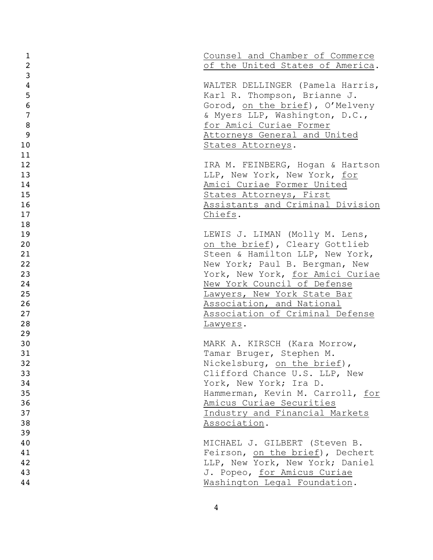| $\mathbf 1$    | Counsel and Chamber of Commerce                              |
|----------------|--------------------------------------------------------------|
| $\overline{2}$ | of the United States of America.                             |
| $\overline{3}$ |                                                              |
| $\overline{4}$ | WALTER DELLINGER (Pamela Harris,                             |
| 5              | Karl R. Thompson, Brianne J.                                 |
| 6              | Gorod, on the brief), O'Melveny                              |
| $\overline{7}$ | & Myers LLP, Washington, D.C.,                               |
| 8              | for Amici Curiae Former                                      |
| 9              | Attorneys General and United                                 |
| 10             | States Attorneys.                                            |
| 11             |                                                              |
| 12             | IRA M. FEINBERG, Hogan & Hartson                             |
| 13             | LLP, New York, New York, for                                 |
| 14             | Amici Curiae Former United                                   |
| 15             | States Attorneys, First                                      |
| 16             | Assistants and Criminal Division                             |
| 17             | Chiefs.                                                      |
| 18             |                                                              |
| 19             | LEWIS J. LIMAN (Molly M. Lens,                               |
| 20             | on the brief), Cleary Gottlieb                               |
| 21             | Steen & Hamilton LLP, New York,                              |
| 22             | New York; Paul B. Bergman, New                               |
| 23             | York, New York, for Amici Curiae                             |
| 24             | New York Council of Defense                                  |
| 25<br>26       | Lawyers, New York State Bar                                  |
| 27             | Association, and National<br>Association of Criminal Defense |
| 28             |                                                              |
| 29             | Lawyers.                                                     |
| 30             | MARK A. KIRSCH (Kara Morrow,                                 |
| 31             | Tamar Bruger, Stephen M.                                     |
| 32             | Nickelsburg, on the brief),                                  |
| 33             | Clifford Chance U.S. LLP, New                                |
| 34             | York, New York; Ira D.                                       |
| 35             | Hammerman, Kevin M. Carroll, for                             |
| 36             | Amicus Curiae Securities                                     |
| 37             | Industry and Financial Markets                               |
| 38             | Association.                                                 |
| 39             |                                                              |
| 40             | MICHAEL J. GILBERT (Steven B.                                |
| 41             | Feirson, on the brief), Dechert                              |
| 42             | LLP, New York, New York; Daniel                              |
| 43             | J. Popeo, for Amicus Curiae                                  |
| 44             | Washington Legal Foundation.                                 |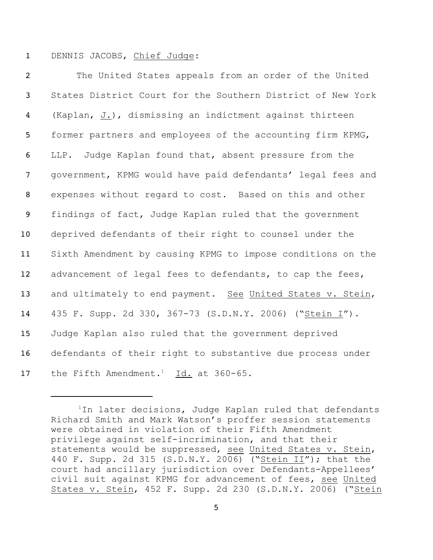### 1 DENNIS JACOBS, Chief Judge:

 The United States appeals from an order of the United States District Court for the Southern District of New York (Kaplan, J.), dismissing an indictment against thirteen former partners and employees of the accounting firm KPMG, LLP. Judge Kaplan found that, absent pressure from the government, KPMG would have paid defendants' legal fees and expenses without regard to cost. Based on this and other findings of fact, Judge Kaplan ruled that the government deprived defendants of their right to counsel under the Sixth Amendment by causing KPMG to impose conditions on the 12 advancement of legal fees to defendants, to cap the fees, 13 and ultimately to end payment. See United States v. Stein, 435 F. Supp. 2d 330, 367-73 (S.D.N.Y. 2006) ("Stein I"). Judge Kaplan also ruled that the government deprived defendants of their right to substantive due process under 17 the Fifth Amendment.<sup>1</sup>  $\underline{Id.}$  at 360-65.

 $1$ In later decisions, Judge Kaplan ruled that defendants Richard Smith and Mark Watson's proffer session statements were obtained in violation of their Fifth Amendment privilege against self-incrimination, and that their statements would be suppressed, see United States v. Stein, 440 F. Supp. 2d 315 (S.D.N.Y. 2006) ("Stein II"); that the court had ancillary jurisdiction over Defendants-Appellees' civil suit against KPMG for advancement of fees, see United States v. Stein, 452 F. Supp. 2d 230 (S.D.N.Y. 2006) ("Stein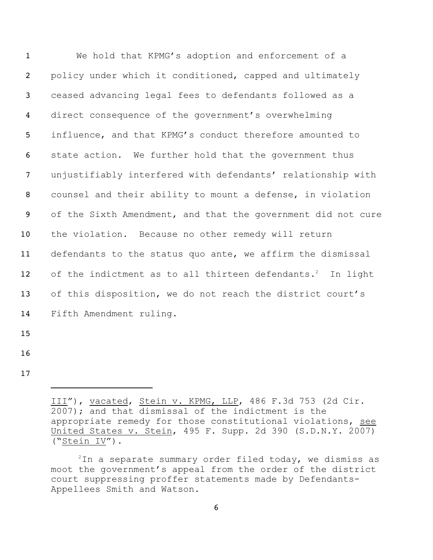| $\mathbf{1}$    | We hold that KPMG's adoption and enforcement of a                      |
|-----------------|------------------------------------------------------------------------|
| $\overline{2}$  | policy under which it conditioned, capped and ultimately               |
| $\mathbf{3}$    | ceased advancing legal fees to defendants followed as a                |
| 4               | direct consequence of the government's overwhelming                    |
| 5               | influence, and that KPMG's conduct therefore amounted to               |
| 6               | state action. We further hold that the government thus                 |
| $\overline{7}$  | unjustifiably interfered with defendants' relationship with            |
| 8               | counsel and their ability to mount a defense, in violation             |
| 9               | of the Sixth Amendment, and that the government did not cure           |
| 10 <sub>1</sub> | the violation. Because no other remedy will return                     |
| 11              | defendants to the status quo ante, we affirm the dismissal             |
| 12              | of the indictment as to all thirteen defendants. <sup>2</sup> In light |
| 13              | of this disposition, we do not reach the district court's              |
| 14              | Fifth Amendment ruling.                                                |
| $\sim$ $\sim$   |                                                                        |

- 
- 

III"), vacated, Stein v. KPMG, LLP, 486 F.3d 753 (2d Cir. 2007); and that dismissal of the indictment is the appropriate remedy for those constitutional violations, see United States v. Stein, 495 F. Supp. 2d 390 (S.D.N.Y. 2007) ("Stein IV").

In a separate summary order filed today, we dismiss as moot the government's appeal from the order of the district court suppressing proffer statements made by Defendants-Appellees Smith and Watson.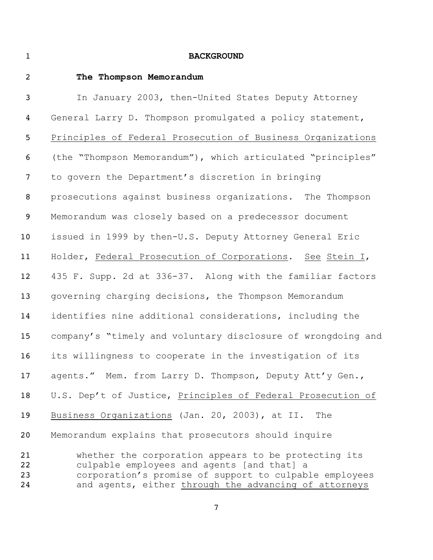### **BACKGROUND**

 **The Thompson Memorandum** In January 2003, then-United States Deputy Attorney General Larry D. Thompson promulgated a policy statement, Principles of Federal Prosecution of Business Organizations (the "Thompson Memorandum"), which articulated "principles" to govern the Department's discretion in bringing prosecutions against business organizations. The Thompson Memorandum was closely based on a predecessor document issued in 1999 by then-U.S. Deputy Attorney General Eric Holder, Federal Prosecution of Corporations. See Stein I, 435 F. Supp. 2d at 336-37. Along with the familiar factors governing charging decisions, the Thompson Memorandum identifies nine additional considerations, including the company's "timely and voluntary disclosure of wrongdoing and its willingness to cooperate in the investigation of its 17 agents." Mem. from Larry D. Thompson, Deputy Att'y Gen., U.S. Dep't of Justice, Principles of Federal Prosecution of Business Organizations (Jan. 20, 2003), at II. The Memorandum explains that prosecutors should inquire whether the corporation appears to be protecting its culpable employees and agents [and that] a corporation's promise of support to culpable employees 24 and agents, either through the advancing of attorneys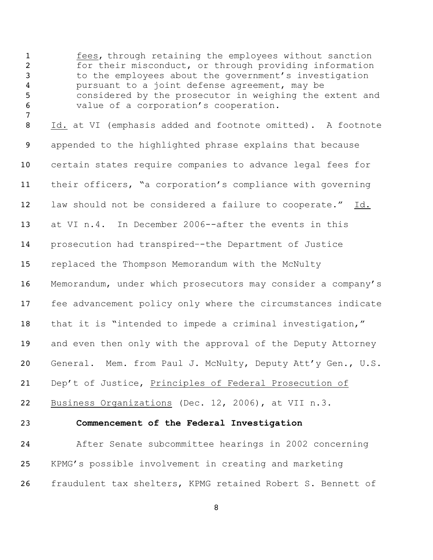1 fees, through retaining the employees without sanction for their misconduct, or through providing information 3 to the employees about the government's investigation pursuant to a joint defense agreement, may be considered by the prosecutor in weighing the extent and value of a corporation's cooperation.

 Id. at VI (emphasis added and footnote omitted). A footnote appended to the highlighted phrase explains that because certain states require companies to advance legal fees for their officers, "a corporation's compliance with governing law should not be considered a failure to cooperate." Id. at VI n.4. In December 2006--after the events in this prosecution had transpired–-the Department of Justice replaced the Thompson Memorandum with the McNulty Memorandum, under which prosecutors may consider a company's fee advancement policy only where the circumstances indicate that it is "intended to impede a criminal investigation," 19 and even then only with the approval of the Deputy Attorney General. Mem. from Paul J. McNulty, Deputy Att'y Gen., U.S. Dep't of Justice, Principles of Federal Prosecution of

**Commencement of the Federal Investigation**

Business Organizations (Dec. 12, 2006), at VII n.3.

 After Senate subcommittee hearings in 2002 concerning KPMG's possible involvement in creating and marketing fraudulent tax shelters, KPMG retained Robert S. Bennett of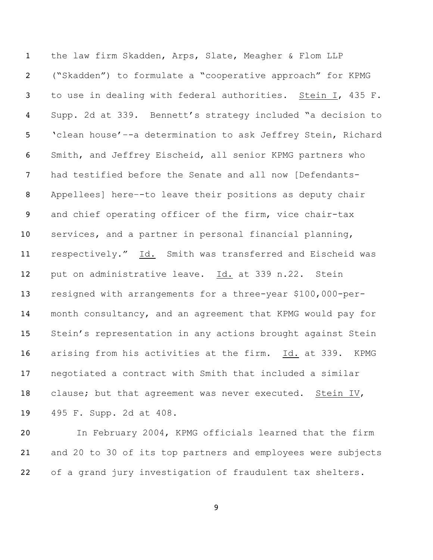the law firm Skadden, Arps, Slate, Meagher & Flom LLP ("Skadden") to formulate a "cooperative approach" for KPMG to use in dealing with federal authorities. Stein I, 435 F. Supp. 2d at 339. Bennett's strategy included "a decision to 'clean house'–-a determination to ask Jeffrey Stein, Richard Smith, and Jeffrey Eischeid, all senior KPMG partners who had testified before the Senate and all now [Defendants- Appellees] here–-to leave their positions as deputy chair and chief operating officer of the firm, vice chair-tax services, and a partner in personal financial planning, 11 respectively." Id. Smith was transferred and Eischeid was put on administrative leave. Id. at 339 n.22. Stein resigned with arrangements for a three-year \$100,000-per- month consultancy, and an agreement that KPMG would pay for Stein's representation in any actions brought against Stein arising from his activities at the firm. Id. at 339. KPMG negotiated a contract with Smith that included a similar 18 clause; but that agreement was never executed. Stein IV, 495 F. Supp. 2d at 408.

 In February 2004, KPMG officials learned that the firm and 20 to 30 of its top partners and employees were subjects of a grand jury investigation of fraudulent tax shelters.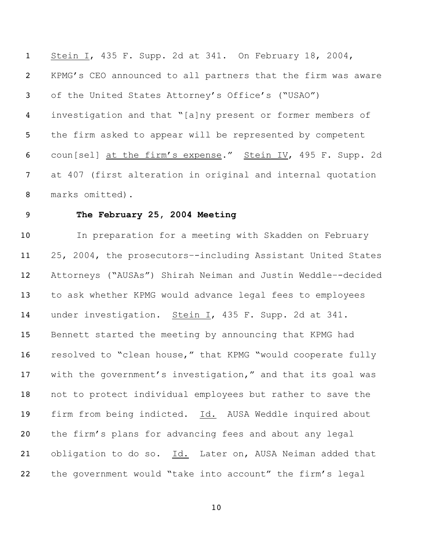1 Stein I, 435 F. Supp. 2d at 341. On February 18, 2004, KPMG's CEO announced to all partners that the firm was aware of the United States Attorney's Office's ("USAO") investigation and that "[a]ny present or former members of the firm asked to appear will be represented by competent coun[sel] at the firm's expense." Stein IV, 495 F. Supp. 2d at 407 (first alteration in original and internal quotation marks omitted).

## **The February 25, 2004 Meeting**

10 In preparation for a meeting with Skadden on February 25, 2004, the prosecutors–-including Assistant United States Attorneys ("AUSAs") Shirah Neiman and Justin Weddle–-decided to ask whether KPMG would advance legal fees to employees under investigation. Stein I, 435 F. Supp. 2d at 341. Bennett started the meeting by announcing that KPMG had resolved to "clean house," that KPMG "would cooperate fully with the government's investigation," and that its goal was not to protect individual employees but rather to save the firm from being indicted. Id. AUSA Weddle inquired about the firm's plans for advancing fees and about any legal obligation to do so. Id. Later on, AUSA Neiman added that the government would "take into account" the firm's legal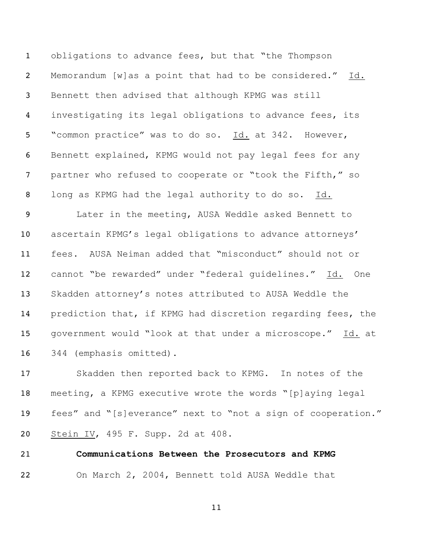obligations to advance fees, but that "the Thompson Memorandum [w]as a point that had to be considered." Id. Bennett then advised that although KPMG was still investigating its legal obligations to advance fees, its "common practice" was to do so. Id. at 342. However, Bennett explained, KPMG would not pay legal fees for any 7 partner who refused to cooperate or "took the Fifth," so long as KPMG had the legal authority to do so. Id.

 Later in the meeting, AUSA Weddle asked Bennett to ascertain KPMG's legal obligations to advance attorneys' fees. AUSA Neiman added that "misconduct" should not or cannot "be rewarded" under "federal guidelines." Id. One Skadden attorney's notes attributed to AUSA Weddle the prediction that, if KPMG had discretion regarding fees, the government would "look at that under a microscope." Id. at 344 (emphasis omitted).

 Skadden then reported back to KPMG. In notes of the meeting, a KPMG executive wrote the words "[p]aying legal fees" and "[s]everance" next to "not a sign of cooperation." Stein IV, 495 F. Supp. 2d at 408.

# **Communications Between the Prosecutors and KPMG** On March 2, 2004, Bennett told AUSA Weddle that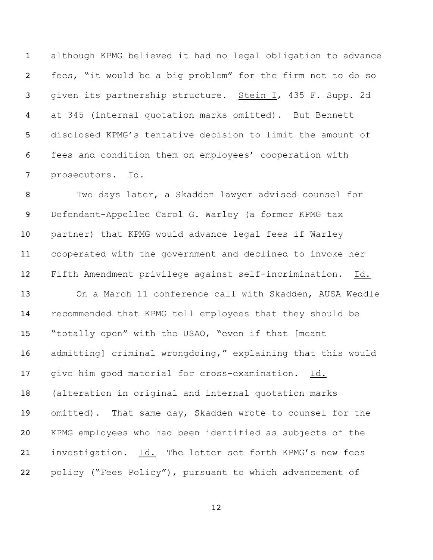although KPMG believed it had no legal obligation to advance fees, "it would be a big problem" for the firm not to do so given its partnership structure. Stein I, 435 F. Supp. 2d at 345 (internal quotation marks omitted). But Bennett disclosed KPMG's tentative decision to limit the amount of fees and condition them on employees' cooperation with prosecutors. Id.

 Two days later, a Skadden lawyer advised counsel for Defendant-Appellee Carol G. Warley (a former KPMG tax partner) that KPMG would advance legal fees if Warley cooperated with the government and declined to invoke her Fifth Amendment privilege against self-incrimination. Id. On a March 11 conference call with Skadden, AUSA Weddle recommended that KPMG tell employees that they should be "totally open" with the USAO, "even if that [meant admitting] criminal wrongdoing," explaining that this would give him good material for cross-examination. Id. (alteration in original and internal quotation marks omitted). That same day, Skadden wrote to counsel for the KPMG employees who had been identified as subjects of the investigation. Id. The letter set forth KPMG's new fees policy ("Fees Policy"), pursuant to which advancement of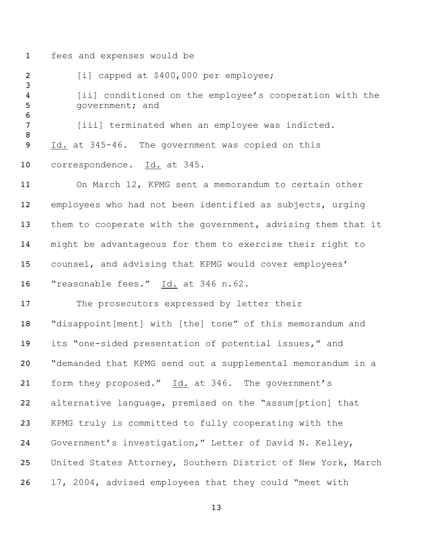fees and expenses would be

2 [i] capped at \$400,000 per employee; [ii] conditioned on the employee's cooperation with the 5 government; and 7 [iii] terminated when an employee was indicted. Id. at 345-46. The government was copied on this correspondence. Id. at 345. On March 12, KPMG sent a memorandum to certain other employees who had not been identified as subjects, urging 13 them to cooperate with the government, advising them that it might be advantageous for them to exercise their right to counsel, and advising that KPMG would cover employees' 16 "reasonable fees." Id. at 346 n.62. The prosecutors expressed by letter their "disappoint[ment] with [the] tone" of this memorandum and its "one-sided presentation of potential issues," and "demanded that KPMG send out a supplemental memorandum in a form they proposed." Id. at 346. The government's alternative language, premised on the "assum[ption] that KPMG truly is committed to fully cooperating with the Government's investigation," Letter of David N. Kelley, United States Attorney, Southern District of New York, March 17, 2004, advised employees that they could "meet with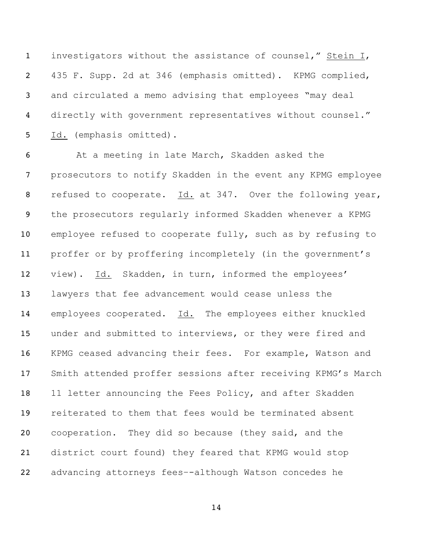investigators without the assistance of counsel," Stein I, 435 F. Supp. 2d at 346 (emphasis omitted). KPMG complied, and circulated a memo advising that employees "may deal directly with government representatives without counsel." Id. (emphasis omitted).

 At a meeting in late March, Skadden asked the prosecutors to notify Skadden in the event any KPMG employee refused to cooperate. Id. at 347. Over the following year, the prosecutors regularly informed Skadden whenever a KPMG employee refused to cooperate fully, such as by refusing to proffer or by proffering incompletely (in the government's view). Id. Skadden, in turn, informed the employees' lawyers that fee advancement would cease unless the employees cooperated. Id. The employees either knuckled under and submitted to interviews, or they were fired and KPMG ceased advancing their fees. For example, Watson and Smith attended proffer sessions after receiving KPMG's March 18 11 letter announcing the Fees Policy, and after Skadden reiterated to them that fees would be terminated absent cooperation. They did so because (they said, and the district court found) they feared that KPMG would stop advancing attorneys fees–-although Watson concedes he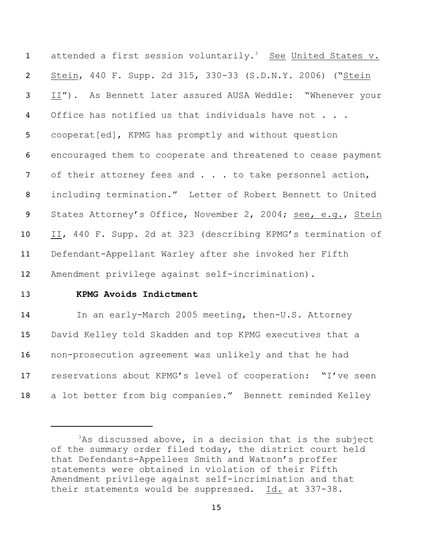1 attended a first session voluntarily.<sup>3</sup> See United States v. Stein, 440 F. Supp. 2d 315, 330-33 (S.D.N.Y. 2006) ("Stein II"). As Bennett later assured AUSA Weddle: "Whenever your 4 Office has notified us that individuals have not . . . cooperat[ed], KPMG has promptly and without question encouraged them to cooperate and threatened to cease payment 7 of their attorney fees and . . . to take personnel action, including termination." Letter of Robert Bennett to United 9 States Attorney's Office, November 2, 2004; see, e.g., Stein II, 440 F. Supp. 2d at 323 (describing KPMG's termination of Defendant-Appellant Warley after she invoked her Fifth Amendment privilege against self-incrimination).

## 13 **KPMG Avoids Indictment**

14 In an early-March 2005 meeting, then-U.S. Attorney David Kelley told Skadden and top KPMG executives that a non-prosecution agreement was unlikely and that he had reservations about KPMG's level of cooperation: "I've seen a lot better from big companies." Bennett reminded Kelley

 $3$ As discussed above, in a decision that is the subject of the summary order filed today, the district court held that Defendants-Appellees Smith and Watson's proffer statements were obtained in violation of their Fifth Amendment privilege against self-incrimination and that their statements would be suppressed. Id. at 337-38.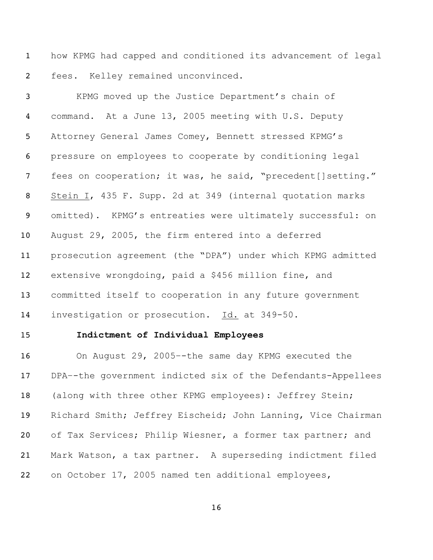how KPMG had capped and conditioned its advancement of legal fees. Kelley remained unconvinced.

 KPMG moved up the Justice Department's chain of command. At a June 13, 2005 meeting with U.S. Deputy Attorney General James Comey, Bennett stressed KPMG's pressure on employees to cooperate by conditioning legal 7 fees on cooperation; it was, he said, "precedent[]setting." Stein I, 435 F. Supp. 2d at 349 (internal quotation marks omitted). KPMG's entreaties were ultimately successful: on August 29, 2005, the firm entered into a deferred prosecution agreement (the "DPA") under which KPMG admitted extensive wrongdoing, paid a \$456 million fine, and committed itself to cooperation in any future government investigation or prosecution. Id. at 349-50.

## **Indictment of Individual Employees**

 On August 29, 2005–-the same day KPMG executed the DPA–-the government indicted six of the Defendants-Appellees (along with three other KPMG employees): Jeffrey Stein; Richard Smith; Jeffrey Eischeid; John Lanning, Vice Chairman of Tax Services; Philip Wiesner, a former tax partner; and Mark Watson, a tax partner. A superseding indictment filed on October 17, 2005 named ten additional employees,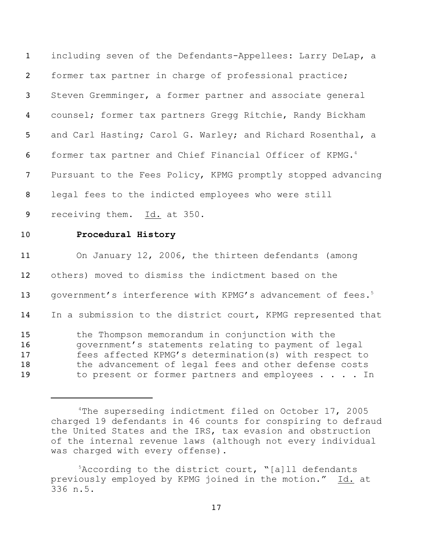including seven of the Defendants-Appellees: Larry DeLap, a former tax partner in charge of professional practice; Steven Gremminger, a former partner and associate general counsel; former tax partners Gregg Ritchie, Randy Bickham 5 and Carl Hasting; Carol G. Warley; and Richard Rosenthal, a former tax partner and Chief Financial Officer of KPMG. 4 Pursuant to the Fees Policy, KPMG promptly stopped advancing legal fees to the indicted employees who were still receiving them. Id. at 350. **Procedural History** On January 12, 2006, the thirteen defendants (among others) moved to dismiss the indictment based on the 13 government's interference with KPMG's advancement of fees.<sup>5</sup> In a submission to the district court, KPMG represented that the Thompson memorandum in conjunction with the 16 government's statements relating to payment of legal fees affected KPMG's determination(s) with respect to 18 the advancement of legal fees and other defense costs 19 to present or former partners and employees . . . . In

<sup>&</sup>lt;sup>4</sup>The superseding indictment filed on October 17, 2005 charged 19 defendants in 46 counts for conspiring to defraud the United States and the IRS, tax evasion and obstruction of the internal revenue laws (although not every individual was charged with every offense).

 ${}^{5}$ According to the district court, "[a]ll defendants previously employed by KPMG joined in the motion." Id. at 336 n.5.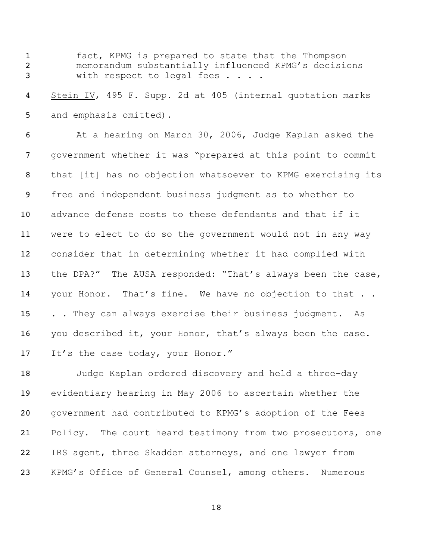fact, KPMG is prepared to state that the Thompson memorandum substantially influenced KPMG's decisions 3 with respect to legal fees . . . .

 Stein IV, 495 F. Supp. 2d at 405 (internal quotation marks 5 and emphasis omitted).

 At a hearing on March 30, 2006, Judge Kaplan asked the government whether it was "prepared at this point to commit that [it] has no objection whatsoever to KPMG exercising its free and independent business judgment as to whether to advance defense costs to these defendants and that if it were to elect to do so the government would not in any way consider that in determining whether it had complied with 13 the DPA?" The AUSA responded: "That's always been the case, 14 your Honor. That's fine. We have no objection to that .. 15 . . They can always exercise their business judgment. As 16 you described it, your Honor, that's always been the case. 17 It's the case today, your Honor."

 Judge Kaplan ordered discovery and held a three-day evidentiary hearing in May 2006 to ascertain whether the government had contributed to KPMG's adoption of the Fees 21 Policy. The court heard testimony from two prosecutors, one IRS agent, three Skadden attorneys, and one lawyer from KPMG's Office of General Counsel, among others. Numerous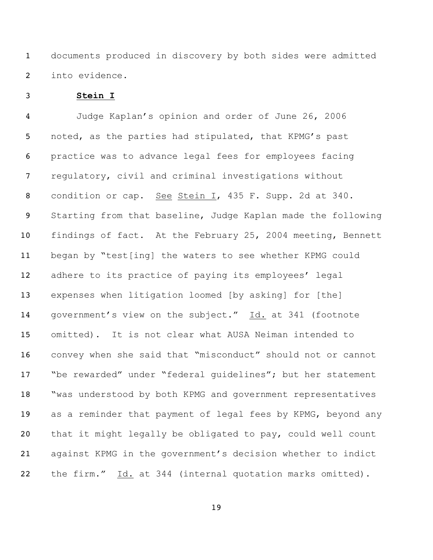documents produced in discovery by both sides were admitted into evidence.

**Stein I**

 Judge Kaplan's opinion and order of June 26, 2006 noted, as the parties had stipulated, that KPMG's past practice was to advance legal fees for employees facing regulatory, civil and criminal investigations without condition or cap. See Stein I, 435 F. Supp. 2d at 340. Starting from that baseline, Judge Kaplan made the following findings of fact. At the February 25, 2004 meeting, Bennett began by "test[ing] the waters to see whether KPMG could 12 adhere to its practice of paying its employees' legal expenses when litigation loomed [by asking] for [the] government's view on the subject." Id. at 341 (footnote omitted). It is not clear what AUSA Neiman intended to convey when she said that "misconduct" should not or cannot "be rewarded" under "federal guidelines"; but her statement 18 "was understood by both KPMG and government representatives 19 as a reminder that payment of legal fees by KPMG, beyond any that it might legally be obligated to pay, could well count against KPMG in the government's decision whether to indict the firm." Id. at 344 (internal quotation marks omitted).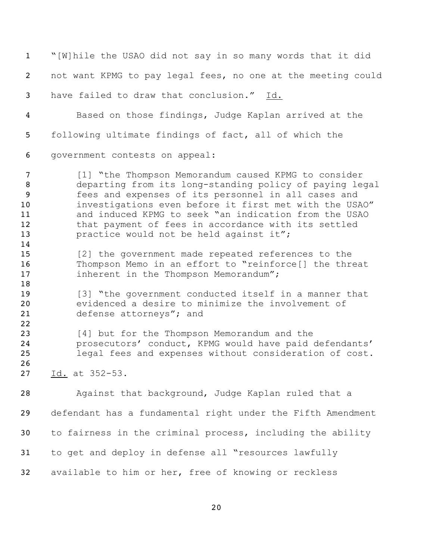"[W]hile the USAO did not say in so many words that it did not want KPMG to pay legal fees, no one at the meeting could have failed to draw that conclusion." Id. Based on those findings, Judge Kaplan arrived at the following ultimate findings of fact, all of which the government contests on appeal: [1] "the Thompson Memorandum caused KPMG to consider departing from its long-standing policy of paying legal fees and expenses of its personnel in all cases and investigations even before it first met with the USAO" and induced KPMG to seek "an indication from the USAO 12 that payment of fees in accordance with its settled **practice would not be held against it";**  [2] the government made repeated references to the Thompson Memo in an effort to "reinforce[] the threat **inherent in the Thompson Memorandum"**; 19 [3] "the government conducted itself in a manner that evidenced a desire to minimize the involvement of defense attorneys"; and [4] but for the Thompson Memorandum and the prosecutors' conduct, KPMG would have paid defendants' legal fees and expenses without consideration of cost. Id. at 352-53. Against that background, Judge Kaplan ruled that a defendant has a fundamental right under the Fifth Amendment to fairness in the criminal process, including the ability to get and deploy in defense all "resources lawfully available to him or her, free of knowing or reckless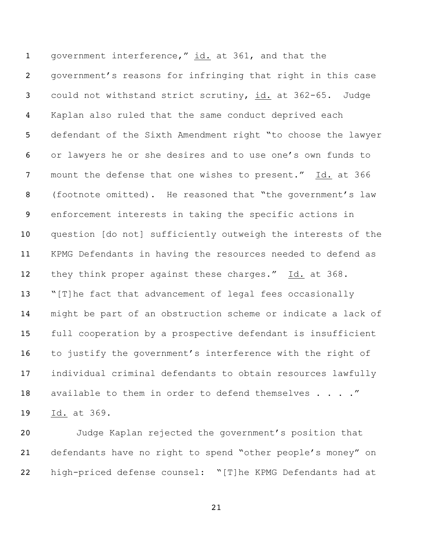government interference," id. at 361, and that the government's reasons for infringing that right in this case could not withstand strict scrutiny, id. at 362-65. Judge Kaplan also ruled that the same conduct deprived each defendant of the Sixth Amendment right "to choose the lawyer or lawyers he or she desires and to use one's own funds to mount the defense that one wishes to present." Id. at 366 (footnote omitted). He reasoned that "the government's law enforcement interests in taking the specific actions in question [do not] sufficiently outweigh the interests of the KPMG Defendants in having the resources needed to defend as 12 they think proper against these charges." Id. at 368. "[T]he fact that advancement of legal fees occasionally might be part of an obstruction scheme or indicate a lack of full cooperation by a prospective defendant is insufficient to justify the government's interference with the right of individual criminal defendants to obtain resources lawfully 18 available to them in order to defend themselves . . . . " Id. at 369.

 Judge Kaplan rejected the government's position that defendants have no right to spend "other people's money" on high-priced defense counsel: "[T]he KPMG Defendants had at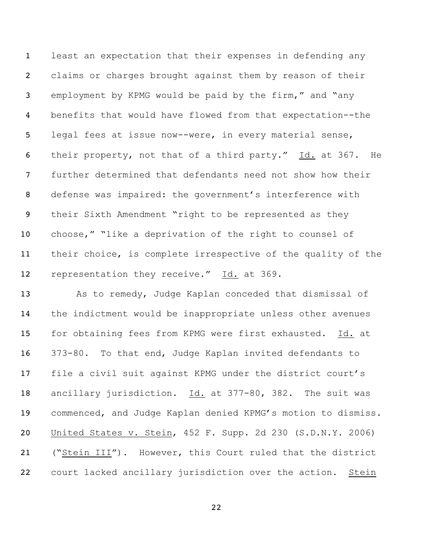least an expectation that their expenses in defending any claims or charges brought against them by reason of their employment by KPMG would be paid by the firm," and "any benefits that would have flowed from that expectation--the legal fees at issue now--were, in every material sense, their property, not that of a third party." Id. at 367. He further determined that defendants need not show how their defense was impaired: the government's interference with their Sixth Amendment "right to be represented as they choose," "like a deprivation of the right to counsel of their choice, is complete irrespective of the quality of the 12 representation they receive." Id. at 369.

 As to remedy, Judge Kaplan conceded that dismissal of the indictment would be inappropriate unless other avenues for obtaining fees from KPMG were first exhausted. Id. at 373-80. To that end, Judge Kaplan invited defendants to file a civil suit against KPMG under the district court's ancillary jurisdiction. Id. at 377-80, 382. The suit was commenced, and Judge Kaplan denied KPMG's motion to dismiss. United States v. Stein, 452 F. Supp. 2d 230 (S.D.N.Y. 2006) ("Stein III"). However, this Court ruled that the district court lacked ancillary jurisdiction over the action. Stein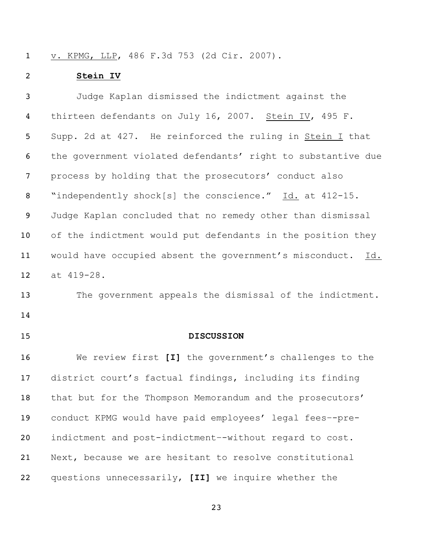v. KPMG, LLP, 486 F.3d 753 (2d Cir. 2007).

## **Stein IV**

 Judge Kaplan dismissed the indictment against the 4 thirteen defendants on July 16, 2007. Stein IV, 495 F. Supp. 2d at 427. He reinforced the ruling in Stein I that the government violated defendants' right to substantive due process by holding that the prosecutors' conduct also 8 "independently shock[s] the conscience." Id. at 412-15. Judge Kaplan concluded that no remedy other than dismissal of the indictment would put defendants in the position they would have occupied absent the government's misconduct. Id. at 419-28.

13 The government appeals the dismissal of the indictment. 

## **DISCUSSION**

 We review first **[I]** the government's challenges to the district court's factual findings, including its finding 18 that but for the Thompson Memorandum and the prosecutors' conduct KPMG would have paid employees' legal fees–-pre- indictment and post-indictment–-without regard to cost. Next, because we are hesitant to resolve constitutional questions unnecessarily, **[II]** we inquire whether the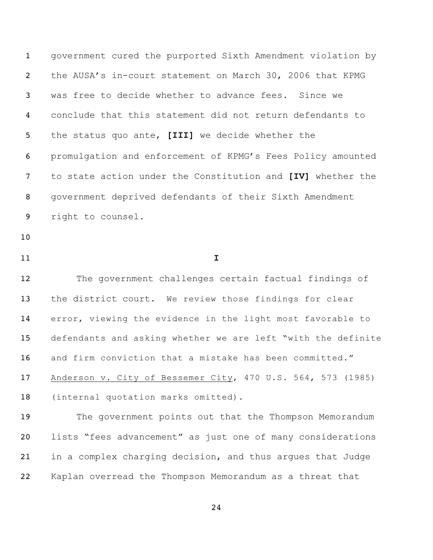government cured the purported Sixth Amendment violation by the AUSA's in-court statement on March 30, 2006 that KPMG was free to decide whether to advance fees. Since we conclude that this statement did not return defendants to the status quo ante, **[III]** we decide whether the promulgation and enforcement of KPMG's Fees Policy amounted to state action under the Constitution and **[IV]** whether the government deprived defendants of their Sixth Amendment right to counsel.

- 
- **I**

 The government challenges certain factual findings of the district court. We review those findings for clear error, viewing the evidence in the light most favorable to defendants and asking whether we are left "with the definite and firm conviction that a mistake has been committed." Anderson v. City of Bessemer City, 470 U.S. 564, 573 (1985) (internal quotation marks omitted).

 The government points out that the Thompson Memorandum lists "fees advancement" as just one of many considerations in a complex charging decision, and thus argues that Judge Kaplan overread the Thompson Memorandum as a threat that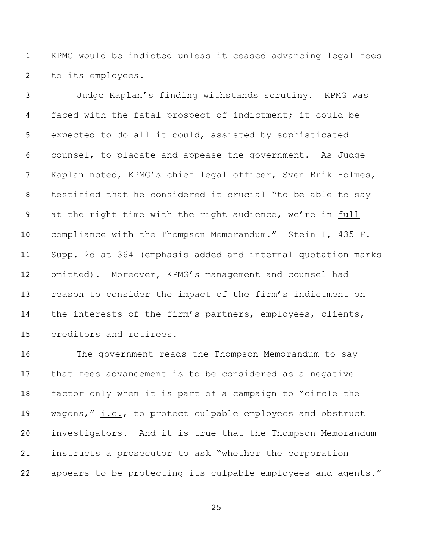KPMG would be indicted unless it ceased advancing legal fees to its employees.

 Judge Kaplan's finding withstands scrutiny. KPMG was faced with the fatal prospect of indictment; it could be expected to do all it could, assisted by sophisticated counsel, to placate and appease the government. As Judge Kaplan noted, KPMG's chief legal officer, Sven Erik Holmes, testified that he considered it crucial "to be able to say at the right time with the right audience, we're in full compliance with the Thompson Memorandum." Stein I, 435 F. Supp. 2d at 364 (emphasis added and internal quotation marks omitted). Moreover, KPMG's management and counsel had reason to consider the impact of the firm's indictment on the interests of the firm's partners, employees, clients, creditors and retirees.

16 The government reads the Thompson Memorandum to say that fees advancement is to be considered as a negative factor only when it is part of a campaign to "circle the wagons," i.e., to protect culpable employees and obstruct investigators. And it is true that the Thompson Memorandum instructs a prosecutor to ask "whether the corporation appears to be protecting its culpable employees and agents."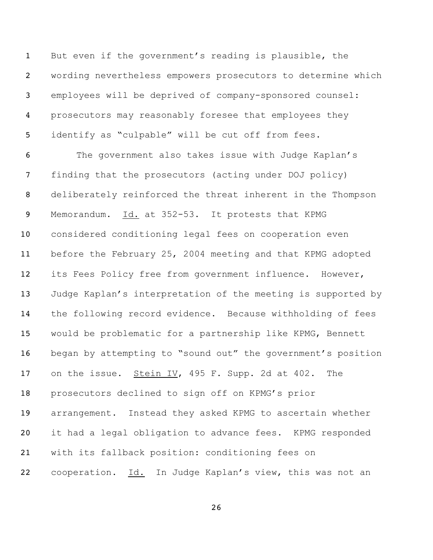But even if the government's reading is plausible, the wording nevertheless empowers prosecutors to determine which employees will be deprived of company-sponsored counsel: prosecutors may reasonably foresee that employees they identify as "culpable" will be cut off from fees.

 The government also takes issue with Judge Kaplan's finding that the prosecutors (acting under DOJ policy) deliberately reinforced the threat inherent in the Thompson Memorandum. Id. at 352-53. It protests that KPMG considered conditioning legal fees on cooperation even before the February 25, 2004 meeting and that KPMG adopted its Fees Policy free from government influence. However, Judge Kaplan's interpretation of the meeting is supported by the following record evidence. Because withholding of fees would be problematic for a partnership like KPMG, Bennett began by attempting to "sound out" the government's position on the issue. Stein IV, 495 F. Supp. 2d at 402. The prosecutors declined to sign off on KPMG's prior arrangement. Instead they asked KPMG to ascertain whether it had a legal obligation to advance fees. KPMG responded with its fallback position: conditioning fees on cooperation. Id. In Judge Kaplan's view, this was not an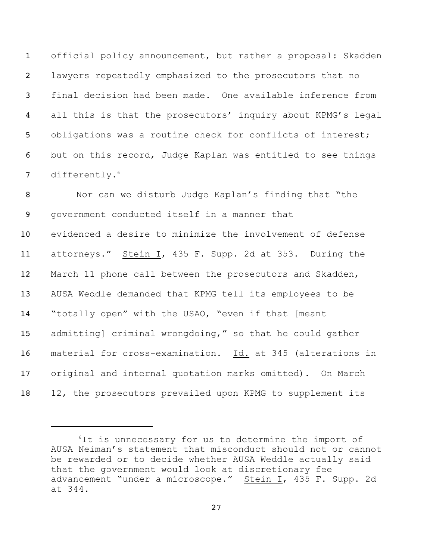official policy announcement, but rather a proposal: Skadden lawyers repeatedly emphasized to the prosecutors that no final decision had been made. One available inference from all this is that the prosecutors' inquiry about KPMG's legal 5 obligations was a routine check for conflicts of interest; but on this record, Judge Kaplan was entitled to see things 7 differently.<sup>6</sup>

 Nor can we disturb Judge Kaplan's finding that "the government conducted itself in a manner that evidenced a desire to minimize the involvement of defense attorneys." Stein I, 435 F. Supp. 2d at 353. During the March 11 phone call between the prosecutors and Skadden, AUSA Weddle demanded that KPMG tell its employees to be "totally open" with the USAO, "even if that [meant admitting] criminal wrongdoing," so that he could gather material for cross-examination. Id. at 345 (alterations in original and internal quotation marks omitted). On March 12, the prosecutors prevailed upon KPMG to supplement its

 ${}^{6}$ It is unnecessary for us to determine the import of AUSA Neiman's statement that misconduct should not or cannot be rewarded or to decide whether AUSA Weddle actually said that the government would look at discretionary fee advancement "under a microscope." Stein I, 435 F. Supp. 2d at 344.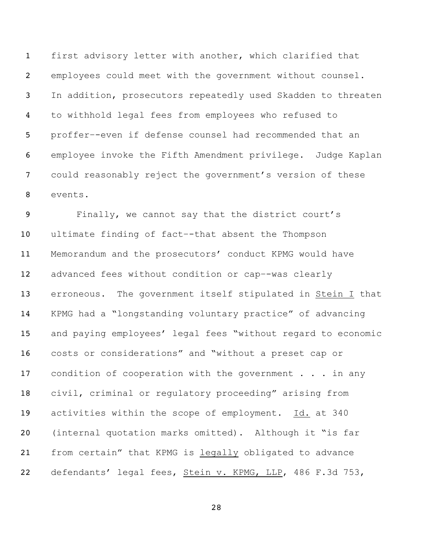first advisory letter with another, which clarified that employees could meet with the government without counsel. In addition, prosecutors repeatedly used Skadden to threaten to withhold legal fees from employees who refused to proffer–-even if defense counsel had recommended that an employee invoke the Fifth Amendment privilege. Judge Kaplan could reasonably reject the government's version of these events.

 Finally, we cannot say that the district court's ultimate finding of fact–-that absent the Thompson Memorandum and the prosecutors' conduct KPMG would have advanced fees without condition or cap–-was clearly erroneous. The government itself stipulated in Stein I that KPMG had a "longstanding voluntary practice" of advancing and paying employees' legal fees "without regard to economic costs or considerations" and "without a preset cap or 17 condition of cooperation with the government . . . in any civil, criminal or regulatory proceeding" arising from activities within the scope of employment. Id. at 340 (internal quotation marks omitted). Although it "is far from certain" that KPMG is legally obligated to advance 22 defendants' legal fees, Stein v. KPMG, LLP, 486 F.3d 753,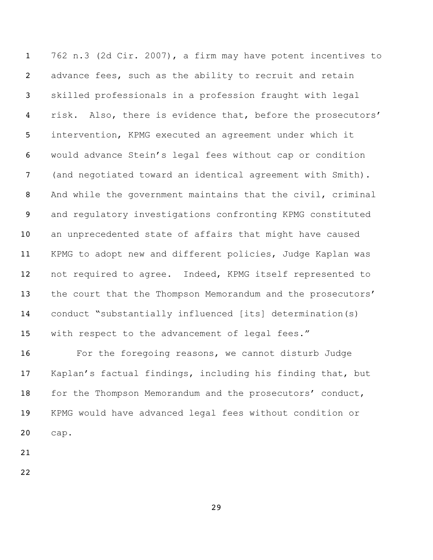762 n.3 (2d Cir. 2007), a firm may have potent incentives to 2 advance fees, such as the ability to recruit and retain skilled professionals in a profession fraught with legal 4 risk. Also, there is evidence that, before the prosecutors' intervention, KPMG executed an agreement under which it would advance Stein's legal fees without cap or condition (and negotiated toward an identical agreement with Smith). And while the government maintains that the civil, criminal and regulatory investigations confronting KPMG constituted an unprecedented state of affairs that might have caused KPMG to adopt new and different policies, Judge Kaplan was not required to agree. Indeed, KPMG itself represented to 13 the court that the Thompson Memorandum and the prosecutors' conduct "substantially influenced [its] determination(s) with respect to the advancement of legal fees."

16 For the foregoing reasons, we cannot disturb Judge Kaplan's factual findings, including his finding that, but 18 for the Thompson Memorandum and the prosecutors' conduct, KPMG would have advanced legal fees without condition or cap.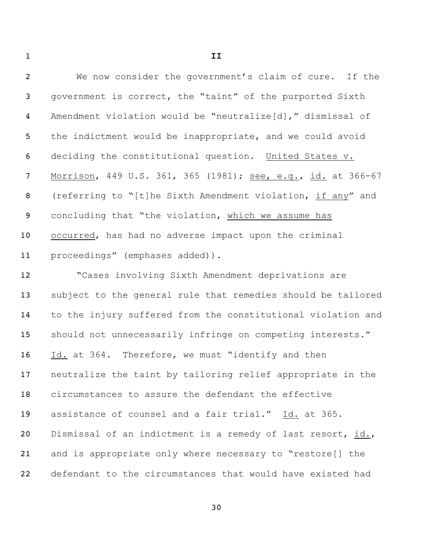**II** We now consider the government's claim of cure. If the government is correct, the "taint" of the purported Sixth Amendment violation would be "neutralize[d]," dismissal of 5 the indictment would be inappropriate, and we could avoid deciding the constitutional question. United States v. 7 Morrison, 449 U.S. 361, 365 (1981); see, e.g., id. at 366-67 (referring to "[t]he Sixth Amendment violation, if any" and concluding that "the violation, which we assume has occurred, has had no adverse impact upon the criminal proceedings" (emphases added)). "Cases involving Sixth Amendment deprivations are subject to the general rule that remedies should be tailored to the injury suffered from the constitutional violation and should not unnecessarily infringe on competing interests." 16 Id. at 364. Therefore, we must "identify and then neutralize the taint by tailoring relief appropriate in the circumstances to assure the defendant the effective assistance of counsel and a fair trial." Id. at 365. Dismissal of an indictment is a remedy of last resort, id., and is appropriate only where necessary to "restore[] the defendant to the circumstances that would have existed had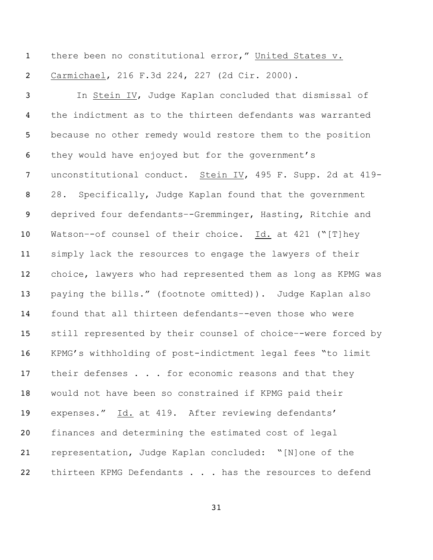1 there been no constitutional error," United States v. Carmichael, 216 F.3d 224, 227 (2d Cir. 2000). In Stein IV, Judge Kaplan concluded that dismissal of the indictment as to the thirteen defendants was warranted because no other remedy would restore them to the position they would have enjoyed but for the government's unconstitutional conduct. Stein IV, 495 F. Supp. 2d at 419- 28. Specifically, Judge Kaplan found that the government deprived four defendants–-Gremminger, Hasting, Ritchie and Watson–-of counsel of their choice. Id. at 421 ("[T]hey simply lack the resources to engage the lawyers of their choice, lawyers who had represented them as long as KPMG was paying the bills." (footnote omitted)). Judge Kaplan also found that all thirteen defendants–-even those who were still represented by their counsel of choice–-were forced by KPMG's withholding of post-indictment legal fees "to limit 17 their defenses . . . for economic reasons and that they would not have been so constrained if KPMG paid their expenses." Id. at 419. After reviewing defendants' finances and determining the estimated cost of legal representation, Judge Kaplan concluded: "[N]one of the 22 thirteen KPMG Defendants . . . has the resources to defend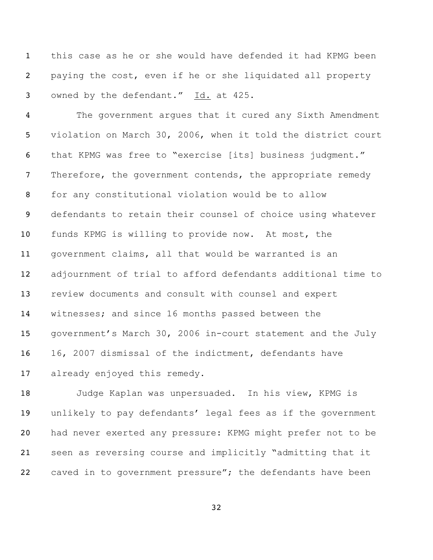this case as he or she would have defended it had KPMG been paying the cost, even if he or she liquidated all property owned by the defendant." Id. at 425.

 The government argues that it cured any Sixth Amendment violation on March 30, 2006, when it told the district court that KPMG was free to "exercise [its] business judgment." 7 Therefore, the government contends, the appropriate remedy for any constitutional violation would be to allow defendants to retain their counsel of choice using whatever funds KPMG is willing to provide now. At most, the government claims, all that would be warranted is an adjournment of trial to afford defendants additional time to review documents and consult with counsel and expert witnesses; and since 16 months passed between the government's March 30, 2006 in-court statement and the July 16, 2007 dismissal of the indictment, defendants have already enjoyed this remedy.

 Judge Kaplan was unpersuaded. In his view, KPMG is unlikely to pay defendants' legal fees as if the government had never exerted any pressure: KPMG might prefer not to be seen as reversing course and implicitly "admitting that it 22 caved in to government pressure"; the defendants have been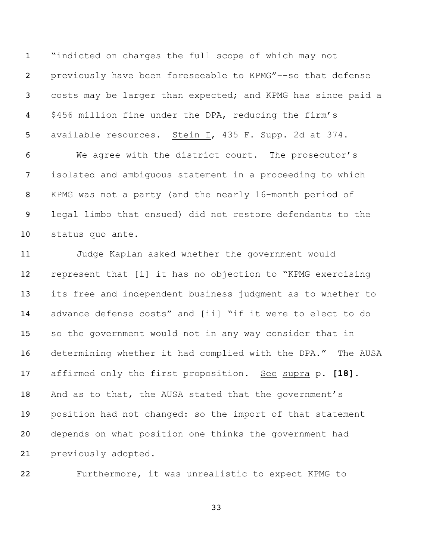"indicted on charges the full scope of which may not previously have been foreseeable to KPMG"–-so that defense costs may be larger than expected; and KPMG has since paid a \$456 million fine under the DPA, reducing the firm's available resources. Stein I, 435 F. Supp. 2d at 374.

 We agree with the district court. The prosecutor's isolated and ambiguous statement in a proceeding to which KPMG was not a party (and the nearly 16-month period of legal limbo that ensued) did not restore defendants to the status quo ante.

 Judge Kaplan asked whether the government would represent that [i] it has no objection to "KPMG exercising its free and independent business judgment as to whether to advance defense costs" and [ii] "if it were to elect to do so the government would not in any way consider that in determining whether it had complied with the DPA." The AUSA affirmed only the first proposition. See supra p. **[18]**. And as to that, the AUSA stated that the government's position had not changed: so the import of that statement depends on what position one thinks the government had previously adopted.

Furthermore, it was unrealistic to expect KPMG to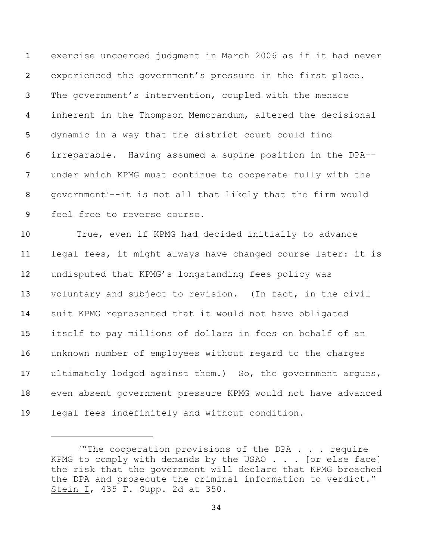| $\mathbf{1}$    | exercise uncoerced judgment in March 2006 as if it had never            |
|-----------------|-------------------------------------------------------------------------|
| $\overline{2}$  | experienced the government's pressure in the first place.               |
| $\mathbf{3}$    | The government's intervention, coupled with the menace                  |
| $\overline{4}$  | inherent in the Thompson Memorandum, altered the decisional             |
| 5               | dynamic in a way that the district court could find                     |
| 6               | irreparable. Having assumed a supine position in the DPA--              |
| $7\phantom{.0}$ | under which KPMG must continue to cooperate fully with the              |
| 8               | government <sup>7--</sup> it is not all that likely that the firm would |
| 9               | feel free to reverse course.                                            |
| 10 <sub>1</sub> | True, even if KPMG had decided initially to advance                     |
| 11              | legal fees, it might always have changed course later: it is            |
| 12 <sup>2</sup> | undisputed that KPMG's longstanding fees policy was                     |
| 13              | voluntary and subject to revision. (In fact, in the civil               |
| 14              | suit KPMG represented that it would not have obligated                  |
| 15              | itself to pay millions of dollars in fees on behalf of an               |
| 16              | unknown number of employees without regard to the charges               |
|                 |                                                                         |

 even absent government pressure KPMG would not have advanced legal fees indefinitely and without condition.

17 ultimately lodged against them.) So, the government argues,

<sup>&</sup>lt;sup>7</sup>"The cooperation provisions of the DPA . . . require KPMG to comply with demands by the USAO . . . [or else face] the risk that the government will declare that KPMG breached the DPA and prosecute the criminal information to verdict." Stein I, F. Supp. 2d at 350.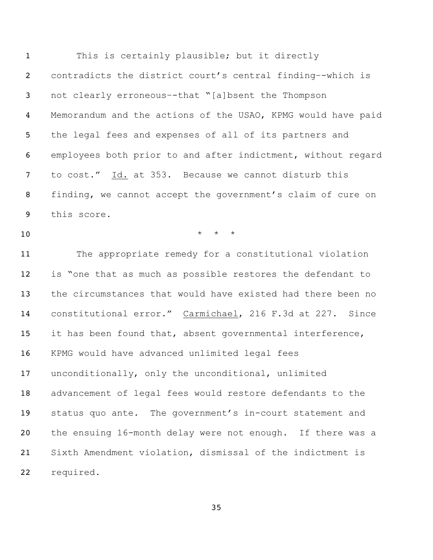This is certainly plausible; but it directly contradicts the district court's central finding–-which is not clearly erroneous–-that "[a]bsent the Thompson Memorandum and the actions of the USAO, KPMG would have paid the legal fees and expenses of all of its partners and employees both prior to and after indictment, without regard 7 to cost." Id. at 353. Because we cannot disturb this finding, we cannot accept the government's claim of cure on this score.  $\qquad \qquad \star \quad \star \quad \star$  The appropriate remedy for a constitutional violation is "one that as much as possible restores the defendant to the circumstances that would have existed had there been no constitutional error." Carmichael, 216 F.3d at 227. Since it has been found that, absent governmental interference, KPMG would have advanced unlimited legal fees unconditionally, only the unconditional, unlimited advancement of legal fees would restore defendants to the status quo ante. The government's in-court statement and the ensuing 16-month delay were not enough. If there was a Sixth Amendment violation, dismissal of the indictment is required.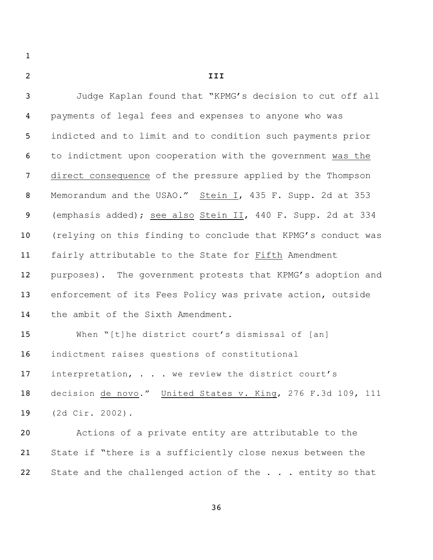**III**

| 3              | Judge Kaplan found that "KPMG's decision to cut off all      |
|----------------|--------------------------------------------------------------|
| 4              | payments of legal fees and expenses to anyone who was        |
| 5              | indicted and to limit and to condition such payments prior   |
| 6              | to indictment upon cooperation with the government was the   |
| $\overline{7}$ | direct consequence of the pressure applied by the Thompson   |
| $\, 8$         | Memorandum and the USAO." Stein I, 435 F. Supp. 2d at 353    |
| 9              | (emphasis added); see also Stein II, 440 F. Supp. 2d at 334  |
| 10             | (relying on this finding to conclude that KPMG's conduct was |
| 11             | fairly attributable to the State for Fifth Amendment         |
| 12             | purposes). The government protests that KPMG's adoption and  |
| 13             | enforcement of its Fees Policy was private action, outside   |
| 14             | the ambit of the Sixth Amendment.                            |
| 15             | When "[t]he district court's dismissal of [an]               |
| 16             | indictment raises questions of constitutional                |
| 17             | interpretation, we review the district court's               |
| 18             | decision de novo." United States v. King, 276 F.3d 109, 111  |
| 19             | (2d Cir. 2002).                                              |
| 20             | Actions of a private entity are attributable to the          |
| 21             | State if "there is a sufficiently close nexus between the    |
| 22             | State and the challenged action of the entity so that        |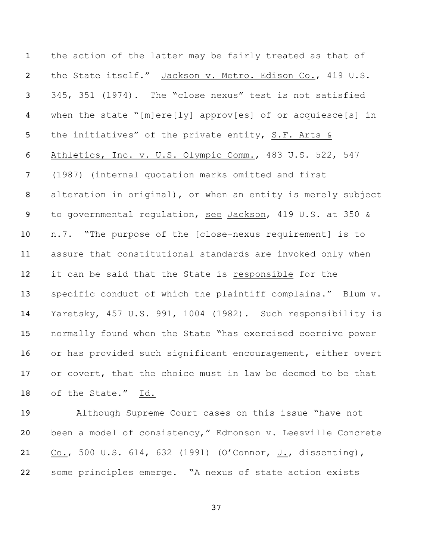the action of the latter may be fairly treated as that of the State itself." Jackson v. Metro. Edison Co., 419 U.S. 345, 351 (1974). The "close nexus" test is not satisfied when the state "[m]ere[ly] approv[es] of or acquiesce[s] in the initiatives" of the private entity, S.F. Arts & Athletics, Inc. v. U.S. Olympic Comm., 483 U.S. 522, 547 (1987) (internal quotation marks omitted and first alteration in original), or when an entity is merely subject to governmental regulation, see Jackson, 419 U.S. at 350 & n.7. "The purpose of the [close-nexus requirement] is to assure that constitutional standards are invoked only when it can be said that the State is responsible for the specific conduct of which the plaintiff complains." Blum v. Yaretsky, 457 U.S. 991, 1004 (1982). Such responsibility is normally found when the State "has exercised coercive power or has provided such significant encouragement, either overt 17 or covert, that the choice must in law be deemed to be that of the State." Id.

 Although Supreme Court cases on this issue "have not been a model of consistency," Edmonson v. Leesville Concrete Co., 500 U.S. 614, 632 (1991) (O'Connor, J., dissenting), some principles emerge. "A nexus of state action exists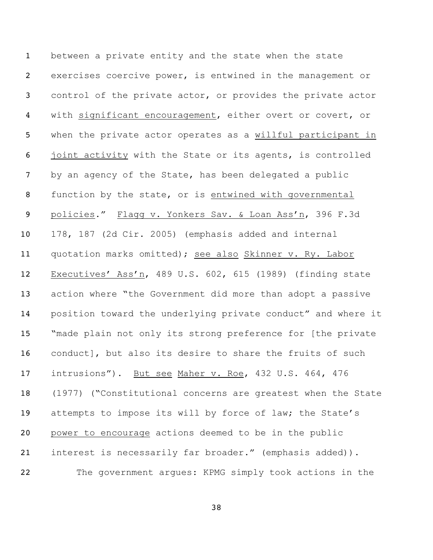between a private entity and the state when the state exercises coercive power, is entwined in the management or control of the private actor, or provides the private actor with significant encouragement, either overt or covert, or when the private actor operates as a willful participant in joint activity with the State or its agents, is controlled by an agency of the State, has been delegated a public function by the state, or is entwined with governmental policies." Flagg v. Yonkers Sav. & Loan Ass'n, 396 F.3d 178, 187 (2d Cir. 2005) (emphasis added and internal quotation marks omitted); see also Skinner v. Ry. Labor Executives' Ass'n, 489 U.S. 602, 615 (1989) (finding state action where "the Government did more than adopt a passive position toward the underlying private conduct" and where it "made plain not only its strong preference for [the private conduct], but also its desire to share the fruits of such intrusions"). But see Maher v. Roe, 432 U.S. 464, 476 (1977) ("Constitutional concerns are greatest when the State attempts to impose its will by force of law; the State's power to encourage actions deemed to be in the public interest is necessarily far broader." (emphasis added)). The government argues: KPMG simply took actions in the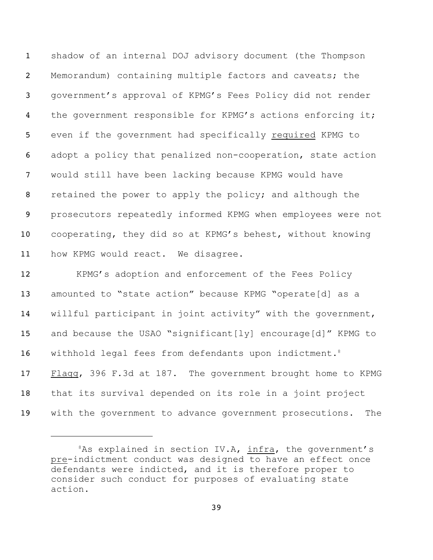shadow of an internal DOJ advisory document (the Thompson Memorandum) containing multiple factors and caveats; the government's approval of KPMG's Fees Policy did not render 4 the government responsible for KPMG's actions enforcing it; even if the government had specifically required KPMG to adopt a policy that penalized non-cooperation, state action would still have been lacking because KPMG would have 8 retained the power to apply the policy; and although the prosecutors repeatedly informed KPMG when employees were not cooperating, they did so at KPMG's behest, without knowing 11 how KPMG would react. We disagree.

 KPMG's adoption and enforcement of the Fees Policy amounted to "state action" because KPMG "operate[d] as a willful participant in joint activity" with the government, and because the USAO "significant[ly] encourage[d]" KPMG to 16 withhold legal fees from defendants upon indictment.<sup>8</sup> Flagg, 396 F.3d at 187. The government brought home to KPMG that its survival depended on its role in a joint project with the government to advance government prosecutions. The

As explained in section IV.A, infra, the government's pre-indictment conduct was designed to have an effect once defendants were indicted, and it is therefore proper to consider such conduct for purposes of evaluating state action.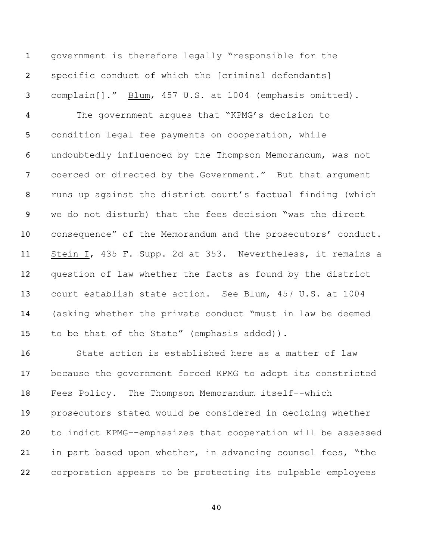government is therefore legally "responsible for the specific conduct of which the [criminal defendants] complain[]." Blum, 457 U.S. at 1004 (emphasis omitted). The government argues that "KPMG's decision to condition legal fee payments on cooperation, while undoubtedly influenced by the Thompson Memorandum, was not coerced or directed by the Government." But that argument runs up against the district court's factual finding (which we do not disturb) that the fees decision "was the direct 10 consequence" of the Memorandum and the prosecutors' conduct. Stein I, 435 F. Supp. 2d at 353. Nevertheless, it remains a question of law whether the facts as found by the district court establish state action. See Blum, 457 U.S. at 1004 (asking whether the private conduct "must in law be deemed to be that of the State" (emphasis added)).

16 State action is established here as a matter of law because the government forced KPMG to adopt its constricted Fees Policy. The Thompson Memorandum itself–-which prosecutors stated would be considered in deciding whether to indict KPMG–-emphasizes that cooperation will be assessed in part based upon whether, in advancing counsel fees, "the corporation appears to be protecting its culpable employees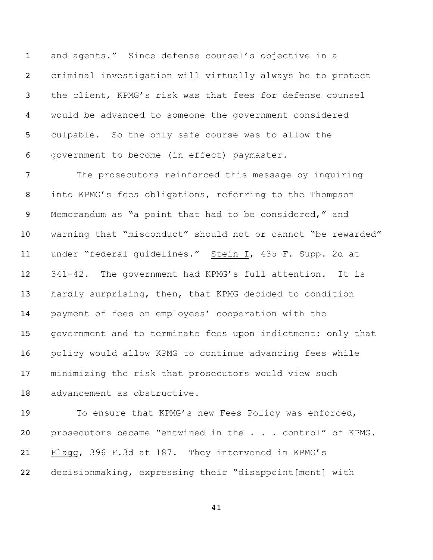and agents." Since defense counsel's objective in a criminal investigation will virtually always be to protect the client, KPMG's risk was that fees for defense counsel would be advanced to someone the government considered culpable. So the only safe course was to allow the government to become (in effect) paymaster.

 The prosecutors reinforced this message by inquiring into KPMG's fees obligations, referring to the Thompson Memorandum as "a point that had to be considered," and warning that "misconduct" should not or cannot "be rewarded" 11 under "federal guidelines." Stein I, 435 F. Supp. 2d at 341-42. The government had KPMG's full attention. It is hardly surprising, then, that KPMG decided to condition payment of fees on employees' cooperation with the government and to terminate fees upon indictment: only that policy would allow KPMG to continue advancing fees while minimizing the risk that prosecutors would view such advancement as obstructive.

 To ensure that KPMG's new Fees Policy was enforced, 20 prosecutors became "entwined in the . . . control" of KPMG. Flagg, 396 F.3d at 187. They intervened in KPMG's decisionmaking, expressing their "disappoint[ment] with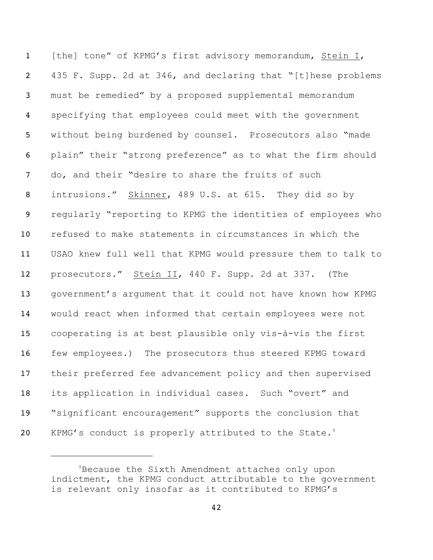1 [the] tone" of KPMG's first advisory memorandum, Stein I, 435 F. Supp. 2d at 346, and declaring that "[t]hese problems must be remedied" by a proposed supplemental memorandum specifying that employees could meet with the government without being burdened by counsel. Prosecutors also "made plain" their "strong preference" as to what the firm should do, and their "desire to share the fruits of such 8 intrusions." Skinner, 489 U.S. at 615. They did so by regularly "reporting to KPMG the identities of employees who refused to make statements in circumstances in which the USAO knew full well that KPMG would pressure them to talk to prosecutors." Stein II, 440 F. Supp. 2d at 337. (The government's argument that it could not have known how KPMG would react when informed that certain employees were not cooperating is at best plausible only vis-à-vis the first few employees.) The prosecutors thus steered KPMG toward their preferred fee advancement policy and then supervised its application in individual cases. Such "overt" and "significant encouragement" supports the conclusion that 20 KPMG's conduct is properly attributed to the State.<sup>9</sup>

<sup>&</sup>lt;sup>9</sup>Because the Sixth Amendment attaches only upon indictment, the KPMG conduct attributable to the government is relevant only insofar as it contributed to KPMG's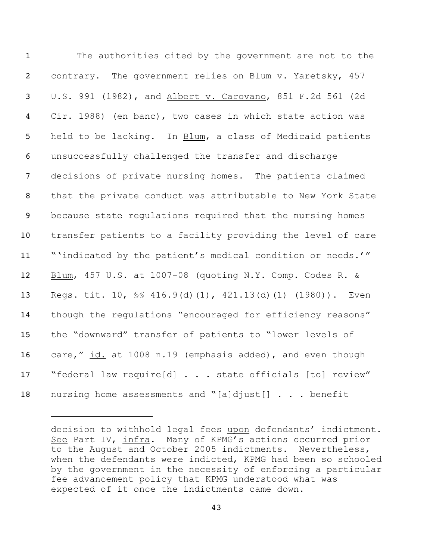The authorities cited by the government are not to the contrary. The government relies on Blum v. Yaretsky, 457 U.S. 991 (1982), and Albert v. Carovano, 851 F.2d 561 (2d Cir. 1988) (en banc), two cases in which state action was held to be lacking. In Blum, a class of Medicaid patients unsuccessfully challenged the transfer and discharge decisions of private nursing homes. The patients claimed that the private conduct was attributable to New York State because state regulations required that the nursing homes transfer patients to a facility providing the level of care "'indicated by the patient's medical condition or needs.'" Blum, 457 U.S. at 1007-08 (quoting N.Y. Comp. Codes R. & Regs. tit. 10, §§ 416.9(d)(1), 421.13(d)(1) (1980)). Even though the regulations "encouraged for efficiency reasons" the "downward" transfer of patients to "lower levels of 16 care," id. at 1008 n.19 (emphasis added), and even though 17 "federal law require[d] . . . state officials [to] review" nursing home assessments and "[a]djust[] . . . benefit

decision to withhold legal fees upon defendants' indictment. See Part IV, infra. Many of KPMG's actions occurred prior to the August and October 2005 indictments. Nevertheless, when the defendants were indicted, KPMG had been so schooled by the government in the necessity of enforcing a particular fee advancement policy that KPMG understood what was expected of it once the indictments came down.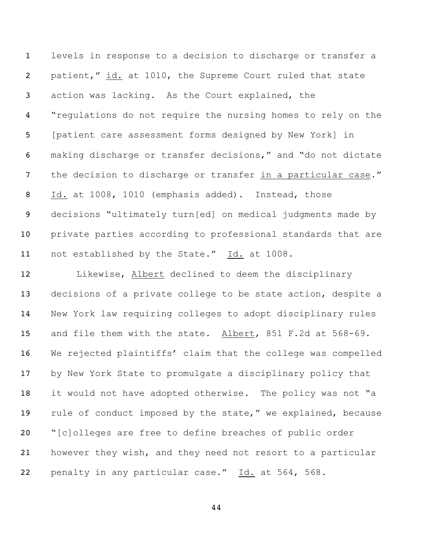levels in response to a decision to discharge or transfer a patient," id. at 1010, the Supreme Court ruled that state action was lacking. As the Court explained, the "regulations do not require the nursing homes to rely on the [patient care assessment forms designed by New York] in making discharge or transfer decisions," and "do not dictate 7 the decision to discharge or transfer in a particular case." Id. at 1008, 1010 (emphasis added). Instead, those decisions "ultimately turn[ed] on medical judgments made by private parties according to professional standards that are not established by the State." Id. at 1008.

 Likewise, Albert declined to deem the disciplinary decisions of a private college to be state action, despite a New York law requiring colleges to adopt disciplinary rules and file them with the state. Albert, 851 F.2d at 568-69. We rejected plaintiffs' claim that the college was compelled by New York State to promulgate a disciplinary policy that 18 it would not have adopted otherwise. The policy was not "a 19 rule of conduct imposed by the state," we explained, because "[c]olleges are free to define breaches of public order however they wish, and they need not resort to a particular 22 penalty in any particular case." Id. at 564, 568.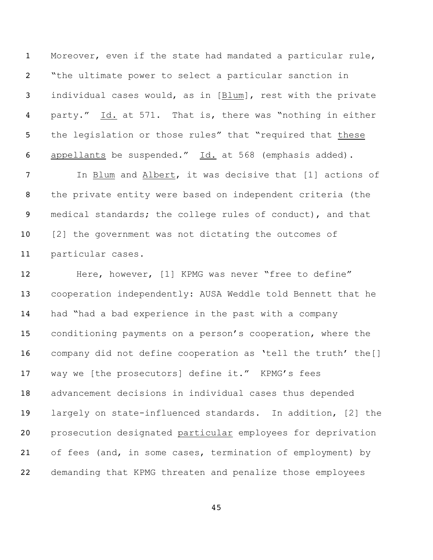Moreover, even if the state had mandated a particular rule, "the ultimate power to select a particular sanction in individual cases would, as in [Blum], rest with the private 4 party." Id. at 571. That is, there was "nothing in either 5 the legislation or those rules" that "required that these 6 appellants be suspended." Id. at 568 (emphasis added).

 In Blum and Albert, it was decisive that [1] actions of the private entity were based on independent criteria (the medical standards; the college rules of conduct), and that 10 [2] the government was not dictating the outcomes of particular cases.

12 Here, however, [1] KPMG was never "free to define" cooperation independently: AUSA Weddle told Bennett that he had "had a bad experience in the past with a company conditioning payments on a person's cooperation, where the company did not define cooperation as 'tell the truth' the[] 17 way we [the prosecutors] define it." KPMG's fees advancement decisions in individual cases thus depended largely on state-influenced standards. In addition, [2] the prosecution designated particular employees for deprivation 21 of fees (and, in some cases, termination of employment) by demanding that KPMG threaten and penalize those employees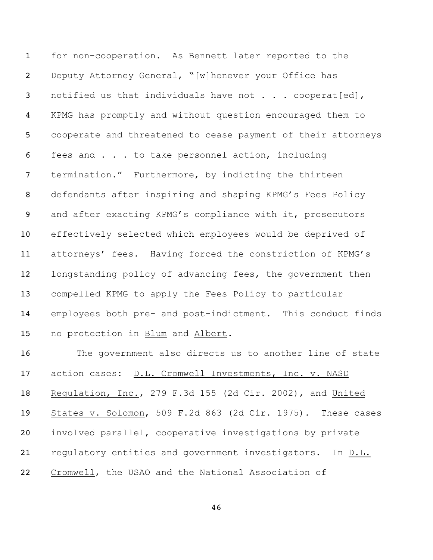for non-cooperation. As Bennett later reported to the Deputy Attorney General, "[w]henever your Office has 3 notified us that individuals have not . . . cooperat[ed], KPMG has promptly and without question encouraged them to cooperate and threatened to cease payment of their attorneys fees and . . . to take personnel action, including termination." Furthermore, by indicting the thirteen defendants after inspiring and shaping KPMG's Fees Policy and after exacting KPMG's compliance with it, prosecutors effectively selected which employees would be deprived of attorneys' fees. Having forced the constriction of KPMG's 12 longstanding policy of advancing fees, the government then compelled KPMG to apply the Fees Policy to particular employees both pre- and post-indictment. This conduct finds no protection in Blum and Albert.

 The government also directs us to another line of state action cases: D.L. Cromwell Investments, Inc. v. NASD Regulation, Inc., 279 F.3d 155 (2d Cir. 2002), and United States v. Solomon, 509 F.2d 863 (2d Cir. 1975). These cases involved parallel, cooperative investigations by private regulatory entities and government investigators. In D.L. Cromwell, the USAO and the National Association of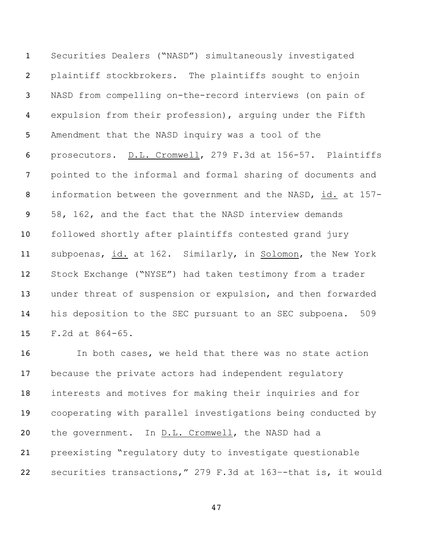Securities Dealers ("NASD") simultaneously investigated plaintiff stockbrokers. The plaintiffs sought to enjoin NASD from compelling on-the-record interviews (on pain of expulsion from their profession), arguing under the Fifth Amendment that the NASD inquiry was a tool of the prosecutors. D.L. Cromwell, 279 F.3d at 156-57. Plaintiffs pointed to the informal and formal sharing of documents and information between the government and the NASD, id. at 157- 58, 162, and the fact that the NASD interview demands followed shortly after plaintiffs contested grand jury subpoenas, id. at 162. Similarly, in Solomon, the New York Stock Exchange ("NYSE") had taken testimony from a trader under threat of suspension or expulsion, and then forwarded his deposition to the SEC pursuant to an SEC subpoena. 509 F.2d at 864-65.

 In both cases, we held that there was no state action because the private actors had independent regulatory interests and motives for making their inquiries and for cooperating with parallel investigations being conducted by 20 the government. In D.L. Cromwell, the NASD had a preexisting "regulatory duty to investigate questionable securities transactions," 279 F.3d at 163–-that is, it would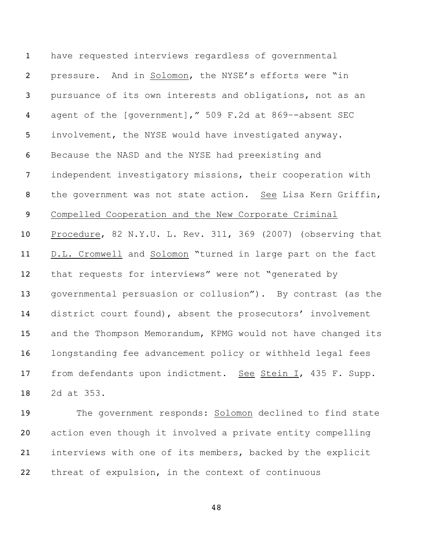have requested interviews regardless of governmental pressure. And in Solomon, the NYSE's efforts were "in pursuance of its own interests and obligations, not as an agent of the [government]," 509 F.2d at 869–-absent SEC involvement, the NYSE would have investigated anyway. Because the NASD and the NYSE had preexisting and independent investigatory missions, their cooperation with 8 the government was not state action. See Lisa Kern Griffin, Compelled Cooperation and the New Corporate Criminal Procedure, 82 N.Y.U. L. Rev. 311, 369 (2007) (observing that D.L. Cromwell and Solomon "turned in large part on the fact that requests for interviews" were not "generated by governmental persuasion or collusion"). By contrast (as the district court found), absent the prosecutors' involvement and the Thompson Memorandum, KPMG would not have changed its longstanding fee advancement policy or withheld legal fees 17 from defendants upon indictment. See Stein I, 435 F. Supp. 2d at 353.

 The government responds: Solomon declined to find state action even though it involved a private entity compelling interviews with one of its members, backed by the explicit threat of expulsion, in the context of continuous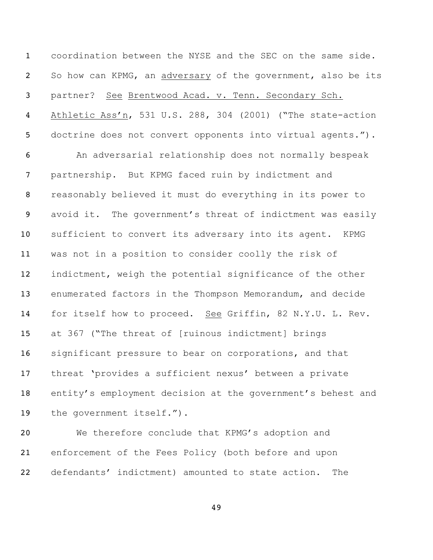coordination between the NYSE and the SEC on the same side. So how can KPMG, an adversary of the government, also be its partner? See Brentwood Acad. v. Tenn. Secondary Sch. Athletic Ass'n, 531 U.S. 288, 304 (2001) ("The state-action doctrine does not convert opponents into virtual agents."). An adversarial relationship does not normally bespeak

 partnership. But KPMG faced ruin by indictment and reasonably believed it must do everything in its power to avoid it. The government's threat of indictment was easily sufficient to convert its adversary into its agent. KPMG was not in a position to consider coolly the risk of indictment, weigh the potential significance of the other enumerated factors in the Thompson Memorandum, and decide for itself how to proceed. See Griffin, 82 N.Y.U. L. Rev. at 367 ("The threat of [ruinous indictment] brings significant pressure to bear on corporations, and that threat 'provides a sufficient nexus' between a private entity's employment decision at the government's behest and the government itself.").

 We therefore conclude that KPMG's adoption and enforcement of the Fees Policy (both before and upon defendants' indictment) amounted to state action. The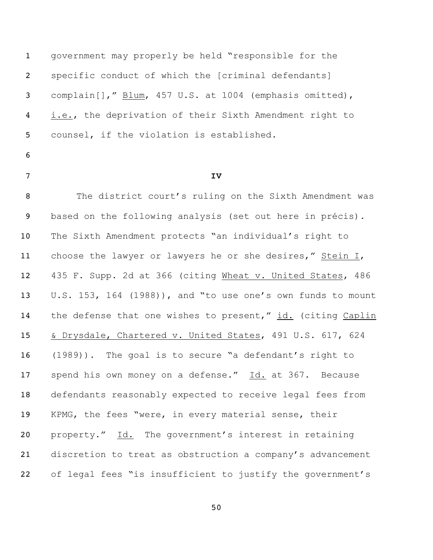government may properly be held "responsible for the specific conduct of which the [criminal defendants] complain[]," Blum, 457 U.S. at 1004 (emphasis omitted), i.e., the deprivation of their Sixth Amendment right to counsel, if the violation is established.

- 
- 

#### **IV**

8 The district court's ruling on the Sixth Amendment was based on the following analysis (set out here in précis). The Sixth Amendment protects "an individual's right to choose the lawyer or lawyers he or she desires," Stein I, 435 F. Supp. 2d at 366 (citing Wheat v. United States, 486 U.S. 153, 164 (1988)), and "to use one's own funds to mount the defense that one wishes to present," id. (citing Caplin & Drysdale, Chartered v. United States, 491 U.S. 617, 624 (1989)). The goal is to secure "a defendant's right to 17 spend his own money on a defense." Id. at 367. Because defendants reasonably expected to receive legal fees from KPMG, the fees "were, in every material sense, their property." Id. The government's interest in retaining discretion to treat as obstruction a company's advancement of legal fees "is insufficient to justify the government's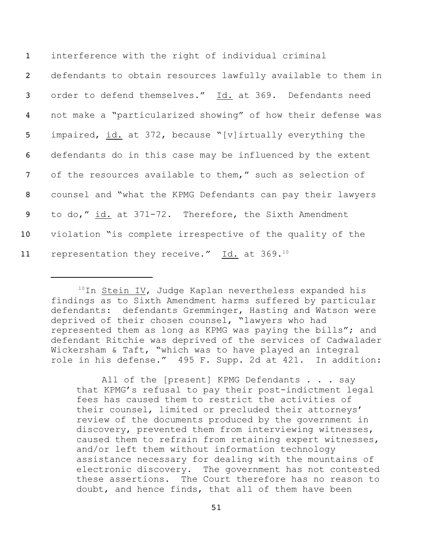interference with the right of individual criminal defendants to obtain resources lawfully available to them in order to defend themselves." Id. at 369. Defendants need not make a "particularized showing" of how their defense was impaired, id. at 372, because "[v]irtually everything the defendants do in this case may be influenced by the extent of the resources available to them," such as selection of counsel and "what the KPMG Defendants can pay their lawyers to do," id. at 371-72. Therefore, the Sixth Amendment violation "is complete irrespective of the quality of the 11 representation they receive." Id. at 369.<sup>10</sup>

All of the [present] KPMG Defendants . . . say that KPMG's refusal to pay their post-indictment legal fees has caused them to restrict the activities of their counsel, limited or precluded their attorneys' review of the documents produced by the government in discovery, prevented them from interviewing witnesses, caused them to refrain from retaining expert witnesses, and/or left them without information technology assistance necessary for dealing with the mountains of electronic discovery. The government has not contested these assertions. The Court therefore has no reason to doubt, and hence finds, that all of them have been

 $10$ In Stein IV, Judge Kaplan nevertheless expanded his findings as to Sixth Amendment harms suffered by particular defendants: defendants Gremminger, Hasting and Watson were deprived of their chosen counsel, "lawyers who had represented them as long as KPMG was paying the bills"; and defendant Ritchie was deprived of the services of Cadwalader Wickersham & Taft, "which was to have played an integral role in his defense." 495 F. Supp. 2d at 421. In addition: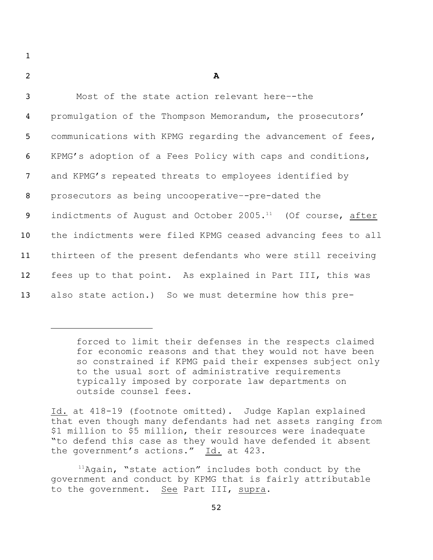| -<br>- |  |
|--------|--|
|--------|--|

| $\mathbf{3}$    | Most of the state action relevant here--the                      |
|-----------------|------------------------------------------------------------------|
| $\overline{4}$  | promulgation of the Thompson Memorandum, the prosecutors'        |
| 5 <sup>1</sup>  | communications with KPMG regarding the advancement of fees,      |
| 6               | KPMG's adoption of a Fees Policy with caps and conditions,       |
| $7\phantom{.0}$ | and KPMG's repeated threats to employees identified by           |
| 8               | prosecutors as being uncooperative--pre-dated the                |
| 9               | indictments of August and October $2005.^{11}$ (Of course, after |
| 10 <sub>1</sub> | the indictments were filed KPMG ceased advancing fees to all     |
| 11              | thirteen of the present defendants who were still receiving      |
| 12 <sup>2</sup> | fees up to that point. As explained in Part III, this was        |
| 13 <sup>°</sup> | also state action.) So we must determine how this pre-           |

forced to limit their defenses in the respects claimed for economic reasons and that they would not have been so constrained if KPMG paid their expenses subject only to the usual sort of administrative requirements typically imposed by corporate law departments on outside counsel fees.

Id. at 418-19 (footnote omitted). Judge Kaplan explained that even though many defendants had net assets ranging from \$1 million to \$5 million, their resources were inadequate "to defend this case as they would have defended it absent the government's actions." Id. at 423.

 $11$ Again, "state action" includes both conduct by the government and conduct by KPMG that is fairly attributable to the government. See Part III, supra.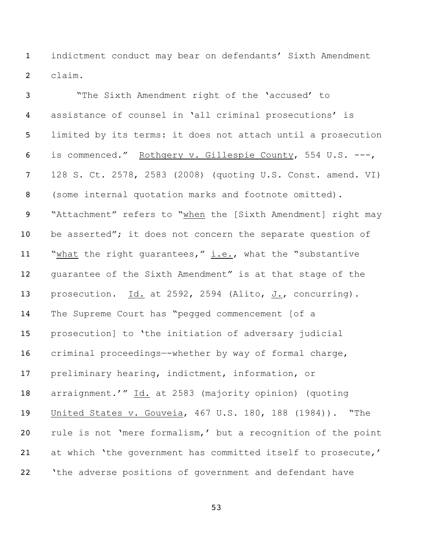indictment conduct may bear on defendants' Sixth Amendment claim.

 "The Sixth Amendment right of the 'accused' to assistance of counsel in 'all criminal prosecutions' is limited by its terms: it does not attach until a prosecution is commenced." Rothgery v. Gillespie County, 554 U.S. ---, 128 S. Ct. 2578, 2583 (2008) (quoting U.S. Const. amend. VI) (some internal quotation marks and footnote omitted). "Attachment" refers to "when the [Sixth Amendment] right may 10 be asserted"; it does not concern the separate question of 11 "what the right guarantees,"  $i.e.,$  what the "substantive guarantee of the Sixth Amendment" is at that stage of the 13 prosecution.  $Id.$  at 2592, 2594 (Alito,  $J.$ , concurring). The Supreme Court has "pegged commencement [of a prosecution] to 'the initiation of adversary judicial criminal proceedings—-whether by way of formal charge, preliminary hearing, indictment, information, or arraignment.'" Id. at 2583 (majority opinion) (quoting United States v. Gouveia, 467 U.S. 180, 188 (1984)). "The rule is not 'mere formalism,' but a recognition of the point at which 'the government has committed itself to prosecute,' 22 The adverse positions of government and defendant have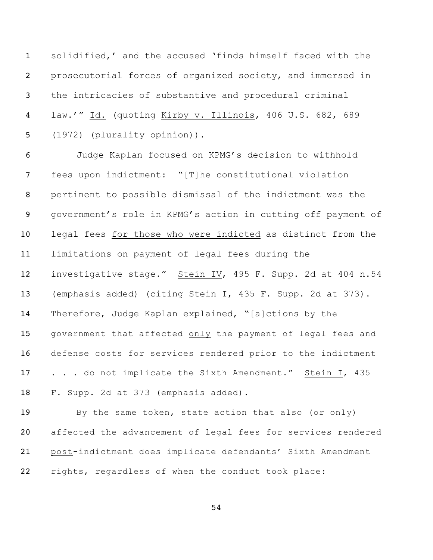solidified,' and the accused 'finds himself faced with the prosecutorial forces of organized society, and immersed in the intricacies of substantive and procedural criminal law.'" Id. (quoting Kirby v. Illinois, 406 U.S. 682, 689 (1972) (plurality opinion)).

 Judge Kaplan focused on KPMG's decision to withhold fees upon indictment: "[T]he constitutional violation pertinent to possible dismissal of the indictment was the government's role in KPMG's action in cutting off payment of legal fees for those who were indicted as distinct from the limitations on payment of legal fees during the investigative stage." Stein IV, 495 F. Supp. 2d at 404 n.54 (emphasis added) (citing Stein I, 435 F. Supp. 2d at 373). Therefore, Judge Kaplan explained, "[a]ctions by the government that affected only the payment of legal fees and defense costs for services rendered prior to the indictment 17 . . . do not implicate the Sixth Amendment." Stein I, 435 F. Supp. 2d at 373 (emphasis added).

 By the same token, state action that also (or only) affected the advancement of legal fees for services rendered post-indictment does implicate defendants' Sixth Amendment rights, regardless of when the conduct took place: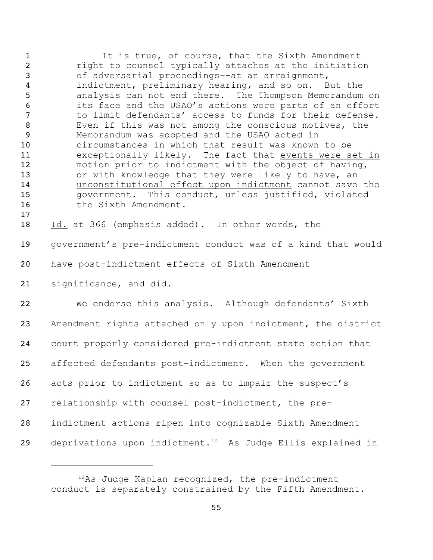1 It is true, of course, that the Sixth Amendment right to counsel typically attaches at the initiation of adversarial proceedings–-at an arraignment, indictment, preliminary hearing, and so on. But the analysis can not end there. The Thompson Memorandum on its face and the USAO's actions were parts of an effort to limit defendants' access to funds for their defense. Even if this was not among the conscious motives, the Memorandum was adopted and the USAO acted in circumstances in which that result was known to be exceptionally likely. The fact that events were set in motion prior to indictment with the object of having, 13 or with knowledge that they were likely to have, an unconstitutional effect upon indictment cannot save the government. This conduct, unless justified, violated 16 the Sixth Amendment. Id. at 366 (emphasis added). In other words, the government's pre-indictment conduct was of a kind that would have post-indictment effects of Sixth Amendment significance, and did. We endorse this analysis. Although defendants' Sixth Amendment rights attached only upon indictment, the district court properly considered pre-indictment state action that affected defendants post-indictment. When the government acts prior to indictment so as to impair the suspect's relationship with counsel post-indictment, the pre-indictment actions ripen into cognizable Sixth Amendment

29 deprivations upon indictment.<sup>12</sup> As Judge Ellis explained in

As Judge Kaplan recognized, the pre-indictment conduct is separately constrained by the Fifth Amendment.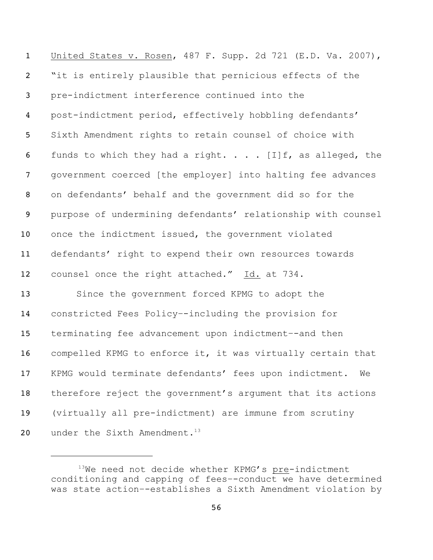United States v. Rosen, 487 F. Supp. 2d 721 (E.D. Va. 2007), "it is entirely plausible that pernicious effects of the pre-indictment interference continued into the post-indictment period, effectively hobbling defendants' Sixth Amendment rights to retain counsel of choice with 6 funds to which they had a right.  $\ldots$  . [I] f, as alleged, the government coerced [the employer] into halting fee advances on defendants' behalf and the government did so for the purpose of undermining defendants' relationship with counsel once the indictment issued, the government violated defendants' right to expend their own resources towards 12 counsel once the right attached." Id. at 734. Since the government forced KPMG to adopt the constricted Fees Policy–-including the provision for terminating fee advancement upon indictment–-and then compelled KPMG to enforce it, it was virtually certain that KPMG would terminate defendants' fees upon indictment. We therefore reject the government's argument that its actions (virtually all pre-indictment) are immune from scrutiny

20 under the Sixth Amendment.<sup>13</sup>

We need not decide whether KPMG's pre-indictment conditioning and capping of fees–-conduct we have determined was state action–-establishes a Sixth Amendment violation by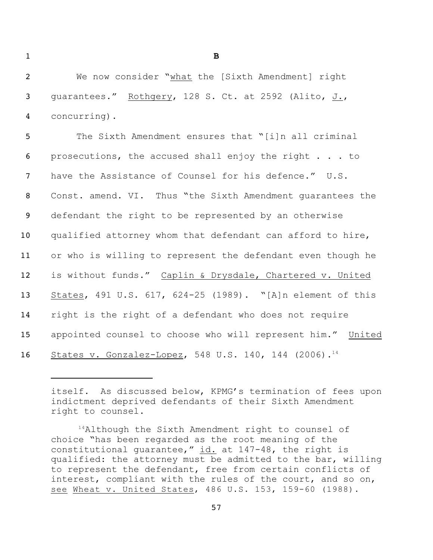**B**

 We now consider "what the [Sixth Amendment] right guarantees." Rothgery, 128 S. Ct. at 2592 (Alito, J., concurring).

 The Sixth Amendment ensures that "[i]n all criminal prosecutions, the accused shall enjoy the right . . . to have the Assistance of Counsel for his defence." U.S. Const. amend. VI. Thus "the Sixth Amendment guarantees the defendant the right to be represented by an otherwise qualified attorney whom that defendant can afford to hire, or who is willing to represent the defendant even though he is without funds." Caplin & Drysdale, Chartered v. United States, 491 U.S. 617, 624-25 (1989). "[A]n element of this right is the right of a defendant who does not require appointed counsel to choose who will represent him." United 16 States v. Gonzalez-Lopez, 548 U.S. 140, 144 (2006).<sup>14</sup>

itself. As discussed below, KPMG's termination of fees upon indictment deprived defendants of their Sixth Amendment right to counsel.

Although the Sixth Amendment right to counsel of choice "has been regarded as the root meaning of the constitutional guarantee,"  $id.$  at 147-48, the right is qualified: the attorney must be admitted to the bar, willing to represent the defendant, free from certain conflicts of interest, compliant with the rules of the court, and so on, see Wheat v. United States, 486 U.S. 153, 159-60 (1988).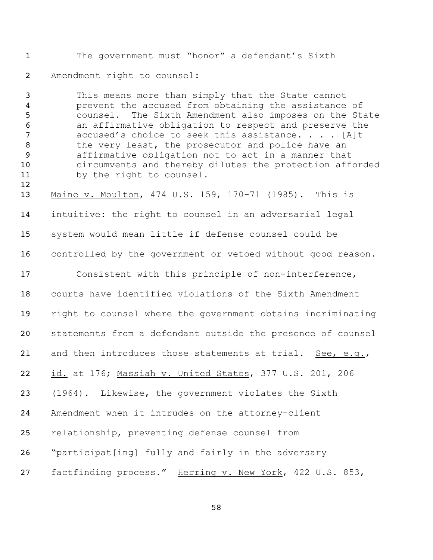The government must "honor" a defendant's Sixth Amendment right to counsel:

 This means more than simply that the State cannot prevent the accused from obtaining the assistance of counsel. The Sixth Amendment also imposes on the State an affirmative obligation to respect and preserve the **accused's choice to seek this assistance....** [A]t 8 the very least, the prosecutor and police have an affirmative obligation not to act in a manner that circumvents and thereby dilutes the protection afforded by the right to counsel.

 Maine v. Moulton, 474 U.S. 159, 170-71 (1985). This is intuitive: the right to counsel in an adversarial legal system would mean little if defense counsel could be 16 controlled by the government or vetoed without good reason. Consistent with this principle of non-interference, courts have identified violations of the Sixth Amendment

right to counsel where the government obtains incriminating

statements from a defendant outside the presence of counsel

21 and then introduces those statements at trial. See, e.g.,

id. at 176; Massiah v. United States, 377 U.S. 201, 206

(1964). Likewise, the government violates the Sixth

Amendment when it intrudes on the attorney-client

relationship, preventing defense counsel from

"participat[ing] fully and fairly in the adversary

factfinding process." Herring v. New York, 422 U.S. 853,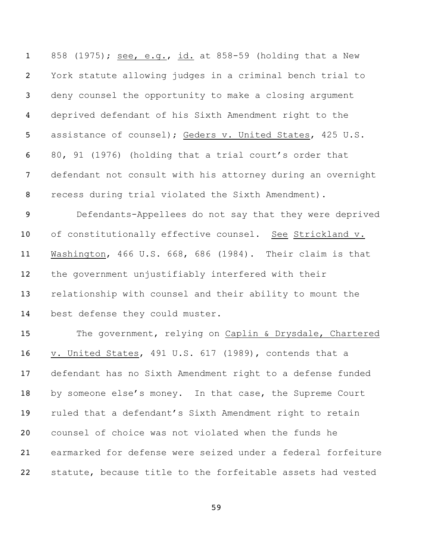858 (1975); see, e.g., id. at 858-59 (holding that a New York statute allowing judges in a criminal bench trial to deny counsel the opportunity to make a closing argument deprived defendant of his Sixth Amendment right to the assistance of counsel); Geders v. United States, 425 U.S. 80, 91 (1976) (holding that a trial court's order that defendant not consult with his attorney during an overnight recess during trial violated the Sixth Amendment). Defendants-Appellees do not say that they were deprived 10 of constitutionally effective counsel. See Strickland v. Washington, 466 U.S. 668, 686 (1984). Their claim is that the government unjustifiably interfered with their relationship with counsel and their ability to mount the best defense they could muster. The government, relying on Caplin & Drysdale, Chartered v. United States, 491 U.S. 617 (1989), contends that a defendant has no Sixth Amendment right to a defense funded by someone else's money. In that case, the Supreme Court ruled that a defendant's Sixth Amendment right to retain counsel of choice was not violated when the funds he earmarked for defense were seized under a federal forfeiture

statute, because title to the forfeitable assets had vested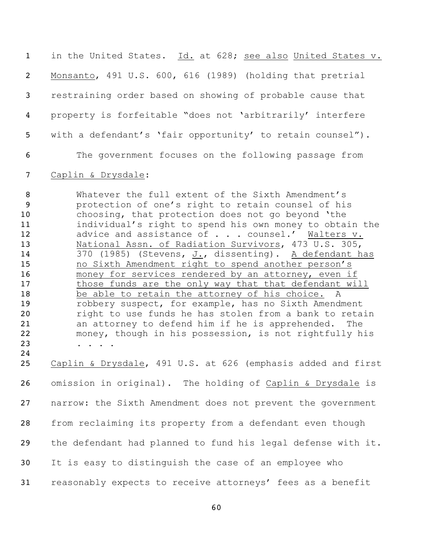in the United States. Id. at 628; see also United States v. Monsanto, 491 U.S. 600, 616 (1989) (holding that pretrial restraining order based on showing of probable cause that property is forfeitable "does not 'arbitrarily' interfere with a defendant's 'fair opportunity' to retain counsel"). The government focuses on the following passage from

#### Caplin & Drysdale:

 Whatever the full extent of the Sixth Amendment's protection of one's right to retain counsel of his choosing, that protection does not go beyond 'the individual's right to spend his own money to obtain the 12 advice and assistance of . . . counsel.' Walters v. National Assn. of Radiation Survivors, 473 U.S. 305, 370 (1985) (Stevens, J., dissenting). A defendant has no Sixth Amendment right to spend another person's 16 money for services rendered by an attorney, even if 17 those funds are the only way that that defendant will 18 be able to retain the attorney of his choice. A robbery suspect, for example, has no Sixth Amendment 20 right to use funds he has stolen from a bank to retain an attorney to defend him if he is apprehended. The money, though in his possession, is not rightfully his 23 . . . . .

 Caplin & Drysdale, 491 U.S. at 626 (emphasis added and first omission in original). The holding of Caplin & Drysdale is narrow: the Sixth Amendment does not prevent the government from reclaiming its property from a defendant even though the defendant had planned to fund his legal defense with it. It is easy to distinguish the case of an employee who reasonably expects to receive attorneys' fees as a benefit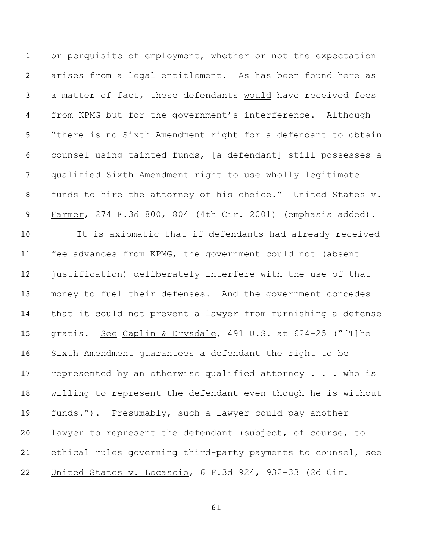1 or perquisite of employment, whether or not the expectation arises from a legal entitlement. As has been found here as a matter of fact, these defendants would have received fees from KPMG but for the government's interference. Although "there is no Sixth Amendment right for a defendant to obtain counsel using tainted funds, [a defendant] still possesses a qualified Sixth Amendment right to use wholly legitimate 8 funds to hire the attorney of his choice." United States v. Farmer, 274 F.3d 800, 804 (4th Cir. 2001) (emphasis added). It is axiomatic that if defendants had already received fee advances from KPMG, the government could not (absent 12 justification) deliberately interfere with the use of that money to fuel their defenses. And the government concedes that it could not prevent a lawyer from furnishing a defense gratis. See Caplin & Drysdale, 491 U.S. at 624-25 ("[T]he Sixth Amendment guarantees a defendant the right to be 17 represented by an otherwise qualified attorney . . . who is willing to represent the defendant even though he is without funds."). Presumably, such a lawyer could pay another lawyer to represent the defendant (subject, of course, to ethical rules governing third-party payments to counsel, see United States v. Locascio, 6 F.3d 924, 932-33 (2d Cir.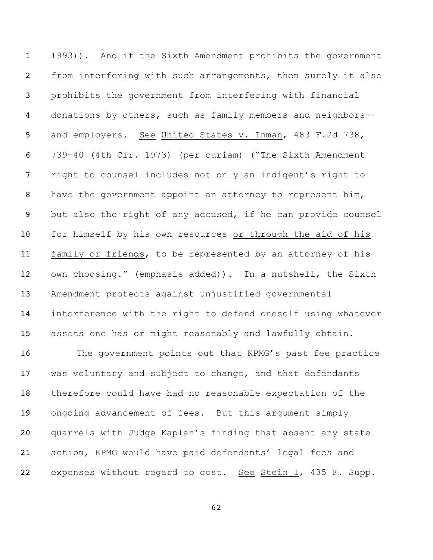1993)). And if the Sixth Amendment prohibits the government from interfering with such arrangements, then surely it also prohibits the government from interfering with financial donations by others, such as family members and neighbors-- and employers. See United States v. Inman, 483 F.2d 738, 739-40 (4th Cir. 1973) (per curiam) ("The Sixth Amendment right to counsel includes not only an indigent's right to 8 have the government appoint an attorney to represent him, but also the right of any accused, if he can provide counsel for himself by his own resources or through the aid of his family or friends, to be represented by an attorney of his own choosing." (emphasis added)). In a nutshell, the Sixth Amendment protects against unjustified governmental interference with the right to defend oneself using whatever assets one has or might reasonably and lawfully obtain.

16 The government points out that KPMG's past fee practice was voluntary and subject to change, and that defendants therefore could have had no reasonable expectation of the ongoing advancement of fees. But this argument simply quarrels with Judge Kaplan's finding that absent any state action, KPMG would have paid defendants' legal fees and 22 expenses without regard to cost. See Stein I, 435 F. Supp.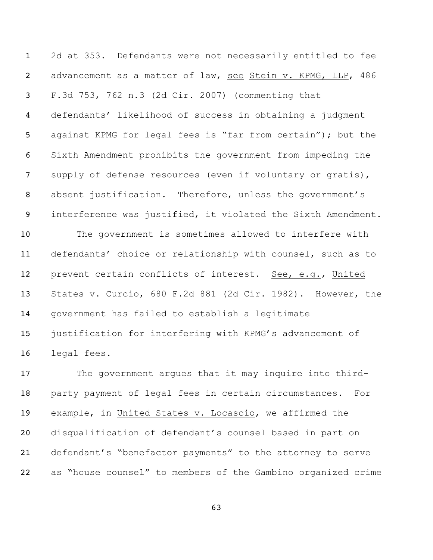2d at 353. Defendants were not necessarily entitled to fee advancement as a matter of law, see Stein v. KPMG, LLP, 486 F.3d 753, 762 n.3 (2d Cir. 2007) (commenting that defendants' likelihood of success in obtaining a judgment against KPMG for legal fees is "far from certain"); but the Sixth Amendment prohibits the government from impeding the 7 supply of defense resources (even if voluntary or gratis), absent justification. Therefore, unless the government's interference was justified, it violated the Sixth Amendment. The government is sometimes allowed to interfere with defendants' choice or relationship with counsel, such as to prevent certain conflicts of interest. See, e.g., United States v. Curcio, 680 F.2d 881 (2d Cir. 1982). However, the government has failed to establish a legitimate justification for interfering with KPMG's advancement of legal fees.

17 The government argues that it may inquire into third- party payment of legal fees in certain circumstances. For example, in United States v. Locascio, we affirmed the disqualification of defendant's counsel based in part on defendant's "benefactor payments" to the attorney to serve as "house counsel" to members of the Gambino organized crime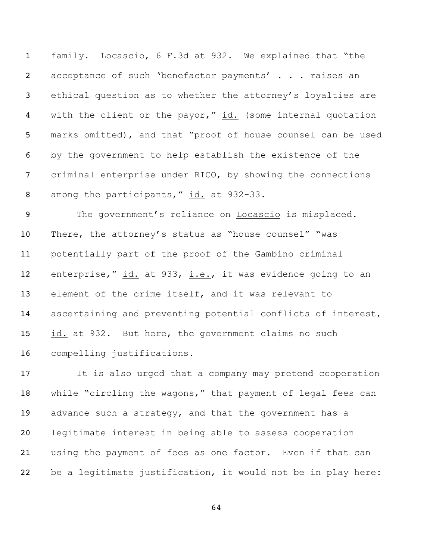family. Locascio, 6 F.3d at 932. We explained that "the 2 acceptance of such 'benefactor payments' . . . raises an ethical question as to whether the attorney's loyalties are 4 with the client or the payor," id. (some internal quotation marks omitted), and that "proof of house counsel can be used by the government to help establish the existence of the criminal enterprise under RICO, by showing the connections 8 among the participants," id. at 932-33.

 The government's reliance on Locascio is misplaced. There, the attorney's status as "house counsel" "was potentially part of the proof of the Gambino criminal enterprise," id. at 933, i.e., it was evidence going to an element of the crime itself, and it was relevant to ascertaining and preventing potential conflicts of interest, id. at 932. But here, the government claims no such compelling justifications.

 It is also urged that a company may pretend cooperation while "circling the wagons," that payment of legal fees can advance such a strategy, and that the government has a legitimate interest in being able to assess cooperation using the payment of fees as one factor. Even if that can be a legitimate justification, it would not be in play here: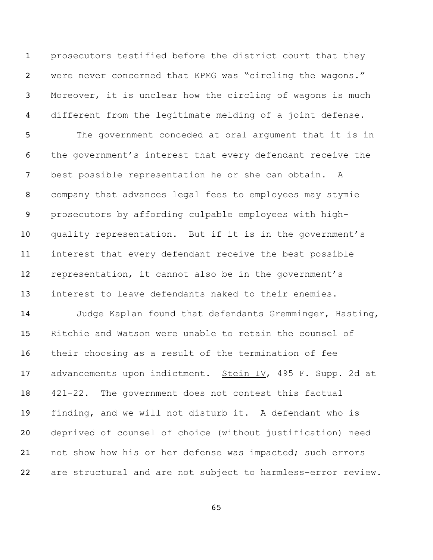prosecutors testified before the district court that they were never concerned that KPMG was "circling the wagons." Moreover, it is unclear how the circling of wagons is much different from the legitimate melding of a joint defense. The government conceded at oral argument that it is in the government's interest that every defendant receive the best possible representation he or she can obtain. A company that advances legal fees to employees may stymie prosecutors by affording culpable employees with high- quality representation. But if it is in the government's interest that every defendant receive the best possible representation, it cannot also be in the government's interest to leave defendants naked to their enemies. Judge Kaplan found that defendants Gremminger, Hasting, Ritchie and Watson were unable to retain the counsel of their choosing as a result of the termination of fee 17 advancements upon indictment. Stein IV, 495 F. Supp. 2d at 421-22. The government does not contest this factual finding, and we will not disturb it. A defendant who is deprived of counsel of choice (without justification) need not show how his or her defense was impacted; such errors are structural and are not subject to harmless-error review.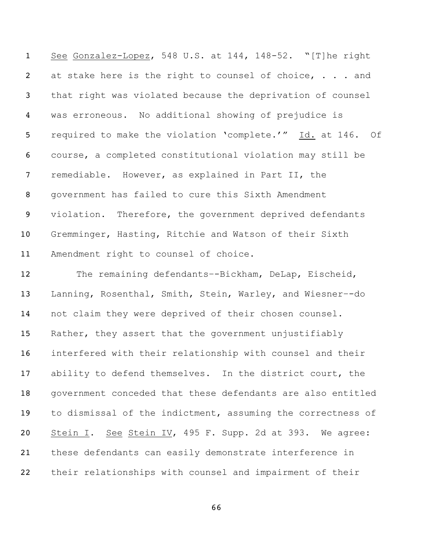See Gonzalez-Lopez, 548 U.S. at 144, 148-52. "[T]he right 2 at stake here is the right to counsel of choice, . . . and that right was violated because the deprivation of counsel was erroneous. No additional showing of prejudice is required to make the violation 'complete.'" Id. at 146. Of course, a completed constitutional violation may still be remediable. However, as explained in Part II, the government has failed to cure this Sixth Amendment violation. Therefore, the government deprived defendants Gremminger, Hasting, Ritchie and Watson of their Sixth Amendment right to counsel of choice.

 The remaining defendants–-Bickham, DeLap, Eischeid, Lanning, Rosenthal, Smith, Stein, Warley, and Wiesner–-do not claim they were deprived of their chosen counsel. Rather, they assert that the government unjustifiably interfered with their relationship with counsel and their ability to defend themselves. In the district court, the government conceded that these defendants are also entitled to dismissal of the indictment, assuming the correctness of Stein I. See Stein IV, 495 F. Supp. 2d at 393. We agree: these defendants can easily demonstrate interference in their relationships with counsel and impairment of their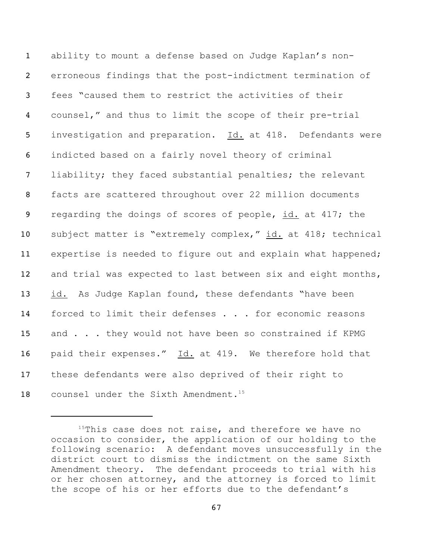ability to mount a defense based on Judge Kaplan's non- erroneous findings that the post-indictment termination of fees "caused them to restrict the activities of their counsel," and thus to limit the scope of their pre-trial investigation and preparation. Id. at 418. Defendants were indicted based on a fairly novel theory of criminal liability; they faced substantial penalties; the relevant facts are scattered throughout over 22 million documents 9 regarding the doings of scores of people, id. at 417; the subject matter is "extremely complex," id. at 418; technical expertise is needed to figure out and explain what happened; and trial was expected to last between six and eight months, 13 id. As Judge Kaplan found, these defendants "have been 14 forced to limit their defenses . . . for economic reasons 15 and . . . they would not have been so constrained if KPMG paid their expenses."Id. at 419. We therefore hold that these defendants were also deprived of their right to counsel under the Sixth Amendment. 15

This case does not raise, and therefore we have no occasion to consider, the application of our holding to the following scenario: A defendant moves unsuccessfully in the district court to dismiss the indictment on the same Sixth Amendment theory. The defendant proceeds to trial with his or her chosen attorney, and the attorney is forced to limit the scope of his or her efforts due to the defendant's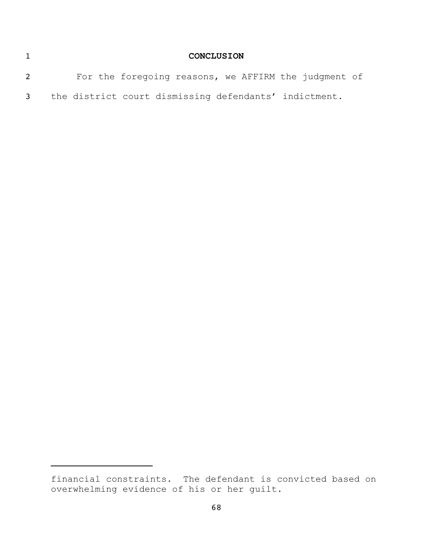| <b>CONCLUSION</b>                                     |  |
|-------------------------------------------------------|--|
| For the foregoing reasons, we AFFIRM the judgment of  |  |
| the district court dismissing defendants' indictment. |  |

financial constraints. The defendant is convicted based on overwhelming evidence of his or her guilt.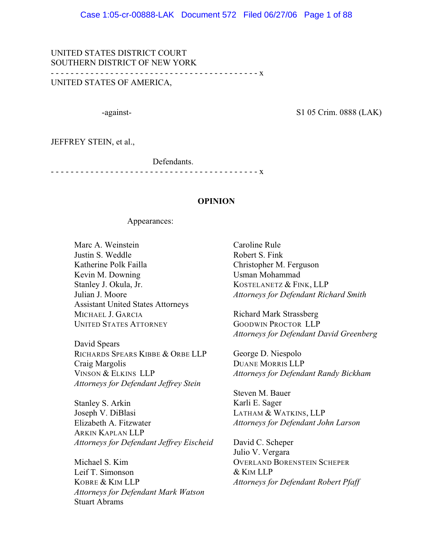UNITED STATES DISTRICT COURT SOUTHERN DISTRICT OF NEW YORK - - - - - - - - - - - - - - - - - - - - - - - - - - - - - - - - - - - - - - - - - - x UNITED STATES OF AMERICA,

-against- S1 05 Crim. 0888 (LAK)

JEFFREY STEIN, et al.,

Defendants.

- - - - - - - - - - - - - - - - - - - - - - - - - - - - - - - - - - - - - - - - - - x

#### **OPINION**

#### Appearances:

Marc A. Weinstein Justin S. Weddle Katherine Polk Failla Kevin M. Downing Stanley J. Okula, Jr. Julian J. Moore Assistant United States Attorneys MICHAEL J. GARCIA UNITED STATES ATTORNEY

David Spears RICHARDS SPEARS KIBBE & ORBE LLP Craig Margolis VINSON & ELKINS LLP *Attorneys for Defendant Jeffrey Stein*

Stanley S. Arkin Joseph V. DiBlasi Elizabeth A. Fitzwater ARKIN KAPLAN LLP *Attorneys for Defendant Jeffrey Eischeid*

Michael S. Kim Leif T. Simonson KOBRE & KIM LLP *Attorneys for Defendant Mark Watson* Stuart Abrams

Caroline Rule Robert S. Fink Christopher M. Ferguson Usman Mohammad KOSTELANETZ & FINK, LLP *Attorneys for Defendant Richard Smith*

Richard Mark Strassberg GOODWIN PROCTOR LLP *Attorneys for Defendant David Greenberg*

George D. Niespolo DUANE MORRIS LLP *Attorneys for Defendant Randy Bickham*

Steven M. Bauer Karli E. Sager LATHAM & WATKINS, LLP *Attorneys for Defendant John Larson*

David C. Scheper Julio V. Vergara OVERLAND BORENSTEIN SCHEPER & KIM LLP *Attorneys for Defendant Robert Pfaff*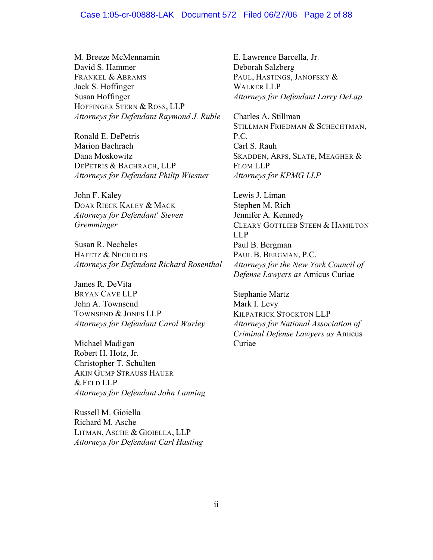#### Case 1:05-cr-00888-LAK Document 572 Filed 06/27/06 Page 2 of 88

M. Breeze McMennamin David S. Hammer FRANKEL & ABRAMS Jack S. Hoffinger Susan Hoffinger HOFFINGER STERN & ROSS, LLP *Attorneys for Defendant Raymond J. Ruble*

Ronald E. DePetris Marion Bachrach Dana Moskowitz DEPETRIS & BACHRACH, LLP *Attorneys for Defendant Philip Wiesner*

John F. Kaley DOAR RIECK KALEY & MACK *Attorneys for Defendant<sup>1</sup> Steven Gremminger*

Susan R. Necheles HAFETZ & NECHELES *Attorneys for Defendant Richard Rosenthal*

James R. DeVita BRYAN CAVE LLP John A. Townsend TOWNSEND & JONES LLP *Attorneys for Defendant Carol Warley*

Michael Madigan Robert H. Hotz, Jr. Christopher T. Schulten AKIN GUMP STRAUSS HAUER & FELD LLP *Attorneys for Defendant John Lanning*

Russell M. Gioiella Richard M. Asche LITMAN, ASCHE & GIOIELLA, LLP *Attorneys for Defendant Carl Hasting*

E. Lawrence Barcella, Jr. Deborah Salzberg PAUL, HASTINGS, JANOFSKY & WALKER LLP *Attorneys for Defendant Larry DeLap*

Charles A. Stillman STILLMAN FRIEDMAN & SCHECHTMAN, P.C. Carl S. Rauh SKADDEN, ARPS, SLATE, MEAGHER & FLOM LLP *Attorneys for KPMG LLP*

Lewis J. Liman Stephen M. Rich Jennifer A. Kennedy CLEARY GOTTLIEB STEEN & HAMILTON LLP Paul B. Bergman PAUL B. BERGMAN, P.C. *Attorneys for the New York Council of Defense Lawyers as* Amicus Curiae

Stephanie Martz Mark I. Levy KILPATRICK STOCKTON LLP *Attorneys for National Association of Criminal Defense Lawyers as* Amicus Curiae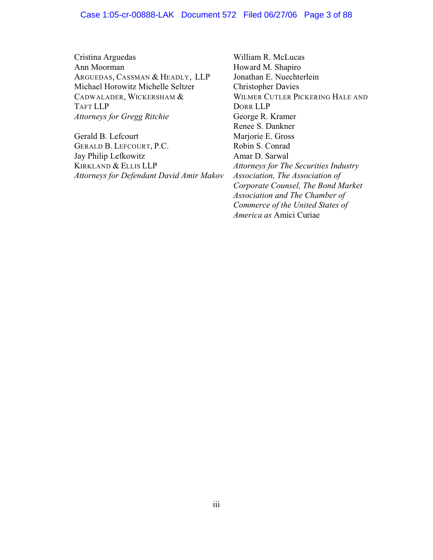#### Case 1:05-cr-00888-LAK Document 572 Filed 06/27/06 Page 3 of 88

Cristina Arguedas Ann Moorman ARGUEDAS, CASSMAN & HEADLY, LLP Michael Horowitz Michelle Seltzer CADWALADER, WICKERSHAM & TAFT LLP *Attorneys for Gregg Ritchie*

Gerald B. Lefcourt GERALD B. LEFCOURT, P.C. Jay Philip Lefkowitz KIRKLAND & ELLIS LLP *Attorneys for Defendant David Amir Makov*

William R. McLucas Howard M. Shapiro Jonathan E. Nuechterlein Christopher Davies WILMER CUTLER PICKERING HALE AND DORR LLP George R. Kramer Renee S. Dankner Marjorie E. Gross Robin S. Conrad Amar D. Sarwal *Attorneys for The Securities Industry Association, The Association of Corporate Counsel, The Bond Market Association and The Chamber of Commerce of the United States of America as* Amici Curiae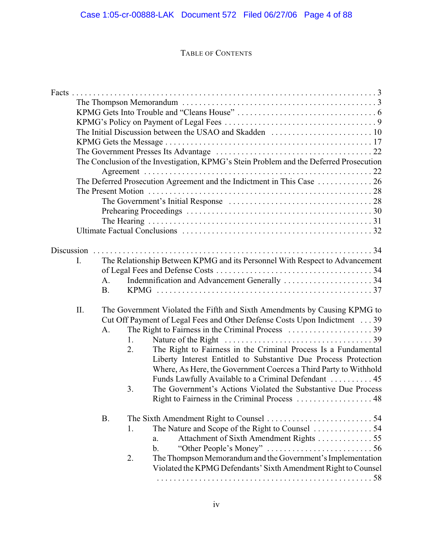# TABLE OF CONTENTS

|     |           | The Conclusion of the Investigation, KPMG's Stein Problem and the Deferred Prosecution  |
|-----|-----------|-----------------------------------------------------------------------------------------|
|     |           |                                                                                         |
|     |           | The Deferred Prosecution Agreement and the Indictment in This Case  26                  |
|     |           |                                                                                         |
|     |           |                                                                                         |
|     |           |                                                                                         |
|     |           |                                                                                         |
|     |           |                                                                                         |
|     |           |                                                                                         |
| I.  |           |                                                                                         |
|     |           | The Relationship Between KPMG and its Personnel With Respect to Advancement             |
|     | A.        | Indemnification and Advancement Generally 34                                            |
|     | <b>B.</b> |                                                                                         |
|     |           |                                                                                         |
| II. |           | The Government Violated the Fifth and Sixth Amendments by Causing KPMG to               |
|     |           | Cut Off Payment of Legal Fees and Other Defense Costs Upon Indictment 39                |
|     | A.        |                                                                                         |
|     |           | 1.                                                                                      |
|     |           | The Right to Fairness in the Criminal Process Is a Fundamental<br>2.                    |
|     |           | Liberty Interest Entitled to Substantive Due Process Protection                         |
|     |           | Where, As Here, the Government Coerces a Third Party to Withhold                        |
|     |           | Funds Lawfully Available to a Criminal Defendant  45                                    |
|     |           | The Government's Actions Violated the Substantive Due Process<br>3.                     |
|     |           |                                                                                         |
|     |           |                                                                                         |
|     | <b>B.</b> |                                                                                         |
|     |           | 1.                                                                                      |
|     |           | Attachment of Sixth Amendment Rights 55<br>a.                                           |
|     |           | "Other People's Money" $\dots\dots\dots\dots\dots\dots\dots\dots\dots$<br>$\mathbf b$ . |
|     |           | The Thompson Memorandum and the Government's Implementation<br>2.                       |
|     |           | Violated the KPMG Defendants' Sixth Amendment Right to Counsel                          |
|     |           |                                                                                         |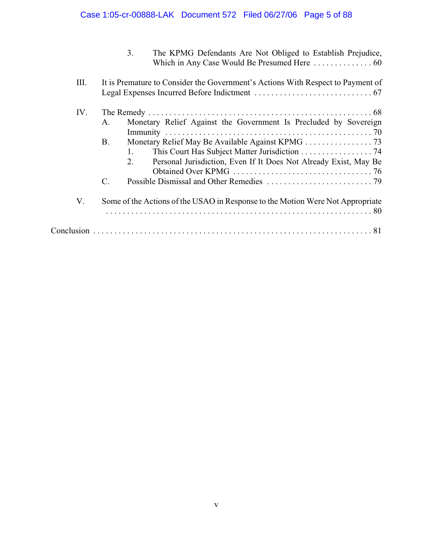# Case 1:05-cr-00888-LAK Document 572 Filed 06/27/06 Page 5 of 88

| The KPMG Defendants Are Not Obliged to Establish Prejudice, |  |
|-------------------------------------------------------------|--|
|                                                             |  |

| III. | It is Premature to Consider the Government's Actions With Respect to Payment of                                                                                                                                      |
|------|----------------------------------------------------------------------------------------------------------------------------------------------------------------------------------------------------------------------|
| IV.  | Monetary Relief Against the Government Is Precluded by Sovereign<br>A.<br><b>B.</b><br>This Court Has Subject Matter Jurisdiction 74<br>Personal Jurisdiction, Even If It Does Not Already Exist, May Be<br>2.<br>C. |
| V.   | Some of the Actions of the USAO in Response to the Motion Were Not Appropriate                                                                                                                                       |
|      |                                                                                                                                                                                                                      |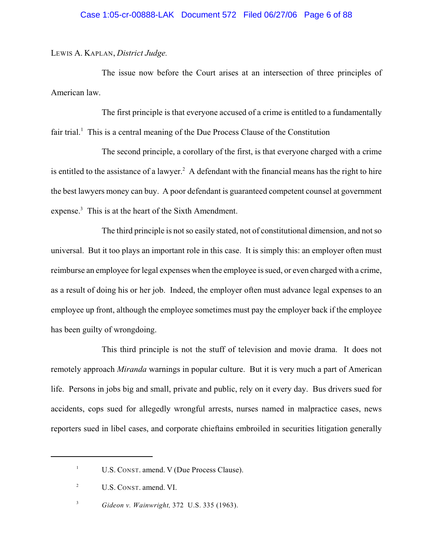#### LEWIS A. KAPLAN, *District Judge.*

The issue now before the Court arises at an intersection of three principles of American law.

The first principle is that everyone accused of a crime is entitled to a fundamentally fair trial.<sup>1</sup> This is a central meaning of the Due Process Clause of the Constitution

The second principle, a corollary of the first, is that everyone charged with a crime is entitled to the assistance of a lawyer.<sup>2</sup> A defendant with the financial means has the right to hire the best lawyers money can buy. A poor defendant is guaranteed competent counsel at government expense. $3$  This is at the heart of the Sixth Amendment.

The third principle is not so easily stated, not of constitutional dimension, and not so universal. But it too plays an important role in this case. It is simply this: an employer often must reimburse an employee for legal expenses when the employee is sued, or even charged with a crime, as a result of doing his or her job. Indeed, the employer often must advance legal expenses to an employee up front, although the employee sometimes must pay the employer back if the employee has been guilty of wrongdoing.

This third principle is not the stuff of television and movie drama. It does not remotely approach *Miranda* warnings in popular culture. But it is very much a part of American life. Persons in jobs big and small, private and public, rely on it every day. Bus drivers sued for accidents, cops sued for allegedly wrongful arrests, nurses named in malpractice cases, news reporters sued in libel cases, and corporate chieftains embroiled in securities litigation generally

 $U.S.$  CONST. amend. V (Due Process Clause).

<sup>&</sup>lt;sup>2</sup> U.S. CONST. amend. VI.

<sup>&</sup>lt;sup>3</sup> *Gideon v. Wainwright,* 372 U.S. 335 (1963).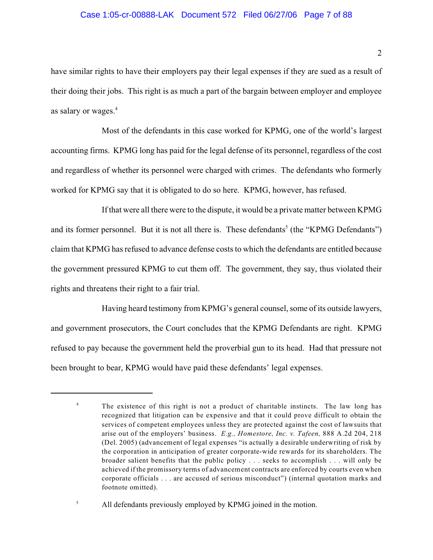#### Case 1:05-cr-00888-LAK Document 572 Filed 06/27/06 Page 7 of 88

have similar rights to have their employers pay their legal expenses if they are sued as a result of their doing their jobs. This right is as much a part of the bargain between employer and employee as salary or wages.<sup>4</sup>

Most of the defendants in this case worked for KPMG, one of the world's largest accounting firms. KPMG long has paid for the legal defense of its personnel, regardless of the cost and regardless of whether its personnel were charged with crimes. The defendants who formerly worked for KPMG say that it is obligated to do so here. KPMG, however, has refused.

If that were all there were to the dispute, it would be a private matter between KPMG and its former personnel. But it is not all there is. These defendants<sup>5</sup> (the "KPMG Defendants") claim that KPMG has refused to advance defense costs to which the defendants are entitled because the government pressured KPMG to cut them off. The government, they say, thus violated their rights and threatens their right to a fair trial.

Having heard testimony from KPMG's general counsel, some of its outside lawyers, and government prosecutors, the Court concludes that the KPMG Defendants are right. KPMG refused to pay because the government held the proverbial gun to its head. Had that pressure not been brought to bear, KPMG would have paid these defendants' legal expenses.

<sup>5</sup> All defendants previously employed by KPMG joined in the motion.

<sup>&</sup>lt;sup>4</sup> The existence of this right is not a product of charitable instincts. The law long has recognized that litigation can be expensive and that it could prove difficult to obtain the services of competent employees unless they are protected against the cost of lawsuits that arise out of the employers' business. *E.g., Homestore, Inc. v. Tafeen,* 888 A.2d 204, 218 (Del. 2005) (advancement of legal expenses "is actually a desirable underwriting of risk by the corporation in anticipation of greater corporate-wide rewards for its shareholders. The broader salient benefits that the public policy . . . seeks to accomplish . . . will only be achieved if the promissory terms of advancement contracts are enforced by courts even when corporate officials . . . are accused of serious misconduct") (internal quotation marks and footnote omitted).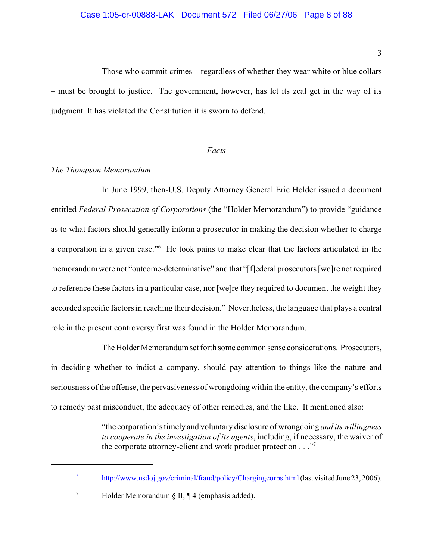Those who commit crimes – regardless of whether they wear white or blue collars – must be brought to justice. The government, however, has let its zeal get in the way of its judgment. It has violated the Constitution it is sworn to defend.

#### *Facts*

#### *The Thompson Memorandum*

In June 1999, then-U.S. Deputy Attorney General Eric Holder issued a document entitled *Federal Prosecution of Corporations* (the "Holder Memorandum") to provide "guidance as to what factors should generally inform a prosecutor in making the decision whether to charge a corporation in a given case."<sup>6</sup> He took pains to make clear that the factors articulated in the memorandum were not "outcome-determinative" and that "[f]ederal prosecutors [we]re not required to reference these factors in a particular case, nor [we]re they required to document the weight they accorded specific factors in reaching their decision." Nevertheless, the language that plays a central role in the present controversy first was found in the Holder Memorandum.

The Holder Memorandum set forth some common sense considerations. Prosecutors, in deciding whether to indict a company, should pay attention to things like the nature and seriousness of the offense, the pervasiveness of wrongdoing within the entity, the company's efforts to remedy past misconduct, the adequacy of other remedies, and the like. It mentioned also:

> "the corporation's timely and voluntary disclosure of wrongdoing *and its willingness to cooperate in the investigation of its agents*, including, if necessary, the waiver of the corporate attorney-client and work product protection . . ."<sup>7</sup>

<sup>&</sup>lt;sup>6</sup> <http://www.usdoj.gov/criminal/fraud/policy/Chargingcorps.html> (last visited June 23, 2006).

 $^7$  Holder Memorandum  $\S$  II, ¶ 4 (emphasis added).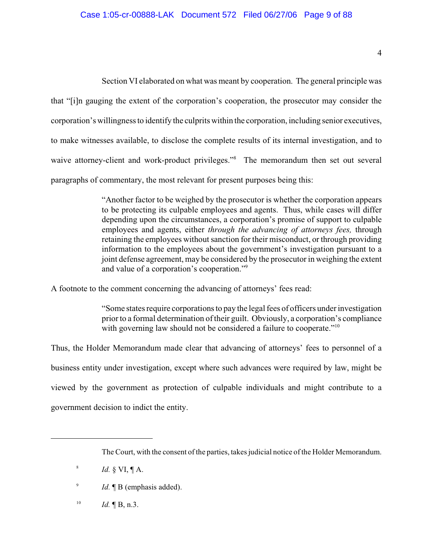Section VI elaborated on what was meant by cooperation. The general principle was that "[i]n gauging the extent of the corporation's cooperation, the prosecutor may consider the corporation's willingness to identify the culprits within the corporation, including senior executives, to make witnesses available, to disclose the complete results of its internal investigation, and to waive attorney-client and work-product privileges."<sup>8</sup> The memorandum then set out several paragraphs of commentary, the most relevant for present purposes being this:

> "Another factor to be weighed by the prosecutor is whether the corporation appears to be protecting its culpable employees and agents. Thus, while cases will differ depending upon the circumstances, a corporation's promise of support to culpable employees and agents, either *through the advancing of attorneys fees,* through retaining the employees without sanction for their misconduct, or through providing information to the employees about the government's investigation pursuant to a joint defense agreement, may be considered by the prosecutor in weighing the extent and value of a corporation's cooperation."<sup>9</sup>

A footnote to the comment concerning the advancing of attorneys' fees read:

"Some states require corporations to pay the legal fees of officers under investigation prior to a formal determination of their guilt. Obviously, a corporation's compliance with governing law should not be considered a failure to cooperate."<sup>10</sup>

Thus, the Holder Memorandum made clear that advancing of attorneys' fees to personnel of a business entity under investigation, except where such advances were required by law, might be viewed by the government as protection of culpable individuals and might contribute to a government decision to indict the entity.

 $Id. \P B, n.3.$ 

The Court, with the consent of the parties, takes judicial notice of the Holder Memorandum.

<sup>&</sup>lt;sup>8</sup>  $Id. \S$  VI,  $\P$  A.

<sup>&</sup>lt;sup>9</sup> *Id.*  $\blacksquare$  B (emphasis added).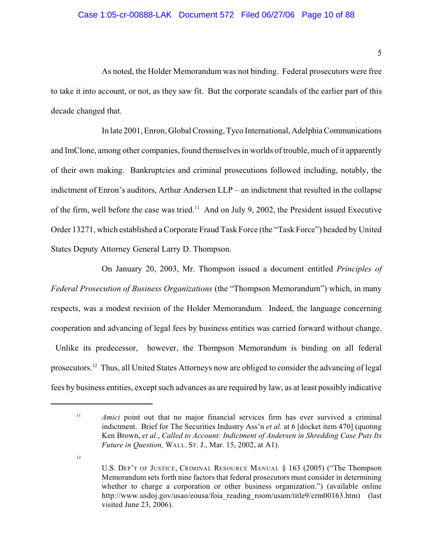## Case 1:05-cr-00888-LAK Document 572 Filed 06/27/06 Page 10 of 88

As noted, the Holder Memorandum was not binding. Federal prosecutors were free to take it into account, or not, as they saw fit. But the corporate scandals of the earlier part of this decade changed that.

In late 2001, Enron, Global Crossing, Tyco International, Adelphia Communications and ImClone, among other companies, found themselves in worlds of trouble, much of it apparently of their own making. Bankruptcies and criminal prosecutions followed including, notably, the indictment of Enron's auditors, Arthur Andersen LLP – an indictment that resulted in the collapse of the firm, well before the case was tried.<sup>11</sup> And on July 9, 2002, the President issued Executive Order 13271, which established a Corporate Fraud Task Force (the "Task Force") headed by United States Deputy Attorney General Larry D. Thompson.

On January 20, 2003, Mr. Thompson issued a document entitled *Principles of Federal Prosecution of Business Organizations* (the "Thompson Memorandum") which, in many respects, was a modest revision of the Holder Memorandum. Indeed, the language concerning cooperation and advancing of legal fees by business entities was carried forward without change. Unlike its predecessor, however, the Thompson Memorandum is binding on all federal prosecutors.<sup>12</sup> Thus, all United States Attorneys now are obliged to consider the advancing of legal fees by business entities, except such advances as are required by law, as at least possibly indicative

<sup>&</sup>lt;sup>11</sup> *Amici* point out that no major financial services firm has ever survived a criminal indictment. Brief for The Securities Industry Ass'n *et al.* at 6 [docket item 470] (quoting Ken Brown, *et al.*, *Called to Account: Indictment of Andersen in Shredding Case Puts Its Future in Question,* WALL. ST. J., Mar. 15, 2002, at A1).

U.S. DEP'T OF JUSTICE, CRIMINAL RESOURCE MANUAL § 163 (2005) ("The Thompson Memorandum sets forth nine factors that federal prosecutors must consider in determining whether to charge a corporation or other business organization.") (available online http://www.usdoj.gov/usao/eousa/foia reading room/usam/title9/crm00163.htm) (last visited June 23, 2006).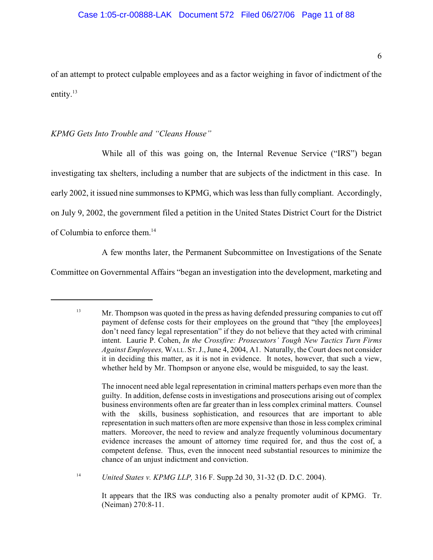of an attempt to protect culpable employees and as a factor weighing in favor of indictment of the entity.<sup>13</sup>

## *KPMG Gets Into Trouble and "Cleans House"*

While all of this was going on, the Internal Revenue Service ("IRS") began investigating tax shelters, including a number that are subjects of the indictment in this case. In early 2002, it issued nine summonses to KPMG, which was less than fully compliant. Accordingly, on July 9, 2002, the government filed a petition in the United States District Court for the District of Columbia to enforce them.<sup>14</sup>

A few months later, the Permanent Subcommittee on Investigations of the Senate

Committee on Governmental Affairs "began an investigation into the development, marketing and

<sup>14</sup> *United States v. KPMG LLP*, 316 F. Supp.2d 30, 31-32 (D. D.C. 2004).

It appears that the IRS was conducting also a penalty promoter audit of KPMG. Tr. (Neiman) 270:8-11.

Mr. Thompson was quoted in the press as having defended pressuring companies to cut off 13 payment of defense costs for their employees on the ground that "they [the employees] don't need fancy legal representation" if they do not believe that they acted with criminal intent. Laurie P. Cohen, *In the Crossfire: Prosecutors' Tough New Tactics Turn Firms Against Employees,* WALL. ST.J.,June 4, 2004, A1. Naturally, the Court does not consider it in deciding this matter, as it is not in evidence. It notes, however, that such a view, whether held by Mr. Thompson or anyone else, would be misguided, to say the least.

The innocent need able legal representation in criminal matters perhaps even more than the guilty. In addition, defense costs in investigations and prosecutions arising out of complex business environments often are far greater than in less complex criminal matters. Counsel with the skills, business sophistication, and resources that are important to able representation in such matters often are more expensive than those in less complex criminal matters. Moreover, the need to review and analyze frequently voluminous documentary evidence increases the amount of attorney time required for, and thus the cost of, a competent defense. Thus, even the innocent need substantial resources to minimize the chance of an unjust indictment and conviction.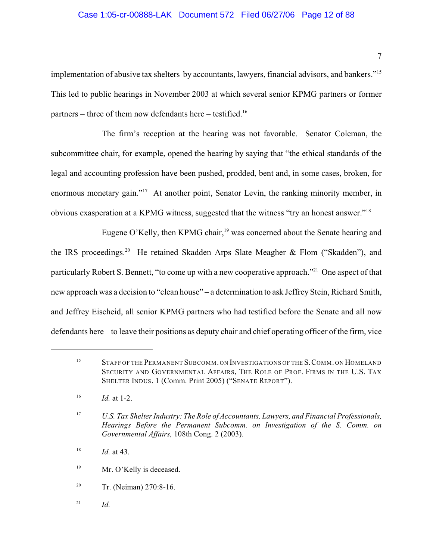#### Case 1:05-cr-00888-LAK Document 572 Filed 06/27/06 Page 12 of 88

implementation of abusive tax shelters by accountants, lawyers, financial advisors, and bankers."<sup>15</sup> This led to public hearings in November 2003 at which several senior KPMG partners or former partners – three of them now defendants here – testified.<sup>16</sup>

The firm's reception at the hearing was not favorable. Senator Coleman, the subcommittee chair, for example, opened the hearing by saying that "the ethical standards of the legal and accounting profession have been pushed, prodded, bent and, in some cases, broken, for enormous monetary gain."<sup>17</sup> At another point, Senator Levin, the ranking minority member, in obvious exasperation at a KPMG witness, suggested that the witness "try an honest answer."<sup>18</sup>

Eugene O'Kelly, then KPMG chair,  $19$  was concerned about the Senate hearing and the IRS proceedings.<sup>20</sup> He retained Skadden Arps Slate Meagher & Flom ("Skadden"), and particularly Robert S. Bennett, "to come up with a new cooperative approach."<sup>21</sup> One aspect of that new approach was a decision to "clean house" – a determination to ask Jeffrey Stein, Richard Smith, and Jeffrey Eischeid, all senior KPMG partners who had testified before the Senate and all now defendants here – to leave their positions as deputy chair and chief operating officer of the firm, vice

- Mr. O'Kelly is deceased. 19
- <sup>20</sup> Tr. (Neiman)  $270:8-16$ .
- $^{21}$  *Id.*

<sup>&</sup>lt;sup>15</sup> STAFF OF THE PERMANENT SUBCOMM. ON INVESTIGATIONS OF THE S. COMM. ON HOMELAND SECURITY AND GOVERNMENTAL AFFAIRS, THE ROLE OF PROF. FIRMS IN THE U.S. TAX SHELTER INDUS. 1 (Comm. Print 2005) ("SENATE REPORT").

 $16$  *Id.* at 1-2.

*U.S. Tax Shelter Industry: The Role of Accountants, Lawyers, and Financial Professionals,* <sup>17</sup> *Hearings Before the Permanent Subcomm. on Investigation of the S. Comm. on Governmental Affairs,* 108th Cong. 2 (2003).

*Id.* at 43. 18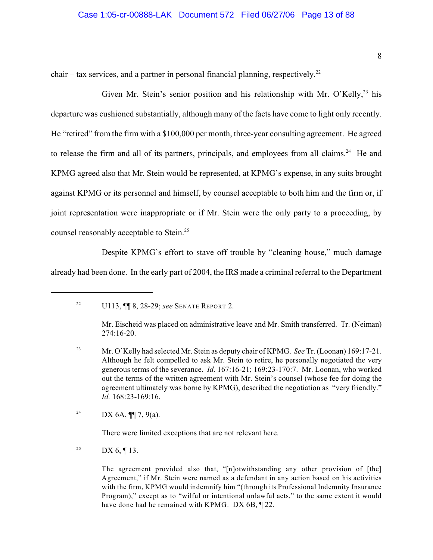#### Case 1:05-cr-00888-LAK Document 572 Filed 06/27/06 Page 13 of 88

chair – tax services, and a partner in personal financial planning, respectively.<sup>22</sup>

Given Mr. Stein's senior position and his relationship with Mr. O'Kelly,  $23$  his departure was cushioned substantially, although many of the facts have come to light only recently. He "retired" from the firm with a \$100,000 per month, three-year consulting agreement. He agreed to release the firm and all of its partners, principals, and employees from all claims.<sup>24</sup> He and KPMG agreed also that Mr. Stein would be represented, at KPMG's expense, in any suits brought against KPMG or its personnel and himself, by counsel acceptable to both him and the firm or, if joint representation were inappropriate or if Mr. Stein were the only party to a proceeding, by counsel reasonably acceptable to Stein.<sup>25</sup>

Despite KPMG's effort to stave off trouble by "cleaning house," much damage already had been done. In the early part of 2004, the IRS made a criminal referral to the Department

DX 6A, **[1]** 7, 9(a). 24

There were limited exceptions that are not relevant here.

<sup>25</sup> DX 6, ¶ 13.

The agreement provided also that, "[n]otwithstanding any other provision of [the] Agreement," if Mr. Stein were named as a defendant in any action based on his activities with the firm, KPMG would indemnify him "(through its Professional Indemnity Insurance Program)," except as to "wilful or intentional unlawful acts," to the same extent it would have done had he remained with KPMG. DX 6B, 122.

<sup>&</sup>lt;sup>22</sup> U113, **[1]** 8, 28-29; *see* SENATE REPORT 2.

Mr. Eischeid was placed on administrative leave and Mr. Smith transferred. Tr. (Neiman) 274:16-20.

<sup>&</sup>lt;sup>23</sup> Mr. O'Kelly had selected Mr. Stein as deputy chair of KPMG. *See* Tr. (Loonan) 169:17-21. Although he felt compelled to ask Mr. Stein to retire, he personally negotiated the very generous terms of the severance. *Id.* 167:16-21; 169:23-170:7. Mr. Loonan, who worked out the terms of the written agreement with Mr. Stein's counsel (whose fee for doing the agreement ultimately was borne by KPMG), described the negotiation as "very friendly." *Id.* 168:23-169:16.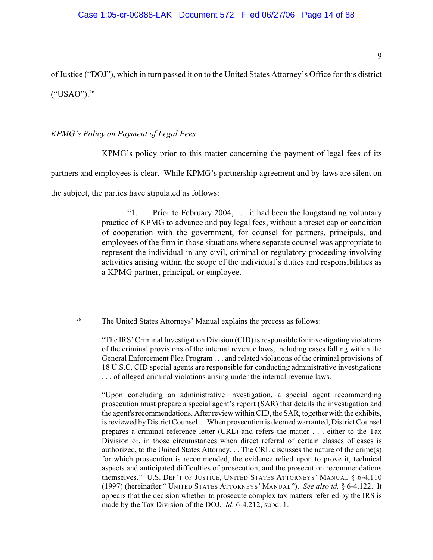of Justice ("DOJ"), which in turn passed it on to the United States Attorney's Office for this district ("USAO").<sup>26</sup>

## *KPMG's Policy on Payment of Legal Fees*

KPMG's policy prior to this matter concerning the payment of legal fees of its

partners and employees is clear. While KPMG's partnership agreement and by-laws are silent on

the subject, the parties have stipulated as follows:

"1. Prior to February 2004, . . . it had been the longstanding voluntary practice of KPMG to advance and pay legal fees, without a preset cap or condition of cooperation with the government, for counsel for partners, principals, and employees of the firm in those situations where separate counsel was appropriate to represent the individual in any civil, criminal or regulatory proceeding involving activities arising within the scope of the individual's duties and responsibilities as a KPMG partner, principal, or employee.

<sup>26</sup> The United States Attorneys' Manual explains the process as follows:

"Upon concluding an administrative investigation, a special agent recommending prosecution must prepare a special agent's report (SAR) that details the investigation and the agent's recommendations. After review within CID, the SAR, together with the exhibits, is reviewed by District Counsel. . . When prosecution is deemed warranted, District Counsel prepares a criminal reference letter (CRL) and refers the matter . . . either to the Tax Division or, in those circumstances when direct referral of certain classes of cases is authorized, to the United States Attorney. . . The CRL discusses the nature of the crime(s) for which prosecution is recommended, the evidence relied upon to prove it, technical aspects and anticipated difficulties of prosecution, and the prosecution recommendations themselves." U.S. DEP'T OF JUSTICE, UNITED STATES ATTORNEYS' MANUAL § 6-4.110 (1997) (hereinafter " UNITED STATES ATTORNEYS' MANUAL"). *See also id.* § 6-4.122. It appears that the decision whether to prosecute complex tax matters referred by the IRS is made by the Tax Division of the DOJ. *Id.* 6-4.212, subd. 1.

<sup>&</sup>quot;The IRS' Criminal Investigation Division (CID) is responsible for investigating violations of the criminal provisions of the internal revenue laws, including cases falling within the General Enforcement Plea Program . . . and related violations of the criminal provisions of 18 U.S.C. CID special agents are responsible for conducting administrative investigations . . . of alleged criminal violations arising under the internal revenue laws.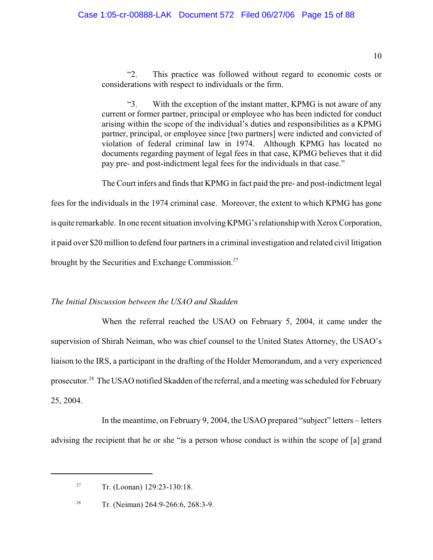"2. This practice was followed without regard to economic costs or considerations with respect to individuals or the firm.

"3. With the exception of the instant matter, KPMG is not aware of any current or former partner, principal or employee who has been indicted for conduct arising within the scope of the individual's duties and responsibilities as a KPMG partner, principal, or employee since [two partners] were indicted and convicted of violation of federal criminal law in 1974. Although KPMG has located no documents regarding payment of legal fees in that case, KPMG believes that it did pay pre- and post-indictment legal fees for the individuals in that case."

The Court infers and finds that KPMG in fact paid the pre- and post-indictment legal

fees for the individuals in the 1974 criminal case. Moreover, the extent to which KPMG has gone

is quite remarkable. In one recent situation involving KPMG's relationship with Xerox Corporation,

it paid over \$20 million to defend four partners in a criminal investigation and related civil litigation

brought by the Securities and Exchange Commission.<sup>27</sup>

## *The Initial Discussion between the USAO and Skadden*

When the referral reached the USAO on February 5, 2004, it came under the supervision of Shirah Neiman, who was chief counsel to the United States Attorney, the USAO's liaison to the IRS, a participant in the drafting of the Holder Memorandum, and a very experienced prosecutor.<sup>28</sup> The USAO notified Skadden of the referral, and a meeting was scheduled for February 25, 2004.

In the meantime, on February 9, 2004, the USAO prepared "subject" letters – letters advising the recipient that he or she "is a person whose conduct is within the scope of [a] grand

<sup>&</sup>lt;sup>27</sup> Tr. (Loonan)  $129:23-130:18$ .

Tr. (Neiman) 264:9-266:6, 268:3-9. 28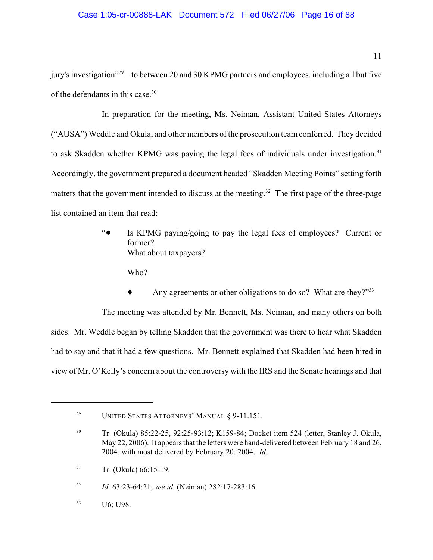jury's investigation"<sup>29</sup> – to between 20 and 30 KPMG partners and employees, including all but five of the defendants in this case.<sup>30</sup>

In preparation for the meeting, Ms. Neiman, Assistant United States Attorneys ("AUSA") Weddle and Okula, and other members of the prosecution team conferred. They decided to ask Skadden whether KPMG was paying the legal fees of individuals under investigation.<sup>31</sup> Accordingly, the government prepared a document headed "Skadden Meeting Points" setting forth matters that the government intended to discuss at the meeting.<sup>32</sup> The first page of the three-page list contained an item that read:

> "! Is KPMG paying/going to pay the legal fees of employees? Current or former? What about taxpayers?

Who?

Any agreements or other obligations to do so? What are they?"<sup>33</sup>

The meeting was attended by Mr. Bennett, Ms. Neiman, and many others on both sides. Mr. Weddle began by telling Skadden that the government was there to hear what Skadden had to say and that it had a few questions. Mr. Bennett explained that Skadden had been hired in view of Mr. O'Kelly's concern about the controversy with the IRS and the Senate hearings and that

<sup>&</sup>lt;sup>29</sup> UNITED STATES ATTORNEYS' MANUAL § 9-11.151.

<sup>&</sup>lt;sup>30</sup> Tr. (Okula) 85:22-25, 92:25-93:12; K159-84; Docket item 524 (letter, Stanley J. Okula, May 22, 2006). It appears that the letters were hand-delivered between February 18 and 26, 2004, with most delivered by February 20, 2004. *Id.*

 $Tr.$  (Okula) 66:15-19.

<sup>&</sup>lt;sup>32</sup> *Id.* 63:23-64:21; *see id.* (Neiman) 282:17-283:16.

U6; U98. 33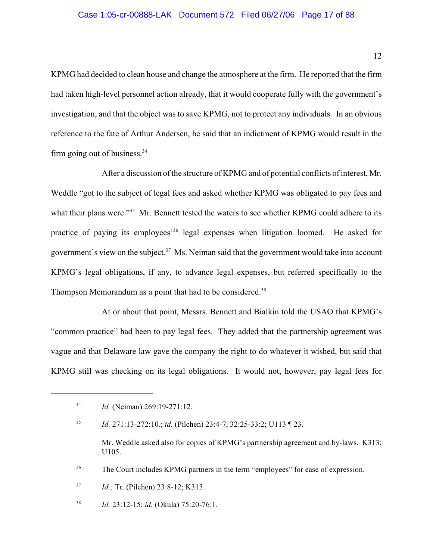KPMG had decided to clean house and change the atmosphere at the firm. He reported that the firm had taken high-level personnel action already, that it would cooperate fully with the government's investigation, and that the object was to save KPMG, not to protect any individuals. In an obvious reference to the fate of Arthur Andersen, he said that an indictment of KPMG would result in the firm going out of business.<sup>34</sup>

After a discussion of the structure of KPMG and of potential conflicts of interest, Mr. Weddle "got to the subject of legal fees and asked whether KPMG was obligated to pay fees and what their plans were."<sup>35</sup> Mr. Bennett tested the waters to see whether KPMG could adhere to its practice of paying its employees<sup>36</sup> legal expenses when litigation loomed. He asked for government's view on the subject.<sup>37</sup> Ms. Neiman said that the government would take into account KPMG's legal obligations, if any, to advance legal expenses, but referred specifically to the Thompson Memorandum as a point that had to be considered.<sup>38</sup>

At or about that point, Messrs. Bennett and Bialkin told the USAO that KPMG's "common practice" had been to pay legal fees. They added that the partnership agreement was vague and that Delaware law gave the company the right to do whatever it wished, but said that KPMG still was checking on its legal obligations. It would not, however, pay legal fees for

*Id.* 271:13-272:10.; *id.* (Pilchen) 23:4-7, 32:25-33:2; U113 ¶ 23. 35

Mr. Weddle asked also for copies of KPMG's partnership agreement and by-laws. K313; U105.

<sup>36</sup> The Court includes KPMG partners in the term "employees" for ease of expression.

<sup>37</sup> *Id.*; Tr. (Pilchen) 23:8-12; K313.

<sup>38</sup> *Id.* 23:12-15; *id.* (Okula) 75:20-76:1.

<sup>&</sup>lt;sup>34</sup> *Id.* (Neiman) 269:19-271:12.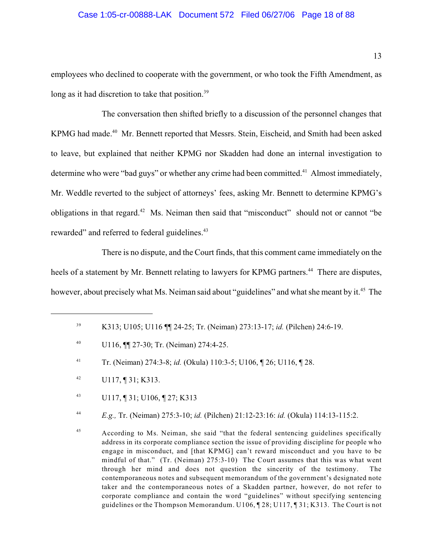#### Case 1:05-cr-00888-LAK Document 572 Filed 06/27/06 Page 18 of 88

employees who declined to cooperate with the government, or who took the Fifth Amendment, as long as it had discretion to take that position.<sup>39</sup>

The conversation then shifted briefly to a discussion of the personnel changes that KPMG had made.<sup>40</sup> Mr. Bennett reported that Messrs. Stein, Eischeid, and Smith had been asked to leave, but explained that neither KPMG nor Skadden had done an internal investigation to determine who were "bad guys" or whether any crime had been committed.<sup>41</sup> Almost immediately, Mr. Weddle reverted to the subject of attorneys' fees, asking Mr. Bennett to determine KPMG's obligations in that regard.<sup>42</sup> Ms. Neiman then said that "misconduct" should not or cannot "be rewarded" and referred to federal guidelines.<sup>43</sup>

There is no dispute, and the Court finds, that this comment came immediately on the heels of a statement by Mr. Bennett relating to lawyers for KPMG partners.<sup>44</sup> There are disputes, however, about precisely what Ms. Neiman said about "guidelines" and what she meant by it.<sup>45</sup> The

K313; U105; U116 ¶¶ 24-25; Tr. (Neiman) 273:13-17; *id.* (Pilchen) 24:6-19. <sup>39</sup>

<sup>&</sup>lt;sup>40</sup> U116,  $\P$  27-30; Tr. (Neiman) 274:4-25.

<sup>&</sup>lt;sup>41</sup> Tr. (Neiman) 274:3-8; *id.* (Okula) 110:3-5; U106, 126; U116, 128.

 $U117, \P31; K313.$ 

U117, ¶ 31; U106, ¶ 27; K313 43

*E.g.,* Tr. (Neiman) 275:3-10; *id.* (Pilchen) 21:12-23:16: *id.* (Okula) 114:13-115:2. <sup>44</sup>

<sup>&</sup>lt;sup>45</sup> According to Ms. Neiman, she said "that the federal sentencing guidelines specifically address in its corporate compliance section the issue of providing discipline for people who engage in misconduct, and [that KPMG] can't reward misconduct and you have to be mindful of that." (Tr. (Neiman) 275:3-10) The Court assumes that this was what went through her mind and does not question the sincerity of the testimony. The contemporaneous notes and subsequent memorandum of the government's designated note taker and the contemporaneous notes of a Skadden partner, however, do not refer to corporate compliance and contain the word "guidelines" without specifying sentencing guidelines or the Thompson Memorandum. U106, ¶ 28; U117, ¶ 31; K313. The Court is not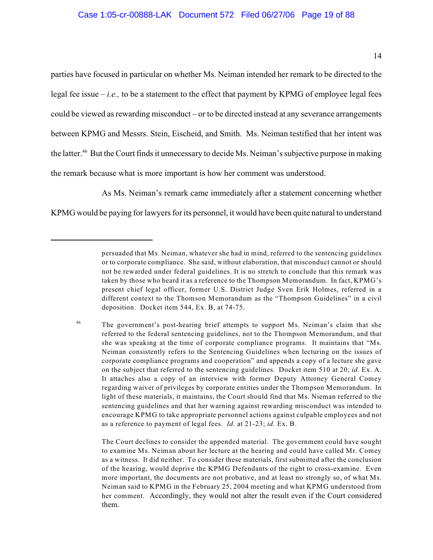parties have focused in particular on whether Ms. Neiman intended her remark to be directed to the legal fee issue  $-i.e.,$  to be a statement to the effect that payment by KPMG of employee legal fees could be viewed as rewarding misconduct – or to be directed instead at any severance arrangements between KPMG and Messrs. Stein, Eischeid, and Smith. Ms. Neiman testified that her intent was the latter.<sup>46</sup> But the Court finds it unnecessary to decide Ms. Neiman's subjective purpose in making the remark because what is more important is how her comment was understood.

As Ms. Neiman's remark came immediately after a statement concerning whether

KPMG would be paying for lawyers for its personnel, it would have been quite natural to understand

The Court declines to consider the appended material. The government could have sought to examine Ms. Neiman about her lecture at the hearing and could have called Mr. Comey as a witness. It did neither. To consider these materials, first submitted after the conclusion of the hearing, would deprive the KPMG Defendants of the right to cross-examine. Even more important, the documents are not probative, and at least no strongly so, of what Ms. Neiman said to KPMG in the February 25, 2004 meeting and what KPMG understood from her comment. Accordingly, they would not alter the result even if the Court considered them.

persuaded that Ms. Neiman, whatever she had in mind, referred to the sentencing guidelines or to corporate compliance. She said, without elaboration, that misconduct cannot or should not be rewarded under federal guidelines. It is no stretch to conclude that this remark was taken by those who heard it as a reference to the Thompson Memorandum. In fact, KPMG's present chief legal officer, former U.S. District Judge Sven Erik Holmes, referred in a different context to the Thomson Memorandum as the "Thompson Guidelines" in a civil deposition. Docket item 544, Ex. B, at 74-75.

<sup>&</sup>lt;sup>46</sup> The government's post-hearing brief attempts to support Ms. Neiman's claim that she referred to the federal sentencing guidelines, not to the Thompson Memorandum, and that she was speaking at the time of corporate compliance programs. It maintains that "Ms. Neiman consistently refers to the Sentencing Guidelines when lecturing on the issues of corporate compliance programs and cooperation" and appends a copy of a lecture she gave on the subject that referred to the sentencing guidelines. Docket item 510 at 20; *id.* Ex. A. It attaches also a copy of an interview with former Deputy Attorney General Comey regarding waiver of privileges by corporate entities under the Thompson Memorandum. In light of these materials, it maintains, the Court should find that Ms. Nieman referred to the sentencing guidelines and that her warning against rewarding misconduct was intended to encourage KPMG to take appropriate personnel actions against culpable employees and not as a reference to payment of legal fees. *Id.* at 21-23; *id.* Ex. B.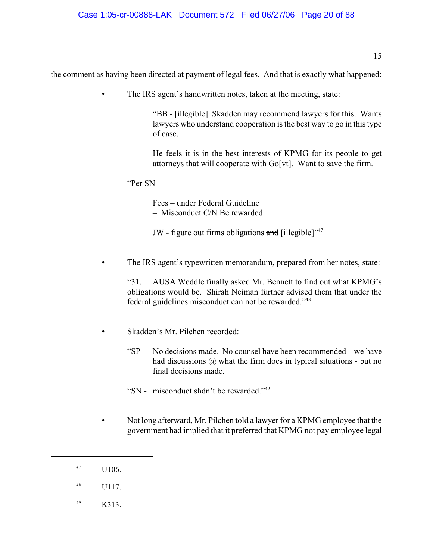# the comment as having been directed at payment of legal fees. And that is exactly what happened:

• The IRS agent's handwritten notes, taken at the meeting, state:

"BB - [illegible] Skadden may recommend lawyers for this. Wants lawyers who understand cooperation is the best way to go in this type of case.

He feels it is in the best interests of KPMG for its people to get attorneys that will cooperate with Go[vt]. Want to save the firm.

"Per SN

Fees – under Federal Guideline – Misconduct C/N Be rewarded.

JW - figure out firms obligations and [illegible]"<sup>47</sup>

The IRS agent's typewritten memorandum, prepared from her notes, state:

"31. AUSA Weddle finally asked Mr. Bennett to find out what KPMG's obligations would be. Shirah Neiman further advised them that under the federal guidelines misconduct can not be rewarded."<sup>48</sup>

- Skadden's Mr. Pilchen recorded:
	- "SP No decisions made. No counsel have been recommended we have had discussions  $\omega$  what the firm does in typical situations - but no final decisions made.

"SN - misconduct shdn't be rewarded."<sup>49</sup>

- Not long afterward, Mr. Pilchen told a lawyer for a KPMG employee that the government had implied that it preferred that KPMG not pay employee legal
- $1106.$
- $^{48}$  U117.
- $K313.$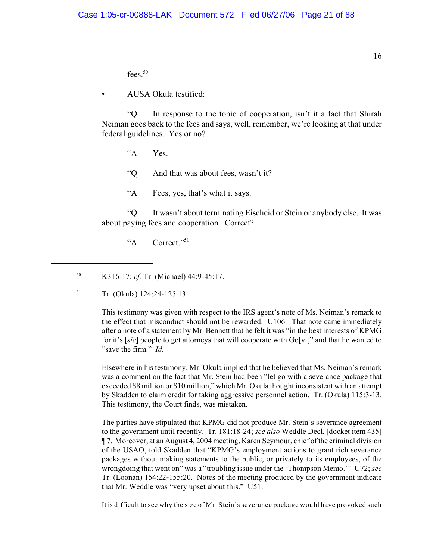fees.<sup>50</sup>

• AUSA Okula testified:

"Q In response to the topic of cooperation, isn't it a fact that Shirah Neiman goes back to the fees and says, well, remember, we're looking at that under federal guidelines. Yes or no?

"A Yes.

"Q And that was about fees, wasn't it?

"A Fees, yes, that's what it says.

"Q It wasn't about terminating Eischeid or Stein or anybody else. It was about paying fees and cooperation. Correct?

"A Correct."<sup>51</sup>

 $Tr.$  (Okula) 124:24-125:13.

This testimony was given with respect to the IRS agent's note of Ms. Neiman's remark to the effect that misconduct should not be rewarded. U106. That note came immediately after a note of a statement by Mr. Bennett that he felt it was "in the best interests of KPMG for it's [*sic*] people to get attorneys that will cooperate with Go[vt]" and that he wanted to "save the firm." *Id.*

Elsewhere in his testimony, Mr. Okula implied that he believed that Ms. Neiman's remark was a comment on the fact that Mr. Stein had been "let go with a severance package that exceeded \$8 million or \$10 million," which Mr. Okula thought inconsistent with an attempt by Skadden to claim credit for taking aggressive personnel action. Tr. (Okula) 115:3-13. This testimony, the Court finds, was mistaken.

The parties have stipulated that KPMG did not produce Mr. Stein's severance agreement to the government until recently. Tr. 181:18-24; *see also* Weddle Decl. [docket item 435] ¶ 7. Moreover, at an August 4, 2004 meeting, Karen Seymour, chief of the criminal division of the USAO, told Skadden that "KPMG's employment actions to grant rich severance packages without making statements to the public, or privately to its employees, of the wrongdoing that went on" was a "troubling issue under the 'Thompson Memo.'" U72; *see* Tr. (Loonan) 154:22-155:20. Notes of the meeting produced by the government indicate that Mr. Weddle was "very upset about this." U51.

It is difficult to see why the size of Mr. Stein's severance package would have provoked such

<sup>&</sup>lt;sup>50</sup> K316-17; *cf.* Tr. (Michael) 44:9-45:17.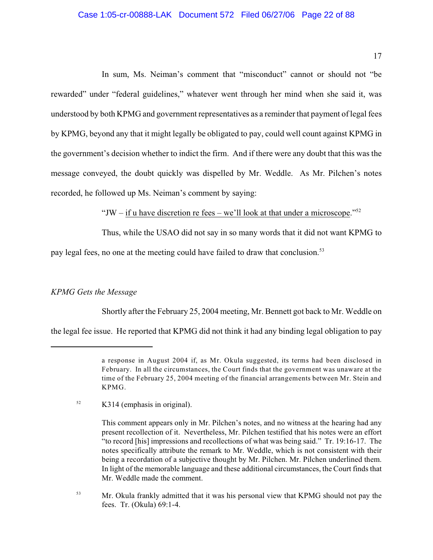#### Case 1:05-cr-00888-LAK Document 572 Filed 06/27/06 Page 22 of 88

17

In sum, Ms. Neiman's comment that "misconduct" cannot or should not "be rewarded" under "federal guidelines," whatever went through her mind when she said it, was understood by both KPMG and government representatives as a reminder that payment of legal fees by KPMG, beyond any that it might legally be obligated to pay, could well count against KPMG in the government's decision whether to indict the firm. And if there were any doubt that this was the message conveyed, the doubt quickly was dispelled by Mr. Weddle. As Mr. Pilchen's notes recorded, he followed up Ms. Neiman's comment by saying:

"JW – if u have discretion re fees – we'll look at that under a microscope."<sup>52</sup>

Thus, while the USAO did not say in so many words that it did not want KPMG to

pay legal fees, no one at the meeting could have failed to draw that conclusion.<sup>53</sup>

#### *KPMG Gets the Message*

Shortly after the February 25, 2004 meeting, Mr. Bennett got back to Mr. Weddle on

the legal fee issue. He reported that KPMG did not think it had any binding legal obligation to pay

a response in August 2004 if, as Mr. Okula suggested, its terms had been disclosed in February. In all the circumstances, the Court finds that the government was unaware at the time of the February 25, 2004 meeting of the financial arrangements between Mr. Stein and KPMG.

 $K314$  (emphasis in original).

This comment appears only in Mr. Pilchen's notes, and no witness at the hearing had any present recollection of it. Nevertheless, Mr. Pilchen testified that his notes were an effort "to record [his] impressions and recollections of what was being said." Tr. 19:16-17. The notes specifically attribute the remark to Mr. Weddle, which is not consistent with their being a recordation of a subjective thought by Mr. Pilchen. Mr. Pilchen underlined them. In light of the memorable language and these additional circumstances, the Court finds that Mr. Weddle made the comment.

<sup>&</sup>lt;sup>53</sup> Mr. Okula frankly admitted that it was his personal view that KPMG should not pay the fees. Tr. (Okula) 69:1-4.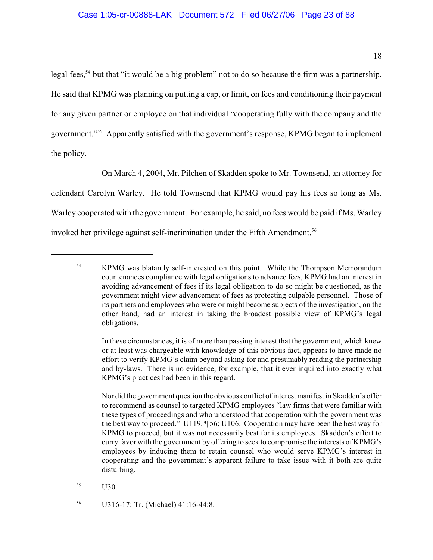legal fees,<sup>54</sup> but that "it would be a big problem" not to do so because the firm was a partnership. He said that KPMG was planning on putting a cap, or limit, on fees and conditioning their payment for any given partner or employee on that individual "cooperating fully with the company and the government."<sup>55</sup> Apparently satisfied with the government's response, KPMG began to implement the policy.

On March 4, 2004, Mr. Pilchen of Skadden spoke to Mr. Townsend, an attorney for defendant Carolyn Warley. He told Townsend that KPMG would pay his fees so long as Ms. Warley cooperated with the government. For example, he said, no fees would be paid if Ms. Warley invoked her privilege against self-incrimination under the Fifth Amendment. 56

<sup>&</sup>lt;sup>54</sup> KPMG was blatantly self-interested on this point. While the Thompson Memorandum countenances compliance with legal obligations to advance fees, KPMG had an interest in avoiding advancement of fees if its legal obligation to do so might be questioned, as the government might view advancement of fees as protecting culpable personnel. Those of its partners and employees who were or might become subjects of the investigation, on the other hand, had an interest in taking the broadest possible view of KPMG's legal obligations.

In these circumstances, it is of more than passing interest that the government, which knew or at least was chargeable with knowledge of this obvious fact, appears to have made no effort to verify KPMG's claim beyond asking for and presumably reading the partnership and by-laws. There is no evidence, for example, that it ever inquired into exactly what KPMG's practices had been in this regard.

Nor did the government question the obvious conflict of interest manifest in Skadden's offer to recommend as counsel to targeted KPMG employees "law firms that were familiar with these types of proceedings and who understood that cooperation with the government was the best way to proceed." U119, ¶ 56; U106. Cooperation may have been the best way for KPMG to proceed, but it was not necessarily best for its employees. Skadden's effort to curry favor with the government by offering to seek to compromise the interests of KPMG's employees by inducing them to retain counsel who would serve KPMG's interest in cooperating and the government's apparent failure to take issue with it both are quite disturbing.

 $^{55}$  U30.

<sup>&</sup>lt;sup>56</sup> U316-17; Tr. (Michael) 41:16-44:8.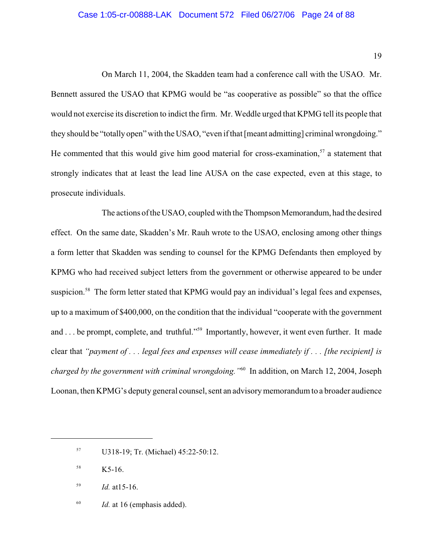#### Case 1:05-cr-00888-LAK Document 572 Filed 06/27/06 Page 24 of 88

19

On March 11, 2004, the Skadden team had a conference call with the USAO. Mr. Bennett assured the USAO that KPMG would be "as cooperative as possible" so that the office would not exercise its discretion to indict the firm. Mr. Weddle urged that KPMG tell its people that they should be "totally open" with the USAO, "even if that [meant admitting] criminal wrongdoing." He commented that this would give him good material for cross-examination,  $57$  a statement that strongly indicates that at least the lead line AUSA on the case expected, even at this stage, to prosecute individuals.

The actions of the USAO, coupled with the Thompson Memorandum, had the desired effect. On the same date, Skadden's Mr. Rauh wrote to the USAO, enclosing among other things a form letter that Skadden was sending to counsel for the KPMG Defendants then employed by KPMG who had received subject letters from the government or otherwise appeared to be under suspicion.<sup>58</sup> The form letter stated that KPMG would pay an individual's legal fees and expenses, up to a maximum of \$400,000, on the condition that the individual "cooperate with the government and . . . be prompt, complete, and truthful."<sup>59</sup> Importantly, however, it went even further. It made clear that *"payment of . . . legal fees and expenses will cease immediately if . . . [the recipient] is charged by the government with criminal wrongdoing.* "<sup>60</sup> In addition, on March 12, 2004, Joseph Loonan, then KPMG's deputy general counsel, sent an advisory memorandum to a broader audience

 $1d.$  at 16 (emphasis added).

<sup>&</sup>lt;sup>57</sup> U318-19; Tr. (Michael) 45:22-50:12.

 $K5-16.$ 

 $Id.$  at 15-16.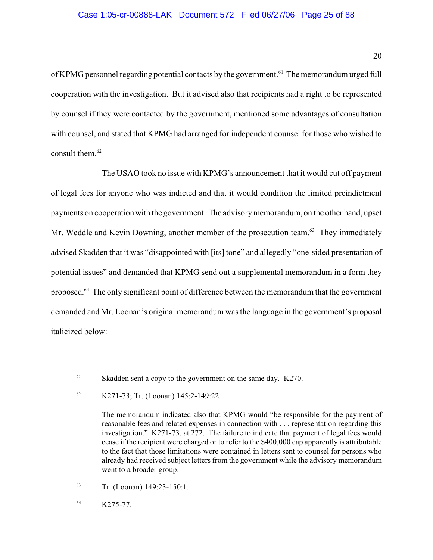of KPMG personnel regarding potential contacts by the government.<sup>61</sup> The memorandum urged full cooperation with the investigation. But it advised also that recipients had a right to be represented by counsel if they were contacted by the government, mentioned some advantages of consultation with counsel, and stated that KPMG had arranged for independent counsel for those who wished to consult them.<sup>62</sup>

The USAO took no issue with KPMG's announcement that it would cut off payment of legal fees for anyone who was indicted and that it would condition the limited preindictment payments on cooperation with the government. The advisory memorandum, on the other hand, upset Mr. Weddle and Kevin Downing, another member of the prosecution team.<sup>63</sup> They immediately advised Skadden that it was "disappointed with [its] tone" and allegedly "one-sided presentation of potential issues" and demanded that KPMG send out a supplemental memorandum in a form they proposed.<sup>64</sup> The only significant point of difference between the memorandum that the government demanded and Mr. Loonan's original memorandum was the language in the government's proposal italicized below:

 $\frac{63}{r}$  Tr. (Loonan) 149:23-150:1.

 $K275-77.$ 

 $61$  Skadden sent a copy to the government on the same day. K270.

 $K271-73$ ; Tr. (Loonan) 145:2-149:22.

The memorandum indicated also that KPMG would "be responsible for the payment of reasonable fees and related expenses in connection with . . . representation regarding this investigation." K271-73, at 272. The failure to indicate that payment of legal fees would cease if the recipient were charged or to refer to the \$400,000 cap apparently is attributable to the fact that those limitations were contained in letters sent to counsel for persons who already had received subject letters from the government while the advisory memorandum went to a broader group.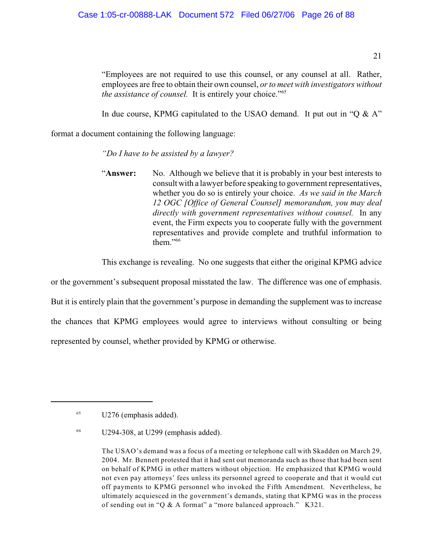"Employees are not required to use this counsel, or any counsel at all. Rather, employees are free to obtain their own counsel, *or to meet with investigators without the assistance of counsel.* It is entirely your choice."<sup>65</sup>

In due course, KPMG capitulated to the USAO demand. It put out in "Q  $\&$  A"

format a document containing the following language:

*"Do I have to be assisted by a lawyer?*

"**Answer:** No. Although we believe that it is probably in your best interests to consult with a lawyer before speaking to government representatives, whether you do so is entirely your choice. *As we said in the March 12 OGC [Office of General Counsel] memorandum, you may deal directly with government representatives without counsel.* In any event, the Firm expects you to cooperate fully with the government representatives and provide complete and truthful information to them."<sup>66</sup>

This exchange is revealing. No one suggests that either the original KPMG advice

or the government's subsequent proposal misstated the law. The difference was one of emphasis. But it is entirely plain that the government's purpose in demanding the supplement was to increase the chances that KPMG employees would agree to interviews without consulting or being represented by counsel, whether provided by KPMG or otherwise.

 $U276$  (emphasis added).

 $U294-308$ , at U299 (emphasis added).

The USAO's demand was a focus of a meeting or telephone call with Skadden on March 29, 2004. Mr. Bennett protested that it had sent out memoranda such as those that had been sent on behalf of KPMG in other matters without objection. He emphasized that KPMG would not even pay attorneys' fees unless its personnel agreed to cooperate and that it would cut off payments to KPMG personnel who invoked the Fifth Amendment. Nevertheless, he ultimately acquiesced in the government's demands, stating that KPMG was in the process of sending out in "Q & A format" a "more balanced approach." K321.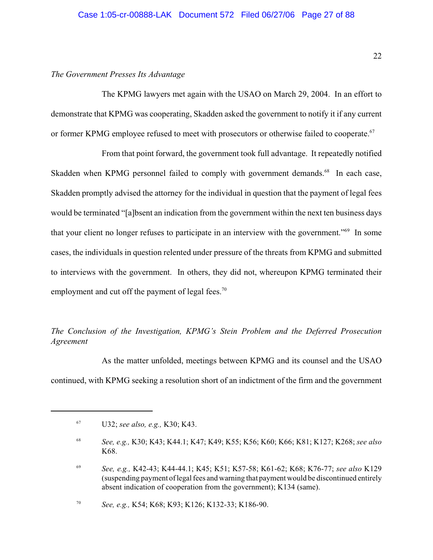#### *The Government Presses Its Advantage*

The KPMG lawyers met again with the USAO on March 29, 2004. In an effort to demonstrate that KPMG was cooperating, Skadden asked the government to notify it if any current or former KPMG employee refused to meet with prosecutors or otherwise failed to cooperate.<sup>67</sup>

From that point forward, the government took full advantage. It repeatedly notified Skadden when KPMG personnel failed to comply with government demands.<sup>68</sup> In each case, Skadden promptly advised the attorney for the individual in question that the payment of legal fees would be terminated "[a]bsent an indication from the government within the next ten business days that your client no longer refuses to participate in an interview with the government." $\frac{69}{9}$  In some cases, the individuals in question relented under pressure of the threats from KPMG and submitted to interviews with the government. In others, they did not, whereupon KPMG terminated their employment and cut off the payment of legal fees.<sup>70</sup>

## *The Conclusion of the Investigation, KPMG's Stein Problem and the Deferred Prosecution Agreement*

As the matter unfolded, meetings between KPMG and its counsel and the USAO continued, with KPMG seeking a resolution short of an indictment of the firm and the government

U32; *see also, e.g.,* K30; K43. 67

*See, e.g.,* K30; K43; K44.1; K47; K49; K55; K56; K60; K66; K81; K127; K268; *see also* <sup>68</sup> K68.

*See, e.g.,* K42-43; K44-44.1; K45; K51; K57-58; K61-62; K68; K76-77; *see also* K129 <sup>69</sup> (suspending payment of legal fees and warning that payment would be discontinued entirely absent indication of cooperation from the government); K134 (same).

*See, e.g.,* K54; K68; K93; K126; K132-33; K186-90. <sup>70</sup>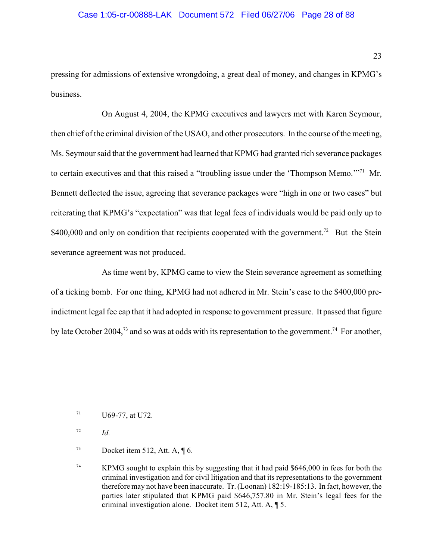pressing for admissions of extensive wrongdoing, a great deal of money, and changes in KPMG's business.

On August 4, 2004, the KPMG executives and lawyers met with Karen Seymour, then chief of the criminal division of the USAO, and other prosecutors. In the course of the meeting, Ms. Seymour said that the government had learned that KPMG had granted rich severance packages to certain executives and that this raised a "troubling issue under the 'Thompson Memo."<sup>71</sup> Mr. Bennett deflected the issue, agreeing that severance packages were "high in one or two cases" but reiterating that KPMG's "expectation" was that legal fees of individuals would be paid only up to \$400,000 and only on condition that recipients cooperated with the government.<sup>72</sup> But the Stein severance agreement was not produced.

As time went by, KPMG came to view the Stein severance agreement as something of a ticking bomb. For one thing, KPMG had not adhered in Mr. Stein's case to the \$400,000 preindictment legal fee cap that it had adopted in response to government pressure. It passed that figure by late October 2004,<sup>73</sup> and so was at odds with its representation to the government.<sup>74</sup> For another,

U69-77, at U72. 71

 $I^2$  *Id.* 

 $Docket item 512, Att. A, \P 6.$ 

<sup>&</sup>lt;sup>74</sup> KPMG sought to explain this by suggesting that it had paid \$646,000 in fees for both the criminal investigation and for civil litigation and that its representations to the government therefore may not have been inaccurate. Tr. (Loonan) 182:19-185:13. In fact, however, the parties later stipulated that KPMG paid \$646,757.80 in Mr. Stein's legal fees for the criminal investigation alone. Docket item 512, Att. A, ¶ 5.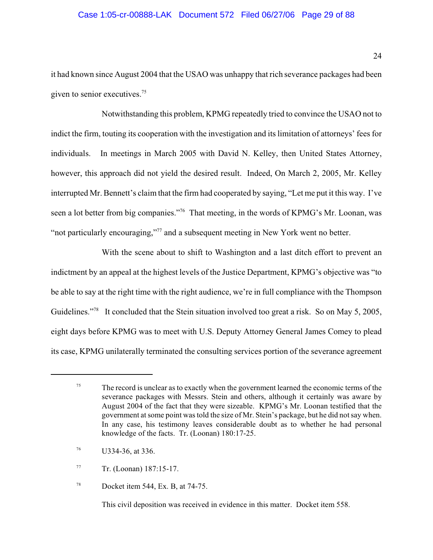#### Case 1:05-cr-00888-LAK Document 572 Filed 06/27/06 Page 29 of 88

it had known since August 2004 that the USAO was unhappy that rich severance packages had been given to senior executives.<sup>75</sup>

Notwithstanding this problem, KPMG repeatedly tried to convince the USAO not to indict the firm, touting its cooperation with the investigation and its limitation of attorneys' fees for individuals. In meetings in March 2005 with David N. Kelley, then United States Attorney, however, this approach did not yield the desired result. Indeed, On March 2, 2005, Mr. Kelley interrupted Mr. Bennett's claim that the firm had cooperated by saying, "Let me put it this way. I've seen a lot better from big companies."<sup>76</sup> That meeting, in the words of KPMG's Mr. Loonan, was "not particularly encouraging,"<sup>77</sup> and a subsequent meeting in New York went no better.

With the scene about to shift to Washington and a last ditch effort to prevent an indictment by an appeal at the highest levels of the Justice Department, KPMG's objective was "to be able to say at the right time with the right audience, we're in full compliance with the Thompson Guidelines."<sup>78</sup> It concluded that the Stein situation involved too great a risk. So on May 5, 2005, eight days before KPMG was to meet with U.S. Deputy Attorney General James Comey to plead its case, KPMG unilaterally terminated the consulting services portion of the severance agreement

This civil deposition was received in evidence in this matter. Docket item 558.

 $T<sup>5</sup>$  The record is unclear as to exactly when the government learned the economic terms of the severance packages with Messrs. Stein and others, although it certainly was aware by August 2004 of the fact that they were sizeable. KPMG's Mr. Loonan testified that the government at some point was told the size of Mr. Stein's package, but he did notsay when. In any case, his testimony leaves considerable doubt as to whether he had personal knowledge of the facts. Tr. (Loonan) 180:17-25.

 $U334-36$ , at 336.

 $T = \text{Tr. (Loonan)} 187:15-17.$ 

Docket item 544, Ex. B, at 74-75. 78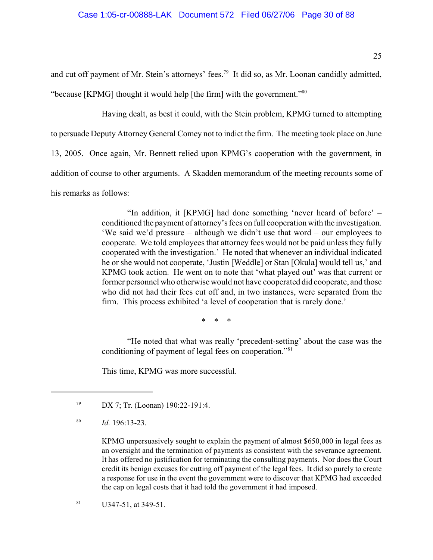and cut off payment of Mr. Stein's attorneys' fees.<sup>79</sup> It did so, as Mr. Loonan candidly admitted, "because [KPMG] thought it would help [the firm] with the government."<sup>80</sup>

Having dealt, as best it could, with the Stein problem, KPMG turned to attempting to persuade Deputy Attorney General Comey not to indict the firm. The meeting took place on June 13, 2005. Once again, Mr. Bennett relied upon KPMG's cooperation with the government, in addition of course to other arguments. A Skadden memorandum of the meeting recounts some of his remarks as follows:

> "In addition, it [KPMG] had done something 'never heard of before' – conditioned the payment of attorney's fees on full cooperation with the investigation. 'We said we'd pressure – although we didn't use that word – our employees to cooperate. We told employees that attorney fees would not be paid unless they fully cooperated with the investigation.' He noted that whenever an individual indicated he or she would not cooperate, 'Justin [Weddle] or Stan [Okula] would tell us,' and KPMG took action. He went on to note that 'what played out' was that current or former personnel who otherwise would not have cooperated did cooperate, and those who did not had their fees cut off and, in two instances, were separated from the firm. This process exhibited 'a level of cooperation that is rarely done.'

> > \* \* \*

"He noted that what was really 'precedent-setting' about the case was the conditioning of payment of legal fees on cooperation."<sup>81</sup>

This time, KPMG was more successful.

 $^{81}$  U347-51, at 349-51.

<sup>&</sup>lt;sup>79</sup> DX 7; Tr. (Loonan) 190:22-191:4.

 $Id. 196:13-23.$ 

KPMG unpersuasively sought to explain the payment of almost \$650,000 in legal fees as an oversight and the termination of payments as consistent with the severance agreement. It has offered no justification for terminating the consulting payments. Nor does the Court credit its benign excuses for cutting off payment of the legal fees. It did so purely to create a response for use in the event the government were to discover that KPMG had exceeded the cap on legal costs that it had told the government it had imposed.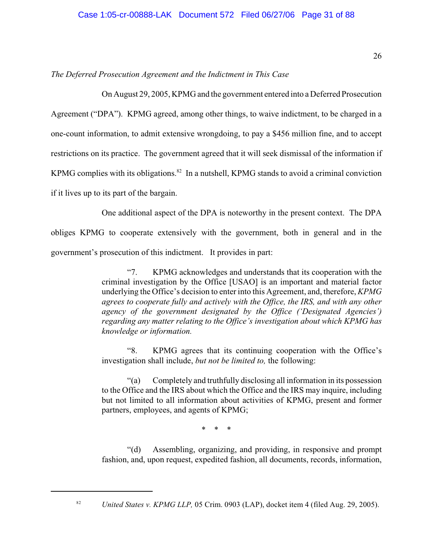# *The Deferred Prosecution Agreement and the Indictment in This Case*

On August 29, 2005, KPMG and the government entered into a Deferred Prosecution

Agreement ("DPA"). KPMG agreed, among other things, to waive indictment, to be charged in a one-count information, to admit extensive wrongdoing, to pay a \$456 million fine, and to accept restrictions on its practice. The government agreed that it will seek dismissal of the information if KPMG complies with its obligations.<sup>82</sup> In a nutshell, KPMG stands to avoid a criminal conviction if it lives up to its part of the bargain.

One additional aspect of the DPA is noteworthy in the present context. The DPA

obliges KPMG to cooperate extensively with the government, both in general and in the government's prosecution of this indictment. It provides in part:

> "7. KPMG acknowledges and understands that its cooperation with the criminal investigation by the Office [USAO] is an important and material factor underlying the Office's decision to enter into this Agreement, and, therefore, *KPMG agrees to cooperate fully and actively with the Office, the IRS, and with any other agency of the government designated by the Office ('Designated Agencies') regarding any matter relating to the Office's investigation about which KPMG has knowledge or information.*

> "8. KPMG agrees that its continuing cooperation with the Office's investigation shall include, *but not be limited to,* the following:

> "(a) Completely and truthfully disclosing all information in its possession to the Office and the IRS about which the Office and the IRS may inquire, including but not limited to all information about activities of KPMG, present and former partners, employees, and agents of KPMG;

> > \* \* \*

"(d) Assembling, organizing, and providing, in responsive and prompt fashion, and, upon request, expedited fashion, all documents, records, information,

82

*United States v. KPMG LLP,* 05 Crim. 0903 (LAP), docket item 4 (filed Aug. 29, 2005).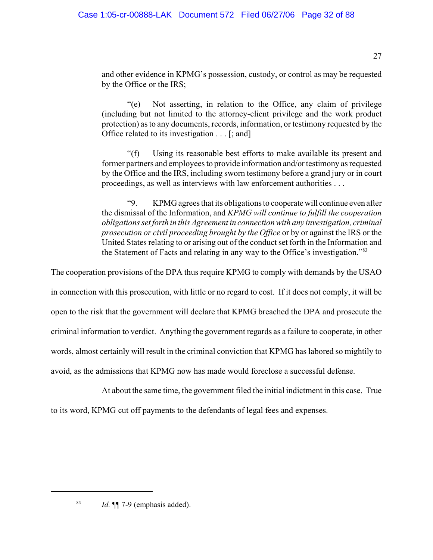and other evidence in KPMG's possession, custody, or control as may be requested by the Office or the IRS;

"(e) Not asserting, in relation to the Office, any claim of privilege (including but not limited to the attorney-client privilege and the work product protection) as to any documents, records, information, or testimony requested by the Office related to its investigation . . . [; and]

"(f) Using its reasonable best efforts to make available its present and former partners and employees to provide information and/or testimony as requested by the Office and the IRS, including sworn testimony before a grand jury or in court proceedings, as well as interviews with law enforcement authorities . . .

"9. KPMG agrees that its obligations to cooperate will continue even after the dismissal of the Information, and *KPMG will continue to fulfill the cooperation obligations set forth in this Agreement in connection with any investigation, criminal prosecution or civil proceeding brought by the Office* or by or against the IRS or the United States relating to or arising out of the conduct set forth in the Information and the Statement of Facts and relating in any way to the Office's investigation."<sup>83</sup>

The cooperation provisions of the DPA thus require KPMG to comply with demands by the USAO

in connection with this prosecution, with little or no regard to cost. If it does not comply, it will be

open to the risk that the government will declare that KPMG breached the DPA and prosecute the

criminal information to verdict. Anything the government regards as a failure to cooperate, in other

words, almost certainly will result in the criminal conviction that KPMG has labored so mightily to

avoid, as the admissions that KPMG now has made would foreclose a successful defense.

At about the same time, the government filed the initial indictment in this case. True

to its word, KPMG cut off payments to the defendants of legal fees and expenses.

<sup>&</sup>lt;sup>83</sup> *Id.*  $\P$ [ 7-9 (emphasis added).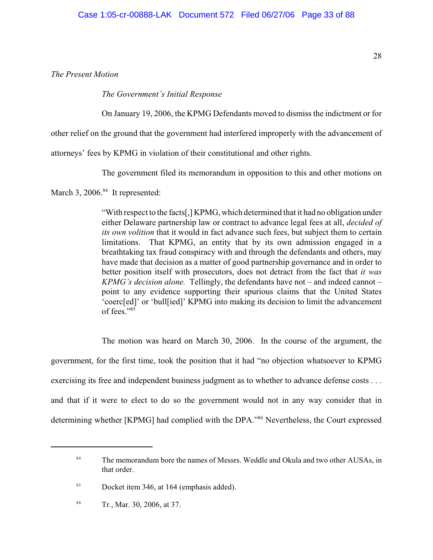*The Present Motion*

*The Government's Initial Response*

On January 19, 2006, the KPMG Defendants moved to dismiss the indictment or for

other relief on the ground that the government had interfered improperly with the advancement of

attorneys' fees by KPMG in violation of their constitutional and other rights.

The government filed its memorandum in opposition to this and other motions on

March 3,  $2006.^{84}$  It represented:

"With respect to the facts[,] KPMG, which determined that it had no obligation under either Delaware partnership law or contract to advance legal fees at all, *decided of its own volition* that it would in fact advance such fees, but subject them to certain limitations. That KPMG, an entity that by its own admission engaged in a breathtaking tax fraud conspiracy with and through the defendants and others, may have made that decision as a matter of good partnership governance and in order to better position itself with prosecutors, does not detract from the fact that *it was KPMG's decision alone.* Tellingly, the defendants have not – and indeed cannot – point to any evidence supporting their spurious claims that the United States 'coerc[ed]' or 'bull[ied]' KPMG into making its decision to limit the advancement of fees."<sup>85</sup>

The motion was heard on March 30, 2006. In the course of the argument, the government, for the first time, took the position that it had "no objection whatsoever to KPMG exercising its free and independent business judgment as to whether to advance defense costs . . . and that if it were to elect to do so the government would not in any way consider that in determining whether [KPMG] had complied with the DPA."<sup>86</sup> Nevertheless, the Court expressed

<sup>&</sup>lt;sup>84</sup> The memorandum bore the names of Messrs. Weddle and Okula and two other AUSAs, in that order.

<sup>&</sup>lt;sup>85</sup> Docket item 346, at 164 (emphasis added).

Tr., Mar. 30, 2006, at 37. 86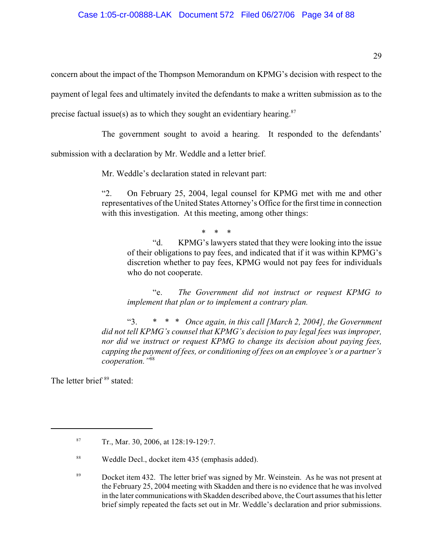concern about the impact of the Thompson Memorandum on KPMG's decision with respect to the

payment of legal fees and ultimately invited the defendants to make a written submission as to the

precise factual issue(s) as to which they sought an evidentiary hearing. $87$ 

The government sought to avoid a hearing. It responded to the defendants'

submission with a declaration by Mr. Weddle and a letter brief.

Mr. Weddle's declaration stated in relevant part:

"2. On February 25, 2004, legal counsel for KPMG met with me and other representatives of the United States Attorney's Office for the first time in connection with this investigation. At this meeting, among other things:

\* \* \*

"d. KPMG's lawyers stated that they were looking into the issue of their obligations to pay fees, and indicated that if it was within KPMG's discretion whether to pay fees, KPMG would not pay fees for individuals who do not cooperate.

"e. *The Government did not instruct or request KPMG to implement that plan or to implement a contrary plan.*

"3. \* \* \* *Once again, in this call [March 2, 2004], the Government did not tell KPMG's counsel that KPMG's decision to pay legal fees was improper, nor did we instruct or request KPMG to change its decision about paying fees, capping the payment of fees, or conditioning of fees on an employee's or a partner's cooperation."*<sup>88</sup>

The letter brief<sup>89</sup> stated:

<sup>89</sup> Docket item 432. The letter brief was signed by Mr. Weinstein. As he was not present at the February 25, 2004 meeting with Skadden and there is no evidence that he was involved in the later communications with Skadden described above, the Court assumes that his letter brief simply repeated the facts set out in Mr. Weddle's declaration and prior submissions.

 $Tr., Mar. 30, 2006, at 128:19-129:7.$ 

<sup>&</sup>lt;sup>88</sup> Weddle Decl., docket item 435 (emphasis added).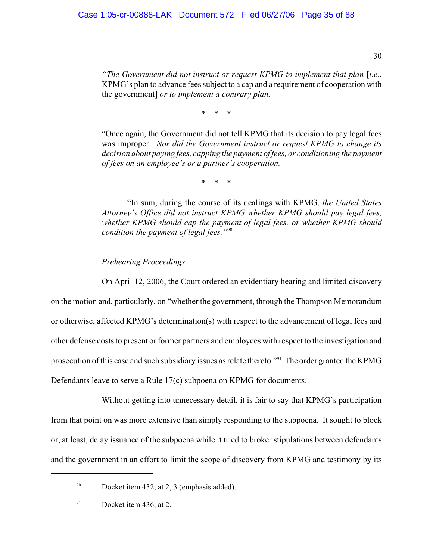*"The Government did not instruct or request KPMG to implement that plan* [*i.e.*, KPMG's plan to advance fees subject to a cap and a requirement of cooperation with the government] *or to implement a contrary plan.*

\* \* \*

"Once again, the Government did not tell KPMG that its decision to pay legal fees was improper. *Nor did the Government instruct or request KPMG to change its decision about paying fees, capping the payment of fees, or conditioning the payment of fees on an employee's or a partner's cooperation.*

\* \* \*

"In sum, during the course of its dealings with KPMG, *the United States Attorney's Office did not instruct KPMG whether KPMG should pay legal fees, whether KPMG should cap the payment of legal fees, or whether KPMG should condition the payment of legal fees."*<sup>90</sup>

*Prehearing Proceedings*

On April 12, 2006, the Court ordered an evidentiary hearing and limited discovery on the motion and, particularly, on "whether the government, through the Thompson Memorandum or otherwise, affected KPMG's determination(s) with respect to the advancement of legal fees and other defense costs to present or former partners and employees with respect to the investigation and prosecution of this case and such subsidiary issues as relate thereto."<sup>91</sup> The order granted the KPMG Defendants leave to serve a Rule 17(c) subpoena on KPMG for documents.

Without getting into unnecessary detail, it is fair to say that KPMG's participation from that point on was more extensive than simply responding to the subpoena. It sought to block or, at least, delay issuance of the subpoena while it tried to broker stipulations between defendants and the government in an effort to limit the scope of discovery from KPMG and testimony by its

30

 $90$  Docket item 432, at 2, 3 (emphasis added).

 $^{91}$  Docket item 436, at 2.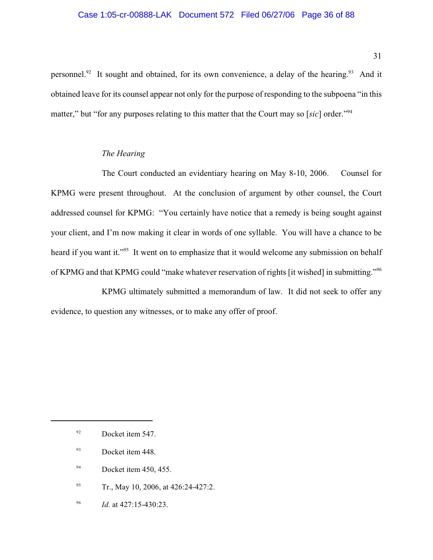#### Case 1:05-cr-00888-LAK Document 572 Filed 06/27/06 Page 36 of 88

personnel.<sup>92</sup> It sought and obtained, for its own convenience, a delay of the hearing.<sup>93</sup> And it obtained leave for its counsel appear not only for the purpose of responding to the subpoena "in this matter," but "for any purposes relating to this matter that the Court may so [*sic*] order."<sup>94</sup>

#### *The Hearing*

The Court conducted an evidentiary hearing on May 8-10, 2006. Counsel for KPMG were present throughout. At the conclusion of argument by other counsel, the Court addressed counsel for KPMG: "You certainly have notice that a remedy is being sought against your client, and I'm now making it clear in words of one syllable. You will have a chance to be heard if you want it."<sup>95</sup> It went on to emphasize that it would welcome any submission on behalf of KPMG and that KPMG could "make whatever reservation of rights [it wished] in submitting."<sup>96</sup>

KPMG ultimately submitted a memorandum of law. It did not seek to offer any evidence, to question any witnesses, or to make any offer of proof.

- $1<sup>94</sup>$  Docket item 450, 455.
- $T_r$ , May 10, 2006, at 426:24-427:2.
- <sup>96</sup> *Id.* at 427:15-430:23.

31

<sup>&</sup>lt;sup>92</sup> Docket item 547.

<sup>&</sup>lt;sup>93</sup> Docket item 448.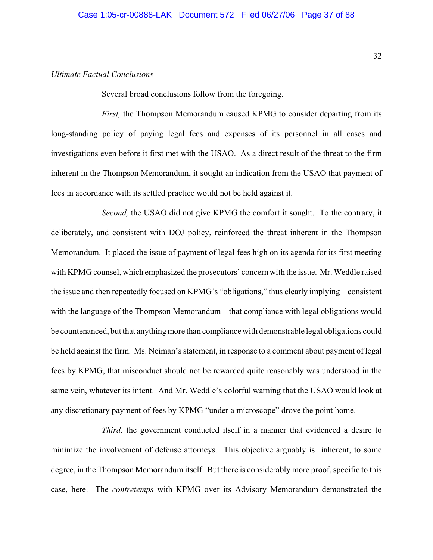### *Ultimate Factual Conclusions*

Several broad conclusions follow from the foregoing.

*First,* the Thompson Memorandum caused KPMG to consider departing from its long-standing policy of paying legal fees and expenses of its personnel in all cases and investigations even before it first met with the USAO. As a direct result of the threat to the firm inherent in the Thompson Memorandum, it sought an indication from the USAO that payment of fees in accordance with its settled practice would not be held against it.

*Second,* the USAO did not give KPMG the comfort it sought. To the contrary, it deliberately, and consistent with DOJ policy, reinforced the threat inherent in the Thompson Memorandum. It placed the issue of payment of legal fees high on its agenda for its first meeting with KPMG counsel, which emphasized the prosecutors' concern with the issue. Mr. Weddle raised the issue and then repeatedly focused on KPMG's "obligations," thus clearly implying – consistent with the language of the Thompson Memorandum – that compliance with legal obligations would be countenanced, but that anything more than compliance with demonstrable legal obligations could be held against the firm. Ms. Neiman's statement, in response to a comment about payment of legal fees by KPMG, that misconduct should not be rewarded quite reasonably was understood in the same vein, whatever its intent. And Mr. Weddle's colorful warning that the USAO would look at any discretionary payment of fees by KPMG "under a microscope" drove the point home.

*Third,* the government conducted itself in a manner that evidenced a desire to minimize the involvement of defense attorneys. This objective arguably is inherent, to some degree, in the Thompson Memorandum itself. But there is considerably more proof, specific to this case, here. The *contretemps* with KPMG over its Advisory Memorandum demonstrated the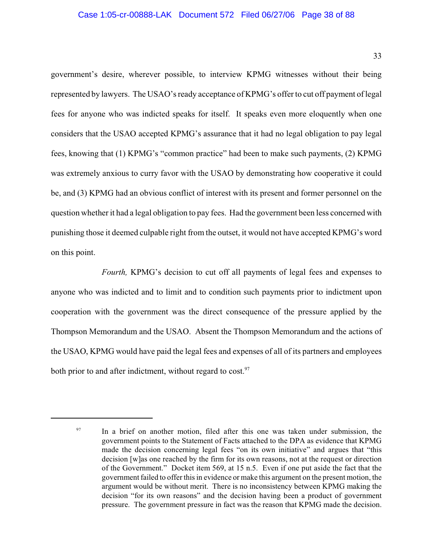#### Case 1:05-cr-00888-LAK Document 572 Filed 06/27/06 Page 38 of 88

government's desire, wherever possible, to interview KPMG witnesses without their being represented by lawyers. The USAO's ready acceptance of KPMG's offer to cut off payment of legal fees for anyone who was indicted speaks for itself. It speaks even more eloquently when one considers that the USAO accepted KPMG's assurance that it had no legal obligation to pay legal fees, knowing that (1) KPMG's "common practice" had been to make such payments, (2) KPMG was extremely anxious to curry favor with the USAO by demonstrating how cooperative it could be, and (3) KPMG had an obvious conflict of interest with its present and former personnel on the question whether it had a legal obligation to pay fees. Had the government been less concerned with punishing those it deemed culpable right from the outset, it would not have accepted KPMG's word on this point.

*Fourth,* KPMG's decision to cut off all payments of legal fees and expenses to anyone who was indicted and to limit and to condition such payments prior to indictment upon cooperation with the government was the direct consequence of the pressure applied by the Thompson Memorandum and the USAO. Absent the Thompson Memorandum and the actions of the USAO, KPMG would have paid the legal fees and expenses of all of its partners and employees both prior to and after indictment, without regard to  $cost.^{97}$ .

33

 $\frac{97}{10}$  In a brief on another motion, filed after this one was taken under submission, the government points to the Statement of Facts attached to the DPA as evidence that KPMG made the decision concerning legal fees "on its own initiative" and argues that "this decision [w]as one reached by the firm for its own reasons, not at the request or direction of the Government." Docket item 569, at 15 n.5. Even if one put aside the fact that the government failed to offer this in evidence or make this argument on the present motion, the argument would be without merit. There is no inconsistency between KPMG making the decision "for its own reasons" and the decision having been a product of government pressure. The government pressure in fact was the reason that KPMG made the decision.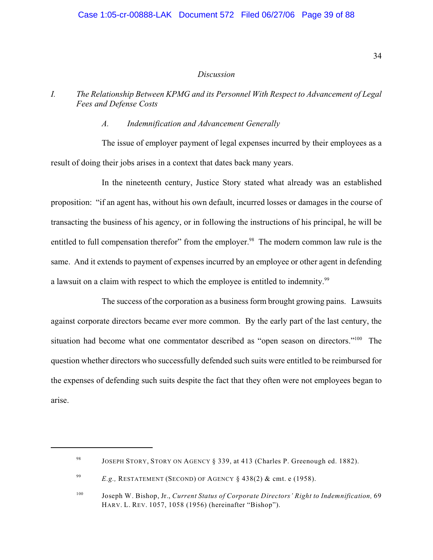#### *Discussion*

### *I. The Relationship Between KPMG and its Personnel With Respect to Advancement of Legal Fees and Defense Costs*

#### *A. Indemnification and Advancement Generally*

The issue of employer payment of legal expenses incurred by their employees as a result of doing their jobs arises in a context that dates back many years.

In the nineteenth century, Justice Story stated what already was an established proposition: "if an agent has, without his own default, incurred losses or damages in the course of transacting the business of his agency, or in following the instructions of his principal, he will be entitled to full compensation therefor" from the employer.<sup>98</sup> The modern common law rule is the same. And it extends to payment of expenses incurred by an employee or other agent in defending a lawsuit on a claim with respect to which the employee is entitled to indemnity.<sup>99</sup>

The success of the corporation as a business form brought growing pains. Lawsuits against corporate directors became ever more common. By the early part of the last century, the situation had become what one commentator described as "open season on directors."<sup>100</sup> The question whether directors who successfully defended such suits were entitled to be reimbursed for the expenses of defending such suits despite the fact that they often were not employees began to arise.

<sup>&</sup>lt;sup>98</sup> JOSEPH STORY, STORY ON AGENCY § 339, at 413 (Charles P. Greenough ed. 1882).

<sup>&</sup>lt;sup>99</sup> *E.g.*, RESTATEMENT (SECOND) OF AGENCY § 438(2) & cmt. e (1958).

<sup>&</sup>lt;sup>100</sup> Joseph W. Bishop, Jr., *Current Status of Corporate Directors' Right to Indemnification*, 69 HARV. L. REV. 1057, 1058 (1956) (hereinafter "Bishop").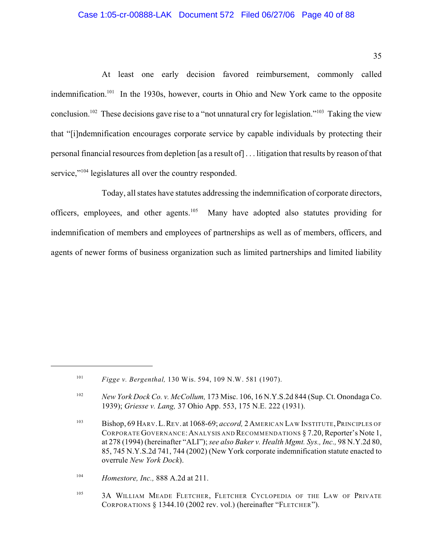#### Case 1:05-cr-00888-LAK Document 572 Filed 06/27/06 Page 40 of 88

35

At least one early decision favored reimbursement, commonly called indemnification.<sup>101</sup> In the 1930s, however, courts in Ohio and New York came to the opposite conclusion.<sup>102</sup> These decisions gave rise to a "not unnatural cry for legislation."<sup>103</sup> Taking the view that "[i]ndemnification encourages corporate service by capable individuals by protecting their personal financial resources from depletion [as a result of] . . . litigation that results by reason of that service," legislatures all over the country responded.

Today, all states have statutes addressing the indemnification of corporate directors, officers, employees, and other agents.<sup>105</sup> Many have adopted also statutes providing for indemnification of members and employees of partnerships as well as of members, officers, and agents of newer forms of business organization such as limited partnerships and limited liability

<sup>&</sup>lt;sup>101</sup> *Figge v. Bergenthal,* 130 Wis. 594, 109 N.W. 581 (1907).

<sup>&</sup>lt;sup>102</sup> New York Dock Co. v. McCollum, 173 Misc. 106, 16 N.Y.S.2d 844 (Sup. Ct. Onondaga Co. 1939); *Griesse v. Lang,* 37 Ohio App. 553, 175 N.E. 222 (1931).

<sup>103</sup> Bishop, 69 HARV. L. REV. at 1068-69; *accord*, 2 AMERICAN LAW INSTITUTE, PRINCIPLES OF CORPORATE GOVERNANCE:ANALYSIS AND RECOMMENDATIONS § 7.20, Reporter's Note 1, at 278 (1994) (hereinafter "ALI"); *see also Baker v. Health Mgmt. Sys., Inc.,* 98 N.Y.2d 80, 85, 745 N.Y.S.2d 741, 744 (2002) (New York corporate indemnification statute enacted to overrule *New York Dock*).

<sup>&</sup>lt;sup>104</sup> *Homestore, Inc.*, 888 A.2d at 211.

<sup>&</sup>lt;sup>105</sup> 3A WILLIAM MEADE FLETCHER, FLETCHER CYCLOPEDIA OF THE LAW OF PRIVATE CORPORATIONS § 1344.10 (2002 rev. vol.) (hereinafter "FLETCHER").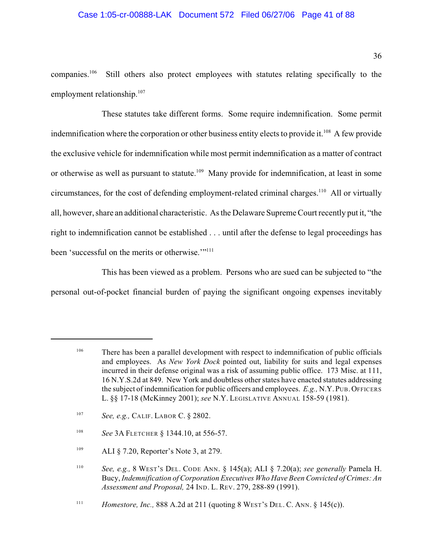#### Case 1:05-cr-00888-LAK Document 572 Filed 06/27/06 Page 41 of 88

companies.<sup>106</sup> Still others also protect employees with statutes relating specifically to the employment relationship. $107$ 

These statutes take different forms. Some require indemnification. Some permit indemnification where the corporation or other business entity elects to provide it.<sup>108</sup> A few provide the exclusive vehicle for indemnification while most permit indemnification as a matter of contract or otherwise as well as pursuant to statute.<sup>109</sup> Many provide for indemnification, at least in some circumstances, for the cost of defending employment-related criminal charges.<sup>110</sup> All or virtually all, however, share an additional characteristic. As the Delaware Supreme Court recently put it, "the right to indemnification cannot be established . . . until after the defense to legal proceedings has been 'successful on the merits or otherwise."<sup>"111</sup>

This has been viewed as a problem. Persons who are sued can be subjected to "the personal out-of-pocket financial burden of paying the significant ongoing expenses inevitably

- <sup>108</sup> *See* 3A FLETCHER § 1344.10, at 556-57.
- $109$  ALI § 7.20, Reporter's Note 3, at 279.

There has been a parallel development with respect to indemnification of public officials 106 and employees. As *New York Dock* pointed out, liability for suits and legal expenses incurred in their defense original was a risk of assuming public office. 173 Misc. at 111, 16 N.Y.S.2d at 849. New York and doubtless other states have enacted statutes addressing the subject of indemnification for public officers and employees. *E.g.,* N.Y.PUB.OFFICERS L. §§ 17-18 (McKinney 2001); *see* N.Y. LEGISLATIVE ANNUAL 158-59 (1981).

<sup>&</sup>lt;sup>107</sup> *See, e.g., CALIF. LABOR C.* § 2802.

<sup>&</sup>lt;sup>110</sup> See, e.g., 8 WEST's DEL. CODE ANN. § 145(a); ALI § 7.20(a); *see generally* Pamela H. Bucy, *Indemnification of Corporation Executives Who Have Been Convicted of Crimes: An Assessment and Proposal,* 24 IND. L. REV. 279, 288-89 (1991).

*Homestore, Inc.,* 888 A.2d at 211 (quoting 8 WEST's DEL. C. ANN.  $\S$  145(c)).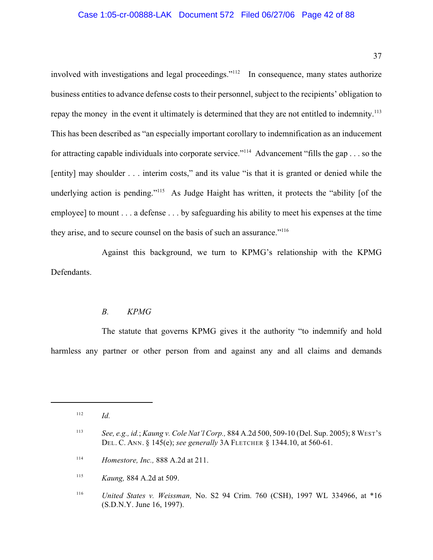involved with investigations and legal proceedings." $112$  In consequence, many states authorize business entities to advance defense costs to their personnel, subject to the recipients' obligation to repay the money in the event it ultimately is determined that they are not entitled to indemnity.<sup>113</sup> This has been described as "an especially important corollary to indemnification as an inducement for attracting capable individuals into corporate service."<sup> $114$ </sup> Advancement "fills the gap . . . so the [entity] may shoulder . . . interim costs," and its value "is that it is granted or denied while the underlying action is pending."<sup>115</sup> As Judge Haight has written, it protects the "ability [of the employee] to mount . . . a defense . . . by safeguarding his ability to meet his expenses at the time they arise, and to secure counsel on the basis of such an assurance."<sup>116</sup>

Against this background, we turn to KPMG's relationship with the KPMG Defendants.

### *B. KPMG*

The statute that governs KPMG gives it the authority "to indemnify and hold harmless any partner or other person from and against any and all claims and demands

 $112$  *Id.* 

*See, e.g., id.*; *Kaung v. Cole Nat'l Corp.,* 884 A.2d 500, 509-10 (Del. Sup. 2005); 8 WEST'S 113 DEL. C. ANN. § 145(e); *see generally* 3A FLETCHER § 1344.10, at 560-61.

<sup>&</sup>lt;sup>114</sup> *Homestore, Inc.*, 888 A.2d at 211.

<sup>&</sup>lt;sup>115</sup> *Kaung*, 884 A.2d at 509.

*United States v. Weissman,* No. S2 94 Crim. 760 (CSH), 1997 WL 334966, at \*16 116 (S.D.N.Y. June 16, 1997).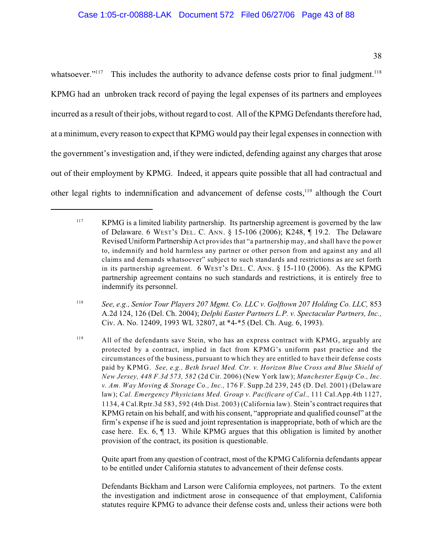whatsoever."<sup>117</sup> This includes the authority to advance defense costs prior to final judgment.<sup>118</sup> KPMG had an unbroken track record of paying the legal expenses of its partners and employees incurred as a result of their jobs, without regard to cost. All of the KPMG Defendants therefore had, at a minimum, every reason to expect that KPMG would pay their legal expenses in connection with the government's investigation and, if they were indicted, defending against any charges that arose out of their employment by KPMG. Indeed, it appears quite possible that all had contractual and other legal rights to indemnification and advancement of defense costs, $119$  although the Court

*See, e.g., Senior Tour Players 207 Mgmt. Co. LLC v. Golftown 207 Holding Co. LLC,* 853 <sup>118</sup> A.2d 124, 126 (Del. Ch. 2004); *Delphi Easter Partners L.P. v. Spectacular Partners, Inc.,* Civ. A. No. 12409, 1993 WL 32807, at \*4-\*5 (Del. Ch. Aug. 6, 1993).

Quite apart from any question of contract, most of the KPMG California defendants appear to be entitled under California statutes to advancement of their defense costs.

Defendants Bickham and Larson were California employees, not partners. To the extent the investigation and indictment arose in consequence of that employment, California statutes require KPMG to advance their defense costs and, unless their actions were both

<sup>&</sup>lt;sup>117</sup> KPMG is a limited liability partnership. Its partnership agreement is governed by the law of Delaware. 6 WEST'S DEL. C. ANN. § 15-106 (2006); K248, ¶ 19.2.The Delaware Revised Uniform Partnership Act provides that "a partnership may, and shall have the power to, indemnify and hold harmless any partner or other person from and against any and all claims and demands whatsoever" subject to such standards and restrictions as are set forth in its partnership agreement. 6 WEST'S DEL. C. ANN. § 15-110 (2006). As the KPMG partnership agreement contains no such standards and restrictions, it is entirely free to indemnify its personnel.

<sup>&</sup>lt;sup>119</sup> All of the defendants save Stein, who has an express contract with KPMG, arguably are protected by a contract, implied in fact from KPMG's uniform past practice and the circumstances of the business, pursuant to which they are entitled to have their defense costs paid by KPMG. *See, e.g., Beth Israel Med. Ctr. v. Horizon Blue Cross and Blue Shield of New Jersey, 448 F.3d 573, 582* (2d Cir. 2006) (New York law); *Manchester Equip Co., Inc. v. Am. Way Moving & Storage Co., Inc.,* 176 F. Supp.2d 239, 245 (D. Del. 2001) (Delaware law); Cal. Emergency Physicians Med. Group v. Pacificare of Cal., 111 Cal.App.4th 1127, 1134, 4 Cal.Rptr.3d 583, 592 (4th Dist. 2003) (California law). Stein's contract requires that KPMG retain on his behalf, and with his consent, "appropriate and qualified counsel" at the firm's expense if he is sued and joint representation is inappropriate, both of which are the case here. Ex. 6, ¶ 13. While KPMG argues that this obligation is limited by another provision of the contract, its position is questionable.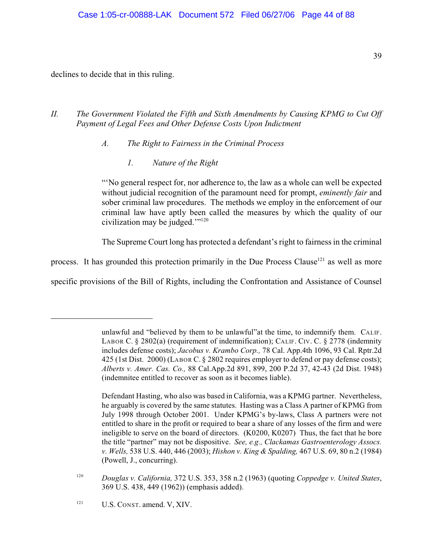declines to decide that in this ruling.

# *II. The Government Violated the Fifth and Sixth Amendments by Causing KPMG to Cut Off Payment of Legal Fees and Other Defense Costs Upon Indictment*

*A. The Right to Fairness in the Criminal Process*

*1. Nature of the Right*

"'No general respect for, nor adherence to, the law as a whole can well be expected without judicial recognition of the paramount need for prompt, *eminently fair* and sober criminal law procedures. The methods we employ in the enforcement of our criminal law have aptly been called the measures by which the quality of our civilization may be judged.'" 120

The Supreme Court long has protected a defendant's right to fairness in the criminal

process. It has grounded this protection primarily in the Due Process Clause<sup> $121$ </sup> as well as more

specific provisions of the Bill of Rights, including the Confrontation and Assistance of Counsel

unlawful and "believed by them to be unlawful"at the time, to indemnify them. CALIF. LABOR C. § 2802(a) (requirement of indemnification); CALIF. CIV. C. § 2778 (indemnity includes defense costs); *Jacobus v. Krambo Corp.,* 78 Cal. App.4th 1096, 93 Cal. Rptr.2d 425 (1st Dist. 2000) (LABOR C. § 2802 requires employer to defend or pay defense costs); *Alberts v. Amer. Cas. Co.,* 88 Cal.App.2d 891, 899, 200 P.2d 37, 42-43 (2d Dist. 1948) (indemnitee entitled to recover as soon as it becomes liable).

Defendant Hasting, who also was based in California, was a KPMG partner. Nevertheless, he arguably is covered by the same statutes. Hasting was a Class A partner of KPMG from July 1998 through October 2001. Under KPMG's by-laws, Class A partners were not entitled to share in the profit or required to bear a share of any losses of the firm and were ineligible to serve on the board of directors. (K0200, K0207) Thus, the fact that he bore the title "partner" may not be dispositive. *See, e.g., Clackamas Gastroenterology Assocs. v. Wells,* 538 U.S. 440, 446 (2003); *Hishon v. King & Spalding,* 467 U.S. 69, 80 n.2 (1984) (Powell, J., concurring).

*Douglas v. California,* 372 U.S. 353, 358 n.2 (1963) (quoting *Coppedge v. United States*, 120 369 U.S. 438, 449 (1962)) (emphasis added).

 $U.S.$  CONST. amend. V, XIV.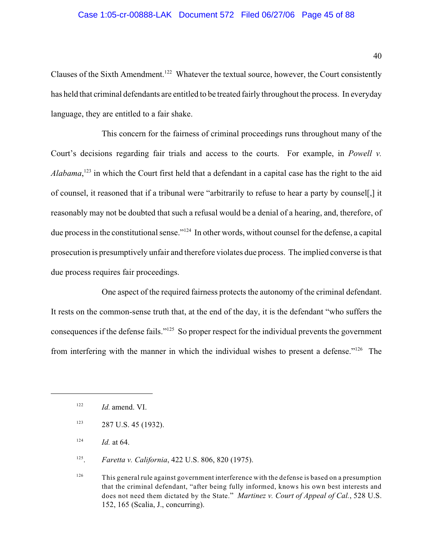#### Case 1:05-cr-00888-LAK Document 572 Filed 06/27/06 Page 45 of 88

Clauses of the Sixth Amendment.<sup>122</sup> Whatever the textual source, however, the Court consistently has held that criminal defendants are entitled to be treated fairly throughout the process. In everyday language, they are entitled to a fair shake.

This concern for the fairness of criminal proceedings runs throughout many of the Court's decisions regarding fair trials and access to the courts. For example, in *Powell v. Alabama*,  $^{123}$  in which the Court first held that a defendant in a capital case has the right to the aid of counsel, it reasoned that if a tribunal were "arbitrarily to refuse to hear a party by counsel[,] it reasonably may not be doubted that such a refusal would be a denial of a hearing, and, therefore, of due process in the constitutional sense."<sup>124</sup> In other words, without counsel for the defense, a capital prosecution is presumptively unfair and therefore violates due process. The implied converse is that due process requires fair proceedings.

One aspect of the required fairness protects the autonomy of the criminal defendant. It rests on the common-sense truth that, at the end of the day, it is the defendant "who suffers the consequences if the defense fails." $125$  So proper respect for the individual prevents the government from interfering with the manner in which the individual wishes to present a defense." $126$  The

- $123$  287 U.S. 45 (1932).
- *Id.* at 64. 124

<sup>125</sup>. *Faretta v. California*, 422 U.S. 806, 820 (1975).

<sup>126</sup> This general rule against government interference with the defense is based on a presumption that the criminal defendant, "after being fully informed, knows his own best interests and does not need them dictated by the State." *Martinez v. Court of Appeal of Cal.*, 528 U.S. 152, 165 (Scalia, J., concurring).

*Id.* amend. VI. 122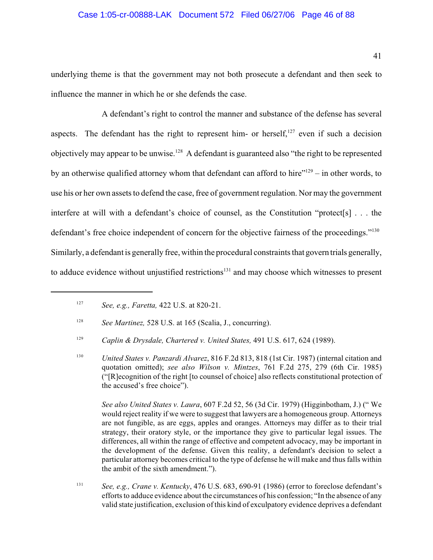#### Case 1:05-cr-00888-LAK Document 572 Filed 06/27/06 Page 46 of 88

underlying theme is that the government may not both prosecute a defendant and then seek to influence the manner in which he or she defends the case.

A defendant's right to control the manner and substance of the defense has several aspects. The defendant has the right to represent him- or herself, $^{127}$  even if such a decision objectively may appear to be unwise.<sup>128</sup> A defendant is guaranteed also "the right to be represented by an otherwise qualified attorney whom that defendant can afford to hire" $^{129}$  – in other words, to use his or her own assets to defend the case, free of government regulation. Nor may the government interfere at will with a defendant's choice of counsel, as the Constitution "protect[s] . . . the defendant's free choice independent of concern for the objective fairness of the proceedings."<sup>130</sup> Similarly, a defendant is generally free, within the procedural constraints that govern trials generally, to adduce evidence without unjustified restrictions<sup>131</sup> and may choose which witnesses to present

*See also United States v. Laura*, 607 F.2d 52, 56 (3d Cir. 1979) (Higginbotham, J.) (" We would reject reality if we were to suggest that lawyers are a homogeneous group. Attorneys are not fungible, as are eggs, apples and oranges. Attorneys may differ as to their trial strategy, their oratory style, or the importance they give to particular legal issues. The differences, all within the range of effective and competent advocacy, may be important in the development of the defense. Given this reality, a defendant's decision to select a particular attorney becomes critical to the type of defense he will make and thus falls within the ambit of the sixth amendment.").

<sup>131</sup> *See, e.g., Crane v. Kentucky*, 476 U.S. 683, 690-91 (1986) (error to foreclose defendant's efforts to adduce evidence about the circumstances of his confession; "In the absence of any valid state justification, exclusion of this kind of exculpatory evidence deprives a defendant

<sup>&</sup>lt;sup>127</sup> *See, e.g., Faretta, 422 U.S. at 820-21.* 

*See Martinez,* 528 U.S. at 165 (Scalia, J., concurring). 128

<sup>&</sup>lt;sup>129</sup> Caplin & Drysdale, Chartered v. United States, 491 U.S. 617, 624 (1989).

*United States v. Panzardi Alvarez*, 816 F.2d 813, 818 (1st Cir. 1987) (internal citation and 130 quotation omitted); *see also Wilson v. Mintzes*, 761 F.2d 275, 279 (6th Cir. 1985) ("[R]ecognition of the right [to counsel of choice] also reflects constitutional protection of the accused's free choice").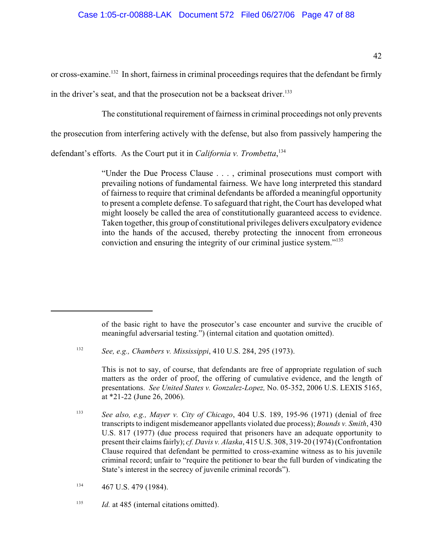or cross-examine.<sup>132</sup> In short, fairness in criminal proceedings requires that the defendant be firmly in the driver's seat, and that the prosecution not be a backseat driver.<sup>133</sup>

The constitutional requirement of fairness in criminal proceedings not only prevents

the prosecution from interfering actively with the defense, but also from passively hampering the

defendant's efforts. As the Court put it in *California v. Trombetta*, 134

"Under the Due Process Clause . . . , criminal prosecutions must comport with prevailing notions of fundamental fairness. We have long interpreted this standard of fairness to require that criminal defendants be afforded a meaningful opportunity to present a complete defense. To safeguard that right, the Court has developed what might loosely be called the area of constitutionally guaranteed access to evidence. Taken together, this group of constitutional privileges delivers exculpatory evidence into the hands of the accused, thereby protecting the innocent from erroneous conviction and ensuring the integrity of our criminal justice system."<sup>135</sup>

This is not to say, of course, that defendants are free of appropriate regulation of such matters as the order of proof, the offering of cumulative evidence, and the length of presentations. *See United States v. Gonzalez-Lopez,* No. 05-352, 2006 U.S. LEXIS 5165, at \*21-22 (June 26, 2006).

<sup>133</sup> See also, e.g., Mayer v. City of Chicago, 404 U.S. 189, 195-96 (1971) (denial of free transcripts to indigent misdemeanor appellants violated due process); *Bounds v. Smith*, 430 U.S. 817 (1977) (due process required that prisoners have an adequate opportunity to present their claims fairly); *cf. Davis v. Alaska*, 415 U.S. 308, 319-20 (1974) (Confrontation Clause required that defendant be permitted to cross-examine witness as to his juvenile criminal record; unfair to "require the petitioner to bear the full burden of vindicating the State's interest in the secrecy of juvenile criminal records").

of the basic right to have the prosecutor's case encounter and survive the crucible of meaningful adversarial testing.") (internal citation and quotation omitted).

<sup>&</sup>lt;sup>132</sup> *See, e.g., Chambers v. Mississippi*, 410 U.S. 284, 295 (1973).

 $134$  467 U.S. 479 (1984).

<sup>&</sup>lt;sup>135</sup> *Id.* at 485 (internal citations omitted).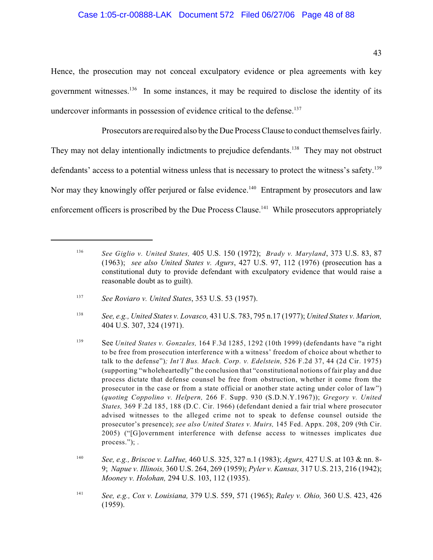#### Case 1:05-cr-00888-LAK Document 572 Filed 06/27/06 Page 48 of 88

Hence, the prosecution may not conceal exculpatory evidence or plea agreements with key government witnesses.  $136$  In some instances, it may be required to disclose the identity of its undercover informants in possession of evidence critical to the defense.<sup>137</sup>

Prosecutors are required also by the Due Process Clause to conduct themselves fairly. They may not delay intentionally indictments to prejudice defendants.<sup>138</sup> They may not obstruct defendants' access to a potential witness unless that is necessary to protect the witness's safety.<sup>139</sup> Nor may they knowingly offer perjured or false evidence.<sup>140</sup> Entrapment by prosecutors and law enforcement officers is proscribed by the Due Process Clause.<sup>141</sup> While prosecutors appropriately

*See Giglio v. United States,* 405 U.S. 150 (1972); *Brady v. Maryland*, 373 U.S. 83, 87 <sup>136</sup> (1963); *see also United States v. Agurs*, 427 U.S. 97, 112 (1976) (prosecution has a constitutional duty to provide defendant with exculpatory evidence that would raise a reasonable doubt as to guilt).

*See Roviaro v. United States*, 353 U.S. 53 (1957). <sup>137</sup>

*See, e.g., United States v. Lovasco,* 431 U.S. 783, 795 n.17 (1977); *United States v. Marion,* <sup>138</sup> 404 U.S. 307, 324 (1971).

<sup>&</sup>lt;sup>139</sup> See *United States v. Gonzales,* 164 F.3d 1285, 1292 (10th 1999) (defendants have "a right to be free from prosecution interference with a witness' freedom of choice about whether to talk to the defense")*; Int'l Bus. Mach. Corp. v. Edelstein,* 526 F.2d 37, 44 (2d Cir. 1975) (supporting "wholeheartedly" the conclusion that "constitutional notions of fair play and due process dictate that defense counsel be free from obstruction, whether it come from the prosecutor in the case or from a state official or another state acting under color of law") (*quoting Coppolino v. Helpern,* 266 F. Supp. 930 (S.D.N.Y.1967)); *Gregory v. United States,* 369 F.2d 185, 188 (D.C. Cir. 1966) (defendant denied a fair trial where prosecutor advised witnesses to the alleged crime not to speak to defense counsel outside the prosecutor's presence); *see also United States v. Muirs,* 145 Fed. Appx. 208, 209 (9th Cir. 2005) ("[G]overnment interference with defense access to witnesses implicates due process."); .

*See, e.g., Briscoe v. LaHue,* 460 U.S. 325, 327 n.1 (1983); *Agurs,* 427 U.S. at 103 & nn. 8- <sup>140</sup> 9; *Napue v. Illinois,* 360 U.S. 264, 269 (1959); *Pyler v. Kansas,* 317 U.S. 213, 216 (1942); *Mooney v. Holohan,* 294 U.S. 103, 112 (1935).

*See, e.g., Cox v. Louisiana,* 379 U.S. 559, 571 (1965); *Raley v. Ohio,* 360 U.S. 423, 426 141 (1959).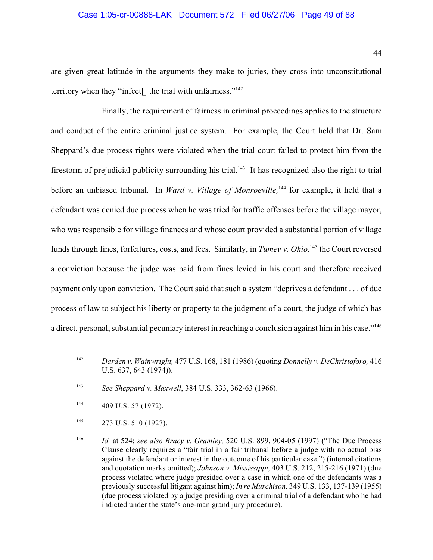#### Case 1:05-cr-00888-LAK Document 572 Filed 06/27/06 Page 49 of 88

are given great latitude in the arguments they make to juries, they cross into unconstitutional territory when they "infect<sup>[]</sup> the trial with unfairness."<sup>142</sup>

Finally, the requirement of fairness in criminal proceedings applies to the structure and conduct of the entire criminal justice system. For example, the Court held that Dr. Sam Sheppard's due process rights were violated when the trial court failed to protect him from the firestorm of prejudicial publicity surrounding his trial.<sup>143</sup> It has recognized also the right to trial before an unbiased tribunal. In *Ward v. Village of Monroeville*,<sup>144</sup> for example, it held that a defendant was denied due process when he was tried for traffic offenses before the village mayor, who was responsible for village finances and whose court provided a substantial portion of village funds through fines, forfeitures, costs, and fees. Similarly, in *Tumey v. Ohio*, <sup>145</sup> the Court reversed a conviction because the judge was paid from fines levied in his court and therefore received payment only upon conviction. The Court said that such a system "deprives a defendant . . . of due process of law to subject his liberty or property to the judgment of a court, the judge of which has a direct, personal, substantial pecuniary interest in reaching a conclusion against him in his case."<sup>146</sup>

<sup>&</sup>lt;sup>142</sup> Darden v. Wainwright, <sup>477</sup> U.S. 168, 181 (1986) (quoting *Donnelly v. DeChristoforo*, 416 U.S. 637, 643 (1974)).

<sup>&</sup>lt;sup>143</sup> *See Sheppard v. Maxwell*, 384 U.S. 333, 362-63 (1966).

 $^{144}$  409 U.S. 57 (1972).

 $^{145}$  273 U.S. 510 (1927).

<sup>&</sup>lt;sup>146</sup> *Id.* at 524; *see also Bracy v. Gramley,* 520 U.S. 899, 904-05 (1997) ("The Due Process" Clause clearly requires a "fair trial in a fair tribunal before a judge with no actual bias against the defendant or interest in the outcome of his particular case.") (internal citations and quotation marks omitted); *Johnson v. Mississippi,* 403 U.S. 212, 215-216 (1971) (due process violated where judge presided over a case in which one of the defendants was a previously successful litigant against him); *In re Murchison,* 349 U.S. 133, 137-139 (1955) (due process violated by a judge presiding over a criminal trial of a defendant who he had indicted under the state's one-man grand jury procedure).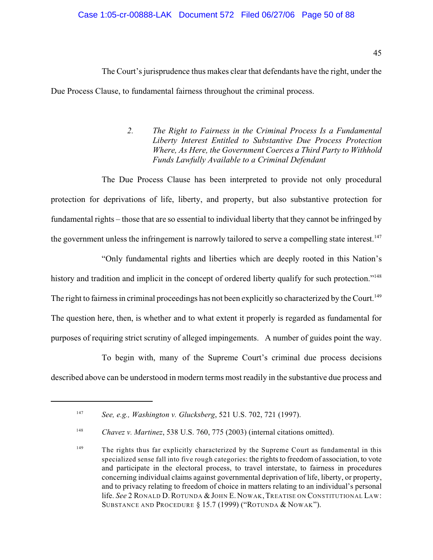### Case 1:05-cr-00888-LAK Document 572 Filed 06/27/06 Page 50 of 88

The Court's jurisprudence thus makes clear that defendants have the right, under the Due Process Clause, to fundamental fairness throughout the criminal process.

> *2. The Right to Fairness in the Criminal Process Is a Fundamental Liberty Interest Entitled to Substantive Due Process Protection Where, As Here, the Government Coerces a Third Party to Withhold Funds Lawfully Available to a Criminal Defendant*

The Due Process Clause has been interpreted to provide not only procedural protection for deprivations of life, liberty, and property, but also substantive protection for fundamental rights – those that are so essential to individual liberty that they cannot be infringed by the government unless the infringement is narrowly tailored to serve a compelling state interest.<sup>147</sup>

"Only fundamental rights and liberties which are deeply rooted in this Nation's history and tradition and implicit in the concept of ordered liberty qualify for such protection."<sup>148</sup> The right to fairness in criminal proceedings has not been explicitly so characterized by the Court.<sup>149</sup> The question here, then, is whether and to what extent it properly is regarded as fundamental for purposes of requiring strict scrutiny of alleged impingements. A number of guides point the way.

To begin with, many of the Supreme Court's criminal due process decisions described above can be understood in modern terms most readily in the substantive due process and

*See, e.g., Washington v. Glucksberg*, 521 U.S. 702, 721 (1997). <sup>147</sup>

<sup>&</sup>lt;sup>148</sup> Chavez v. Martinez, 538 U.S. 760, 775 (2003) (internal citations omitted).

 $T<sup>149</sup>$  The rights thus far explicitly characterized by the Supreme Court as fundamental in this specialized sense fall into five rough categories: the rights to freedom of association, to vote and participate in the electoral process, to travel interstate, to fairness in procedures concerning individual claims against governmental deprivation of life, liberty, or property, and to privacy relating to freedom of choice in matters relating to an individual's personal life. *See* 2 RONALD D.ROTUNDA & JOHN E. NOWAK, TREATISE ON CONSTITUTIONAL LAW: SUBSTANCE AND PROCEDURE § 15.7 (1999) ("ROTUNDA & NOWAK").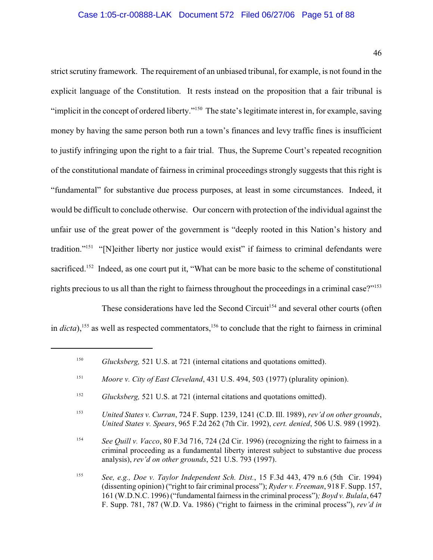46

strict scrutiny framework. The requirement of an unbiased tribunal, for example, is not found in the explicit language of the Constitution. It rests instead on the proposition that a fair tribunal is "implicit in the concept of ordered liberty."<sup>150</sup> The state's legitimate interest in, for example, saving money by having the same person both run a town's finances and levy traffic fines is insufficient to justify infringing upon the right to a fair trial. Thus, the Supreme Court's repeated recognition of the constitutional mandate of fairness in criminal proceedings strongly suggests that this right is "fundamental" for substantive due process purposes, at least in some circumstances. Indeed, it would be difficult to conclude otherwise. Our concern with protection of the individual against the unfair use of the great power of the government is "deeply rooted in this Nation's history and tradition."<sup>151</sup> "[N]either liberty nor justice would exist" if fairness to criminal defendants were sacrificed.<sup>152</sup> Indeed, as one court put it, "What can be more basic to the scheme of constitutional rights precious to us all than the right to fairness throughout the proceedings in a criminal case?"<sup>153</sup>

These considerations have led the Second Circuit<sup>154</sup> and several other courts (often in  $dicta$ ),  $^{155}$  as well as respected commentators,  $^{156}$  to conclude that the right to fairness in criminal

<sup>&</sup>lt;sup>150</sup> Glucksberg, 521 U.S. at 721 (internal citations and quotations omitted).

*Moore v. City of East Cleveland*, 431 U.S. 494, 503 (1977) (plurality opinion). 151

<sup>&</sup>lt;sup>152</sup> *Glucksberg,* 521 U.S. at 721 (internal citations and quotations omitted).

*United States v. Curran*, 724 F. Supp. 1239, 1241 (C.D. Ill. 1989), *rev'd on other grounds*, 153 *United States v. Spears*, 965 F.2d 262 (7th Cir. 1992), *cert. denied*, 506 U.S. 989 (1992).

<sup>&</sup>lt;sup>154</sup> See Quill v. *Vacco*, 80 F.3d 716, 724 (2d Cir. 1996) (recognizing the right to fairness in a criminal proceeding as a fundamental liberty interest subject to substantive due process analysis), *rev'd on other grounds*, 521 U.S. 793 (1997).

*See, e.g., Doe v. Taylor Independent Sch. Dist.*, 15 F.3d 443, 479 n.6 (5th Cir. 1994) <sup>155</sup> (dissenting opinion) ("right to fair criminal process"); *Ryder v. Freeman*, 918 F. Supp. 157, 161 (W.D.N.C. 1996) ("fundamental fairness in the criminal process")*; Boyd v. Bulala*, 647 F. Supp. 781, 787 (W.D. Va. 1986) ("right to fairness in the criminal process"), *rev'd in*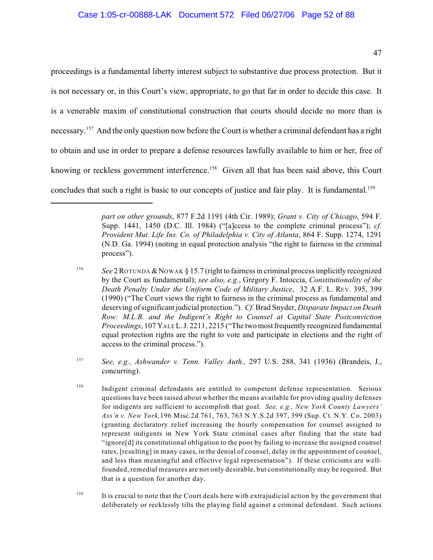proceedings is a fundamental liberty interest subject to substantive due process protection. But it is not necessary or, in this Court's view, appropriate, to go that far in order to decide this case. It is a venerable maxim of constitutional construction that courts should decide no more than is necessary.<sup>157</sup> And the only question now before the Court is whether a criminal defendant has a right to obtain and use in order to prepare a defense resources lawfully available to him or her, free of knowing or reckless government interference.<sup>158</sup> Given all that has been said above, this Court concludes that such a right is basic to our concepts of justice and fair play. It is fundamental.<sup>159</sup>

*part on other grounds*, 877 F.2d 1191 (4th Cir. 1989); *Grant v. City of Chicago*, 594 F. Supp. 1441, 1450 (D.C. Ill. 1984) ("[a]ccess to the complete criminal process"); *cf. Provident Mut. Life Ins. Co. of Philadelphia v. City of Atlanta*, 864 F. Supp. 1274, 1291 (N.D. Ga. 1994) (noting in equal protection analysis "the right to fairness in the criminal process").

<sup>&</sup>lt;sup>156</sup> See 2 ROTUNDA & NOWAK § 15.7 (right to fairness in criminal process implicitly recognized by the Court as fundamental); *see also, e.g.*, Gregory F. Intoccia, *Constitutionality of the Death Penalty Under the Uniform Code of Military Justice*, 32 A.F. L. REV. 395, 399 (1990) ("The Court views the right to fairness in the criminal process as fundamental and deserving ofsignificant judicial protection."). *Cf.* Brad Snyder, *Disparate Impact on Death Row: M.L.B. and the Indigent's Right to Counsel at Capital State Postconviction Proceedings*, 107 YALE L.J. 2211, 2215 ("The two most frequently recognized fundamental equal protection rights are the right to vote and participate in elections and the right of access to the criminal process.").

<sup>&</sup>lt;sup>157</sup> See, e.g., Ashwander v. Tenn. Valley Auth., 297 U.S. 288, 341 (1936) (Brandeis, J., concurring).

<sup>&</sup>lt;sup>158</sup> Indigent criminal defendants are entitled to competent defense representation. Serious questions have been raised about whether the means available for providing quality defenses for indigents are sufficient to accomplish that goal. *See, e.g., New York County Lawyers' Ass'n v. New York,*196 Misc.2d 761, 763, 763 N.Y.S.2d 397, 399 (Sup. Ct. N.Y. Co. 2003) (granting declaratory relief increasing the hourly compensation for counsel assigned to represent indigents in New York State criminal cases after finding that the state had "ignore[d] its constitutional obligation to the poor by failing to increase the assigned counsel rates, [resulting] in many cases, in the denial of counsel, delay in the appointment of counsel, and less than meaningful and effective legal representation"). If these criticisms are wellfounded, remedial measures are not only desirable, but constitutionally may be required. But that is a question for another day.

 $\frac{159}{159}$  It is crucial to note that the Court deals here with extrajudicial action by the government that deliberately or recklessly tilts the playing field against a criminal defendant. Such actions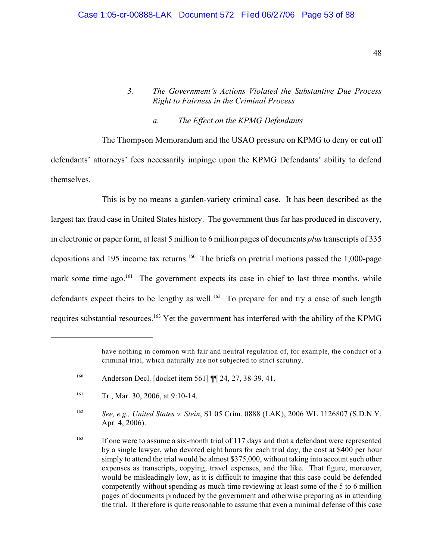## *3. The Government's Actions Violated the Substantive Due Process Right to Fairness in the Criminal Process*

### *a. The Effect on the KPMG Defendants*

The Thompson Memorandum and the USAO pressure on KPMG to deny or cut off defendants' attorneys' fees necessarily impinge upon the KPMG Defendants' ability to defend themselves.

This is by no means a garden-variety criminal case. It has been described as the largest tax fraud case in United States history. The government thus far has produced in discovery, in electronic or paper form, at least 5 million to 6 million pages of documents *plus* transcripts of 335 depositions and 195 income tax returns.<sup>160</sup> The briefs on pretrial motions passed the 1,000-page mark some time ago.<sup>161</sup> The government expects its case in chief to last three months, while defendants expect theirs to be lengthy as well.<sup>162</sup> To prepare for and try a case of such length requires substantial resources.<sup>163</sup> Yet the government has interfered with the ability of the KPMG

have nothing in common with fair and neutral regulation of, for example, the conduct of a criminal trial, which naturally are not subjected to strict scrutiny.

Anderson Decl. [docket item 561] ¶¶ 24, 27, 38-39, 41. 160

<sup>&</sup>lt;sup>161</sup> Tr., Mar. 30, 2006, at 9:10-14.

<sup>&</sup>lt;sup>162</sup> See, e.g., United States v. Stein, S1 05 Crim. 0888 (LAK), 2006 WL 1126807 (S.D.N.Y. Apr. 4, 2006).

<sup>&</sup>lt;sup>163</sup> If one were to assume a six-month trial of 117 days and that a defendant were represented by a single lawyer, who devoted eight hours for each trial day, the cost at \$400 per hour simply to attend the trial would be almost \$375,000, without taking into account such other expenses as transcripts, copying, travel expenses, and the like. That figure, moreover, would be misleadingly low, as it is difficult to imagine that this case could be defended competently without spending as much time reviewing at least some of the 5 to 6 million pages of documents produced by the government and otherwise preparing as in attending the trial. It therefore is quite reasonable to assume that even a minimal defense of this case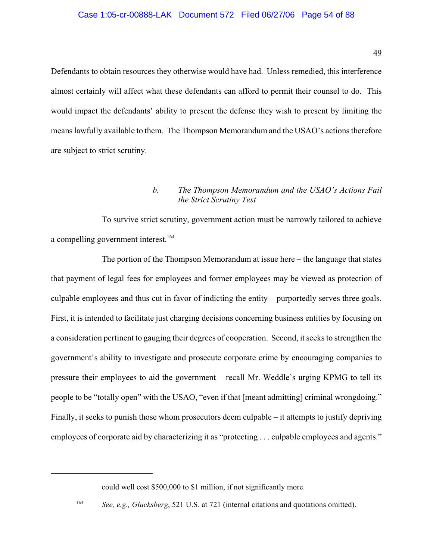Defendants to obtain resources they otherwise would have had. Unless remedied, this interference almost certainly will affect what these defendants can afford to permit their counsel to do. This would impact the defendants' ability to present the defense they wish to present by limiting the means lawfully available to them. The Thompson Memorandum and the USAO's actions therefore are subject to strict scrutiny.

## *b. The Thompson Memorandum and the USAO's Actions Fail the Strict Scrutiny Test*

To survive strict scrutiny, government action must be narrowly tailored to achieve a compelling government interest. 164

The portion of the Thompson Memorandum at issue here – the language that states that payment of legal fees for employees and former employees may be viewed as protection of culpable employees and thus cut in favor of indicting the entity – purportedly serves three goals. First, it is intended to facilitate just charging decisions concerning business entities by focusing on a consideration pertinent to gauging their degrees of cooperation. Second, it seeks to strengthen the government's ability to investigate and prosecute corporate crime by encouraging companies to pressure their employees to aid the government – recall Mr. Weddle's urging KPMG to tell its people to be "totally open" with the USAO, "even if that [meant admitting] criminal wrongdoing." Finally, it seeks to punish those whom prosecutors deem culpable – it attempts to justify depriving employees of corporate aid by characterizing it as "protecting . . . culpable employees and agents."

could well cost \$500,000 to \$1 million, if not significantly more.

<sup>&</sup>lt;sup>164</sup> See, e.g., Glucksberg, 521 U.S. at 721 (internal citations and quotations omitted).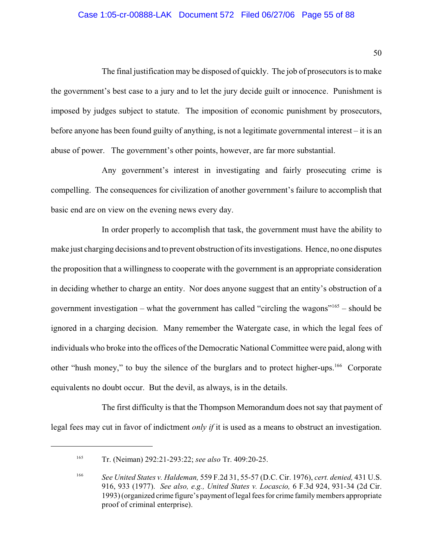#### Case 1:05-cr-00888-LAK Document 572 Filed 06/27/06 Page 55 of 88

The final justification may be disposed of quickly. The job of prosecutors is to make the government's best case to a jury and to let the jury decide guilt or innocence. Punishment is imposed by judges subject to statute. The imposition of economic punishment by prosecutors, before anyone has been found guilty of anything, is not a legitimate governmental interest – it is an abuse of power. The government's other points, however, are far more substantial.

Any government's interest in investigating and fairly prosecuting crime is compelling. The consequences for civilization of another government's failure to accomplish that basic end are on view on the evening news every day.

In order properly to accomplish that task, the government must have the ability to make just charging decisions and to prevent obstruction of its investigations. Hence, no one disputes the proposition that a willingness to cooperate with the government is an appropriate consideration in deciding whether to charge an entity. Nor does anyone suggest that an entity's obstruction of a government investigation – what the government has called "circling the wagons"<sup> $165$ </sup> – should be ignored in a charging decision. Many remember the Watergate case, in which the legal fees of individuals who broke into the offices of the Democratic National Committee were paid, along with other "hush money," to buy the silence of the burglars and to protect higher-ups.<sup>166</sup> Corporate equivalents no doubt occur. But the devil, as always, is in the details.

The first difficulty is that the Thompson Memorandum does not say that payment of legal fees may cut in favor of indictment *only if* it is used as a means to obstruct an investigation.

<sup>&</sup>lt;sup>165</sup> Tr. (Neiman) 292:21-293:22; *see also* Tr. 409:20-25.

*See United States v. Haldeman,* 559 F.2d 31, 55-57 (D.C. Cir. 1976), *cert. denied,* 431 U.S. <sup>166</sup> 916, 933 (1977). *See also, e.g., United States v. Locascio,* 6 F.3d 924, 931-34 (2d Cir. 1993) (organized crime figure's payment of legal fees for crime family members appropriate proof of criminal enterprise).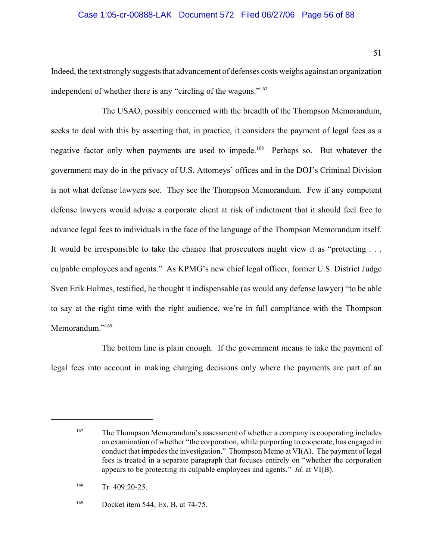#### Case 1:05-cr-00888-LAK Document 572 Filed 06/27/06 Page 56 of 88

Indeed, the text strongly suggests that advancement of defenses costs weighs against an organization independent of whether there is any "circling of the wagons."<sup>167</sup>

The USAO, possibly concerned with the breadth of the Thompson Memorandum, seeks to deal with this by asserting that, in practice, it considers the payment of legal fees as a negative factor only when payments are used to impede.<sup>168</sup> Perhaps so. But whatever the government may do in the privacy of U.S. Attorneys' offices and in the DOJ's Criminal Division is not what defense lawyers see. They see the Thompson Memorandum. Few if any competent defense lawyers would advise a corporate client at risk of indictment that it should feel free to advance legal fees to individuals in the face of the language of the Thompson Memorandum itself. It would be irresponsible to take the chance that prosecutors might view it as "protecting . . . culpable employees and agents." As KPMG's new chief legal officer, former U.S. District Judge Sven Erik Holmes, testified, he thought it indispensable (as would any defense lawyer) "to be able to say at the right time with the right audience, we're in full compliance with the Thompson Memorandum<sup>"169</sup>

The bottom line is plain enough. If the government means to take the payment of legal fees into account in making charging decisions only where the payments are part of an

Docket item 544, Ex. B, at 74-75. 169

<sup>&</sup>lt;sup>167</sup> The Thompson Memorandum's assessment of whether a company is cooperating includes an examination of whether "the corporation, while purporting to cooperate, has engaged in conduct that impedes the investigation." Thompson Memo at VI(A). The payment of legal fees is treated in a separate paragraph that focuses entirely on "whether the corporation appears to be protecting its culpable employees and agents." *Id.* at VI(B).

 $Tr. 409:20-25.$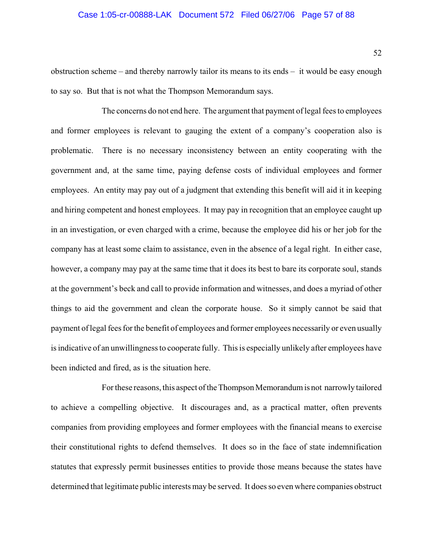#### Case 1:05-cr-00888-LAK Document 572 Filed 06/27/06 Page 57 of 88

obstruction scheme – and thereby narrowly tailor its means to its ends – it would be easy enough to say so. But that is not what the Thompson Memorandum says.

The concerns do not end here. The argument that payment of legal fees to employees and former employees is relevant to gauging the extent of a company's cooperation also is problematic. There is no necessary inconsistency between an entity cooperating with the government and, at the same time, paying defense costs of individual employees and former employees. An entity may pay out of a judgment that extending this benefit will aid it in keeping and hiring competent and honest employees. It may pay in recognition that an employee caught up in an investigation, or even charged with a crime, because the employee did his or her job for the company has at least some claim to assistance, even in the absence of a legal right. In either case, however, a company may pay at the same time that it does its best to bare its corporate soul, stands at the government's beck and call to provide information and witnesses, and does a myriad of other things to aid the government and clean the corporate house. So it simply cannot be said that payment of legal fees for the benefit of employees and former employees necessarily or even usually is indicative of an unwillingness to cooperate fully. This is especially unlikely after employees have been indicted and fired, as is the situation here.

For these reasons, this aspect of the Thompson Memorandum is not narrowly tailored to achieve a compelling objective. It discourages and, as a practical matter, often prevents companies from providing employees and former employees with the financial means to exercise their constitutional rights to defend themselves. It does so in the face of state indemnification statutes that expressly permit businesses entities to provide those means because the states have determined that legitimate public interests may be served. It does so even where companies obstruct

52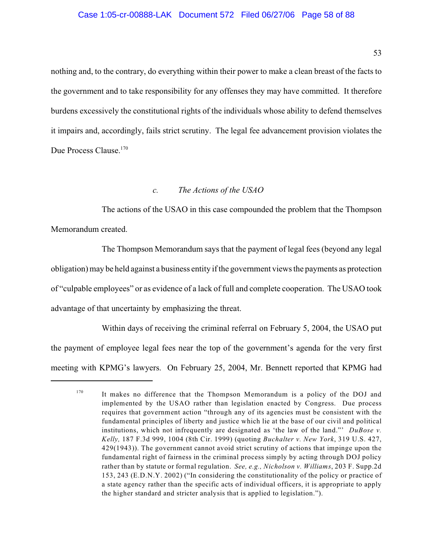#### Case 1:05-cr-00888-LAK Document 572 Filed 06/27/06 Page 58 of 88

53

nothing and, to the contrary, do everything within their power to make a clean breast of the facts to the government and to take responsibility for any offenses they may have committed. It therefore burdens excessively the constitutional rights of the individuals whose ability to defend themselves it impairs and, accordingly, fails strict scrutiny. The legal fee advancement provision violates the Due Process Clause.<sup>170</sup>

### *c. The Actions of the USAO*

The actions of the USAO in this case compounded the problem that the Thompson Memorandum created.

The Thompson Memorandum says that the payment of legal fees (beyond any legal obligation) may be held against a business entity if the government views the payments as protection of "culpable employees" or as evidence of a lack of full and complete cooperation. The USAO took advantage of that uncertainty by emphasizing the threat.

Within days of receiving the criminal referral on February 5, 2004, the USAO put the payment of employee legal fees near the top of the government's agenda for the very first meeting with KPMG's lawyers. On February 25, 2004, Mr. Bennett reported that KPMG had

 $170$  It makes no difference that the Thompson Memorandum is a policy of the DOJ and implemented by the USAO rather than legislation enacted by Congress. Due process requires that government action "through any of its agencies must be consistent with the fundamental principles of liberty and justice which lie at the base of our civil and political institutions, which not infrequently are designated as 'the law of the land."' *DuBose v. Kelly,* 187 F.3d 999, 1004 (8th Cir. 1999) (quoting *Buchalter v. New York*, 319 U.S. 427, 429(1943)). The government cannot avoid strict scrutiny of actions that impinge upon the fundamental right of fairness in the criminal process simply by acting through DOJ policy rather than by statute or formal regulation. *See, e.g., Nicholson v. Williams*, 203 F. Supp.2d 153, 243 (E.D.N.Y. 2002) ("In considering the constitutionality of the policy or practice of a state agency rather than the specific acts of individual officers, it is appropriate to apply the higher standard and stricter analysis that is applied to legislation.").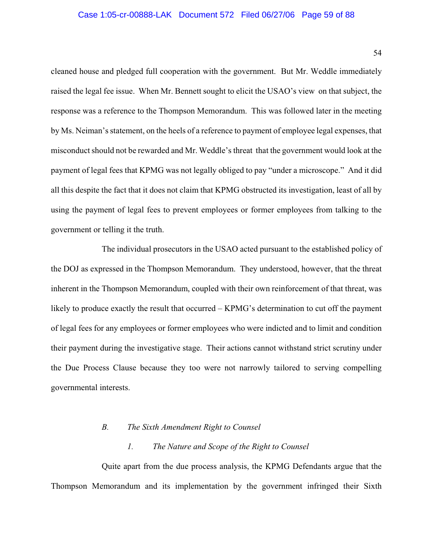#### Case 1:05-cr-00888-LAK Document 572 Filed 06/27/06 Page 59 of 88

cleaned house and pledged full cooperation with the government. But Mr. Weddle immediately raised the legal fee issue. When Mr. Bennett sought to elicit the USAO's view on that subject, the response was a reference to the Thompson Memorandum. This was followed later in the meeting by Ms. Neiman's statement, on the heels of a reference to payment of employee legal expenses, that misconduct should not be rewarded and Mr. Weddle's threat that the government would look at the payment of legal fees that KPMG was not legally obliged to pay "under a microscope." And it did all this despite the fact that it does not claim that KPMG obstructed its investigation, least of all by using the payment of legal fees to prevent employees or former employees from talking to the government or telling it the truth.

The individual prosecutors in the USAO acted pursuant to the established policy of the DOJ as expressed in the Thompson Memorandum. They understood, however, that the threat inherent in the Thompson Memorandum, coupled with their own reinforcement of that threat, was likely to produce exactly the result that occurred – KPMG's determination to cut off the payment of legal fees for any employees or former employees who were indicted and to limit and condition their payment during the investigative stage. Their actions cannot withstand strict scrutiny under the Due Process Clause because they too were not narrowly tailored to serving compelling governmental interests.

#### *B. The Sixth Amendment Right to Counsel*

### *1. The Nature and Scope of the Right to Counsel*

Quite apart from the due process analysis, the KPMG Defendants argue that the Thompson Memorandum and its implementation by the government infringed their Sixth

54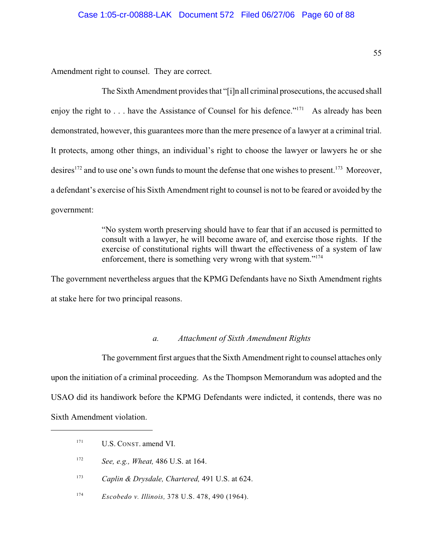Amendment right to counsel. They are correct.

The Sixth Amendment provides that "[i]n all criminal prosecutions, the accused shall enjoy the right to  $\dots$  have the Assistance of Counsel for his defence."<sup>171</sup> As already has been demonstrated, however, this guarantees more than the mere presence of a lawyer at a criminal trial. It protects, among other things, an individual's right to choose the lawyer or lawyers he or she desires<sup> $172$ </sup> and to use one's own funds to mount the defense that one wishes to present.<sup> $173$ </sup> Moreover, a defendant's exercise of his Sixth Amendment right to counsel is not to be feared or avoided by the government:

> "No system worth preserving should have to fear that if an accused is permitted to consult with a lawyer, he will become aware of, and exercise those rights. If the exercise of constitutional rights will thwart the effectiveness of a system of law enforcement, there is something very wrong with that system."<sup>174</sup>

The government nevertheless argues that the KPMG Defendants have no Sixth Amendment rights at stake here for two principal reasons.

### *a. Attachment of Sixth Amendment Rights*

The government first argues that the Sixth Amendment right to counsel attaches only upon the initiation of a criminal proceeding. As the Thompson Memorandum was adopted and the USAO did its handiwork before the KPMG Defendants were indicted, it contends, there was no Sixth Amendment violation.

U.S. CONST. amend VI. 171

<sup>&</sup>lt;sup>172</sup> *See, e.g., Wheat, 486 U.S. at 164.* 

<sup>&</sup>lt;sup>173</sup> *Caplin & Drysdale, Chartered, 491 U.S. at 624.* 

*Escobedo v. Illinois,* 378 U.S. 478, 490 (1964). <sup>174</sup>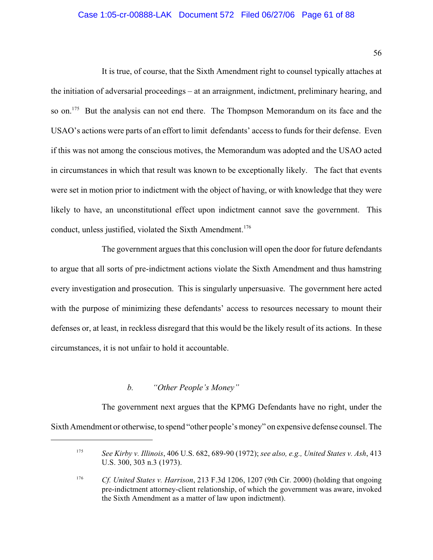### Case 1:05-cr-00888-LAK Document 572 Filed 06/27/06 Page 61 of 88

56

It is true, of course, that the Sixth Amendment right to counsel typically attaches at the initiation of adversarial proceedings – at an arraignment, indictment, preliminary hearing, and so on.<sup>175</sup> But the analysis can not end there. The Thompson Memorandum on its face and the USAO's actions were parts of an effort to limit defendants' access to funds for their defense. Even if this was not among the conscious motives, the Memorandum was adopted and the USAO acted in circumstances in which that result was known to be exceptionally likely. The fact that events were set in motion prior to indictment with the object of having, or with knowledge that they were likely to have, an unconstitutional effect upon indictment cannot save the government. This conduct, unless justified, violated the Sixth Amendment.<sup>176</sup>

The government argues that this conclusion will open the door for future defendants to argue that all sorts of pre-indictment actions violate the Sixth Amendment and thus hamstring every investigation and prosecution. This is singularly unpersuasive. The government here acted with the purpose of minimizing these defendants' access to resources necessary to mount their defenses or, at least, in reckless disregard that this would be the likely result of its actions. In these circumstances, it is not unfair to hold it accountable.

## *b. "Other People's Money"*

The government next argues that the KPMG Defendants have no right, under the Sixth Amendment or otherwise, to spend "other people's money" on expensive defense counsel. The

*See Kirby v. Illinois*, 406 U.S. 682, 689-90 (1972); *see also, e.g., United States v. Ash*, 413 175 U.S. 300, 303 n.3 (1973).

<sup>&</sup>lt;sup>176</sup> *Cf. United States v. Harrison*, 213 F.3d 1206, 1207 (9th Cir. 2000) (holding that ongoing pre-indictment attorney-client relationship, of which the government was aware, invoked the Sixth Amendment as a matter of law upon indictment).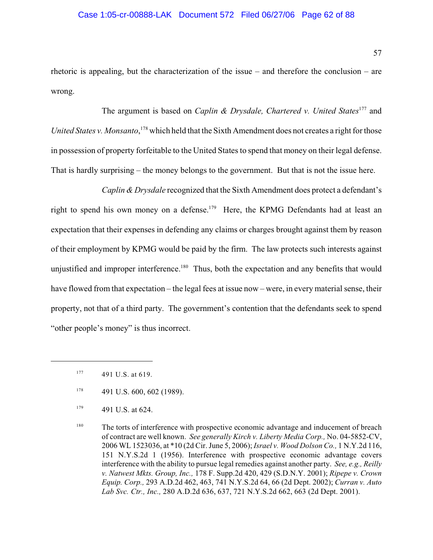# Case 1:05-cr-00888-LAK Document 572 Filed 06/27/06 Page 62 of 88

57

rhetoric is appealing, but the characterization of the issue – and therefore the conclusion – are wrong.

The argument is based on *Caplin & Drysdale, Chartered v. United States*<sup>177</sup> and *United States v. Monsanto*, <sup>178</sup> which held that the Sixth Amendment does not creates a right for those in possession of property forfeitable to the United States to spend that money on their legal defense. That is hardly surprising – the money belongs to the government. But that is not the issue here.

*Caplin & Drysdale* recognized that the Sixth Amendment does protect a defendant's right to spend his own money on a defense.<sup>179</sup> Here, the KPMG Defendants had at least an expectation that their expenses in defending any claims or charges brought against them by reason of their employment by KPMG would be paid by the firm. The law protects such interests against unjustified and improper interference.<sup>180</sup> Thus, both the expectation and any benefits that would have flowed from that expectation – the legal fees at issue now – were, in every material sense, their property, not that of a third party. The government's contention that the defendants seek to spend "other people's money" is thus incorrect.

 $177$  491 U.S. at 619.

 $178$  491 U.S. 600, 602 (1989).

 $^{179}$  491 U.S. at 624.

<sup>&</sup>lt;sup>180</sup> The torts of interference with prospective economic advantage and inducement of breach of contract are well known. *See generally Kirch v. Liberty Media Corp.,* No. 04-5852-CV, 2006 WL 1523036, at \*10 (2d Cir. June 5, 2006); *Israel v. Wood Dolson Co.,* 1 N.Y.2d 116, 151 N.Y.S.2d 1 (1956). Interference with prospective economic advantage covers interference with the ability to pursue legal remedies against another party. *See, e.g., Reilly v. Natwest Mkts. Group, Inc.,* 178 F. Supp.2d 420, 429 (S.D.N.Y. 2001); *Ripepe v. Crown Equip. Corp.,* 293 A.D.2d 462, 463, 741 N.Y.S.2d 64, 66 (2d Dept. 2002); *Curran v. Auto Lab Svc. Ctr., Inc.,* 280 A.D.2d 636, 637, 721 N.Y.S.2d 662, 663 (2d Dept. 2001).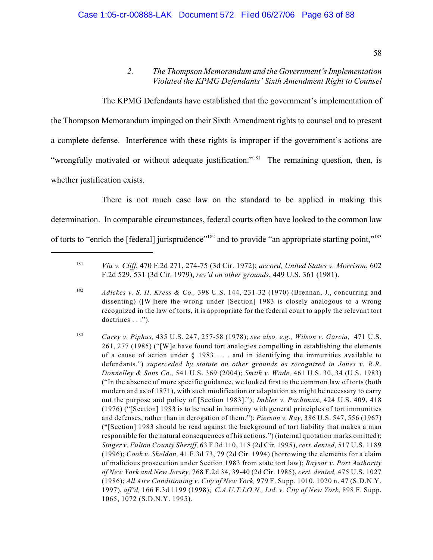## *2. The Thompson Memorandum and the Government's Implementation Violated the KPMG Defendants' Sixth Amendment Right to Counsel*

The KPMG Defendants have established that the government's implementation of the Thompson Memorandum impinged on their Sixth Amendment rights to counsel and to present a complete defense. Interference with these rights is improper if the government's actions are "wrongfully motivated or without adequate justification."<sup>181</sup> The remaining question, then, is whether justification exists.

There is not much case law on the standard to be applied in making this determination. In comparable circumstances, federal courts often have looked to the common law of torts to "enrich the [federal] jurisprudence"<sup>182</sup> and to provide "an appropriate starting point,"<sup>183</sup>

*Via v. Cliff*, 470 F.2d 271, 274-75 (3d Cir. 1972); *accord, United States v. Morrison*, 602 181 F.2d 529, 531 (3d Cir. 1979), *rev'd on other grounds*, 449 U.S. 361 (1981).

<sup>&</sup>lt;sup>182</sup> *Adickes v. S. H. Kress & Co.*, 398 U.S. 144, 231-32 (1970) (Brennan, J., concurring and dissenting) ([W]here the wrong under [Section] 1983 is closely analogous to a wrong recognized in the law of torts, it is appropriate for the federal court to apply the relevant tort doctrines . . .").

<sup>&</sup>lt;sup>183</sup> *Carey v. Piphus, 435 U.S. 247, 257-58 (1978); see also, e.g., Wilson v. Garcia, 471 U.S.* 261, 277 (1985) ("[W]e have found tort analogies compelling in establishing the elements of a cause of action under  $\S$  1983 . . . and in identifying the immunities available to defendants.") *superceded by statute on other grounds as recognized in Jones v. R.R. Donnelley & Sons Co.,* 541 U.S. 369 (2004); *Smith v. Wade,* 461 U.S. 30, 34 (U.S. 1983) ("In the absence of more specific guidance, we looked first to the common law of torts (both modern and as of 1871), with such modification or adaptation as might be necessary to carry out the purpose and policy of [Section 1983]."); *Imbler v. Pachtman*, 424 U.S. 409, 418 (1976) ("[Section] 1983 is to be read in harmony with general principles of tort immunities and defenses, rather than in derogation of them."); *Pierson v. Ray,* 386 U.S. 547, 556 (1967) ("[Section] 1983 should be read against the background of tort liability that makes a man responsible for the natural consequences of his actions.") (internal quotation marks omitted); *Singer v. Fulton County Sheriff,* 63 F.3d 110, 118 (2d Cir. 1995), *cert. denied,* 517 U.S. 1189 (1996); *Cook v. Sheldon,* 41 F.3d 73, 79 (2d Cir. 1994) (borrowing the elements for a claim of malicious prosecution under Section 1983 from state tort law); *Raysor v. Port Authority of New York and New Jersey,* 768 F.2d 34, 39-40 (2d Cir. 1985), *cert. denied,* 475 U.S. 1027 (1986); *All Aire Conditioning v. City of New York,* 979 F. Supp. 1010, 1020 n. 47 (S.D.N.Y. 1997), *aff'd,* 166 F.3d 1199 (1998); *C.A.U.T.I.O.N., Ltd. v. City of New York,* 898 F. Supp. 1065, 1072 (S.D.N.Y. 1995).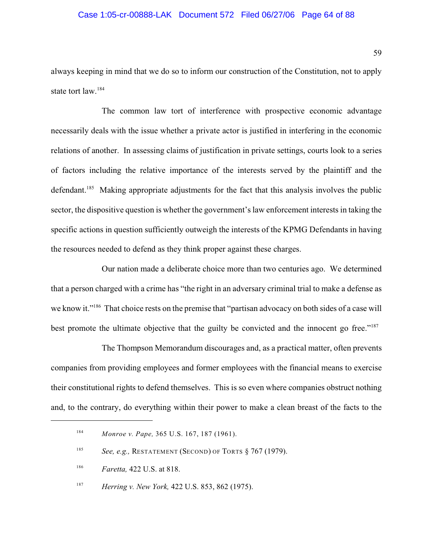#### Case 1:05-cr-00888-LAK Document 572 Filed 06/27/06 Page 64 of 88

always keeping in mind that we do so to inform our construction of the Constitution, not to apply state tort law.<sup>184</sup>

The common law tort of interference with prospective economic advantage necessarily deals with the issue whether a private actor is justified in interfering in the economic relations of another. In assessing claims of justification in private settings, courts look to a series of factors including the relative importance of the interests served by the plaintiff and the defendant.<sup>185</sup> Making appropriate adjustments for the fact that this analysis involves the public sector, the dispositive question is whether the government's law enforcement interests in taking the specific actions in question sufficiently outweigh the interests of the KPMG Defendants in having the resources needed to defend as they think proper against these charges.

Our nation made a deliberate choice more than two centuries ago. We determined that a person charged with a crime has "the right in an adversary criminal trial to make a defense as we know it."<sup>186</sup> That choice rests on the premise that "partisan advocacy on both sides of a case will best promote the ultimate objective that the guilty be convicted and the innocent go free."<sup>187</sup>

The Thompson Memorandum discourages and, as a practical matter, often prevents companies from providing employees and former employees with the financial means to exercise their constitutional rights to defend themselves. This is so even where companies obstruct nothing and, to the contrary, do everything within their power to make a clean breast of the facts to the

<sup>&</sup>lt;sup>184</sup> *Monroe v. Pape,* 365 U.S. 167, 187 (1961).

*See, e.g.,* RESTATEMENT (SECOND) OF TORTS § 767 (1979). 185

<sup>&</sup>lt;sup>186</sup> *Faretta*, 422 U.S. at 818.

<sup>&</sup>lt;sup>187</sup> *Herring v. New York,* 422 U.S. 853, 862 (1975).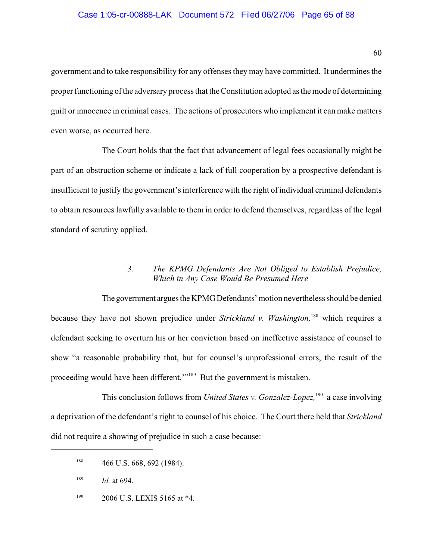### Case 1:05-cr-00888-LAK Document 572 Filed 06/27/06 Page 65 of 88

government and to take responsibility for any offenses they may have committed. It undermines the proper functioning of the adversary process that the Constitution adopted as the mode of determining guilt or innocence in criminal cases. The actions of prosecutors who implement it can make matters even worse, as occurred here.

The Court holds that the fact that advancement of legal fees occasionally might be part of an obstruction scheme or indicate a lack of full cooperation by a prospective defendant is insufficient to justify the government's interference with the right of individual criminal defendants to obtain resources lawfully available to them in order to defend themselves, regardless of the legal standard of scrutiny applied.

# *3. The KPMG Defendants Are Not Obliged to Establish Prejudice, Which in Any Case Would Be Presumed Here*

The government argues the KPMG Defendants' motion nevertheless should be denied because they have not shown prejudice under *Strickland v. Washington*, <sup>188</sup> which requires a defendant seeking to overturn his or her conviction based on ineffective assistance of counsel to show "a reasonable probability that, but for counsel's unprofessional errors, the result of the proceeding would have been different."<sup>189</sup> But the government is mistaken.

This conclusion follows from *United States v. Gonzalez-Lopez*, <sup>190</sup> a case involving a deprivation of the defendant's right to counsel of his choice. The Court there held that *Strickland* did not require a showing of prejudice in such a case because:

2006 U.S. LEXIS 5165 at \*4. 190

 $188$  466 U.S. 668, 692 (1984).

 $189$  *Id.* at 694.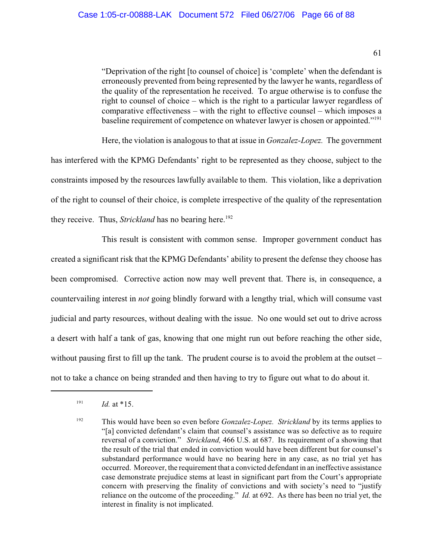"Deprivation of the right [to counsel of choice] is 'complete' when the defendant is erroneously prevented from being represented by the lawyer he wants, regardless of the quality of the representation he received. To argue otherwise is to confuse the right to counsel of choice – which is the right to a particular lawyer regardless of comparative effectiveness – with the right to effective counsel – which imposes a baseline requirement of competence on whatever lawyer is chosen or appointed."<sup>191</sup>

Here, the violation is analogous to that at issue in *Gonzalez-Lopez.* The government has interfered with the KPMG Defendants' right to be represented as they choose, subject to the constraints imposed by the resources lawfully available to them. This violation, like a deprivation of the right to counsel of their choice, is complete irrespective of the quality of the representation they receive. Thus, *Strickland* has no bearing here.<sup>192</sup>

This result is consistent with common sense. Improper government conduct has created a significant risk that the KPMG Defendants' ability to present the defense they choose has been compromised. Corrective action now may well prevent that. There is, in consequence, a countervailing interest in *not* going blindly forward with a lengthy trial, which will consume vast judicial and party resources, without dealing with the issue. No one would set out to drive across a desert with half a tank of gas, knowing that one might run out before reaching the other side, without pausing first to fill up the tank. The prudent course is to avoid the problem at the outset – not to take a chance on being stranded and then having to try to figure out what to do about it.

61

 $191$  *Id.* at \*15.

<sup>&</sup>lt;sup>192</sup> This would have been so even before *Gonzalez-Lopez.* Strickland by its terms applies to "[a] convicted defendant's claim that counsel's assistance was so defective as to require reversal of a conviction." *Strickland,* 466 U.S. at 687. Its requirement of a showing that the result of the trial that ended in conviction would have been different but for counsel's substandard performance would have no bearing here in any case, as no trial yet has occurred. Moreover, the requirement that a convicted defendant in an ineffective assistance case demonstrate prejudice stems at least in significant part from the Court's appropriate concern with preserving the finality of convictions and with society's need to "justify reliance on the outcome of the proceeding." *Id.* at 692. As there has been no trial yet, the interest in finality is not implicated.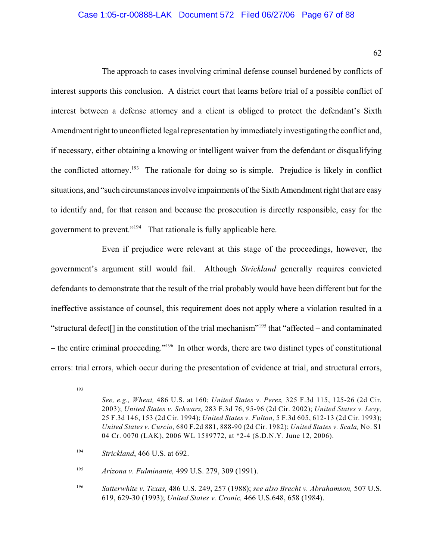# Case 1:05-cr-00888-LAK Document 572 Filed 06/27/06 Page 67 of 88

62

The approach to cases involving criminal defense counsel burdened by conflicts of interest supports this conclusion. A district court that learns before trial of a possible conflict of interest between a defense attorney and a client is obliged to protect the defendant's Sixth Amendment right to unconflicted legal representation by immediately investigating the conflict and, if necessary, either obtaining a knowing or intelligent waiver from the defendant or disqualifying the conflicted attorney.<sup>193</sup> The rationale for doing so is simple. Prejudice is likely in conflict situations, and "such circumstances involve impairments of the Sixth Amendment right that are easy to identify and, for that reason and because the prosecution is directly responsible, easy for the government to prevent."<sup>194</sup> That rationale is fully applicable here.

Even if prejudice were relevant at this stage of the proceedings, however, the government's argument still would fail. Although *Strickland* generally requires convicted defendants to demonstrate that the result of the trial probably would have been different but for the ineffective assistance of counsel, this requirement does not apply where a violation resulted in a "structural defect<sup>[]</sup> in the constitution of the trial mechanism"<sup>195</sup> that "affected – and contaminated – the entire criminal proceeding."<sup>196</sup> In other words, there are two distinct types of constitutional errors: trial errors, which occur during the presentation of evidence at trial, and structural errors,

<sup>193</sup>

*See, e.g., Wheat,* 486 U.S. at 160; *United States v. Perez,* 325 F.3d 115, 125-26 (2d Cir. 2003); *United States v. Schwarz,* 283 F.3d 76, 95-96 (2d Cir. 2002); *United States v. Levy,* 25 F.3d 146, 153 (2d Cir. 1994); *United States v. Fulton,* 5 F.3d 605, 612-13 (2d Cir. 1993); *United States v. Curcio,* 680 F.2d 881, 888-90 (2d Cir. 1982); *United States v. Scala,* No. S1 04 Cr. 0070 (LAK), 2006 WL 1589772, at \*2-4 (S.D.N.Y. June 12, 2006).

<sup>&</sup>lt;sup>194</sup> *Strickland*, 466 U.S. at 692.

<sup>&</sup>lt;sup>195</sup> *Arizona v. Fulminante, 499 U.S. 279, 309 (1991).* 

*Satterwhite v. Texas,* 486 U.S. 249, 257 (1988); *see also Brecht v. Abrahamson,* 507 U.S. <sup>196</sup> 619, 629-30 (1993); *United States v. Cronic,* 466 U.S.648, 658 (1984).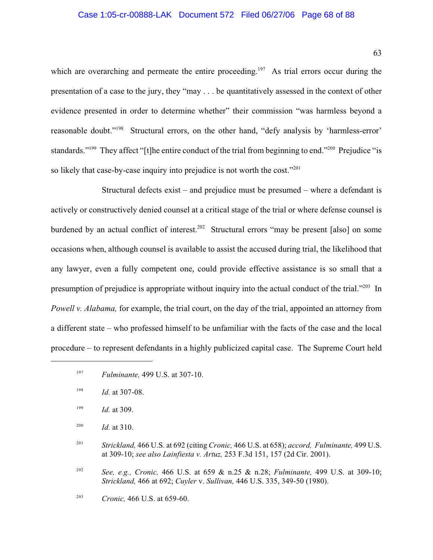#### Case 1:05-cr-00888-LAK Document 572 Filed 06/27/06 Page 68 of 88

which are overarching and permeate the entire proceeding.<sup>197</sup> As trial errors occur during the presentation of a case to the jury, they "may . . . be quantitatively assessed in the context of other evidence presented in order to determine whether" their commission "was harmless beyond a reasonable doubt."<sup>198</sup> Structural errors, on the other hand, "defy analysis by 'harmless-error' standards."<sup>199</sup> They affect "[t]he entire conduct of the trial from beginning to end."<sup>200</sup> Prejudice "is so likely that case-by-case inquiry into prejudice is not worth the cost."<sup>201</sup>

Structural defects exist – and prejudice must be presumed – where a defendant is actively or constructively denied counsel at a critical stage of the trial or where defense counsel is burdened by an actual conflict of interest.<sup>202</sup> Structural errors "may be present [also] on some occasions when, although counsel is available to assist the accused during trial, the likelihood that any lawyer, even a fully competent one, could provide effective assistance is so small that a presumption of prejudice is appropriate without inquiry into the actual conduct of the trial."  $^{203}$  In *Powell v. Alabama,* for example, the trial court, on the day of the trial, appointed an attorney from a different state – who professed himself to be unfamiliar with the facts of the case and the local procedure – to represent defendants in a highly publicized capital case. The Supreme Court held

*Strickland,* 466 U.S. at 692 (citing *Cronic,* 466 U.S. at 658); *accord, Fulminante,* 499 U.S. <sup>201</sup> at 309-10; *see also Lainfiesta v. Artuz,* 253 F.3d 151, 157 (2d Cir. 2001).

<sup>202</sup> See, e.g., Cronic, 466 U.S. at 659 & n.25 & n.28; *Fulminante*, 499 U.S. at 309-10; *Strickland,* 466 at 692; *Cuyler* v. *Sullivan,* 446 U.S. 335, 349-50 (1980).

63

<sup>&</sup>lt;sup>197</sup> *Fulminante*, 499 U.S. at 307-10.

 $198$  *Id.* at 307-08.

 $199$  *Id.* at 309.

<sup>&</sup>lt;sup>200</sup> *Id.* at 310.

<sup>&</sup>lt;sup>203</sup> *Cronic*, 466 U.S. at 659-60.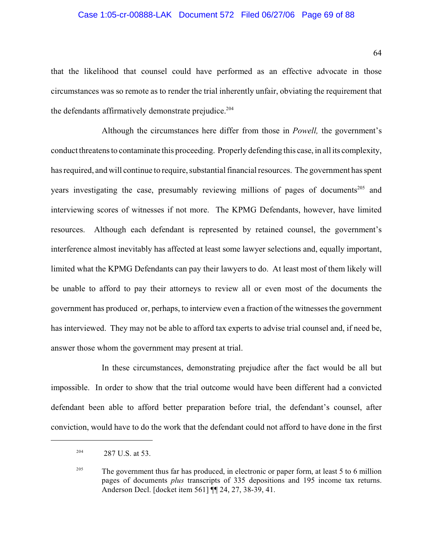#### Case 1:05-cr-00888-LAK Document 572 Filed 06/27/06 Page 69 of 88

that the likelihood that counsel could have performed as an effective advocate in those circumstances was so remote as to render the trial inherently unfair, obviating the requirement that the defendants affirmatively demonstrate prejudice. 204

Although the circumstances here differ from those in *Powell,* the government's conduct threatens to contaminate this proceeding. Properly defending this case, in all its complexity, has required, and will continue to require, substantial financial resources. The government has spent years investigating the case, presumably reviewing millions of pages of documents<sup>205</sup> and interviewing scores of witnesses if not more. The KPMG Defendants, however, have limited resources. Although each defendant is represented by retained counsel, the government's interference almost inevitably has affected at least some lawyer selections and, equally important, limited what the KPMG Defendants can pay their lawyers to do. At least most of them likely will be unable to afford to pay their attorneys to review all or even most of the documents the government has produced or, perhaps, to interview even a fraction of the witnesses the government has interviewed. They may not be able to afford tax experts to advise trial counsel and, if need be, answer those whom the government may present at trial.

In these circumstances, demonstrating prejudice after the fact would be all but impossible. In order to show that the trial outcome would have been different had a convicted defendant been able to afford better preparation before trial, the defendant's counsel, after conviction, would have to do the work that the defendant could not afford to have done in the first

Anderson Decl. [docket item 561] ¶¶ 24, 27, 38-39, 41.

 <sup>287</sup> U.S. at 53. 204

<sup>&</sup>lt;sup>205</sup> The government thus far has produced, in electronic or paper form, at least 5 to 6 million pages of documents *plus* transcripts of 335 depositions and 195 income tax returns.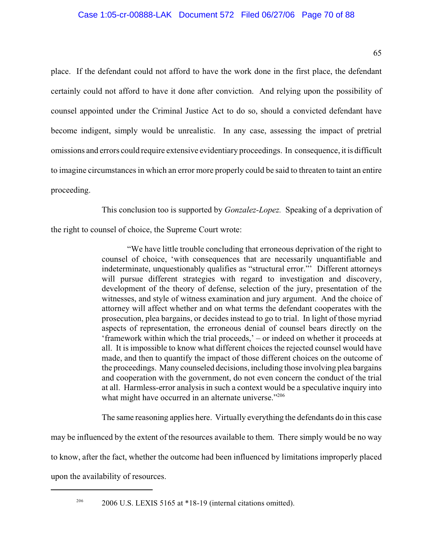place. If the defendant could not afford to have the work done in the first place, the defendant certainly could not afford to have it done after conviction. And relying upon the possibility of counsel appointed under the Criminal Justice Act to do so, should a convicted defendant have become indigent, simply would be unrealistic. In any case, assessing the impact of pretrial omissions and errors could require extensive evidentiary proceedings. In consequence, it is difficult to imagine circumstances in which an error more properly could be said to threaten to taint an entire proceeding.

This conclusion too is supported by *Gonzalez-Lopez.* Speaking of a deprivation of

the right to counsel of choice, the Supreme Court wrote:

"We have little trouble concluding that erroneous deprivation of the right to counsel of choice, 'with consequences that are necessarily unquantifiable and indeterminate, unquestionably qualifies as "structural error."' Different attorneys will pursue different strategies with regard to investigation and discovery, development of the theory of defense, selection of the jury, presentation of the witnesses, and style of witness examination and jury argument. And the choice of attorney will affect whether and on what terms the defendant cooperates with the prosecution, plea bargains, or decides instead to go to trial. In light of those myriad aspects of representation, the erroneous denial of counsel bears directly on the 'framework within which the trial proceeds,' – or indeed on whether it proceeds at all. It is impossible to know what different choices the rejected counsel would have made, and then to quantify the impact of those different choices on the outcome of the proceedings. Many counseled decisions, including those involving plea bargains and cooperation with the government, do not even concern the conduct of the trial at all. Harmless-error analysis in such a context would be a speculative inquiry into what might have occurred in an alternate universe."<sup>206</sup>

The same reasoning applies here. Virtually everything the defendants do in this case

may be influenced by the extent of the resources available to them. There simply would be no way

to know, after the fact, whether the outcome had been influenced by limitations improperly placed

upon the availability of resources.

<sup>206</sup> 2006 U.S. LEXIS 5165 at  $*18-19$  (internal citations omitted).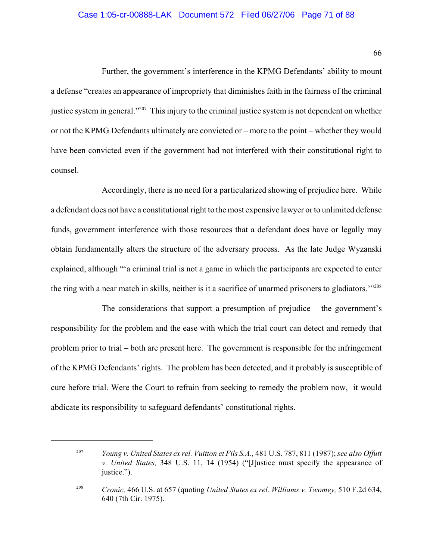#### Case 1:05-cr-00888-LAK Document 572 Filed 06/27/06 Page 71 of 88

66

Further, the government's interference in the KPMG Defendants' ability to mount a defense "creates an appearance of impropriety that diminishes faith in the fairness of the criminal justice system in general."<sup>207</sup> This injury to the criminal justice system is not dependent on whether or not the KPMG Defendants ultimately are convicted or – more to the point – whether they would have been convicted even if the government had not interfered with their constitutional right to counsel.

Accordingly, there is no need for a particularized showing of prejudice here. While a defendant does not have a constitutional right to the most expensive lawyer or to unlimited defense funds, government interference with those resources that a defendant does have or legally may obtain fundamentally alters the structure of the adversary process. As the late Judge Wyzanski explained, although "'a criminal trial is not a game in which the participants are expected to enter the ring with a near match in skills, neither is it a sacrifice of unarmed prisoners to gladiators.'"<sup>208</sup>

The considerations that support a presumption of prejudice – the government's responsibility for the problem and the ease with which the trial court can detect and remedy that problem prior to trial – both are present here. The government is responsible for the infringement of the KPMG Defendants' rights. The problem has been detected, and it probably is susceptible of cure before trial. Were the Court to refrain from seeking to remedy the problem now, it would abdicate its responsibility to safeguard defendants' constitutional rights.

*Young v. United States ex rel. Vuitton et Fils S.A.,* 481 U.S. 787, 811 (1987); *see also Offutt* 207 *v. United States,* 348 U.S. 11, 14 (1954) ("[J]ustice must specify the appearance of justice.").

<sup>&</sup>lt;sup>208</sup> Cronic, 466 U.S. at 657 (quoting *United States ex rel. Williams v. Twomey*, 510 F.2d 634, 640 (7th Cir. 1975).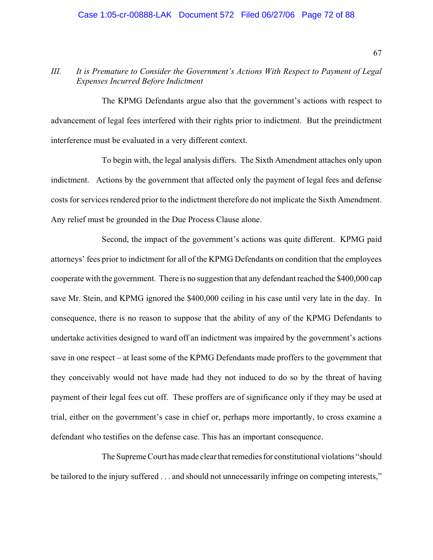#### Case 1:05-cr-00888-LAK Document 572 Filed 06/27/06 Page 72 of 88

### *III. It is Premature to Consider the Government's Actions With Respect to Payment of Legal Expenses Incurred Before Indictment*

The KPMG Defendants argue also that the government's actions with respect to advancement of legal fees interfered with their rights prior to indictment. But the preindictment interference must be evaluated in a very different context.

To begin with, the legal analysis differs. The Sixth Amendment attaches only upon indictment. Actions by the government that affected only the payment of legal fees and defense costs for services rendered prior to the indictment therefore do not implicate the Sixth Amendment. Any relief must be grounded in the Due Process Clause alone.

Second, the impact of the government's actions was quite different. KPMG paid attorneys' fees prior to indictment for all of the KPMG Defendants on condition that the employees cooperate with the government. There is no suggestion that any defendant reached the \$400,000 cap save Mr. Stein, and KPMG ignored the \$400,000 ceiling in his case until very late in the day. In consequence, there is no reason to suppose that the ability of any of the KPMG Defendants to undertake activities designed to ward off an indictment was impaired by the government's actions save in one respect – at least some of the KPMG Defendants made proffers to the government that they conceivably would not have made had they not induced to do so by the threat of having payment of their legal fees cut off. These proffers are of significance only if they may be used at trial, either on the government's case in chief or, perhaps more importantly, to cross examine a defendant who testifies on the defense case. This has an important consequence.

The Supreme Court has made clear that remedies for constitutional violations "should be tailored to the injury suffered . . . and should not unnecessarily infringe on competing interests,"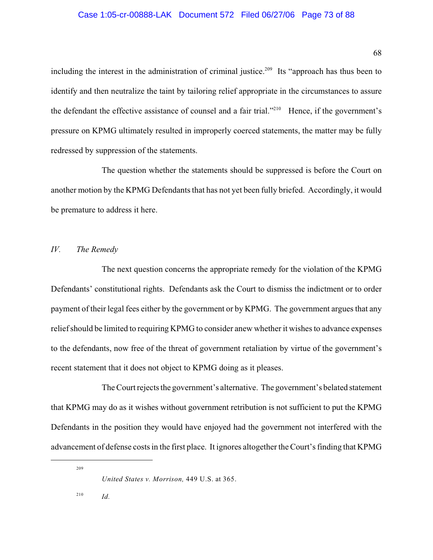68

including the interest in the administration of criminal justice.<sup>209</sup> Its "approach has thus been to identify and then neutralize the taint by tailoring relief appropriate in the circumstances to assure the defendant the effective assistance of counsel and a fair trial."<sup> $210$ </sup> Hence, if the government's pressure on KPMG ultimately resulted in improperly coerced statements, the matter may be fully redressed by suppression of the statements.

The question whether the statements should be suppressed is before the Court on another motion by the KPMG Defendants that has not yet been fully briefed. Accordingly, it would be premature to address it here.

## *IV. The Remedy*

The next question concerns the appropriate remedy for the violation of the KPMG Defendants' constitutional rights. Defendants ask the Court to dismiss the indictment or to order payment of their legal fees either by the government or by KPMG. The government argues that any relief should be limited to requiring KPMG to consider anew whether it wishes to advance expenses to the defendants, now free of the threat of government retaliation by virtue of the government's recent statement that it does not object to KPMG doing as it pleases.

The Court rejects the government's alternative. The government's belated statement that KPMG may do as it wishes without government retribution is not sufficient to put the KPMG Defendants in the position they would have enjoyed had the government not interfered with the advancement of defense costs in the first place. It ignores altogether the Court's finding that KPMG

209

<sup>210</sup> *Id.* 

*United States v. Morrison,* 449 U.S. at 365.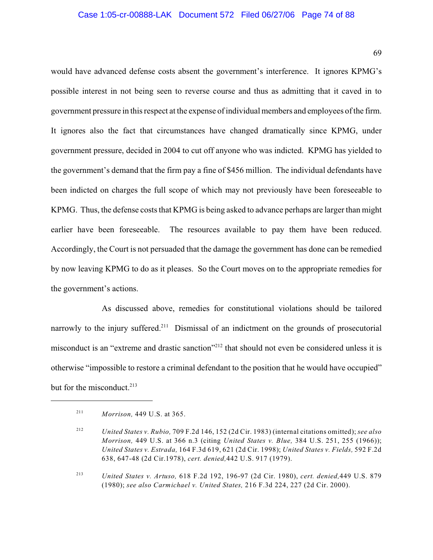#### Case 1:05-cr-00888-LAK Document 572 Filed 06/27/06 Page 74 of 88

69

would have advanced defense costs absent the government's interference. It ignores KPMG's possible interest in not being seen to reverse course and thus as admitting that it caved in to government pressure in this respect at the expense of individual members and employees of the firm. It ignores also the fact that circumstances have changed dramatically since KPMG, under government pressure, decided in 2004 to cut off anyone who was indicted. KPMG has yielded to the government's demand that the firm pay a fine of \$456 million. The individual defendants have been indicted on charges the full scope of which may not previously have been foreseeable to KPMG. Thus, the defense costs that KPMG is being asked to advance perhaps are larger than might earlier have been foreseeable. The resources available to pay them have been reduced. Accordingly, the Court is not persuaded that the damage the government has done can be remedied by now leaving KPMG to do as it pleases. So the Court moves on to the appropriate remedies for the government's actions.

As discussed above, remedies for constitutional violations should be tailored narrowly to the injury suffered.<sup>211</sup> Dismissal of an indictment on the grounds of prosecutorial misconduct is an "extreme and drastic sanction"<sup>212</sup> that should not even be considered unless it is otherwise "impossible to restore a criminal defendant to the position that he would have occupied" but for the misconduct.<sup>213</sup>

*Morrison,* 449 U.S. at 365. 211

*United States v. Rubio,* 709 F.2d 146, 152 (2d Cir. 1983) (internal citations omitted); *see also* <sup>212</sup> *Morrison,* 449 U.S. at 366 n.3 (citing *United States v. Blue,* 384 U.S. 251, 255 (1966)); *United States v. Estrada,* 164 F.3d 619, 621 (2d Cir. 1998); *United States v. Fields,* 592 F.2d 638, 647-48 (2d Cir.1978), *cert. denied,*442 U.S. 917 (1979).

<sup>&</sup>lt;sup>213</sup> *United States v. Artuso,* 618 F.2d 192, 196-97 (2d Cir. 1980), *cert. denied*, 449 U.S. 879 (1980); *see also Carmichael v. United States,* 216 F.3d 224, 227 (2d Cir. 2000).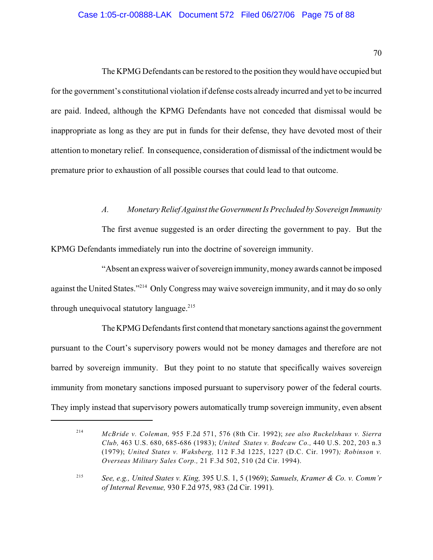### Case 1:05-cr-00888-LAK Document 572 Filed 06/27/06 Page 75 of 88

70

The KPMG Defendants can be restored to the position they would have occupied but for the government's constitutional violation if defense costs already incurred and yet to be incurred are paid. Indeed, although the KPMG Defendants have not conceded that dismissal would be inappropriate as long as they are put in funds for their defense, they have devoted most of their attention to monetary relief. In consequence, consideration of dismissal of the indictment would be premature prior to exhaustion of all possible courses that could lead to that outcome.

## *A. Monetary Relief Against the Government Is Precluded by Sovereign Immunity*

The first avenue suggested is an order directing the government to pay. But the KPMG Defendants immediately run into the doctrine of sovereign immunity.

"Absent an express waiver of sovereign immunity, money awards cannot be imposed against the United States."<sup>214</sup> Only Congress may waive sovereign immunity, and it may do so only through unequivocal statutory language.<sup>215</sup>

The KPMG Defendants first contend that monetary sanctions against the government pursuant to the Court's supervisory powers would not be money damages and therefore are not barred by sovereign immunity. But they point to no statute that specifically waives sovereign immunity from monetary sanctions imposed pursuant to supervisory power of the federal courts. They imply instead that supervisory powers automatically trump sovereign immunity, even absent

*McBride v. Coleman,* 955 F.2d 571, 576 (8th Cir. 1992); *see also Ruckelshaus v. Sierra* <sup>214</sup> *Club,* 463 U.S. 680, 685-686 (1983); *United States v. Bodcaw Co.,* 440 U.S. 202, 203 n.3 (1979); *United States v. Waksberg,* 112 F.3d 1225, 1227 (D.C. Cir. 1997)*; Robinson v. Overseas Military Sales Corp.,* 21 F.3d 502, 510 (2d Cir. 1994).

*See, e.g., United States v. King,* 395 U.S. 1, 5 (1969); *Samuels, Kramer & Co. v. Comm'r* 215 *of Internal Revenue,* 930 F.2d 975, 983 (2d Cir. 1991).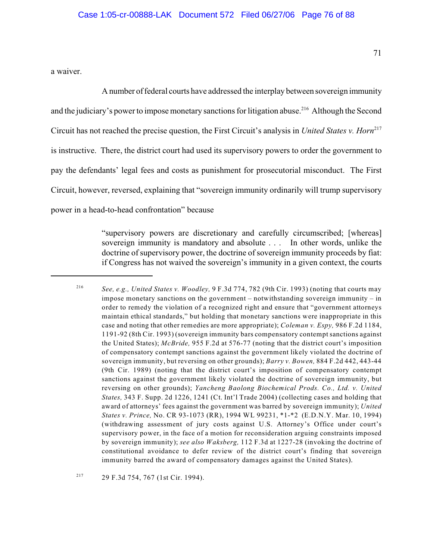a waiver.

A number of federal courts have addressed the interplay between sovereign immunity and the judiciary's power to impose monetary sanctions for litigation abuse.<sup>216</sup> Although the Second Circuit has not reached the precise question, the First Circuit's analysis in *United States v. Horn* 217 is instructive. There, the district court had used its supervisory powers to order the government to pay the defendants' legal fees and costs as punishment for prosecutorial misconduct. The First Circuit, however, reversed, explaining that "sovereign immunity ordinarily will trump supervisory power in a head-to-head confrontation" because

> "supervisory powers are discretionary and carefully circumscribed; [whereas] sovereign immunity is mandatory and absolute . . . In other words, unlike the doctrine of supervisory power, the doctrine of sovereign immunity proceeds by fiat: if Congress has not waived the sovereign's immunity in a given context, the courts

<sup>217</sup> 29 F.3d 754, 767 (1st Cir. 1994).

*See, e.g., United States v. Woodley,* 9 F.3d 774, 782 (9th Cir. 1993) (noting that courts may <sup>216</sup> impose monetary sanctions on the government – notwithstanding sovereign immunity – in order to remedy the violation of a recognized right and ensure that "government attorneys maintain ethical standards," but holding that monetary sanctions were inappropriate in this case and noting that other remedies are more appropriate); *Coleman v. Espy,* 986 F.2d 1184, 1191-92 (8th Cir. 1993) (sovereign immunity bars compensatory contempt sanctions against the United States); *McBride,* 955 F.2d at 576-77 (noting that the district court's imposition of compensatory contempt sanctions against the government likely violated the doctrine of sovereign immunity, but reversing on other grounds); *Barry v. Bowen,* 884 F.2d 442, 443-44 (9th Cir. 1989) (noting that the district court's imposition of compensatory contempt sanctions against the government likely violated the doctrine of sovereign immunity, but reversing on other grounds); *Yancheng Baolong Biochemical Prods. Co., Ltd. v. United States,* 343 F. Supp. 2d 1226, 1241 (Ct. Int'l Trade 2004) (collecting cases and holding that award of attorneys' fees against the government was barred by sovereign immunity); *United States v. Prince,* No. CR 93-1073 (RR), 1994 WL 99231, \*1-\*2 (E.D.N.Y. Mar. 10, 1994) (withdrawing assessment of jury costs against U.S. Attorney's Office under court's supervisory power, in the face of a motion for reconsideration arguing constraints imposed by sovereign immunity); *see also Waksberg,* 112 F.3d at 1227-28 (invoking the doctrine of constitutional avoidance to defer review of the district court's finding that sovereign immunity barred the award of compensatory damages against the United States).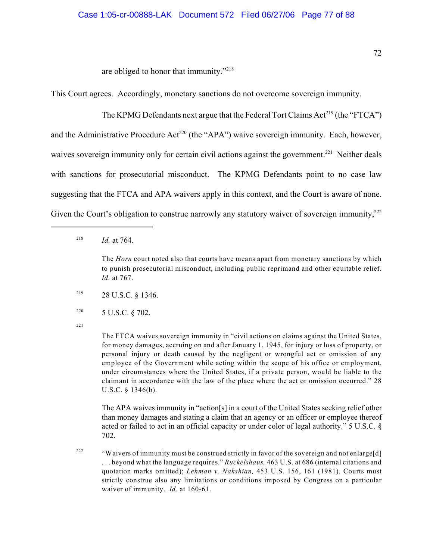are obliged to honor that immunity."<sup>218</sup>

This Court agrees. Accordingly, monetary sanctions do not overcome sovereign immunity.

The KPMG Defendants next argue that the Federal Tort Claims  $Act^{219}$  (the "FTCA") and the Administrative Procedure Act<sup>220</sup> (the "APA") waive sovereign immunity. Each, however, waives sovereign immunity only for certain civil actions against the government.<sup>221</sup> Neither deals with sanctions for prosecutorial misconduct. The KPMG Defendants point to no case law suggesting that the FTCA and APA waivers apply in this context, and the Court is aware of none. Given the Court's obligation to construe narrowly any statutory waiver of sovereign immunity, $^{222}$ 

<sup>218</sup> *Id.* at 764.

The *Horn* court noted also that courts have means apart from monetary sanctions by which to punish prosecutorial misconduct, including public reprimand and other equitable relief. *Id.* at 767.

- 28 U.S.C. § 1346. 219
- <sup>220</sup> 5 U.S.C. § 702.
- 221

The FTCA waives sovereign immunity in "civil actions on claims against the United States, for money damages, accruing on and after January 1, 1945, for injury or loss of property, or personal injury or death caused by the negligent or wrongful act or omission of any employee of the Government while acting within the scope of his office or employment, under circumstances where the United States, if a private person, would be liable to the claimant in accordance with the law of the place where the act or omission occurred." 28 U.S.C. § 1346(b).

The APA waives immunity in "action[s] in a court of the United States seeking relief other than money damages and stating a claim that an agency or an officer or employee thereof acted or failed to act in an official capacity or under color of legal authority." 5 U.S.C. § 702.

<sup>222</sup> "Waivers of immunity must be construed strictly in favor of the sovereign and not enlarge[d] . . . beyond what the language requires." *Ruckelshaus,* 463 U.S. at 686 (internal citations and quotation marks omitted); *Lehman v. Nakshian,* 453 U.S. 156, 161 (1981). Courts must strictly construe also any limitations or conditions imposed by Congress on a particular waiver of immunity. *Id.* at 160-61.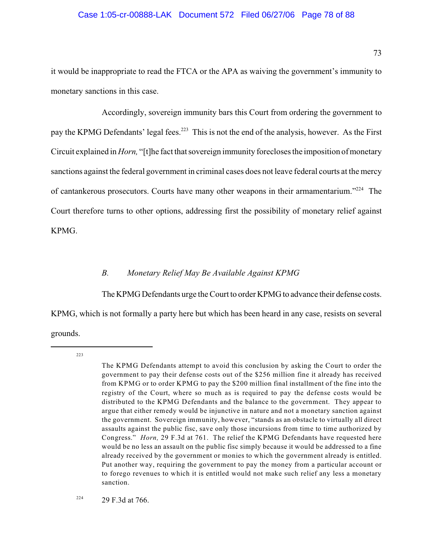#### Case 1:05-cr-00888-LAK Document 572 Filed 06/27/06 Page 78 of 88

it would be inappropriate to read the FTCA or the APA as waiving the government's immunity to monetary sanctions in this case.

Accordingly, sovereign immunity bars this Court from ordering the government to pay the KPMG Defendants' legal fees.<sup>223</sup> This is not the end of the analysis, however. As the First Circuit explained in *Horn,* "[t]he fact that sovereign immunity forecloses the imposition of monetary sanctions against the federal government in criminal cases does not leave federal courts at the mercy of cantankerous prosecutors. Courts have many other weapons in their armamentarium." $224$  The Court therefore turns to other options, addressing first the possibility of monetary relief against KPMG.

### *B. Monetary Relief May Be Available Against KPMG*

The KPMG Defendants urge the Court to order KPMG to advance their defense costs.

KPMG, which is not formally a party here but which has been heard in any case, resists on several grounds.

223

<sup>224</sup> 29 F.3d at 766.

The KPMG Defendants attempt to avoid this conclusion by asking the Court to order the government to pay their defense costs out of the \$256 million fine it already has received from KPMG or to order KPMG to pay the \$200 million final installment of the fine into the registry of the Court, where so much as is required to pay the defense costs would be distributed to the KPMG Defendants and the balance to the government. They appear to argue that either remedy would be injunctive in nature and not a monetary sanction against the government. Sovereign immunity, however, "stands as an obstacle to virtually all direct assaults against the public fisc, save only those incursions from time to time authorized by Congress." *Horn,* 29 F.3d at 761. The relief the KPMG Defendants have requested here would be no less an assault on the public fisc simply because it would be addressed to a fine already received by the government or monies to which the government already is entitled. Put another way, requiring the government to pay the money from a particular account or to forego revenues to which it is entitled would not make such relief any less a monetary sanction.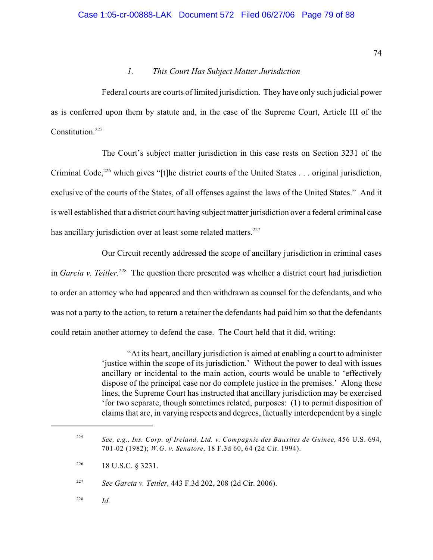### *1. This Court Has Subject Matter Jurisdiction*

Federal courts are courts of limited jurisdiction. They have only such judicial power as is conferred upon them by statute and, in the case of the Supreme Court, Article III of the Constitution.<sup>225</sup>

The Court's subject matter jurisdiction in this case rests on Section 3231 of the Criminal Code,  $226$  which gives "[t]he district courts of the United States . . . original jurisdiction, exclusive of the courts of the States, of all offenses against the laws of the United States." And it is well established that a district court having subject matter jurisdiction over a federal criminal case has ancillary jurisdiction over at least some related matters.<sup>227</sup>

Our Circuit recently addressed the scope of ancillary jurisdiction in criminal cases in *Garcia v. Teitler.*<sup>228</sup> The question there presented was whether a district court had jurisdiction to order an attorney who had appeared and then withdrawn as counsel for the defendants, and who was not a party to the action, to return a retainer the defendants had paid him so that the defendants could retain another attorney to defend the case. The Court held that it did, writing:

> "At its heart, ancillary jurisdiction is aimed at enabling a court to administer 'justice within the scope of its jurisdiction.' Without the power to deal with issues ancillary or incidental to the main action, courts would be unable to 'effectively dispose of the principal case nor do complete justice in the premises.' Along these lines, the Supreme Court has instructed that ancillary jurisdiction may be exercised 'for two separate, though sometimes related, purposes: (1) to permit disposition of claims that are, in varying respects and degrees, factually interdependent by a single

*Id.* <sup>228</sup>

<sup>&</sup>lt;sup>225</sup> See, e.g., Ins. Corp. of Ireland, Ltd. v. Compagnie des Bauxites de Guinee, 456 U.S. 694, 701-02 (1982); *W.G. v. Senatore,* 18 F.3d 60, 64 (2d Cir. 1994).

<sup>18</sup> U.S.C. § 3231. 226

*See Garcia v. Teitler,* 443 F.3d 202, 208 (2d Cir. 2006). 227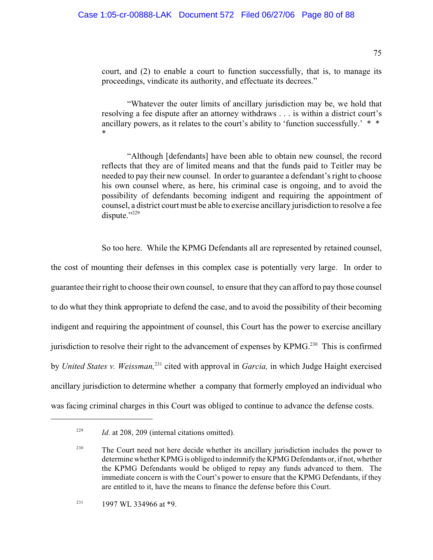court, and (2) to enable a court to function successfully, that is, to manage its proceedings, vindicate its authority, and effectuate its decrees."

"Whatever the outer limits of ancillary jurisdiction may be, we hold that resolving a fee dispute after an attorney withdraws . . . is within a district court's ancillary powers, as it relates to the court's ability to 'function successfully.' \* \* \*

"Although [defendants] have been able to obtain new counsel, the record reflects that they are of limited means and that the funds paid to Teitler may be needed to pay their new counsel. In order to guarantee a defendant's right to choose his own counsel where, as here, his criminal case is ongoing, and to avoid the possibility of defendants becoming indigent and requiring the appointment of counsel, a district court must be able to exercise ancillary jurisdiction to resolve a fee dispute."<sup>229</sup>

So too here. While the KPMG Defendants all are represented by retained counsel,

the cost of mounting their defenses in this complex case is potentially very large. In order to guarantee their right to choose their own counsel, to ensure that they can afford to pay those counsel to do what they think appropriate to defend the case, and to avoid the possibility of their becoming indigent and requiring the appointment of counsel, this Court has the power to exercise ancillary jurisdiction to resolve their right to the advancement of expenses by KPMG.<sup>230</sup> This is confirmed by *United States v. Weissman*,<sup>231</sup> cited with approval in *Garcia*, in which Judge Haight exercised ancillary jurisdiction to determine whether a company that formerly employed an individual who was facing criminal charges in this Court was obliged to continue to advance the defense costs.

<sup>&</sup>lt;sup>229</sup> *Id.* at 208, 209 (internal citations omitted).

 $T^{230}$  The Court need not here decide whether its ancillary jurisdiction includes the power to determine whether KPMG is obliged to indemnify the KPMG Defendants or, if not, whether the KPMG Defendants would be obliged to repay any funds advanced to them. The immediate concern is with the Court's power to ensure that the KPMG Defendants, if they are entitled to it, have the means to finance the defense before this Court.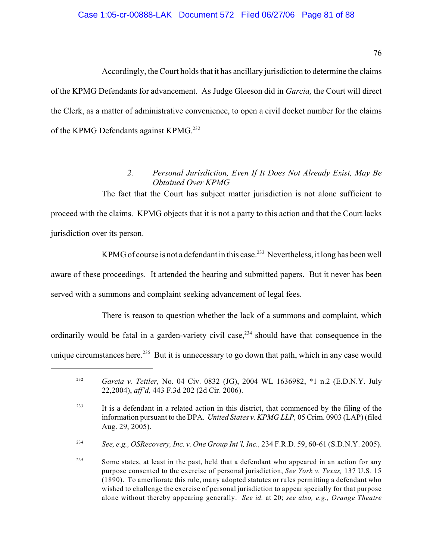### Case 1:05-cr-00888-LAK Document 572 Filed 06/27/06 Page 81 of 88

Accordingly, the Court holds that it has ancillary jurisdiction to determine the claims of the KPMG Defendants for advancement. As Judge Gleeson did in *Garcia,* the Court will direct the Clerk, as a matter of administrative convenience, to open a civil docket number for the claims of the KPMG Defendants against KPMG.<sup>232</sup>

# *2. Personal Jurisdiction, Even If It Does Not Already Exist, May Be Obtained Over KPMG*

The fact that the Court has subject matter jurisdiction is not alone sufficient to proceed with the claims. KPMG objects that it is not a party to this action and that the Court lacks jurisdiction over its person.

KPMG of course is not a defendant in this case.<sup>233</sup> Nevertheless, it long has been well aware of these proceedings. It attended the hearing and submitted papers. But it never has been served with a summons and complaint seeking advancement of legal fees.

There is reason to question whether the lack of a summons and complaint, which ordinarily would be fatal in a garden-variety civil case,<sup>234</sup> should have that consequence in the unique circumstances here.<sup>235</sup> But it is unnecessary to go down that path, which in any case would

<sup>&</sup>lt;sup>232</sup> *Garcia v. Teitler, No. 04 Civ. 0832 (JG), 2004 WL 1636982, \*1 n.2 (E.D.N.Y. July* 22,2004), *aff'd,* 443 F.3d 202 (2d Cir. 2006).

<sup>&</sup>lt;sup>233</sup> It is a defendant in a related action in this district, that commenced by the filing of the information pursuant to the DPA. *United States v. KPMG LLP,* 05 Crim. 0903 (LAP) (filed Aug. 29, 2005).

*See, e.g., OSRecovery, Inc. v. One Group Int'l, Inc.,* 234 F.R.D. 59, 60-61 (S.D.N.Y. 2005). 234

 $\frac{235}{235}$  Some states, at least in the past, held that a defendant who appeared in an action for any purpose consented to the exercise of personal jurisdiction, *See York v. Texas,* 137 U.S. 15 (1890). To amerliorate this rule, many adopted statutes or rules permitting a defendant who wished to challenge the exercise of personal jurisdiction to appear specially for that purpose alone without thereby appearing generally. *See id.* at 20; *see also, e.g., Orange Theatre*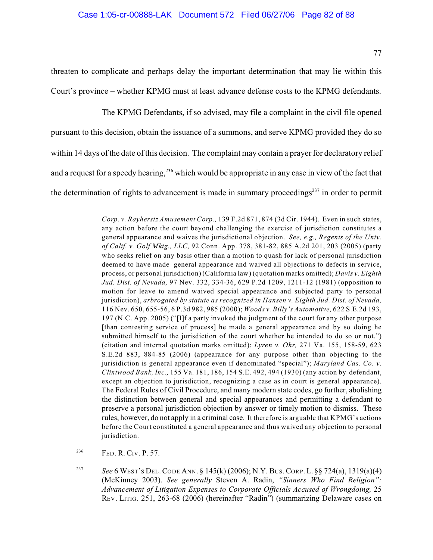threaten to complicate and perhaps delay the important determination that may lie within this Court's province – whether KPMG must at least advance defense costs to the KPMG defendants.

The KPMG Defendants, if so advised, may file a complaint in the civil file opened pursuant to this decision, obtain the issuance of a summons, and serve KPMG provided they do so within 14 days of the date of this decision. The complaint may contain a prayer for declaratory relief and a request for a speedy hearing,  $236$  which would be appropriate in any case in view of the fact that the determination of rights to advancement is made in summary proceedings $237$  in order to permit

<sup>236</sup> FED. R. CIV. P. 57.

*See* 6 WEST'S DEL.CODE ANN. § 145(k) (2006); N.Y. BUS.CORP. L. §§ 724(a), 1319(a)(4) <sup>237</sup> (McKinney 2003). *See generally* Steven A. Radin, *"Sinners Who Find Religion": Advancement of Litigation Expenses to Corporate Officials Accused of Wrongdoing,* 25 REV. LITIG. 251, 263-68 (2006) (hereinafter "Radin") (summarizing Delaware cases on

*Corp. v. Rayherstz Amusement Corp.,* 139 F.2d 871, 874 (3d Cir. 1944). Even in such states, any action before the court beyond challenging the exercise of jurisdiction constitutes a general appearance and waives the jurisdictional objection. *See, e.g., Regents of the Univ. of Calif. v. Golf Mktg., LLC,* 92 Conn. App. 378, 381-82, 885 A.2d 201, 203 (2005) (party who seeks relief on any basis other than a motion to quash for lack of personal jurisdiction deemed to have made general appearance and waived all objections to defects in service, process, or personal jurisdiction) (California law) (quotation marks omitted); *Davis v. Eighth Jud. Dist. of Nevada,* 97 Nev. 332, 334-36, 629 P.2d 1209, 1211-12 (1981) (opposition to motion for leave to amend waived special appearance and subjected party to personal jurisdiction), *arbrogated by statute as recognized in Hansen v. Eighth Jud. Dist. of Nevada,* 116 Nev. 650, 655-56, 6 P.3d 982, 985 (2000); *Woods v. Billy's Automotive,* 622 S.E.2d 193, 197 (N.C. App. 2005) ("[I]f a party invoked the judgment of the court for any other purpose [than contesting service of process] he made a general appearance and by so doing he submitted himself to the jurisdiction of the court whether he intended to do so or not.") (citation and internal quotation marks omitted); *Lyren v. Ohr,* 271 Va. 155, 158-59, 623 S.E.2d 883, 884-85 (2006) (appearance for any purpose other than objecting to the jurisidiction is general appearance even if denominated "special"); *Maryland Cas. Co. v. Clintwood Bank, Inc.,* 155 Va. 181, 186, 154 S.E. 492, 494 (1930) (any action by defendant, except an objection to jurisdiction, recognizing a case as in court is general appearance). The Federal Rules of Civil Procedure, and many modern state codes, go further, abolishing the distinction between general and special appearances and permitting a defendant to preserve a personal jurisdiction objection by answer or timely motion to dismiss. These rules, however, do not apply in a criminal case. It therefore is arguable that KPMG's actions before the Court constituted a general appearance and thus waived any objection to personal jurisdiction.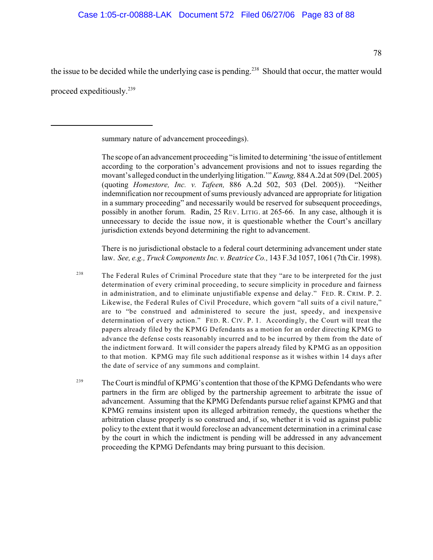78

the issue to be decided while the underlying case is pending.<sup>238</sup> Should that occur, the matter would proceed expeditiously.<sup>239</sup>

summary nature of advancement proceedings).

The scope of an advancement proceeding "is limited to determining 'the issue of entitlement according to the corporation's advancement provisions and not to issues regarding the movant's alleged conduct in the underlying litigation.'" *Kaung,* 884 A.2d at 509 (Del. 2005) (quoting *Homestore, Inc. v. Tafeen,* 886 A.2d 502, 503 (Del. 2005)). "Neither indemnification nor recoupment of sums previously advanced are appropriate for litigation in a summary proceeding" and necessarily would be reserved for subsequent proceedings, possibly in another forum. Radin, 25 REV. LITIG. at 265-66. In any case, although it is unnecessary to decide the issue now, it is questionable whether the Court's ancillary jurisdiction extends beyond determining the right to advancement.

There is no jurisdictional obstacle to a federal court determining advancement under state law. *See, e.g., Truck Components Inc. v. Beatrice Co.,* 143 F.3d 1057, 1061 (7th Cir. 1998).

- <sup>238</sup> The Federal Rules of Criminal Procedure state that they "are to be interpreted for the just determination of every criminal proceeding, to secure simplicity in procedure and fairness in administration, and to eliminate unjustifiable expense and delay." FED. R. CRIM. P. 2. Likewise, the Federal Rules of Civil Procedure, which govern "all suits of a civil nature," are to "be construed and administered to secure the just, speedy, and inexpensive determination of every action." FED. R. CIV. P. 1. Accordingly, the Court will treat the papers already filed by the KPMG Defendants as a motion for an order directing KPMG to advance the defense costs reasonably incurred and to be incurred by them from the date of the indictment forward. It will consider the papers already filed by KPMG as an opposition to that motion. KPMG may file such additional response as it wishes within 14 days after the date of service of any summons and complaint.
- The Court is mindful of KPMG's contention that those of the KPMG Defendants who were 239 partners in the firm are obliged by the partnership agreement to arbitrate the issue of advancement. Assuming that the KPMG Defendants pursue relief against KPMG and that KPMG remains insistent upon its alleged arbitration remedy, the questions whether the arbitration clause properly is so construed and, if so, whether it is void as against public policy to the extent that it would foreclose an advancement determination in a criminal case by the court in which the indictment is pending will be addressed in any advancement proceeding the KPMG Defendants may bring pursuant to this decision.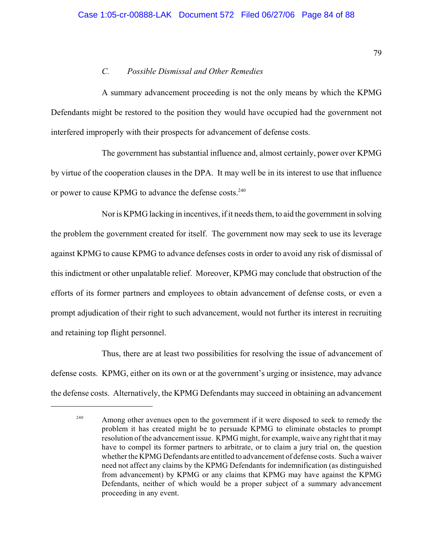## *C. Possible Dismissal and Other Remedies*

A summary advancement proceeding is not the only means by which the KPMG Defendants might be restored to the position they would have occupied had the government not interfered improperly with their prospects for advancement of defense costs.

The government has substantial influence and, almost certainly, power over KPMG by virtue of the cooperation clauses in the DPA. It may well be in its interest to use that influence or power to cause KPMG to advance the defense costs.<sup>240</sup>

Nor is KPMG lacking in incentives, if it needs them, to aid the government in solving the problem the government created for itself. The government now may seek to use its leverage against KPMG to cause KPMG to advance defenses costs in order to avoid any risk of dismissal of this indictment or other unpalatable relief. Moreover, KPMG may conclude that obstruction of the efforts of its former partners and employees to obtain advancement of defense costs, or even a prompt adjudication of their right to such advancement, would not further its interest in recruiting and retaining top flight personnel.

Thus, there are at least two possibilities for resolving the issue of advancement of defense costs. KPMG, either on its own or at the government's urging or insistence, may advance the defense costs. Alternatively, the KPMG Defendants may succeed in obtaining an advancement

<sup>&</sup>lt;sup>240</sup> Among other avenues open to the government if it were disposed to seek to remedy the problem it has created might be to persuade KPMG to eliminate obstacles to prompt resolution of the advancement issue. KPMG might, for example, waive any right that it may have to compel its former partners to arbitrate, or to claim a jury trial on, the question whether the KPMG Defendants are entitled to advancement of defense costs. Such a waiver need not affect any claims by the KPMG Defendants for indemnification (as distinguished from advancement) by KPMG or any claims that KPMG may have against the KPMG Defendants, neither of which would be a proper subject of a summary advancement proceeding in any event.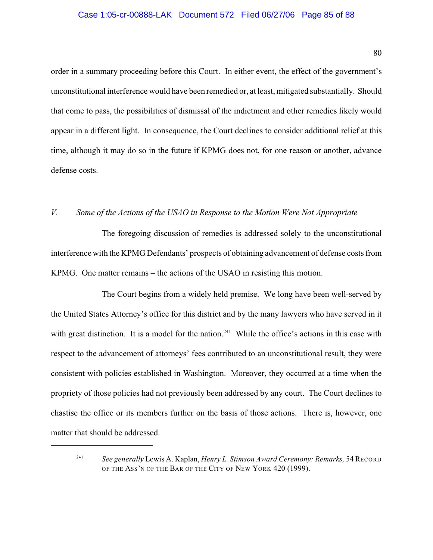#### Case 1:05-cr-00888-LAK Document 572 Filed 06/27/06 Page 85 of 88

order in a summary proceeding before this Court. In either event, the effect of the government's unconstitutional interference would have been remedied or, at least, mitigated substantially. Should that come to pass, the possibilities of dismissal of the indictment and other remedies likely would appear in a different light. In consequence, the Court declines to consider additional relief at this time, although it may do so in the future if KPMG does not, for one reason or another, advance defense costs.

## *V. Some of the Actions of the USAO in Response to the Motion Were Not Appropriate*

The foregoing discussion of remedies is addressed solely to the unconstitutional interference with the KPMG Defendants' prospects of obtaining advancement of defense costs from KPMG. One matter remains – the actions of the USAO in resisting this motion.

The Court begins from a widely held premise. We long have been well-served by the United States Attorney's office for this district and by the many lawyers who have served in it with great distinction. It is a model for the nation.<sup>241</sup> While the office's actions in this case with respect to the advancement of attorneys' fees contributed to an unconstitutional result, they were consistent with policies established in Washington. Moreover, they occurred at a time when the propriety of those policies had not previously been addressed by any court. The Court declines to chastise the office or its members further on the basis of those actions. There is, however, one matter that should be addressed.

<sup>&</sup>lt;sup>241</sup> See generally Lewis A. Kaplan, *Henry L. Stimson Award Ceremony: Remarks*, 54 RECORD OF THE ASS'N OF THE BAR OF THE CITY OF NEW YORK 420 (1999).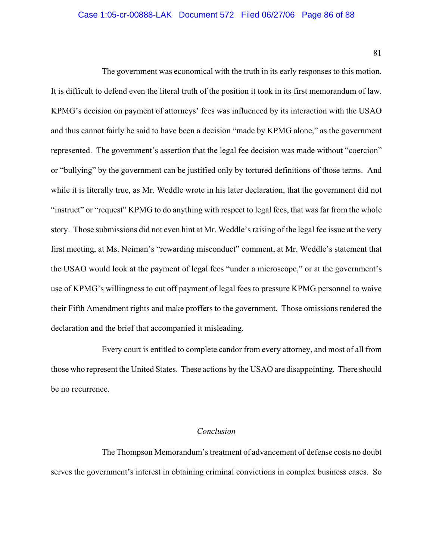#### Case 1:05-cr-00888-LAK Document 572 Filed 06/27/06 Page 86 of 88

81

The government was economical with the truth in its early responses to this motion. It is difficult to defend even the literal truth of the position it took in its first memorandum of law. KPMG's decision on payment of attorneys' fees was influenced by its interaction with the USAO and thus cannot fairly be said to have been a decision "made by KPMG alone," as the government represented. The government's assertion that the legal fee decision was made without "coercion" or "bullying" by the government can be justified only by tortured definitions of those terms. And while it is literally true, as Mr. Weddle wrote in his later declaration, that the government did not "instruct" or "request" KPMG to do anything with respect to legal fees, that was far from the whole story. Those submissions did not even hint at Mr. Weddle's raising of the legal fee issue at the very first meeting, at Ms. Neiman's "rewarding misconduct" comment, at Mr. Weddle's statement that the USAO would look at the payment of legal fees "under a microscope," or at the government's use of KPMG's willingness to cut off payment of legal fees to pressure KPMG personnel to waive their Fifth Amendment rights and make proffers to the government. Those omissions rendered the declaration and the brief that accompanied it misleading.

Every court is entitled to complete candor from every attorney, and most of all from those who represent the United States. These actions by the USAO are disappointing. There should be no recurrence.

#### *Conclusion*

The Thompson Memorandum's treatment of advancement of defense costs no doubt serves the government's interest in obtaining criminal convictions in complex business cases. So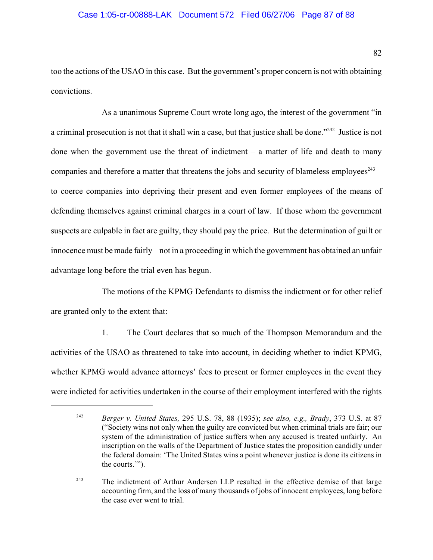#### Case 1:05-cr-00888-LAK Document 572 Filed 06/27/06 Page 87 of 88

too the actions of the USAO in this case. But the government's proper concern is not with obtaining convictions.

As a unanimous Supreme Court wrote long ago, the interest of the government "in a criminal prosecution is not that it shall win a case, but that justice shall be done."<sup>242</sup> Justice is not done when the government use the threat of indictment  $-$  a matter of life and death to many companies and therefore a matter that threatens the jobs and security of blameless employees $^{243}$  – to coerce companies into depriving their present and even former employees of the means of defending themselves against criminal charges in a court of law. If those whom the government suspects are culpable in fact are guilty, they should pay the price. But the determination of guilt or innocence must be made fairly – not in a proceeding in which the government has obtained an unfair advantage long before the trial even has begun.

The motions of the KPMG Defendants to dismiss the indictment or for other relief are granted only to the extent that:

1. The Court declares that so much of the Thompson Memorandum and the activities of the USAO as threatened to take into account, in deciding whether to indict KPMG, whether KPMG would advance attorneys' fees to present or former employees in the event they were indicted for activities undertaken in the course of their employment interfered with the rights

<sup>&</sup>lt;sup>242</sup> Berger v. United States, 295 U.S. 78, 88 (1935); see also, e.g., Brady, 373 U.S. at 87 ("Society wins not only when the guilty are convicted but when criminal trials are fair; our system of the administration of justice suffers when any accused is treated unfairly. An inscription on the walls of the Department of Justice states the proposition candidly under the federal domain: 'The United States wins a point whenever justice is done its citizens in the courts.'").

<sup>&</sup>lt;sup>243</sup> The indictment of Arthur Andersen LLP resulted in the effective demise of that large accounting firm, and the loss of many thousands of jobs of innocent employees, long before the case ever went to trial.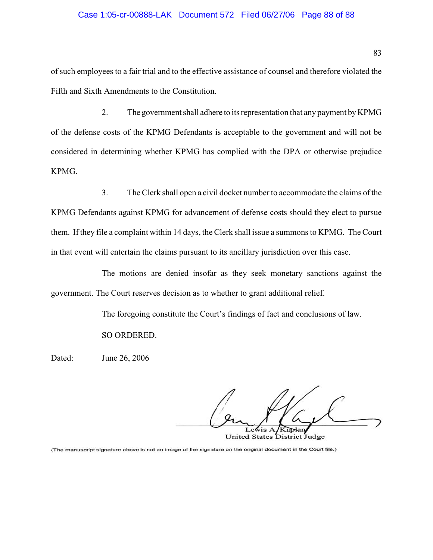#### Case 1:05-cr-00888-LAK Document 572 Filed 06/27/06 Page 88 of 88

of such employees to a fair trial and to the effective assistance of counsel and therefore violated the Fifth and Sixth Amendments to the Constitution.

2. The government shall adhere to its representation that any payment by KPMG of the defense costs of the KPMG Defendants is acceptable to the government and will not be considered in determining whether KPMG has complied with the DPA or otherwise prejudice KPMG.

3. The Clerk shall open a civil docket number to accommodate the claims of the KPMG Defendants against KPMG for advancement of defense costs should they elect to pursue them. If they file a complaint within 14 days, the Clerk shall issue a summons to KPMG. The Court in that event will entertain the claims pursuant to its ancillary jurisdiction over this case.

The motions are denied insofar as they seek monetary sanctions against the government. The Court reserves decision as to whether to grant additional relief.

The foregoing constitute the Court's findings of fact and conclusions of law.

SO ORDERED.

Dated: June 26, 2006

Kaplan  $\sqrt{M}$ United States District Judge

(The manuscript signature above is not an image of the signature on the original document in the Court file.)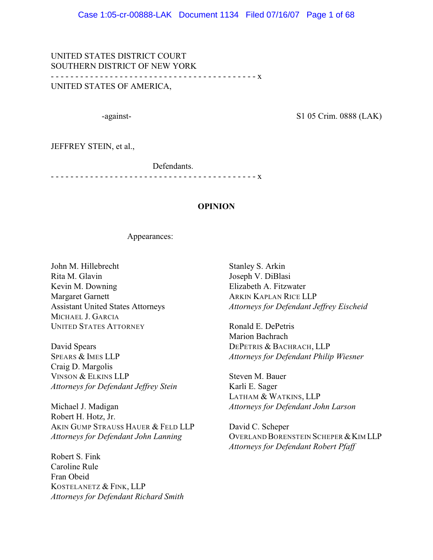UNITED STATES DISTRICT COURT SOUTHERN DISTRICT OF NEW YORK - - - - - - - - - - - - - - - - - - - - - - - - - - - - - - - - - - - - - - - - - - x UNITED STATES OF AMERICA,

-against- S1 05 Crim. 0888 (LAK)

JEFFREY STEIN, et al.,

Defendants.

- - - - - - - - - - - - - - - - - - - - - - - - - - - - - - - - - - - - - - - - - - x

### **OPINION**

Appearances:

John M. Hillebrecht Rita M. Glavin Kevin M. Downing Margaret Garnett Assistant United States Attorneys MICHAEL J. GARCIA UNITED STATES ATTORNEY

David Spears SPEARS & IMES LLP Craig D. Margolis VINSON & ELKINS LLP *Attorneys for Defendant Jeffrey Stein*

Michael J. Madigan Robert H. Hotz, Jr. AKIN GUMP STRAUSS HAUER & FELD LLP *Attorneys for Defendant John Lanning*

Robert S. Fink Caroline Rule Fran Obeid KOSTELANETZ & FINK, LLP *Attorneys for Defendant Richard Smith*

Stanley S. Arkin Joseph V. DiBlasi Elizabeth A. Fitzwater ARKIN KAPLAN RICE LLP *Attorneys for Defendant Jeffrey Eischeid*

Ronald E. DePetris Marion Bachrach DEPETRIS & BACHRACH, LLP *Attorneys for Defendant Philip Wiesner*

Steven M. Bauer Karli E. Sager LATHAM & WATKINS, LLP *Attorneys for Defendant John Larson*

David C. Scheper OVERLAND BORENSTEIN SCHEPER & KIM LLP *Attorneys for Defendant Robert Pfaff*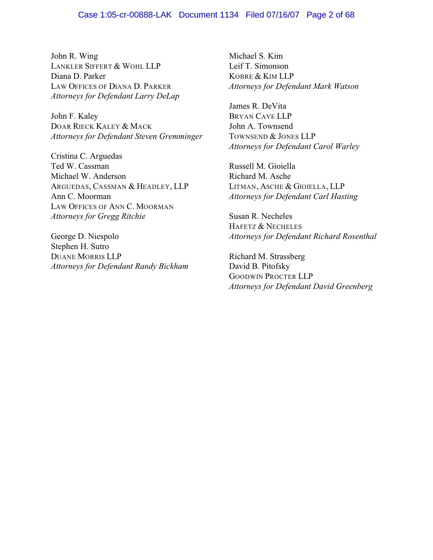#### Case 1:05-cr-00888-LAK Document 1134 Filed 07/16/07 Page 2 of 68

John R. Wing LANKLER SIFFERT & WOHL LLP Diana D. Parker LAW OFFICES OF DIANA D. PARKER *Attorneys for Defendant Larry DeLap*

John F. Kaley DOAR RIECK KALEY & MACK *Attorneys for Defendant Steven Gremminger*

Cristina C. Arguedas Ted W. Cassman Michael W. Anderson ARGUEDAS, CASSMAN & HEADLEY, LLP Ann C. Moorman LAW OFFICES OF ANN C. MOORMAN *Attorneys for Gregg Ritchie*

George D. Niespolo Stephen H. Sutro DUANE MORRIS LLP *Attorneys for Defendant Randy Bickham*

Michael S. Kim Leif T. Simonson KOBRE & KIM LLP *Attorneys for Defendant Mark Watson*

James R. DeVita BRYAN CAVE LLP John A. Townsend TOWNSEND & JONES LLP *Attorneys for Defendant Carol Warley*

Russell M. Gioiella Richard M. Asche LITMAN, ASCHE & GIOIELLA, LLP *Attorneys for Defendant Carl Hasting*

Susan R. Necheles HAFETZ & NECHELES *Attorneys for Defendant Richard Rosenthal*

Richard M. Strassberg David B. Pitofsky GOODWIN PROCTER LLP *Attorneys for Defendant David Greenberg*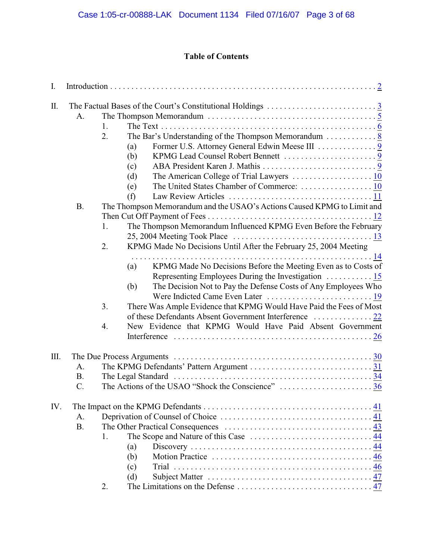# **Table of Contents**

| I.   |                 |                                                                                                                                                                                                                                                                                                                                                                                                                                                                                                                                                                                                                                                                                                                      |  |  |  |  |
|------|-----------------|----------------------------------------------------------------------------------------------------------------------------------------------------------------------------------------------------------------------------------------------------------------------------------------------------------------------------------------------------------------------------------------------------------------------------------------------------------------------------------------------------------------------------------------------------------------------------------------------------------------------------------------------------------------------------------------------------------------------|--|--|--|--|
| Π.   | A.<br><b>B.</b> | The Thompson Memorandum $\dots \dots \dots \dots \dots \dots \dots \dots \dots \dots \dots \dots \dots$<br>1.<br>2.<br>The Bar's Understanding of the Thompson Memorandum $\dots \dots \dots \dots$<br>Former U.S. Attorney General Edwin Meese III 9<br>(a)<br>(b)<br>(c)<br>(d)<br>(e)<br>(f)<br>The Thompson Memorandum and the USAO's Actions Caused KPMG to Limit and<br>The Thompson Memorandum Influenced KPMG Even Before the February<br>1.<br>25, 2004 Meeting Took Place $\ldots \ldots \ldots \ldots \ldots \ldots \ldots \ldots \ldots \ldots \ldots$<br>2.<br>KPMG Made No Decisions Until After the February 25, 2004 Meeting<br>KPMG Made No Decisions Before the Meeting Even as to Costs of<br>(a) |  |  |  |  |
|      |                 | The Decision Not to Pay the Defense Costs of Any Employees Who<br>(b)                                                                                                                                                                                                                                                                                                                                                                                                                                                                                                                                                                                                                                                |  |  |  |  |
|      |                 | There Was Ample Evidence that KPMG Would Have Paid the Fees of Most<br>3.                                                                                                                                                                                                                                                                                                                                                                                                                                                                                                                                                                                                                                            |  |  |  |  |
|      |                 | New Evidence that KPMG Would Have Paid Absent Government<br>4.                                                                                                                                                                                                                                                                                                                                                                                                                                                                                                                                                                                                                                                       |  |  |  |  |
| III. |                 |                                                                                                                                                                                                                                                                                                                                                                                                                                                                                                                                                                                                                                                                                                                      |  |  |  |  |
|      | A.              |                                                                                                                                                                                                                                                                                                                                                                                                                                                                                                                                                                                                                                                                                                                      |  |  |  |  |
|      | <b>B.</b>       |                                                                                                                                                                                                                                                                                                                                                                                                                                                                                                                                                                                                                                                                                                                      |  |  |  |  |
|      | $\mathcal{C}$ . | The Actions of the USAO "Shock the Conscience" 36                                                                                                                                                                                                                                                                                                                                                                                                                                                                                                                                                                                                                                                                    |  |  |  |  |
| IV.  |                 |                                                                                                                                                                                                                                                                                                                                                                                                                                                                                                                                                                                                                                                                                                                      |  |  |  |  |
|      | A.              |                                                                                                                                                                                                                                                                                                                                                                                                                                                                                                                                                                                                                                                                                                                      |  |  |  |  |
|      | <b>B.</b>       |                                                                                                                                                                                                                                                                                                                                                                                                                                                                                                                                                                                                                                                                                                                      |  |  |  |  |
|      |                 | 1.                                                                                                                                                                                                                                                                                                                                                                                                                                                                                                                                                                                                                                                                                                                   |  |  |  |  |
|      |                 | (a)                                                                                                                                                                                                                                                                                                                                                                                                                                                                                                                                                                                                                                                                                                                  |  |  |  |  |
|      |                 | (b)                                                                                                                                                                                                                                                                                                                                                                                                                                                                                                                                                                                                                                                                                                                  |  |  |  |  |
|      |                 | (c)                                                                                                                                                                                                                                                                                                                                                                                                                                                                                                                                                                                                                                                                                                                  |  |  |  |  |
|      |                 | (d)                                                                                                                                                                                                                                                                                                                                                                                                                                                                                                                                                                                                                                                                                                                  |  |  |  |  |
|      |                 | 2.                                                                                                                                                                                                                                                                                                                                                                                                                                                                                                                                                                                                                                                                                                                   |  |  |  |  |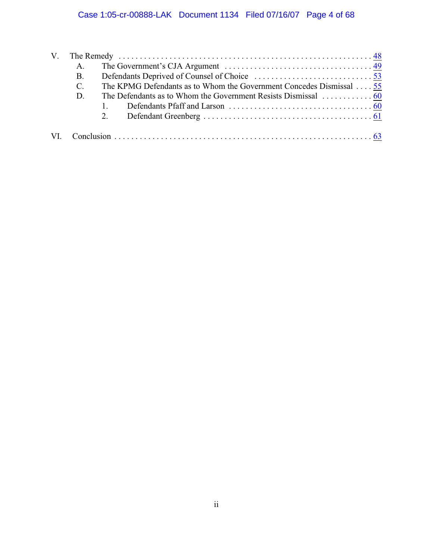|  | A.        |                                                                     |  |
|--|-----------|---------------------------------------------------------------------|--|
|  | <b>B.</b> |                                                                     |  |
|  | C.        | The KPMG Defendants as to Whom the Government Concedes Dismissal 55 |  |
|  | D.        |                                                                     |  |
|  |           |                                                                     |  |
|  |           |                                                                     |  |
|  |           |                                                                     |  |
|  |           |                                                                     |  |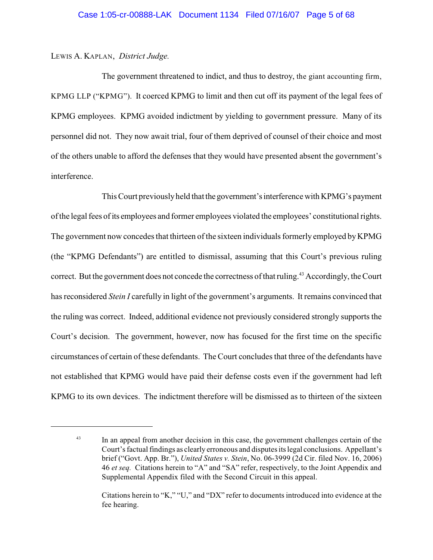### LEWIS A. KAPLAN, *District Judge.*

The government threatened to indict, and thus to destroy, the giant accounting firm, KPMG LLP ("KPMG"). It coerced KPMG to limit and then cut off its payment of the legal fees of KPMG employees. KPMG avoided indictment by yielding to government pressure. Many of its personnel did not. They now await trial, four of them deprived of counsel of their choice and most of the others unable to afford the defenses that they would have presented absent the government's interference.

This Court previously held that the government's interference with KPMG's payment of the legal fees of its employees and former employees violated the employees' constitutional rights. The government now concedes that thirteen of the sixteen individuals formerly employed by KPMG (the "KPMG Defendants") are entitled to dismissal, assuming that this Court's previous ruling correct. But the government does not concede the correctness of that ruling.<sup>43</sup> Accordingly, the Court has reconsidered *Stein I* carefully in light of the government's arguments. It remains convinced that the ruling was correct. Indeed, additional evidence not previously considered strongly supports the Court's decision. The government, however, now has focused for the first time on the specific circumstances of certain of these defendants. The Court concludes that three of the defendants have not established that KPMG would have paid their defense costs even if the government had left KPMG to its own devices. The indictment therefore will be dismissed as to thirteen of the sixteen

<sup>&</sup>lt;sup>43</sup> In an appeal from another decision in this case, the government challenges certain of the Court's factual findings as clearly erroneous and disputes its legal conclusions. Appellant's brief ("Govt. App. Br."), *United States v. Stein*, No. 06-3999 (2d Cir. filed Nov. 16, 2006) 46 *et seq.* Citations herein to "A" and "SA" refer, respectively, to the Joint Appendix and Supplemental Appendix filed with the Second Circuit in this appeal.

Citations herein to "K," "U," and "DX" refer to documents introduced into evidence at the fee hearing.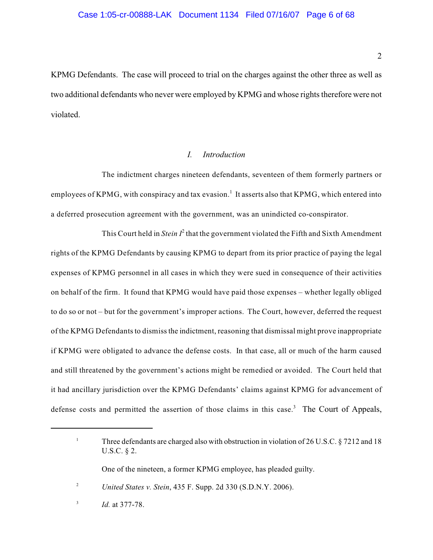KPMG Defendants. The case will proceed to trial on the charges against the other three as well as two additional defendants who never were employed by KPMG and whose rights therefore were not violated.

#### <span id="page-186-0"></span>*I. Introduction*

The indictment charges nineteen defendants, seventeen of them formerly partners or employees of KPMG, with conspiracy and tax evasion.<sup>1</sup> It asserts also that KPMG, which entered into a deferred prosecution agreement with the government, was an unindicted co-conspirator.

This Court held in *Stein*  $I^2$  that the government violated the Fifth and Sixth Amendment rights of the KPMG Defendants by causing KPMG to depart from its prior practice of paying the legal expenses of KPMG personnel in all cases in which they were sued in consequence of their activities on behalf of the firm. It found that KPMG would have paid those expenses – whether legally obliged to do so or not – but for the government's improper actions. The Court, however, deferred the request of the KPMG Defendants to dismiss the indictment, reasoning that dismissal might prove inappropriate if KPMG were obligated to advance the defense costs. In that case, all or much of the harm caused and still threatened by the government's actions might be remedied or avoided. The Court held that it had ancillary jurisdiction over the KPMG Defendants' claims against KPMG for advancement of defense costs and permitted the assertion of those claims in this case.<sup>3</sup> The Court of Appeals,

One of the nineteen, a former KPMG employee, has pleaded guilty.

<sup>&</sup>lt;sup>1</sup> Three defendants are charged also with obstruction in violation of 26 U.S.C.  $\S$  7212 and 18 U.S.C. § 2.

*United States v. Stein*, 435 F. Supp. 2d 330 (S.D.N.Y. 2006). <sup>2</sup>

 $1d.$  at 377-78.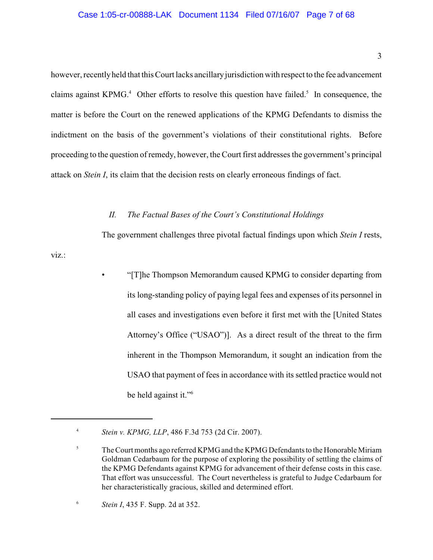#### Case 1:05-cr-00888-LAK Document 1134 Filed 07/16/07 Page 7 of 68

however, recently held that this Court lacks ancillary jurisdiction with respect to the fee advancement claims against KPMG.<sup>4</sup> Other efforts to resolve this question have failed.<sup>5</sup> In consequence, the matter is before the Court on the renewed applications of the KPMG Defendants to dismiss the indictment on the basis of the government's violations of their constitutional rights. Before proceeding to the question of remedy, however, the Court first addresses the government's principal attack on *Stein I*, its claim that the decision rests on clearly erroneous findings of fact.

#### <span id="page-187-0"></span>*II. The Factual Bases of the Court's Constitutional Holdings*

The government challenges three pivotal factual findings upon which *Stein I* rests,

viz.:

• "[T]he Thompson Memorandum caused KPMG to consider departing from its long-standing policy of paying legal fees and expenses of its personnel in all cases and investigations even before it first met with the [United States Attorney's Office ("USAO")]. As a direct result of the threat to the firm inherent in the Thompson Memorandum, it sought an indication from the USAO that payment of fees in accordance with its settled practice would not be held against it."<sup>6</sup>

*Stein v. KPMG, LLP*, 486 F.3d 753 (2d Cir. 2007). <sup>4</sup>

<sup>&</sup>lt;sup>5</sup> The Court months ago referred KPMG and the KPMG Defendants to the Honorable Miriam Goldman Cedarbaum for the purpose of exploring the possibility of settling the claims of the KPMG Defendants against KPMG for advancement of their defense costs in this case. That effort was unsuccessful. The Court nevertheless is grateful to Judge Cedarbaum for her characteristically gracious, skilled and determined effort.

*Stein I*, 435 F. Supp. 2d at 352. <sup>6</sup>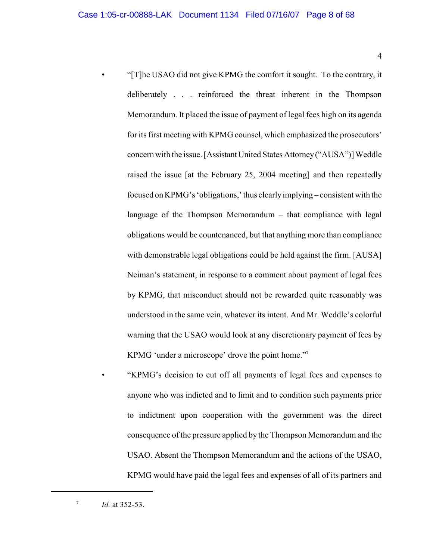• "[T]he USAO did not give KPMG the comfort it sought. To the contrary, it deliberately . . . reinforced the threat inherent in the Thompson Memorandum. It placed the issue of payment of legal fees high on its agenda for its first meeting with KPMG counsel, which emphasized the prosecutors' concern with the issue. [Assistant United States Attorney ("AUSA")] Weddle raised the issue [at the February 25, 2004 meeting] and then repeatedly focused on KPMG's 'obligations,' thus clearly implying – consistent with the language of the Thompson Memorandum – that compliance with legal obligations would be countenanced, but that anything more than compliance with demonstrable legal obligations could be held against the firm. [AUSA] Neiman's statement, in response to a comment about payment of legal fees by KPMG, that misconduct should not be rewarded quite reasonably was understood in the same vein, whatever its intent. And Mr. Weddle's colorful warning that the USAO would look at any discretionary payment of fees by KPMG 'under a microscope' drove the point home."<sup>7</sup>

• "KPMG's decision to cut off all payments of legal fees and expenses to anyone who was indicted and to limit and to condition such payments prior to indictment upon cooperation with the government was the direct consequence of the pressure applied by the Thompson Memorandum and the USAO. Absent the Thompson Memorandum and the actions of the USAO, KPMG would have paid the legal fees and expenses of all of its partners and

 $Id.$  at 352-53.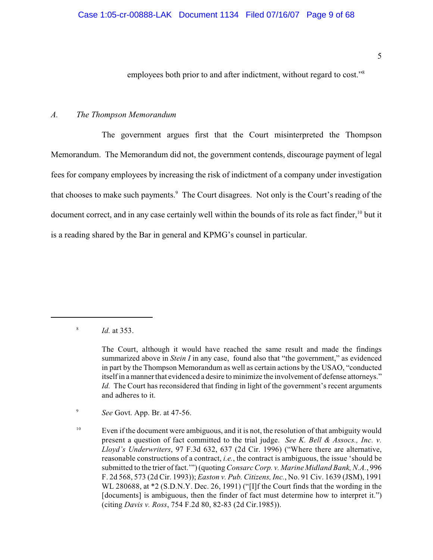# employees both prior to and after indictment, without regard to cost."<sup>8</sup>

#### <span id="page-189-0"></span>*A. The Thompson Memorandum*

The government argues first that the Court misinterpreted the Thompson Memorandum. The Memorandum did not, the government contends, discourage payment of legal fees for company employees by increasing the risk of indictment of a company under investigation that chooses to make such payments.<sup>9</sup> The Court disagrees. Not only is the Court's reading of the document correct, and in any case certainly well within the bounds of its role as fact finder, <sup>10</sup> but it is a reading shared by the Bar in general and KPMG's counsel in particular.

<sup>8</sup> *Id.* at 353.

<sup>9</sup> *See* Govt. App. Br. at 47-56.

 $E$  Even if the document were ambiguous, and it is not, the resolution of that ambiguity would present a question of fact committed to the trial judge. *See K. Bell & Assocs., Inc. v. Lloyd's Underwriters*, 97 F.3d 632, 637 (2d Cir. 1996) ("Where there are alternative, reasonable constructions of a contract, *i.e.*, the contract is ambiguous, the issue 'should be submitted to the trier of fact.'") (quoting *Consarc Corp. v. Marine Midland Bank, N.A.*, 996 F. 2d 568, 573 (2d Cir. 1993)); *Easton v. Pub. Citizens, Inc.*, No. 91 Civ. 1639 (JSM), 1991 WL 280688, at \*2 (S.D.N.Y. Dec. 26, 1991) ("[I]f the Court finds that the wording in the [documents] is ambiguous, then the finder of fact must determine how to interpret it.") (citing *Davis v. Ross*, 754 F.2d 80, 82-83 (2d Cir.1985)).

The Court, although it would have reached the same result and made the findings summarized above in *Stein I* in any case, found also that "the government," as evidenced in part by the Thompson Memorandum as well as certain actions by the USAO, "conducted itself in a manner that evidenced a desire to minimize the involvement of defense attorneys." *Id.* The Court has reconsidered that finding in light of the government's recent arguments and adheres to it.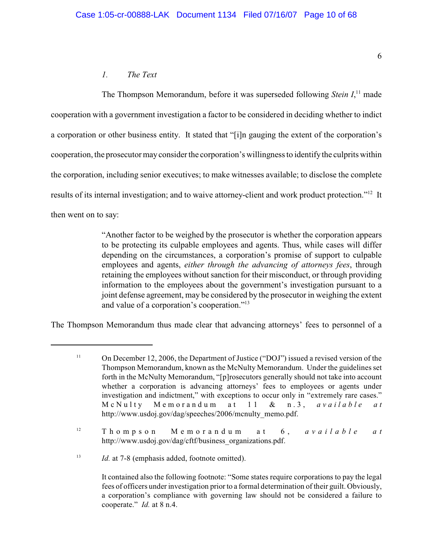# <span id="page-190-0"></span>*1. The Text*

The Thompson Memorandum, before it was superseded following *Stein I*<sup>11</sup> made cooperation with a government investigation a factor to be considered in deciding whether to indict a corporation or other business entity. It stated that "[i]n gauging the extent of the corporation's cooperation, the prosecutor may consider the corporation's willingness to identify the culprits within the corporation, including senior executives; to make witnesses available; to disclose the complete results of its internal investigation; and to waive attorney-client and work product protection."<sup>12</sup> It then went on to say:

> "Another factor to be weighed by the prosecutor is whether the corporation appears to be protecting its culpable employees and agents. Thus, while cases will differ depending on the circumstances, a corporation's promise of support to culpable employees and agents, *either through the advancing of attorneys fees*, through retaining the employees without sanction for their misconduct, or through providing information to the employees about the government's investigation pursuant to a joint defense agreement, may be considered by the prosecutor in weighing the extent and value of a corporation's cooperation."<sup>13</sup>

The Thompson Memorandum thus made clear that advancing attorneys' fees to personnel of a

<span id="page-190-1"></span><sup>&</sup>lt;sup>11</sup> On December 12, 2006, the Department of Justice ("DOJ") issued a revised version of the Thompson Memorandum, known as the McNulty Memorandum. Under the guidelines set forth in the McNulty Memorandum, "[p]rosecutors generally should not take into account whether a corporation is advancing attorneys' fees to employees or agents under investigation and indictment," with exceptions to occur only in "extremely rare cases." M cNu lty Mem orand u m a t 1 1 & n.3, *a v a i l abl e at* http://www.usdoj.gov/dag/speeches/2006/mcnulty\_memo.pdf.

<sup>&</sup>lt;sup>12</sup> Thompson Memorandum at 6, *available at* http://www.usdoj.gov/dag/cftf/business\_organizations.pdf.

<sup>&</sup>lt;sup>13</sup> *Id.* at 7-8 (emphasis added, footnote omitted).

It contained also the following footnote: "Some states require corporations to pay the legal fees of officers under investigation prior to a formal determination of their guilt. Obviously, a corporation's compliance with governing law should not be considered a failure to cooperate." *Id.* at 8 n.4.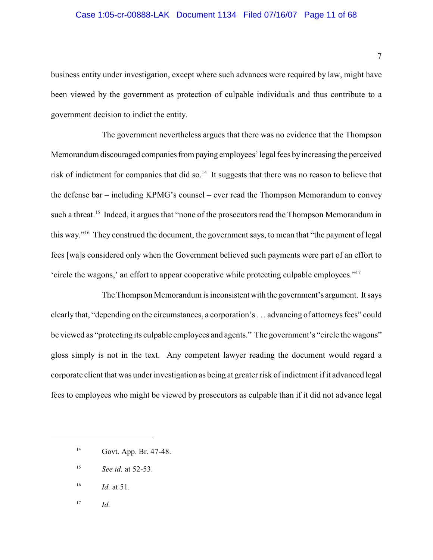#### Case 1:05-cr-00888-LAK Document 1134 Filed 07/16/07 Page 11 of 68

business entity under investigation, except where such advances were required by law, might have been viewed by the government as protection of culpable individuals and thus contribute to a government decision to indict the entity.

The government nevertheless argues that there was no evidence that the Thompson Memorandum discouraged companies from paying employees' legal fees by increasing the perceived risk of indictment for companies that did so.<sup>14</sup> It suggests that there was no reason to believe that the defense bar – including KPMG's counsel – ever read the Thompson Memorandum to convey such a threat.<sup>15</sup> Indeed, it argues that "none of the prosecutors read the Thompson Memorandum in this way."<sup> $16$ </sup> They construed the document, the government says, to mean that "the payment of legal fees [wa]s considered only when the Government believed such payments were part of an effort to 'circle the wagons,' an effort to appear cooperative while protecting culpable employees."<sup>17</sup>

The Thompson Memorandum is inconsistent with the government's argument. It says clearly that, "depending on the circumstances, a corporation's . . . advancing of attorneys fees" could be viewed as "protecting its culpable employees and agents." The government's "circle the wagons" gloss simply is not in the text. Any competent lawyer reading the document would regard a corporate client that was under investigation as being at greater risk of indictment if it advanced legal fees to employees who might be viewed by prosecutors as culpable than if it did not advance legal

- <sup>15</sup> *See id.* at 52-53.
- *Id.* at 51. 16
- $I^7$  *Id.*

 $14$  Govt. App. Br. 47-48.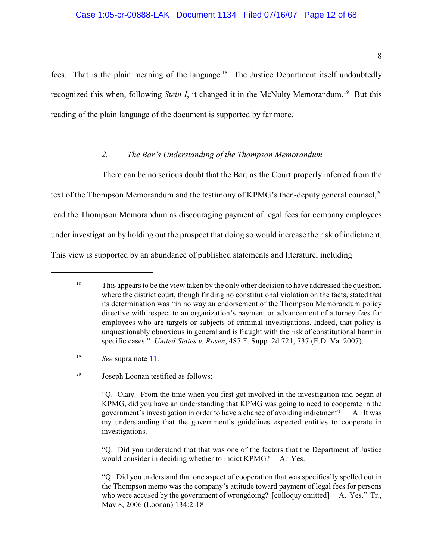fees. That is the plain meaning of the language.<sup>18</sup> The Justice Department itself undoubtedly recognized this when, following *Stein I*, it changed it in the McNulty Memorandum.<sup>19</sup> But this reading of the plain language of the document is supported by far more.

## <span id="page-192-0"></span>*2. The Bar's Understanding of the Thompson Memorandum*

There can be no serious doubt that the Bar, as the Court properly inferred from the text of the Thompson Memorandum and the testimony of KPMG's then-deputy general counsel,<sup>20</sup> read the Thompson Memorandum as discouraging payment of legal fees for company employees under investigation by holding out the prospect that doing so would increase the risk of indictment. This view is supported by an abundance of published statements and literature, including

 $18$  This appears to be the view taken by the only other decision to have addressed the question, where the district court, though finding no constitutional violation on the facts, stated that its determination was "in no way an endorsement of the Thompson Memorandum policy directive with respect to an organization's payment or advancement of attorney fees for employees who are targets or subjects of criminal investigations. Indeed, that policy is unquestionably obnoxious in general and is fraught with the risk of constitutional harm in specific cases." *United States v. Rosen*, 487 F. Supp. 2d 721, 737 (E.D. Va. 2007).

 $I<sup>9</sup>$  *See* supra note [11](#page-190-1).

<sup>&</sup>lt;sup>20</sup> Joseph Loonan testified as follows:

<sup>&</sup>quot;Q. Okay. From the time when you first got involved in the investigation and began at KPMG, did you have an understanding that KPMG was going to need to cooperate in the government's investigation in order to have a chance of avoiding indictment? A. It was my understanding that the government's guidelines expected entities to cooperate in investigations.

<sup>&</sup>quot;Q. Did you understand that that was one of the factors that the Department of Justice would consider in deciding whether to indict KPMG? A. Yes.

<sup>&</sup>quot;Q. Did you understand that one aspect of cooperation that was specifically spelled out in the Thompson memo was the company's attitude toward payment of legal fees for persons who were accused by the government of wrongdoing? [colloquy omitted] A. Yes." Tr., May 8, 2006 (Loonan) 134:2-18.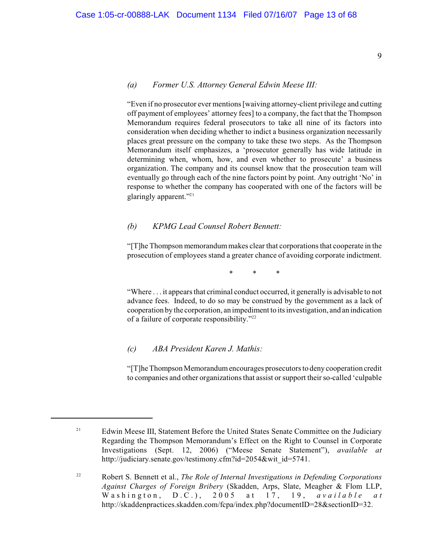#### <span id="page-193-0"></span>*(a) Former U.S. Attorney General Edwin Meese III:*

"Even if no prosecutor ever mentions [waiving attorney-client privilege and cutting off payment of employees' attorney fees] to a company, the fact that the Thompson Memorandum requires federal prosecutors to take all nine of its factors into consideration when deciding whether to indict a business organization necessarily places great pressure on the company to take these two steps. As the Thompson Memorandum itself emphasizes, a 'prosecutor generally has wide latitude in determining when, whom, how, and even whether to prosecute' a business organization. The company and its counsel know that the prosecution team will eventually go through each of the nine factors point by point. Any outright 'No' in response to whether the company has cooperated with one of the factors will be glaringly apparent."<sup>21</sup>

### <span id="page-193-1"></span>*(b) KPMG Lead Counsel Robert Bennett:*

"[T]he Thompson memorandum makes clear that corporations that cooperate in the prosecution of employees stand a greater chance of avoiding corporate indictment.

\* \* \*

"Where . . . it appears that criminal conduct occurred, it generally is advisable to not advance fees. Indeed, to do so may be construed by the government as a lack of cooperation by the corporation, an impediment to its investigation, and an indication of a failure of corporate responsibility."<sup>22</sup>

#### <span id="page-193-2"></span>*(c) ABA President Karen J. Mathis:*

"[T]he Thompson Memorandum encourages prosecutors to deny cooperation credit to companies and other organizations that assist or support their so-called 'culpable

Edwin Meese III, Statement Before the United States Senate Committee on the Judiciary 21 Regarding the Thompson Memorandum's Effect on the Right to Counsel in Corporate Investigations (Sept. 12, 2006) ("Meese Senate Statement"), *available at* http://judiciary.senate.gov/testimony.cfm?id=2054&wit\_id=5741.

Robert S. Bennett et al., *The Role of Internal Investigations in Defending Corporations* <sup>22</sup> *Against Charges of Foreign Bribery* (Skadden, Arps, Slate, Meagher & Flom LLP, Washington, D.C.), 2005 at 17, 19, *available at* http://skaddenpractices.skadden.com/fcpa/index.php?documentID=28&sectionID=32.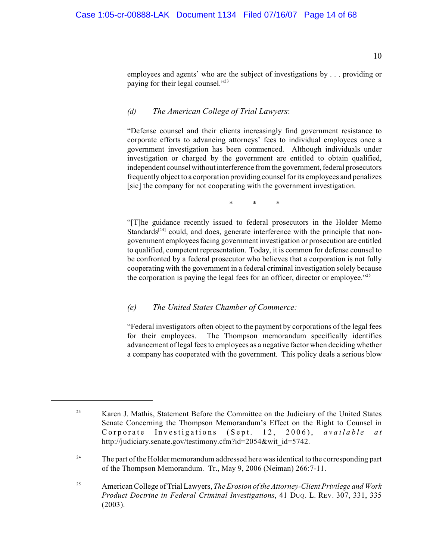10

employees and agents' who are the subject of investigations by . . . providing or paying for their legal counsel."<sup>23</sup>

# <span id="page-194-0"></span>*(d) The American College of Trial Lawyers*:

"Defense counsel and their clients increasingly find government resistance to corporate efforts to advancing attorneys' fees to individual employees once a government investigation has been commenced. Although individuals under investigation or charged by the government are entitled to obtain qualified, independent counsel without interference from the government, federal prosecutors frequently object to a corporation providing counsel for its employees and penalizes [sic] the company for not cooperating with the government investigation.

\* \* \*

"[T]he guidance recently issued to federal prosecutors in the Holder Memo Standards $[24]$  could, and does, generate interference with the principle that nongovernment employees facing government investigation or prosecution are entitled to qualified, competent representation. Today, it is common for defense counsel to be confronted by a federal prosecutor who believes that a corporation is not fully cooperating with the government in a federal criminal investigation solely because the corporation is paying the legal fees for an officer, director or employee."<sup>25</sup>

### <span id="page-194-1"></span>*(e) The United States Chamber of Commerce:*

"Federal investigators often object to the payment by corporations of the legal fees for their employees. The Thompson memorandum specifically identifies advancement of legal fees to employees as a negative factor when deciding whether a company has cooperated with the government. This policy deals a serious blow

The part of the Holder memorandum addressed here was identical to the corresponding part 24 of the Thompson Memorandum. Tr., May 9, 2006 (Neiman) 266:7-11.

<sup>&</sup>lt;sup>23</sup> Karen J. Mathis, Statement Before the Committee on the Judiciary of the United States Senate Concerning the Thompson Memorandum's Effect on the Right to Counsel in Corporate Investigations (Sept. 12, 2006), *available at* http://judiciary.senate.gov/testimony.cfm?id=2054&wit\_id=5742.

American College of Trial Lawyers, *The Erosion of the Attorney-Client Privilege and Work* <sup>25</sup> *Product Doctrine in Federal Criminal Investigations*, 41 DUQ. L. REV. 307, 331, 335 (2003).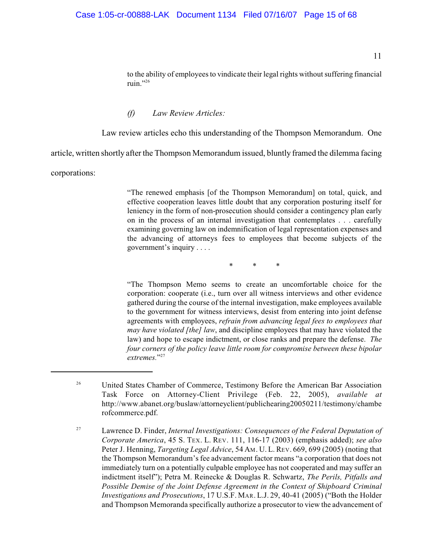11

to the ability of employees to vindicate their legal rights without suffering financial ruin."26

#### <span id="page-195-0"></span>*(f) Law Review Articles:*

Law review articles echo this understanding of the Thompson Memorandum. One

article, written shortly after the Thompson Memorandum issued, bluntly framed the dilemma facing

corporations:

"The renewed emphasis [of the Thompson Memorandum] on total, quick, and effective cooperation leaves little doubt that any corporation posturing itself for leniency in the form of non-prosecution should consider a contingency plan early on in the process of an internal investigation that contemplates . . . carefully examining governing law on indemnification of legal representation expenses and the advancing of attorneys fees to employees that become subjects of the government's inquiry . . . .

\* \* \*

"The Thompson Memo seems to create an uncomfortable choice for the corporation: cooperate (i.e., turn over all witness interviews and other evidence gathered during the course of the internal investigation, make employees available to the government for witness interviews, desist from entering into joint defense agreements with employees, *refrain from advancing legal fees to employees that may have violated [the] law*, and discipline employees that may have violated the law) and hope to escape indictment, or close ranks and prepare the defense. *The four corners of the policy leave little room for compromise between these bipolar* extremes."<sup>27</sup>

<sup>&</sup>lt;sup>26</sup> United States Chamber of Commerce, Testimony Before the American Bar Association Task Force on Attorney-Client Privilege (Feb. 22, 2005), *available at* http://www.abanet.org/buslaw/attorneyclient/publichearing20050211/testimony/chambe rofcommerce.pdf.

Lawrence D. Finder, *Internal Investigations: Consequences of the Federal Deputation of* <sup>27</sup> *Corporate America*, 45 S. TEX. L. REV. 111, 116-17 (2003) (emphasis added); *see also* Peter J. Henning, *Targeting Legal Advice*, 54 AM. U. L. REV. 669, 699 (2005) (noting that the Thompson Memorandum's fee advancement factor means "a corporation that does not immediately turn on a potentially culpable employee has not cooperated and may suffer an indictment itself"); Petra M. Reinecke & Douglas R. Schwartz, *The Perils, Pitfalls and Possible Demise of the Joint Defense Agreement in the Context of Shipboard Criminal Investigations and Prosecutions*, 17 U.S.F. MAR. L.J. 29, 40-41 (2005) ("Both the Holder and Thompson Memoranda specifically authorize a prosecutor to view the advancement of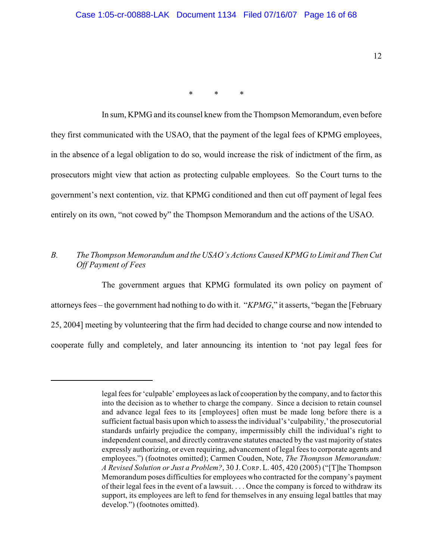\* \* \*

In sum, KPMG and its counsel knew from the Thompson Memorandum, even before they first communicated with the USAO, that the payment of the legal fees of KPMG employees, in the absence of a legal obligation to do so, would increase the risk of indictment of the firm, as prosecutors might view that action as protecting culpable employees. So the Court turns to the government's next contention, viz. that KPMG conditioned and then cut off payment of legal fees entirely on its own, "not cowed by" the Thompson Memorandum and the actions of the USAO.

# <span id="page-196-0"></span>*B. The Thompson Memorandum and the USAO's Actions Caused KPMG to Limit and Then Cut Off Payment of Fees*

The government argues that KPMG formulated its own policy on payment of attorneys fees – the government had nothing to do with it. "*KPMG*," it asserts, "began the [February 25, 2004] meeting by volunteering that the firm had decided to change course and now intended to cooperate fully and completely, and later announcing its intention to 'not pay legal fees for

legal fees for 'culpable' employees aslack of cooperation by the company, and to factor this into the decision as to whether to charge the company. Since a decision to retain counsel and advance legal fees to its [employees] often must be made long before there is a sufficient factual basis upon which to assess the individual's 'culpability,' the prosecutorial standards unfairly prejudice the company, impermissibly chill the individual's right to independent counsel, and directly contravene statutes enacted by the vast majority of states expressly authorizing, or even requiring, advancement of legal fees to corporate agents and employees.") (footnotes omitted); Carmen Couden, Note, *The Thompson Memorandum: A Revised Solution or Just a Problem?*, 30 J.CORP. L. 405, 420 (2005) ("[T]he Thompson Memorandum poses difficulties for employees who contracted for the company's payment of their legal fees in the event of a lawsuit. . . . Once the company is forced to withdraw its support, its employees are left to fend for themselves in any ensuing legal battles that may develop.") (footnotes omitted).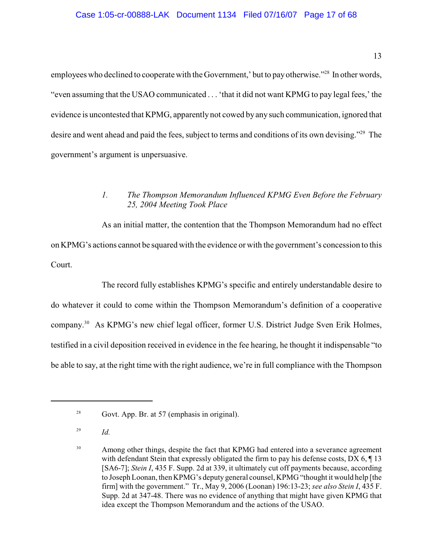employees who declined to cooperate with the Government,' but to pay otherwise."<sup>28</sup> In other words, "even assuming that the USAO communicated . . . 'that it did not want KPMG to pay legal fees,' the evidence is uncontested that KPMG, apparently not cowed by any such communication, ignored that desire and went ahead and paid the fees, subject to terms and conditions of its own devising."<sup>29</sup> The government's argument is unpersuasive.

# <span id="page-197-0"></span>*1. The Thompson Memorandum Influenced KPMG Even Before the February 25, 2004 Meeting Took Place*

As an initial matter, the contention that the Thompson Memorandum had no effect on KPMG's actions cannot be squared with the evidence or with the government's concession to this Court.

The record fully establishes KPMG's specific and entirely understandable desire to do whatever it could to come within the Thompson Memorandum's definition of a cooperative company.<sup>30</sup> As KPMG's new chief legal officer, former U.S. District Judge Sven Erik Holmes, testified in a civil deposition received in evidence in the fee hearing, he thought it indispensable "to be able to say, at the right time with the right audience, we're in full compliance with the Thompson

 $^{28}$  Govt. App. Br. at 57 (emphasis in original).

*Id.* <sup>29</sup>

<sup>&</sup>lt;sup>30</sup> Among other things, despite the fact that KPMG had entered into a severance agreement with defendant Stein that expressly obligated the firm to pay his defense costs,  $DX 6$ ,  $\P 13$ [SA6-7]; *Stein I*, 435 F. Supp. 2d at 339, it ultimately cut off payments because, according to Joseph Loonan, then KPMG's deputy general counsel, KPMG "thought it would help [the firm] with the government." Tr., May 9, 2006 (Loonan) 196:13-23; *see also Stein I*, 435 F. Supp. 2d at 347-48. There was no evidence of anything that might have given KPMG that idea except the Thompson Memorandum and the actions of the USAO.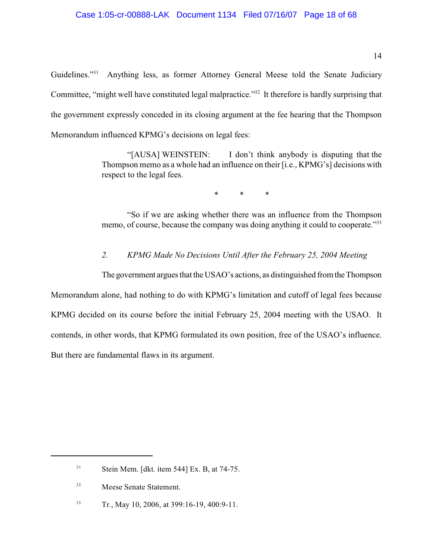Guidelines."<sup>31</sup> Anything less, as former Attorney General Meese told the Senate Judiciary Committee, "might well have constituted legal malpractice."<sup>32</sup> It therefore is hardly surprising that the government expressly conceded in its closing argument at the fee hearing that the Thompson Memorandum influenced KPMG's decisions on legal fees:

> "[AUSA] WEINSTEIN: I don't think anybody is disputing that the Thompson memo as a whole had an influence on their [i.e., KPMG's] decisions with respect to the legal fees.

> > \* \* \*

"So if we are asking whether there was an influence from the Thompson memo, of course, because the company was doing anything it could to cooperate."<sup>33</sup>

<span id="page-198-0"></span>*2. KPMG Made No Decisions Until After the February 25, 2004 Meeting*

The government argues that the USAO's actions, as distinguished from the Thompson Memorandum alone, had nothing to do with KPMG's limitation and cutoff of legal fees because KPMG decided on its course before the initial February 25, 2004 meeting with the USAO. It contends, in other words, that KPMG formulated its own position, free of the USAO's influence. But there are fundamental flaws in its argument.

 $Stein Mem. [dkt. item 544] Ex. B, at 74-75.$ 

Meese Senate Statement. 32

 $Tr., May 10, 2006, at 399:16-19, 400:9-11.$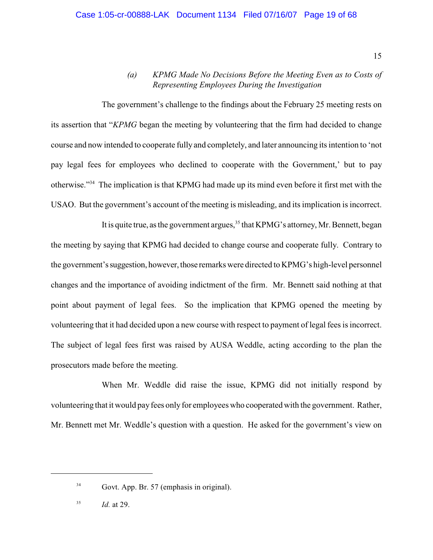15

# <span id="page-199-0"></span>*(a) KPMG Made No Decisions Before the Meeting Even as to Costs of Representing Employees During the Investigation*

The government's challenge to the findings about the February 25 meeting rests on its assertion that "*KPMG* began the meeting by volunteering that the firm had decided to change course and now intended to cooperate fully and completely, and later announcing its intention to 'not pay legal fees for employees who declined to cooperate with the Government,' but to pay otherwise."<sup>34</sup> The implication is that KPMG had made up its mind even before it first met with the USAO. But the government's account of the meeting is misleading, and its implication is incorrect.

It is quite true, as the government argues,  $35$  that KPMG's attorney, Mr. Bennett, began the meeting by saying that KPMG had decided to change course and cooperate fully. Contrary to the government's suggestion, however, those remarks were directed to KPMG's high-level personnel changes and the importance of avoiding indictment of the firm. Mr. Bennett said nothing at that point about payment of legal fees. So the implication that KPMG opened the meeting by volunteering that it had decided upon a new course with respect to payment of legal fees is incorrect. The subject of legal fees first was raised by AUSA Weddle, acting according to the plan the prosecutors made before the meeting.

When Mr. Weddle did raise the issue, KPMG did not initially respond by volunteering that it would pay fees only for employees who cooperated with the government. Rather, Mr. Bennett met Mr. Weddle's question with a question. He asked for the government's view on

 $34$  Govt. App. Br. 57 (emphasis in original).

*Id.* at 29. 35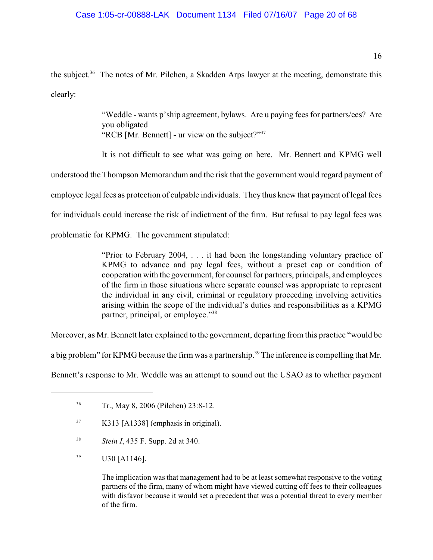# Case 1:05-cr-00888-LAK Document 1134 Filed 07/16/07 Page 20 of 68

the subject.<sup>36</sup> The notes of Mr. Pilchen, a Skadden Arps lawyer at the meeting, demonstrate this clearly:

> "Weddle - wants p'ship agreement, bylaws. Are u paying fees for partners/ees? Are you obligated "RCB [Mr. Bennett] - ur view on the subject?"<sup>37</sup>

It is not difficult to see what was going on here. Mr. Bennett and KPMG well understood the Thompson Memorandum and the risk that the government would regard payment of employee legal fees as protection of culpable individuals. They thus knew that payment of legal fees for individuals could increase the risk of indictment of the firm. But refusal to pay legal fees was problematic for KPMG. The government stipulated:

> "Prior to February 2004, . . . it had been the longstanding voluntary practice of KPMG to advance and pay legal fees, without a preset cap or condition of cooperation with the government, for counsel for partners, principals, and employees of the firm in those situations where separate counsel was appropriate to represent the individual in any civil, criminal or regulatory proceeding involving activities arising within the scope of the individual's duties and responsibilities as a KPMG partner, principal, or employee."<sup>38</sup>

Moreover, as Mr. Bennett later explained to the government, departing from this practice "would be

a big problem" for KPMG because the firm was a partnership.<sup>39</sup> The inference is compelling that Mr.

Bennett's response to Mr. Weddle was an attempt to sound out the USAO as to whether payment

- <sup>38</sup> *Stein I*, 435 F. Supp. 2d at 340.
- $U30$  [A1146].

The implication was that management had to be at least somewhat responsive to the voting partners of the firm, many of whom might have viewed cutting off fees to their colleagues with disfavor because it would set a precedent that was a potential threat to every member of the firm.

<sup>&</sup>lt;sup>36</sup> Tr., May 8, 2006 (Pilchen) 23:8-12.

 $K313$  [A1338] (emphasis in original).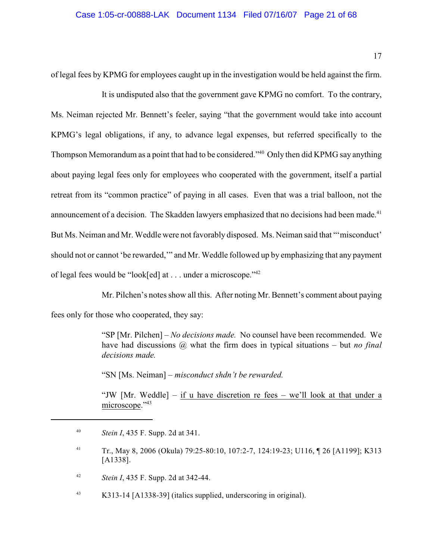of legal fees by KPMG for employees caught up in the investigation would be held against the firm.

It is undisputed also that the government gave KPMG no comfort. To the contrary, Ms. Neiman rejected Mr. Bennett's feeler, saying "that the government would take into account KPMG's legal obligations, if any, to advance legal expenses, but referred specifically to the Thompson Memorandum as a point that had to be considered."<sup>40</sup> Only then did KPMG say anything about paying legal fees only for employees who cooperated with the government, itself a partial retreat from its "common practice" of paying in all cases. Even that was a trial balloon, not the announcement of a decision. The Skadden lawyers emphasized that no decisions had been made.<sup>41</sup> But Ms. Neiman and Mr. Weddle were not favorably disposed. Ms. Neiman said that "'misconduct' should not or cannot 'be rewarded,'" and Mr. Weddle followed up by emphasizing that any payment of legal fees would be "look[ed] at . . . under a microscope."<sup>42</sup>

Mr. Pilchen's notes show all this. After noting Mr. Bennett's comment about paying fees only for those who cooperated, they say:

> <span id="page-201-0"></span>"SP [Mr. Pilchen] – *No decisions made.* No counsel have been recommended. We have had discussions @ what the firm does in typical situations – but *no final decisions made.*

"SN [Ms. Neiman] – *misconduct shdn't be rewarded.*

"JW [Mr. Weddle] – if u have discretion re fees – we'll look at that under a microscope."<sup>43</sup>

<sup>&</sup>lt;sup>40</sup> *Stein I*, 435 F. Supp. 2d at 341.

Tr., May 8, 2006 (Okula) 79:25-80:10, 107:2-7, 124:19-23; U116, ¶ 26 [A1199]; K313 <sup>41</sup> [A1338].

*Stein I*, 435 F. Supp. 2d at 342-44. <sup>42</sup>

K313-14 [A1338-39] (italics supplied, underscoring in original). 43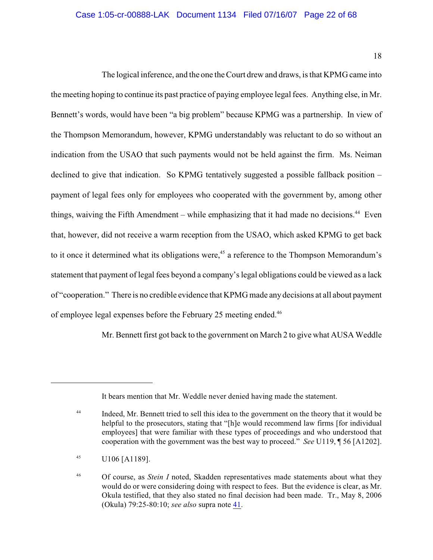18

The logical inference, and the one the Court drew and draws, isthat KPMG came into the meeting hoping to continue its past practice of paying employee legal fees. Anything else, in Mr. Bennett's words, would have been "a big problem" because KPMG was a partnership. In view of the Thompson Memorandum, however, KPMG understandably was reluctant to do so without an indication from the USAO that such payments would not be held against the firm. Ms. Neiman declined to give that indication. So KPMG tentatively suggested a possible fallback position – payment of legal fees only for employees who cooperated with the government by, among other things, waiving the Fifth Amendment – while emphasizing that it had made no decisions.<sup>44</sup> Even that, however, did not receive a warm reception from the USAO, which asked KPMG to get back to it once it determined what its obligations were,<sup>45</sup> a reference to the Thompson Memorandum's statement that payment of legal fees beyond a company's legal obligations could be viewed as a lack of "cooperation." There is no credible evidence that KPMG made any decisions at all about payment of employee legal expenses before the February 25 meeting ended.<sup>46</sup>

Mr. Bennett first got back to the government on March 2 to give what AUSA Weddle

It bears mention that Mr. Weddle never denied having made the statement.

Indeed, Mr. Bennett tried to sell this idea to the government on the theory that it would be 44 helpful to the prosecutors, stating that "[h]e would recommend law firms [for individual employees] that were familiar with these types of proceedings and who understood that cooperation with the government was the best way to proceed." *See* U119, ¶ 56 [A1202].

 $^{45}$  U106 [A1189].

<sup>&</sup>lt;sup>46</sup> Of course, as *Stein I* noted, Skadden representatives made statements about what they would do or were considering doing with respect to fees. But the evidence is clear, as Mr. Okula testified, that they also stated no final decision had been made. Tr., May 8, 2006 (Okula) 79:25-80:10; *see also* supra note [41](#page-201-0).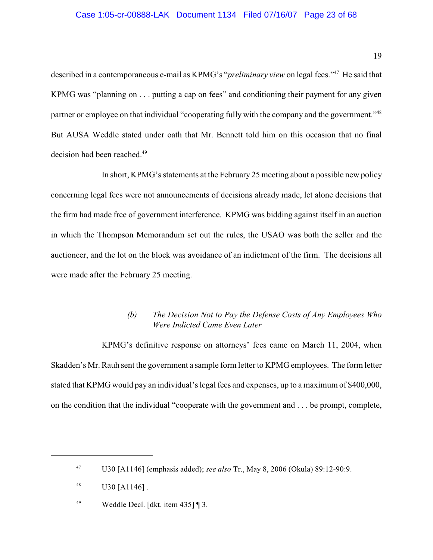### Case 1:05-cr-00888-LAK Document 1134 Filed 07/16/07 Page 23 of 68

described in a contemporaneous e-mail as KPMG's "*preliminary view* on legal fees."<sup>47</sup> He said that KPMG was "planning on . . . putting a cap on fees" and conditioning their payment for any given partner or employee on that individual "cooperating fully with the company and the government."<sup>48</sup> But AUSA Weddle stated under oath that Mr. Bennett told him on this occasion that no final decision had been reached.<sup>49</sup>

In short, KPMG's statements at the February 25 meeting about a possible new policy concerning legal fees were not announcements of decisions already made, let alone decisions that the firm had made free of government interference. KPMG was bidding against itself in an auction in which the Thompson Memorandum set out the rules, the USAO was both the seller and the auctioneer, and the lot on the block was avoidance of an indictment of the firm. The decisions all were made after the February 25 meeting.

# <span id="page-203-0"></span>*(b) The Decision Not to Pay the Defense Costs of Any Employees Who Were Indicted Came Even Later*

KPMG's definitive response on attorneys' fees came on March 11, 2004, when Skadden's Mr. Rauh sent the government a sample form letter to KPMG employees. The form letter stated that KPMG would pay an individual's legal fees and expenses, up to a maximum of \$400,000, on the condition that the individual "cooperate with the government and . . . be prompt, complete,

U30 [A1146] (emphasis added); *see also* Tr., May 8, 2006 (Okula) 89:12-90:9. <sup>47</sup>

U30 [A1146] . 48

<sup>&</sup>lt;sup>49</sup> Weddle Decl. [dkt. item 435]  $\sqrt{3}$ .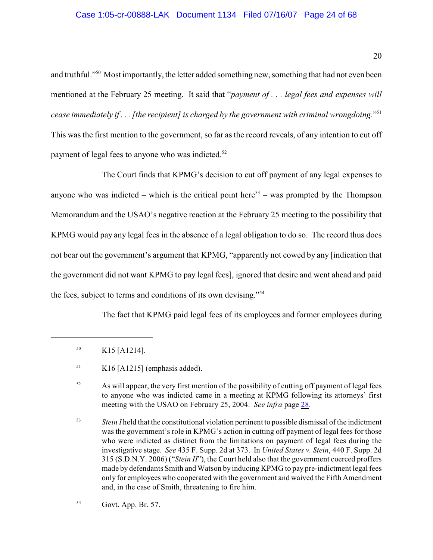### Case 1:05-cr-00888-LAK Document 1134 Filed 07/16/07 Page 24 of 68

and truthful."<sup>50</sup> Most importantly, the letter added something new, something that had not even been mentioned at the February 25 meeting. It said that "*payment of . . . legal fees and expenses will cease immediately if . . . [the recipient] is charged by the government with criminal wrongdoing.*" 51 This was the first mention to the government, so far as the record reveals, of any intention to cut off payment of legal fees to anyone who was indicted.<sup>52</sup>

The Court finds that KPMG's decision to cut off payment of any legal expenses to anyone who was indicted – which is the critical point here<sup>53</sup> – was prompted by the Thompson Memorandum and the USAO's negative reaction at the February 25 meeting to the possibility that KPMG would pay any legal fees in the absence of a legal obligation to do so. The record thus does not bear out the government's argument that KPMG, "apparently not cowed by any [indication that the government did not want KPMG to pay legal fees], ignored that desire and went ahead and paid the fees, subject to terms and conditions of its own devising."<sup>54</sup>

The fact that KPMG paid legal fees of its employees and former employees during

 $K15$  [A1214].

 $K16$  [A1215] (emphasis added).

 $\frac{52}{2}$  As will appear, the very first mention of the possibility of cutting off payment of legal fees to anyone who was indicted came in a meeting at KPMG following its attorneys' first meeting with the USAO on February 25, 2004. *See infra* page [28](#page-212-0).

<sup>&</sup>lt;sup>53</sup> *Stein I* held that the constitutional violation pertinent to possible dismissal of the indictment was the government's role in KPMG's action in cutting off payment of legal fees for those who were indicted as distinct from the limitations on payment of legal fees during the investigative stage. *See* 435 F. Supp. 2d at 373. In *United States v. Stein*, 440 F. Supp. 2d 315 (S.D.N.Y. 2006) ("*Stein II*"), the Court held also that the government coerced proffers made by defendants Smith and Watson by inducing KPMG to pay pre-indictment legal fees only for employees who cooperated with the government and waived the Fifth Amendment and, in the case of Smith, threatening to fire him.

Govt. App. Br. 57. 54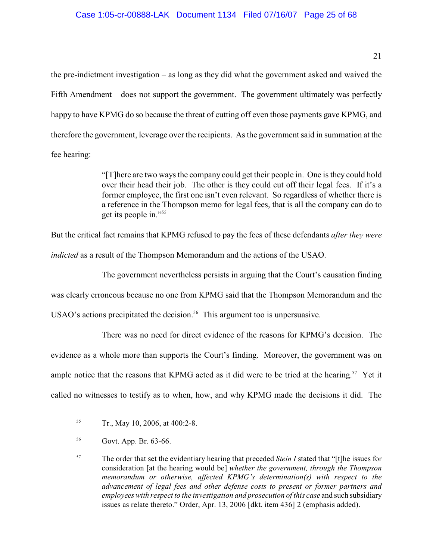the pre-indictment investigation – as long as they did what the government asked and waived the Fifth Amendment – does not support the government. The government ultimately was perfectly happy to have KPMG do so because the threat of cutting off even those payments gave KPMG, and therefore the government, leverage over the recipients. As the government said in summation at the fee hearing:

> "[T]here are two ways the company could get their people in. One is they could hold over their head their job. The other is they could cut off their legal fees. If it's a former employee, the first one isn't even relevant. So regardless of whether there is a reference in the Thompson memo for legal fees, that is all the company can do to get its people in."<sup>55</sup>

But the critical fact remains that KPMG refused to pay the fees of these defendants *after they were*

*indicted* as a result of the Thompson Memorandum and the actions of the USAO.

The government nevertheless persists in arguing that the Court's causation finding

was clearly erroneous because no one from KPMG said that the Thompson Memorandum and the

USAO's actions precipitated the decision.<sup>56</sup> This argument too is unpersuasive.

There was no need for direct evidence of the reasons for KPMG's decision. The evidence as a whole more than supports the Court's finding. Moreover, the government was on ample notice that the reasons that KPMG acted as it did were to be tried at the hearing.<sup>57</sup> Yet it called no witnesses to testify as to when, how, and why KPMG made the decisions it did. The

 $T_r$ , May 10, 2006, at 400:2-8.

<sup>&</sup>lt;sup>56</sup> Govt. App. Br. 63-66.

<sup>&</sup>lt;sup>57</sup> The order that set the evidentiary hearing that preceded *Stein I* stated that "[t]he issues for consideration [at the hearing would be] *whether the government, through the Thompson memorandum or otherwise, affected KPMG's determination(s) with respect to the advancement of legal fees and other defense costs to present or former partners and employees with respect to the investigation and prosecution of this case* and such subsidiary issues as relate thereto." Order, Apr. 13, 2006 [dkt. item 436] 2 (emphasis added).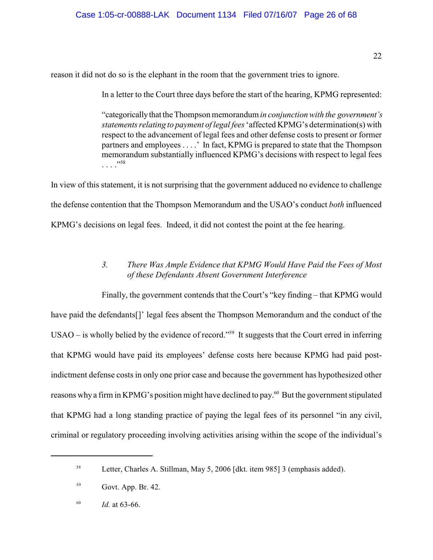reason it did not do so is the elephant in the room that the government tries to ignore.

In a letter to the Court three days before the start of the hearing, KPMG represented:

"categorically that the Thompson memorandum *in conjunction with the government's statements relating to payment of legal fees* 'affected KPMG's determination(s) with respect to the advancement of legal fees and other defense costs to present or former partners and employees . . . .' In fact, KPMG is prepared to state that the Thompson memorandum substantially influenced KPMG's decisions with respect to legal fees . . . ." 58

In view of this statement, it is not surprising that the government adduced no evidence to challenge the defense contention that the Thompson Memorandum and the USAO's conduct *both* influenced KPMG's decisions on legal fees. Indeed, it did not contest the point at the fee hearing.

# <span id="page-206-0"></span>*3. There Was Ample Evidence that KPMG Would Have Paid the Fees of Most of these Defendants Absent Government Interference*

Finally, the government contends that the Court's "key finding – that KPMG would have paid the defendants[]' legal fees absent the Thompson Memorandum and the conduct of the USAO – is wholly belied by the evidence of record."<sup>59</sup> It suggests that the Court erred in inferring that KPMG would have paid its employees' defense costs here because KPMG had paid postindictment defense costs in only one prior case and because the government has hypothesized other reasons why a firm in KPMG's position might have declined to pay.<sup>60</sup> But the government stipulated that KPMG had a long standing practice of paying the legal fees of its personnel "in any civil, criminal or regulatory proceeding involving activities arising within the scope of the individual's

Letter, Charles A. Stillman, May 5, 2006 [dkt. item 985] 3 (emphasis added). <sup>58</sup>

Govt. App. Br. 42. 59

 $1d.$  at 63-66.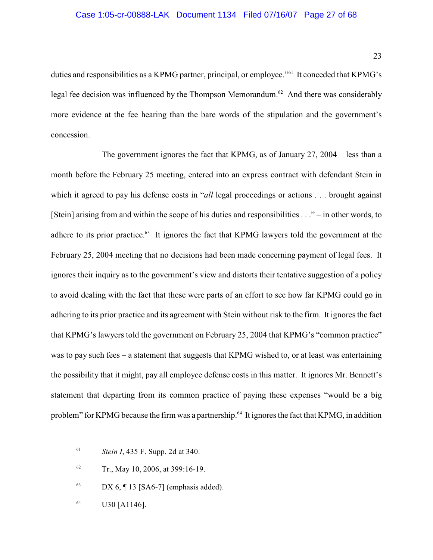duties and responsibilities as a KPMG partner, principal, or employee."<sup>61</sup> It conceded that KPMG's legal fee decision was influenced by the Thompson Memorandum.<sup> $62$ </sup> And there was considerably more evidence at the fee hearing than the bare words of the stipulation and the government's concession.

The government ignores the fact that KPMG, as of January 27, 2004 – less than a month before the February 25 meeting, entered into an express contract with defendant Stein in which it agreed to pay his defense costs in "*all* legal proceedings or actions . . . brought against [Stein] arising from and within the scope of his duties and responsibilities . . ." – in other words, to adhere to its prior practice. $^{63}$  It ignores the fact that KPMG lawyers told the government at the February 25, 2004 meeting that no decisions had been made concerning payment of legal fees. It ignores their inquiry as to the government's view and distorts their tentative suggestion of a policy to avoid dealing with the fact that these were parts of an effort to see how far KPMG could go in adhering to its prior practice and its agreement with Stein without risk to the firm. It ignores the fact that KPMG's lawyers told the government on February 25, 2004 that KPMG's "common practice" was to pay such fees – a statement that suggests that KPMG wished to, or at least was entertaining the possibility that it might, pay all employee defense costs in this matter. It ignores Mr. Bennett's statement that departing from its common practice of paying these expenses "would be a big problem" for KPMG because the firm was a partnership.<sup>64</sup> It ignores the fact that KPMG, in addition

<sup>&</sup>lt;sup>61</sup> *Stein I*, 435 F. Supp. 2d at 340.

 $T_r$ , May 10, 2006, at 399:16-19.

 $DX 6, 13 [SA6-7] (emphasis added).$ 

 $U30$  [A1146].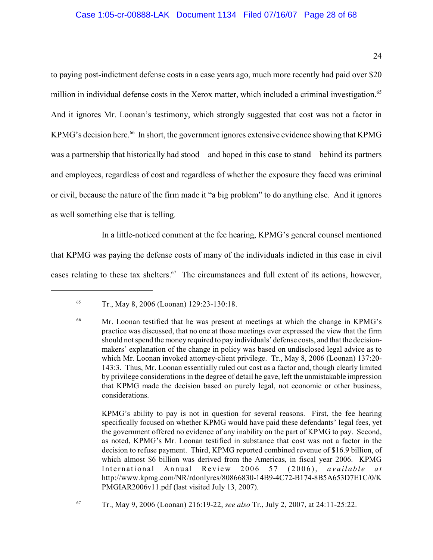# Case 1:05-cr-00888-LAK Document 1134 Filed 07/16/07 Page 28 of 68

to paying post-indictment defense costs in a case years ago, much more recently had paid over \$20 million in individual defense costs in the Xerox matter, which included a criminal investigation.<sup>65</sup> And it ignores Mr. Loonan's testimony, which strongly suggested that cost was not a factor in KPMG's decision here.<sup>66</sup> In short, the government ignores extensive evidence showing that KPMG was a partnership that historically had stood – and hoped in this case to stand – behind its partners and employees, regardless of cost and regardless of whether the exposure they faced was criminal or civil, because the nature of the firm made it "a big problem" to do anything else. And it ignores as well something else that is telling.

In a little-noticed comment at the fee hearing, KPMG's general counsel mentioned that KPMG was paying the defense costs of many of the individuals indicted in this case in civil cases relating to these tax shelters.<sup>67</sup> The circumstances and full extent of its actions, however,

KPMG's ability to pay is not in question for several reasons. First, the fee hearing specifically focused on whether KPMG would have paid these defendants' legal fees, yet the government offered no evidence of any inability on the part of KPMG to pay. Second, as noted, KPMG's Mr. Loonan testified in substance that cost was not a factor in the decision to refuse payment.Third, KPMG reported combined revenue of \$16.9 billion, of which almost \$6 billion was derived from the Americas, in fiscal year 2006. KPMG International Annual Review 2006 57 (2006), *available at* http://www.kpmg.com/NR/rdonlyres/80866830-14B9-4C72-B174-8B5A653D7E1C/0/K PMGIAR2006v11.pdf (last visited July 13, 2007).

<sup>&</sup>lt;sup>65</sup> Tr., May 8, 2006 (Loonan) 129:23-130:18.

<sup>&</sup>lt;sup>66</sup> Mr. Loonan testified that he was present at meetings at which the change in KPMG's practice was discussed, that no one at those meetings ever expressed the view that the firm should not spend the money required to pay individuals' defense costs, and that the decisionmakers' explanation of the change in policy was based on undisclosed legal advice as to which Mr. Loonan invoked attorney-client privilege. Tr., May 8, 2006 (Loonan) 137:20- 143:3. Thus, Mr. Loonan essentially ruled out cost as a factor and, though clearly limited by privilege considerations in the degree of detail he gave, left the unmistakable impression that KPMG made the decision based on purely legal, not economic or other business, considerations.

Tr., May 9, 2006 (Loonan) 216:19-22, *see also* Tr., July 2, 2007, at 24:11-25:22. <sup>67</sup>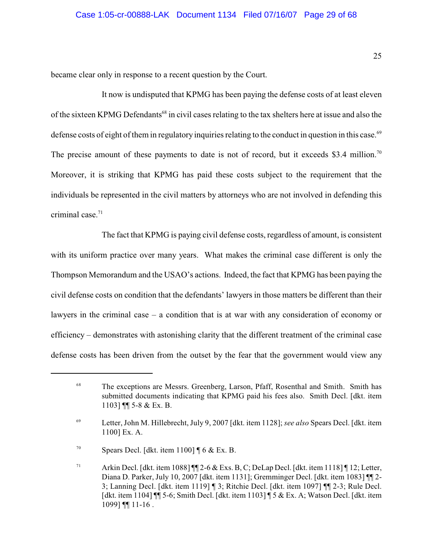became clear only in response to a recent question by the Court.

It now is undisputed that KPMG has been paying the defense costs of at least eleven of the sixteen KPMG Defendants<sup>68</sup> in civil cases relating to the tax shelters here at issue and also the defense costs of eight of them in regulatory inquiries relating to the conduct in question in this case.<sup>69</sup> The precise amount of these payments to date is not of record, but it exceeds \$3.4 million.<sup>70</sup> Moreover, it is striking that KPMG has paid these costs subject to the requirement that the individuals be represented in the civil matters by attorneys who are not involved in defending this criminal case.<sup>71</sup>

The fact that KPMG is paying civil defense costs, regardless of amount, is consistent with its uniform practice over many years. What makes the criminal case different is only the Thompson Memorandum and the USAO's actions. Indeed, the fact that KPMG has been paying the civil defense costs on condition that the defendants' lawyers in those matters be different than their lawyers in the criminal case – a condition that is at war with any consideration of economy or efficiency – demonstrates with astonishing clarity that the different treatment of the criminal case defense costs has been driven from the outset by the fear that the government would view any

<sup>&</sup>lt;sup>68</sup> The exceptions are Messrs. Greenberg, Larson, Pfaff, Rosenthal and Smith. Smith has submitted documents indicating that KPMG paid his fees also. Smith Decl. [dkt. item 1103] ¶¶ 5-8 & Ex. B.

Letter, John M. Hillebrecht, July 9, 2007 [dkt. item 1128]; *see also* Spears Decl. [dkt. item <sup>69</sup> 1100] Ex. A.

<sup>&</sup>lt;sup>70</sup> Spears Decl. [dkt. item 1100]  $\oint 6 \& \text{Ex. B.}$ 

<sup>&</sup>lt;sup>71</sup> Arkin Decl. [dkt. item 1088]  $\P$  2-6 & Exs. B, C; DeLap Decl. [dkt. item 1118]  $\P$  12; Letter, Diana D. Parker, July 10, 2007 [dkt. item 1131]; Gremminger Decl. [dkt. item 1083] ¶¶ 2- 3; Lanning Decl. [dkt. item 1119] ¶ 3; Ritchie Decl. [dkt. item 1097] ¶¶ 2-3; Rule Decl. [dkt. item 1104] ¶¶ 5-6; Smith Decl. [dkt. item 1103] ¶ 5 & Ex. A; Watson Decl. [dkt. item 1099] ¶¶ 11-16 .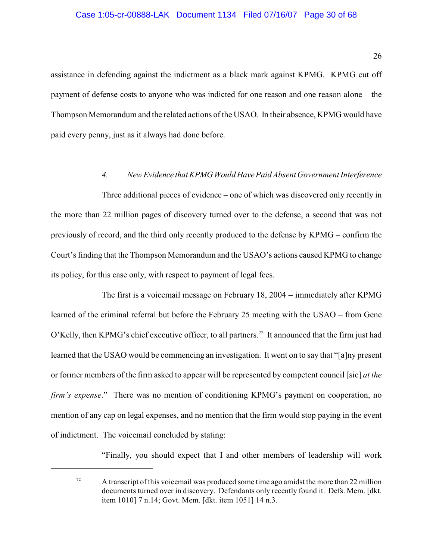#### Case 1:05-cr-00888-LAK Document 1134 Filed 07/16/07 Page 30 of 68

assistance in defending against the indictment as a black mark against KPMG. KPMG cut off payment of defense costs to anyone who was indicted for one reason and one reason alone – the Thompson Memorandum and the related actions of the USAO. In their absence, KPMG would have paid every penny, just as it always had done before.

# <span id="page-210-0"></span>*4. New Evidence that KPMG Would Have Paid Absent Government Interference*

Three additional pieces of evidence – one of which was discovered only recently in the more than 22 million pages of discovery turned over to the defense, a second that was not previously of record, and the third only recently produced to the defense by KPMG – confirm the Court's finding that the Thompson Memorandum and the USAO's actions caused KPMG to change its policy, for this case only, with respect to payment of legal fees.

The first is a voicemail message on February 18, 2004 – immediately after KPMG learned of the criminal referral but before the February 25 meeting with the USAO – from Gene O'Kelly, then KPMG's chief executive officer, to all partners.<sup>72</sup> It announced that the firm just had learned that the USAO would be commencing an investigation. It went on to say that "[a]ny present or former members of the firm asked to appear will be represented by competent council [sic] *at the firm's expense.*" There was no mention of conditioning KPMG's payment on cooperation, no mention of any cap on legal expenses, and no mention that the firm would stop paying in the event of indictment. The voicemail concluded by stating:

"Finally, you should expect that I and other members of leadership will work

 $\frac{72}{2}$  A transcript of this voicemail was produced some time ago amidst the more than 22 million documents turned over in discovery. Defendants only recently found it. Defs. Mem. [dkt. item 1010] 7 n.14; Govt. Mem. [dkt. item 1051] 14 n.3.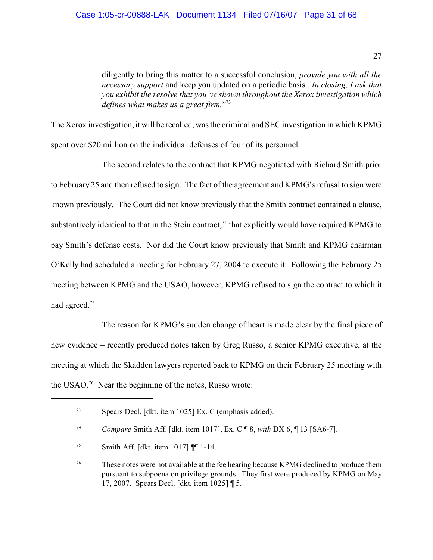diligently to bring this matter to a successful conclusion, *provide you with all the necessary support* and keep you updated on a periodic basis. *In closing, I ask that you exhibit the resolve that you've shown throughout the Xerox investigation which defines what makes us a great firm.*" 73

The Xerox investigation, it will be recalled, was the criminal and SECinvestigation in which KPMG spent over \$20 million on the individual defenses of four of its personnel.

The second relates to the contract that KPMG negotiated with Richard Smith prior to February 25 and then refused to sign. The fact of the agreement and KPMG's refusal to sign were known previously. The Court did not know previously that the Smith contract contained a clause, substantively identical to that in the Stein contract,  $^{74}$  that explicitly would have required KPMG to pay Smith's defense costs. Nor did the Court know previously that Smith and KPMG chairman O'Kelly had scheduled a meeting for February 27, 2004 to execute it. Following the February 25 meeting between KPMG and the USAO, however, KPMG refused to sign the contract to which it had agreed.<sup>75</sup>

The reason for KPMG's sudden change of heart is made clear by the final piece of new evidence – recently produced notes taken by Greg Russo, a senior KPMG executive, at the meeting at which the Skadden lawyers reported back to KPMG on their February 25 meeting with the USAO.<sup>76</sup> Near the beginning of the notes, Russo wrote:

Spears Decl. [dkt. item 1025] Ex. C (emphasis added). <sup>73</sup>

*Compare* Smith Aff. [dkt. item 1017], Ex. C ¶ 8, *with* DX 6, ¶ 13 [SA6-7]. 74

 $^{75}$  Smith Aff. [dkt. item 1017]  $\P$  1-14.

<sup>&</sup>lt;sup>76</sup> These notes were not available at the fee hearing because KPMG declined to produce them pursuant to subpoena on privilege grounds. They first were produced by KPMG on May 17, 2007. Spears Decl. [dkt. item 1025] ¶ 5.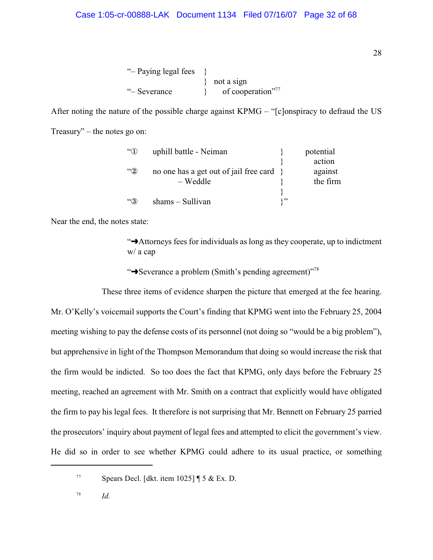"– Paying legal fees } not a sign " $-$  Severance  $\qquad \qquad \}$  of cooperation"<sup>77</sup>

After noting the nature of the possible charge against KPMG – "[c]onspiracy to defraud the US Treasury" – the notes go on:

| $\mathfrak{C}(\mathbb{C})$ | uphill battle - Neiman                      | potential |
|----------------------------|---------------------------------------------|-----------|
|                            |                                             | action    |
| $\lq\lq 2$                 | no one has a get out of jail free card $\}$ | against   |
|                            | $-$ Weddle                                  | the firm  |
|                            |                                             |           |
| $\lq\lq(3)$                | $shams - Sullivan$                          |           |

Near the end, the notes state:

"ºAttorneys fees for individuals as long as they cooperate, up to indictment w/ a cap

<span id="page-212-0"></span>\***Severance a problem (Smith's pending agreement)**"<sup>78</sup>

These three items of evidence sharpen the picture that emerged at the fee hearing. Mr. O'Kelly's voicemail supports the Court's finding that KPMG went into the February 25, 2004 meeting wishing to pay the defense costs of its personnel (not doing so "would be a big problem"), but apprehensive in light of the Thompson Memorandum that doing so would increase the risk that the firm would be indicted. So too does the fact that KPMG, only days before the February 25 meeting, reached an agreement with Mr. Smith on a contract that explicitly would have obligated the firm to pay his legal fees. It therefore is not surprising that Mr. Bennett on February 25 parried the prosecutors' inquiry about payment of legal fees and attempted to elicit the government's view. He did so in order to see whether KPMG could adhere to its usual practice, or something

*Id.* <sup>78</sup>

 $\frac{77}{77}$  Spears Decl. [dkt. item 1025] [ 5 & Ex. D.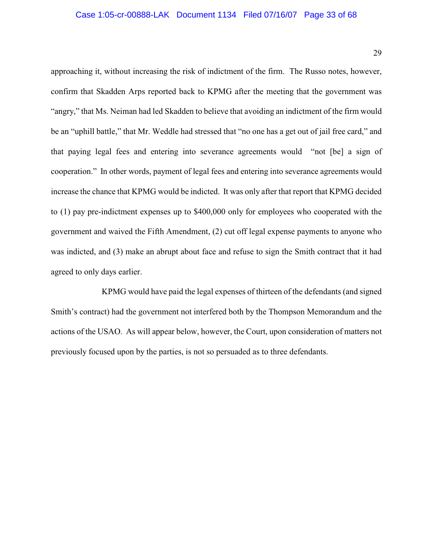#### Case 1:05-cr-00888-LAK Document 1134 Filed 07/16/07 Page 33 of 68

approaching it, without increasing the risk of indictment of the firm. The Russo notes, however, confirm that Skadden Arps reported back to KPMG after the meeting that the government was "angry," that Ms. Neiman had led Skadden to believe that avoiding an indictment of the firm would be an "uphill battle," that Mr. Weddle had stressed that "no one has a get out of jail free card," and that paying legal fees and entering into severance agreements would "not [be] a sign of cooperation." In other words, payment of legal fees and entering into severance agreements would increase the chance that KPMG would be indicted. It was only after that report that KPMG decided to (1) pay pre-indictment expenses up to \$400,000 only for employees who cooperated with the government and waived the Fifth Amendment, (2) cut off legal expense payments to anyone who was indicted, and (3) make an abrupt about face and refuse to sign the Smith contract that it had agreed to only days earlier.

KPMG would have paid the legal expenses of thirteen of the defendants (and signed Smith's contract) had the government not interfered both by the Thompson Memorandum and the actions of the USAO. As will appear below, however, the Court, upon consideration of matters not previously focused upon by the parties, is not so persuaded as to three defendants.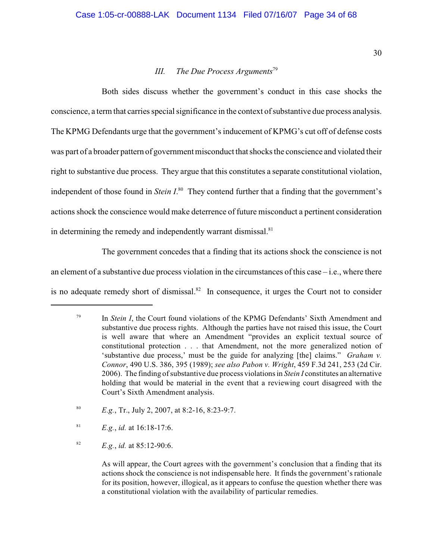# <span id="page-214-0"></span>*III. The Due Process Arguments*<sup>79</sup>

Both sides discuss whether the government's conduct in this case shocks the conscience, a term that carries special significance in the context of substantive due process analysis. The KPMG Defendants urge that the government's inducement of KPMG's cut off of defense costs was part of a broader pattern of government misconduct that shocks the conscience and violated their right to substantive due process. They argue that this constitutes a separate constitutional violation, independent of those found in *Stein I*.<sup>80</sup> They contend further that a finding that the government's actions shock the conscience would make deterrence of future misconduct a pertinent consideration in determining the remedy and independently warrant dismissal. $81$ 

The government concedes that a finding that its actions shock the conscience is not an element of a substantive due process violation in the circumstances of this case – i.e., where there is no adequate remedy short of dismissal.<sup>82</sup> In consequence, it urges the Court not to consider

<sup>81</sup> *E.g.*, *id.* at 16:18-17:6.

<sup>82</sup> *E.g.*, *id.* at 85:12-90:6.

As will appear, the Court agrees with the government's conclusion that a finding that its actions shock the conscience is not indispensable here. It finds the government's rationale for its position, however, illogical, as it appears to confuse the question whether there was a constitutional violation with the availability of particular remedies.

<sup>&</sup>lt;sup>79</sup> In *Stein I*, the Court found violations of the KPMG Defendants' Sixth Amendment and substantive due process rights. Although the parties have not raised this issue, the Court is well aware that where an Amendment "provides an explicit textual source of constitutional protection . . . that Amendment, not the more generalized notion of 'substantive due process,' must be the guide for analyzing [the] claims." *Graham v. Connor*, 490 U.S. 386, 395 (1989); *see also Pabon v. Wright*, 459 F.3d 241, 253 (2d Cir. 2006). The finding of substantive due process violations in *Stein I* constitutes an alternative holding that would be material in the event that a reviewing court disagreed with the Court's Sixth Amendment analysis.

<sup>&</sup>lt;sup>80</sup> *E.g.*, Tr., July 2, 2007, at 8:2-16, 8:23-9:7.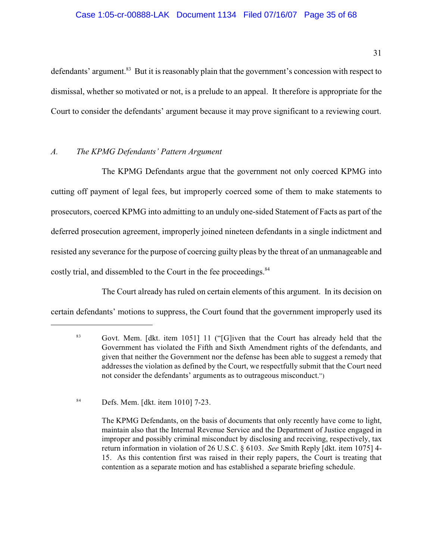defendants' argument.<sup>83</sup> But it is reasonably plain that the government's concession with respect to dismissal, whether so motivated or not, is a prelude to an appeal. It therefore is appropriate for the Court to consider the defendants' argument because it may prove significant to a reviewing court.

# <span id="page-215-0"></span>*A. The KPMG Defendants' Pattern Argument*

The KPMG Defendants argue that the government not only coerced KPMG into cutting off payment of legal fees, but improperly coerced some of them to make statements to prosecutors, coerced KPMG into admitting to an unduly one-sided Statement of Facts as part of the deferred prosecution agreement, improperly joined nineteen defendants in a single indictment and resisted any severance for the purpose of coercing guilty pleas by the threat of an unmanageable and costly trial, and dissembled to the Court in the fee proceedings.<sup>84</sup>

The Court already has ruled on certain elements of this argument. In its decision on certain defendants' motions to suppress, the Court found that the government improperly used its

 $^{84}$  Defs. Mem. [dkt. item 1010] 7-23.

The KPMG Defendants, on the basis of documents that only recently have come to light, maintain also that the Internal Revenue Service and the Department of Justice engaged in improper and possibly criminal misconduct by disclosing and receiving, respectively, tax return information in violation of 26 U.S.C. § 6103. *See* Smith Reply [dkt. item 1075] 4- 15. As this contention first was raised in their reply papers, the Court is treating that contention as a separate motion and has established a separate briefing schedule.

<sup>&</sup>lt;sup>83</sup> Govt. Mem. [dkt. item 1051] 11 ("[G]iven that the Court has already held that the Government has violated the Fifth and Sixth Amendment rights of the defendants, and given that neither the Government nor the defense has been able to suggest a remedy that addresses the violation as defined by the Court, we respectfully submit that the Court need not consider the defendants' arguments as to outrageous misconduct.")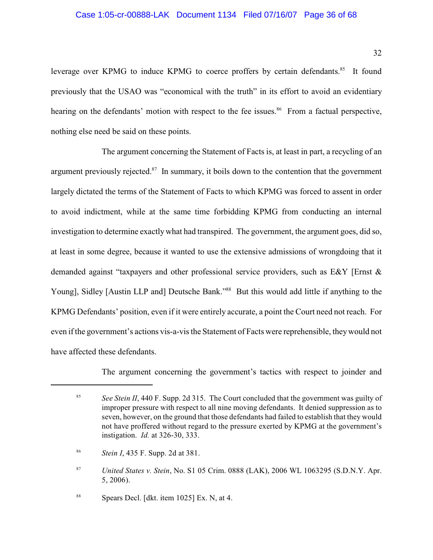#### Case 1:05-cr-00888-LAK Document 1134 Filed 07/16/07 Page 36 of 68

leverage over KPMG to induce KPMG to coerce proffers by certain defendants.<sup>85</sup> It found previously that the USAO was "economical with the truth" in its effort to avoid an evidentiary hearing on the defendants' motion with respect to the fee issues.<sup>86</sup> From a factual perspective, nothing else need be said on these points.

The argument concerning the Statement of Facts is, at least in part, a recycling of an argument previously rejected. $87$  In summary, it boils down to the contention that the government largely dictated the terms of the Statement of Facts to which KPMG was forced to assent in order to avoid indictment, while at the same time forbidding KPMG from conducting an internal investigation to determine exactly what had transpired. The government, the argument goes, did so, at least in some degree, because it wanted to use the extensive admissions of wrongdoing that it demanded against "taxpayers and other professional service providers, such as E&Y [Ernst & Young], Sidley [Austin LLP and] Deutsche Bank."<sup>88</sup> But this would add little if anything to the KPMG Defendants' position, even if it were entirely accurate, a point the Court need not reach. For even if the government's actions vis-a-vis the Statement of Facts were reprehensible, they would not have affected these defendants.

The argument concerning the government's tactics with respect to joinder and

 $s<sup>88</sup>$  Spears Decl. [dkt. item 1025] Ex. N, at 4.

<sup>&</sup>lt;sup>85</sup> See Stein II, 440 F. Supp. 2d 315. The Court concluded that the government was guilty of improper pressure with respect to all nine moving defendants. It denied suppression as to seven, however, on the ground that those defendants had failed to establish that they would not have proffered without regard to the pressure exerted by KPMG at the government's instigation. *Id.* at 326-30, 333.

*Stein I*, 435 F. Supp. 2d at 381. <sup>86</sup>

<sup>&</sup>lt;sup>87</sup> *United States v. Stein, No. S1 05 Crim. 0888 (LAK), 2006 WL 1063295 (S.D.N.Y. Apr.* 5, 2006).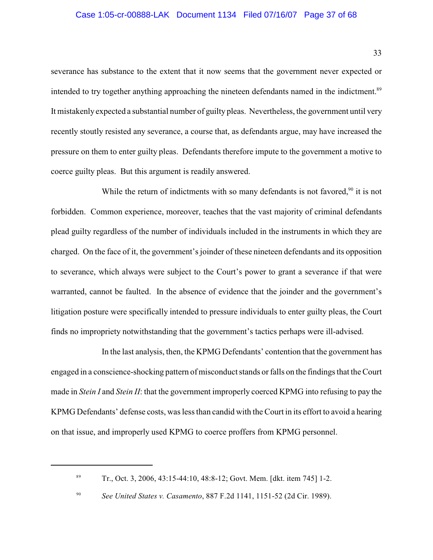## Case 1:05-cr-00888-LAK Document 1134 Filed 07/16/07 Page 37 of 68

severance has substance to the extent that it now seems that the government never expected or intended to try together anything approaching the nineteen defendants named in the indictment.<sup>89</sup> It mistakenly expected a substantial number of guilty pleas. Nevertheless, the government until very recently stoutly resisted any severance, a course that, as defendants argue, may have increased the pressure on them to enter guilty pleas. Defendants therefore impute to the government a motive to coerce guilty pleas. But this argument is readily answered.

While the return of indictments with so many defendants is not favored,  $90$  it is not forbidden. Common experience, moreover, teaches that the vast majority of criminal defendants plead guilty regardless of the number of individuals included in the instruments in which they are charged. On the face of it, the government's joinder of these nineteen defendants and its opposition to severance, which always were subject to the Court's power to grant a severance if that were warranted, cannot be faulted. In the absence of evidence that the joinder and the government's litigation posture were specifically intended to pressure individuals to enter guilty pleas, the Court finds no impropriety notwithstanding that the government's tactics perhaps were ill-advised.

In the last analysis, then, the KPMG Defendants' contention that the government has engaged in a conscience-shocking pattern of misconduct stands or falls on the findings that the Court made in *Stein I* and *Stein II*: that the government improperly coerced KPMG into refusing to pay the KPMG Defendants' defense costs, was less than candid with the Court in its effort to avoid a hearing on that issue, and improperly used KPMG to coerce proffers from KPMG personnel.

<sup>&</sup>lt;sup>89</sup> Tr., Oct. 3, 2006, 43:15-44:10, 48:8-12; Govt. Mem. [dkt. item 745] 1-2.

<sup>&</sup>lt;sup>90</sup> See United States v. Casamento, 887 F.2d 1141, 1151-52 (2d Cir. 1989).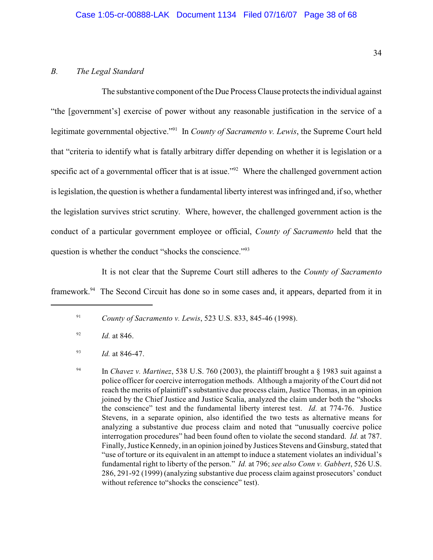### *B. The Legal Standard*

The substantive component of the Due Process Clause protects the individual against "the [government's] exercise of power without any reasonable justification in the service of a legitimate governmental objective."<sup>91</sup> In *County of Sacramento v. Lewis*, the Supreme Court held that "criteria to identify what is fatally arbitrary differ depending on whether it is legislation or a specific act of a governmental officer that is at issue." $2^2$  Where the challenged government action is legislation, the question is whether a fundamental liberty interest was infringed and, if so, whether the legislation survives strict scrutiny. Where, however, the challenged government action is the conduct of a particular government employee or official, *County of Sacramento* held that the question is whether the conduct "shocks the conscience."<sup>93</sup>

It is not clear that the Supreme Court still adheres to the *County of Sacramento*

framework.<sup>94</sup> The Second Circuit has done so in some cases and, it appears, departed from it in

<sup>91</sup> *County of Sacramento v. Lewis*, 523 U.S. 833, 845-46 (1998).

 $^{92}$  *Id.* at 846.

<sup>93</sup> *Id.* at 846-47.

In *Chavez v. Martinez*, 538 U.S. 760 (2003), the plaintiff brought a § 1983 suit against a 94 police officer for coercive interrogation methods. Although a majority of the Court did not reach the merits of plaintiff's substantive due process claim, Justice Thomas, in an opinion joined by the Chief Justice and Justice Scalia, analyzed the claim under both the "shocks the conscience" test and the fundamental liberty interest test. *Id.* at 774-76. Justice Stevens, in a separate opinion, also identified the two tests as alternative means for analyzing a substantive due process claim and noted that "unusually coercive police interrogation procedures" had been found often to violate the second standard. *Id.* at 787. Finally, Justice Kennedy, in an opinion joined by Justices Stevens and Ginsburg, stated that "use of torture or its equivalent in an attempt to induce a statement violates an individual's fundamental right to liberty of the person." *Id.* at 796; *see also Conn v. Gabbert*, 526 U.S. 286, 291-92 (1999) (analyzing substantive due process claim against prosecutors' conduct without reference to"shocks the conscience" test).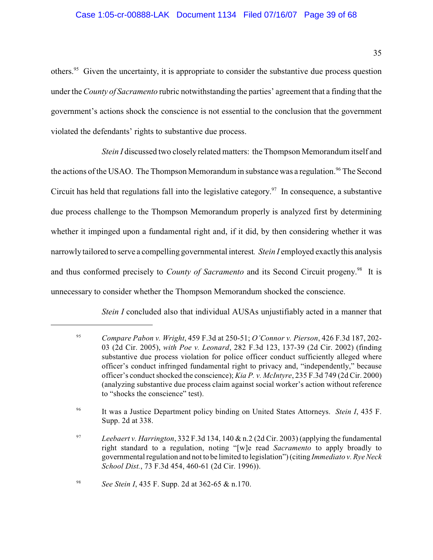others.<sup>95</sup> Given the uncertainty, it is appropriate to consider the substantive due process question under the*County of Sacramento* rubric notwithstanding the parties' agreement that a finding that the government's actions shock the conscience is not essential to the conclusion that the government violated the defendants' rights to substantive due process.

*Stein I* discussed two closely related matters: the Thompson Memorandum itself and the actions of the USAO. The Thompson Memorandum in substance was a regulation.<sup>96</sup> The Second Circuit has held that regulations fall into the legislative category. <sup>97</sup> In consequence, a substantive due process challenge to the Thompson Memorandum properly is analyzed first by determining whether it impinged upon a fundamental right and, if it did, by then considering whether it was narrowly tailored to serve a compelling governmental interest*. Stein I* employed exactly this analysis and thus conformed precisely to *County of Sacramento* and its Second Circuit progeny.<sup>98</sup> It is unnecessary to consider whether the Thompson Memorandum shocked the conscience.

*Stein I* concluded also that individual AUSAs unjustifiably acted in a manner that

<sup>98</sup> *See Stein I*, 435 F. Supp. 2d at 362-65 & n.170.

<sup>&</sup>lt;sup>95</sup> Compare Pabon v. Wright, 459 F.3d at 250-51; *O'Connor v. Pierson*, 426 F.3d 187, 202-03 (2d Cir. 2005), *with Poe v. Leonard*, 282 F.3d 123, 137-39 (2d Cir. 2002) (finding substantive due process violation for police officer conduct sufficiently alleged where officer's conduct infringed fundamental right to privacy and, "independently," because officer's conduct shocked the conscience); *Kia P. v. McIntyre*, 235 F.3d 749 (2d Cir. 2000) (analyzing substantive due process claim against social worker's action without reference to "shocks the conscience" test).

It was a Justice Department policy binding on United States Attorneys. *Stein I*, 435 F. 96 Supp. 2d at 338.

<sup>&</sup>lt;sup>97</sup> Leebaert v. Harrington, 332 F.3d 134, 140 & n.2 (2d Cir. 2003) (applying the fundamental right standard to a regulation, noting "[w]e read *Sacramento* to apply broadly to governmental regulation and not to be limited to legislation") (citing *Immediato v. Rye Neck School Dist.*, 73 F.3d 454, 460-61 (2d Cir. 1996)).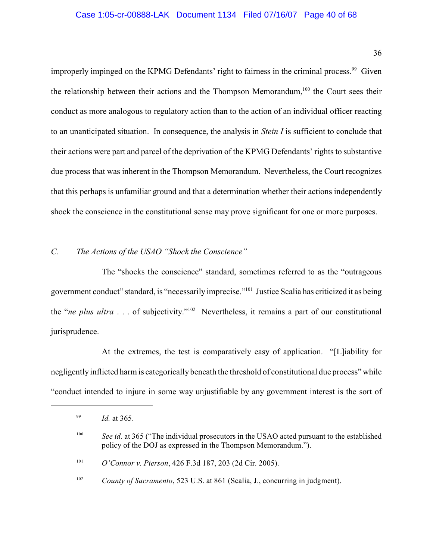### Case 1:05-cr-00888-LAK Document 1134 Filed 07/16/07 Page 40 of 68

36

improperly impinged on the KPMG Defendants' right to fairness in the criminal process.<sup>99</sup> Given the relationship between their actions and the Thompson Memorandum,  $100$  the Court sees their conduct as more analogous to regulatory action than to the action of an individual officer reacting to an unanticipated situation. In consequence, the analysis in *Stein I* is sufficient to conclude that their actions were part and parcel of the deprivation of the KPMG Defendants' rights to substantive due process that was inherent in the Thompson Memorandum. Nevertheless, the Court recognizes that this perhaps is unfamiliar ground and that a determination whether their actions independently shock the conscience in the constitutional sense may prove significant for one or more purposes.

# *C. The Actions of the USAO "Shock the Conscience"*

The "shocks the conscience" standard, sometimes referred to as the "outrageous government conduct" standard, is "necessarily imprecise."<sup>101</sup> Justice Scalia has criticized it as being the "*ne plus ultra* . . . of subjectivity."<sup>102</sup> Nevertheless, it remains a part of our constitutional jurisprudence.

At the extremes, the test is comparatively easy of application. "[L]iability for negligently inflicted harm is categorically beneath the threshold of constitutional due process" while "conduct intended to injure in some way unjustifiable by any government interest is the sort of

<sup>101</sup> *O'Connor v. Pierson*, 426 F.3d 187, 203 (2d Cir. 2005).

<sup>&</sup>lt;sup>99</sup> *Id.* at 365.

<sup>&</sup>lt;sup>100</sup> See id. at 365 ("The individual prosecutors in the USAO acted pursuant to the established policy of the DOJ as expressed in the Thompson Memorandum.").

<sup>&</sup>lt;sup>102</sup> *County of Sacramento*, 523 U.S. at 861 (Scalia, J., concurring in judgment).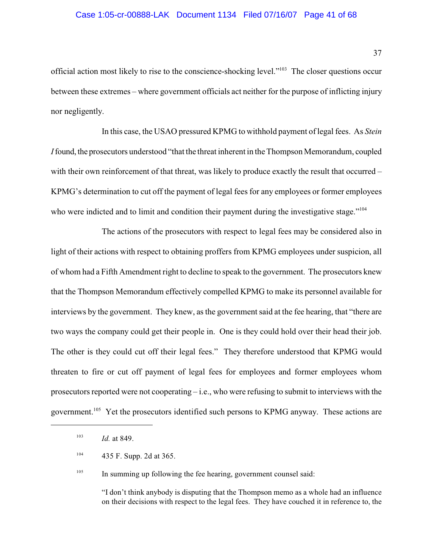### Case 1:05-cr-00888-LAK Document 1134 Filed 07/16/07 Page 41 of 68

official action most likely to rise to the conscience-shocking level."<sup>103</sup> The closer questions occur between these extremes – where government officials act neither for the purpose of inflicting injury nor negligently.

In this case, the USAO pressured KPMG to withhold payment oflegal fees. As *Stein I* found, the prosecutors understood "that the threat inherent in the Thompson Memorandum, coupled with their own reinforcement of that threat, was likely to produce exactly the result that occurred – KPMG's determination to cut off the payment of legal fees for any employees or former employees who were indicted and to limit and condition their payment during the investigative stage."<sup>104</sup>

The actions of the prosecutors with respect to legal fees may be considered also in light of their actions with respect to obtaining proffers from KPMG employees under suspicion, all of whom had a Fifth Amendment right to decline to speak to the government. The prosecutors knew that the Thompson Memorandum effectively compelled KPMG to make its personnel available for interviews by the government. They knew, as the government said at the fee hearing, that "there are two ways the company could get their people in. One is they could hold over their head their job. The other is they could cut off their legal fees." They therefore understood that KPMG would threaten to fire or cut off payment of legal fees for employees and former employees whom prosecutors reported were not cooperating – i.e., who were refusing to submit to interviews with the government.<sup>105</sup> Yet the prosecutors identified such persons to KPMG anyway. These actions are

<sup>103</sup> *Id.* at 849.

 $\frac{105}{105}$  In summing up following the fee hearing, government counsel said:

"I don't think anybody is disputing that the Thompson memo as a whole had an influence on their decisions with respect to the legal fees. They have couched it in reference to, the

 $^{104}$  435 F. Supp. 2d at 365.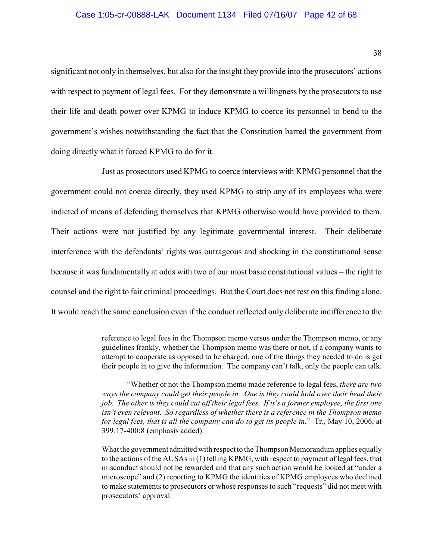significant not only in themselves, but also for the insight they provide into the prosecutors' actions with respect to payment of legal fees. For they demonstrate a willingness by the prosecutors to use their life and death power over KPMG to induce KPMG to coerce its personnel to bend to the government's wishes notwithstanding the fact that the Constitution barred the government from doing directly what it forced KPMG to do for it.

Just as prosecutors used KPMG to coerce interviews with KPMG personnel that the government could not coerce directly, they used KPMG to strip any of its employees who were indicted of means of defending themselves that KPMG otherwise would have provided to them. Their actions were not justified by any legitimate governmental interest. Their deliberate interference with the defendants' rights was outrageous and shocking in the constitutional sense because it was fundamentally at odds with two of our most basic constitutional values – the right to counsel and the right to fair criminal proceedings. But the Court does not rest on this finding alone. It would reach the same conclusion even if the conduct reflected only deliberate indifference to the

reference to legal fees in the Thompson memo versus under the Thompson memo, or any guidelines frankly, whether the Thompson memo was there or not, if a company wants to attempt to cooperate as opposed to be charged, one of the things they needed to do is get their people in to give the information. The company can't talk, only the people can talk.

<sup>&</sup>quot;Whether or not the Thompson memo made reference to legal fees, *there are two ways the company could get their people in. One is they could hold over their head their job. The other is they could cut off their legal fees. If it's a former employee, the first one isn't even relevant. So regardless of whether there is a reference in the Thompson memo for legal fees, that is all the company can do to get its people in.*" Tr., May 10, 2006, at 399:17-400:8 (emphasis added).

What the government admitted with respect to the Thompson Memorandum applies equally to the actions of the AUSAs in (1) telling KPMG, with respect to payment of legal fees, that misconduct should not be rewarded and that any such action would be looked at "under a microscope" and (2) reporting to KPMG the identities of KPMG employees who declined to make statements to prosecutors or whose responses to such "requests" did not meet with prosecutors' approval.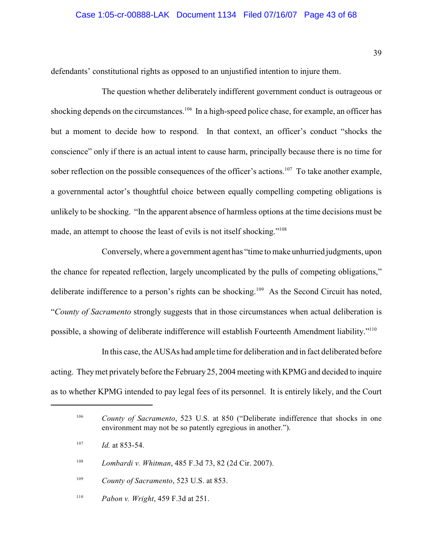### Case 1:05-cr-00888-LAK Document 1134 Filed 07/16/07 Page 43 of 68

defendants' constitutional rights as opposed to an unjustified intention to injure them.

The question whether deliberately indifferent government conduct is outrageous or shocking depends on the circumstances.<sup>106</sup> In a high-speed police chase, for example, an officer has but a moment to decide how to respond. In that context, an officer's conduct "shocks the conscience" only if there is an actual intent to cause harm, principally because there is no time for sober reflection on the possible consequences of the officer's actions. <sup>107</sup> To take another example, a governmental actor's thoughtful choice between equally compelling competing obligations is unlikely to be shocking. "In the apparent absence of harmless options at the time decisions must be made, an attempt to choose the least of evils is not itself shocking."<sup>108</sup>

Conversely, where a government agent has "time to make unhurried judgments, upon the chance for repeated reflection, largely uncomplicated by the pulls of competing obligations," deliberate indifference to a person's rights can be shocking.<sup>109</sup> As the Second Circuit has noted, "*County of Sacramento* strongly suggests that in those circumstances when actual deliberation is possible, a showing of deliberate indifference will establish Fourteenth Amendment liability."<sup>110</sup>

In this case, the AUSAs had ample time for deliberation and in fact deliberated before acting. They met privately before the February 25, 2004 meeting with KPMG and decided to inquire as to whether KPMG intended to pay legal fees of its personnel. It is entirely likely, and the Court

<sup>&</sup>lt;sup>106</sup> County of Sacramento, 523 U.S. at 850 ("Deliberate indifference that shocks in one environment may not be so patently egregious in another.").

 $107$  *Id.* at 853-54.

<sup>&</sup>lt;sup>108</sup> *Lombardi v. Whitman*, 485 F.3d 73, 82 (2d Cir. 2007).

<sup>&</sup>lt;sup>109</sup> *County of Sacramento*, 523 U.S. at 853.

<sup>&</sup>lt;sup>110</sup> *Pabon v. Wright*, 459 F.3d at 251.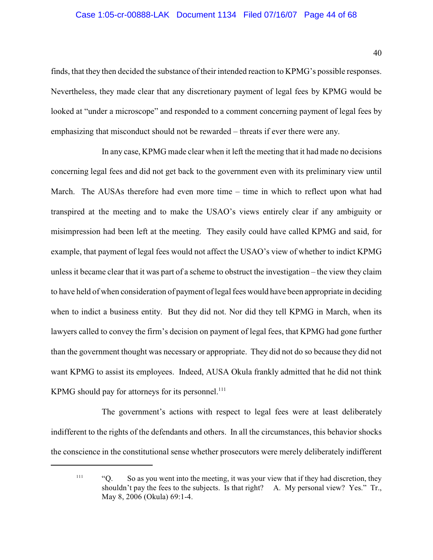### Case 1:05-cr-00888-LAK Document 1134 Filed 07/16/07 Page 44 of 68

finds, that they then decided the substance of their intended reaction to KPMG's possible responses. Nevertheless, they made clear that any discretionary payment of legal fees by KPMG would be looked at "under a microscope" and responded to a comment concerning payment of legal fees by emphasizing that misconduct should not be rewarded – threats if ever there were any.

In any case, KPMG made clear when it left the meeting that it had made no decisions concerning legal fees and did not get back to the government even with its preliminary view until March. The AUSAs therefore had even more time – time in which to reflect upon what had transpired at the meeting and to make the USAO's views entirely clear if any ambiguity or misimpression had been left at the meeting. They easily could have called KPMG and said, for example, that payment of legal fees would not affect the USAO's view of whether to indict KPMG unless it became clear that it was part of a scheme to obstruct the investigation – the view they claim to have held of when consideration of payment of legal fees would have been appropriate in deciding when to indict a business entity. But they did not. Nor did they tell KPMG in March, when its lawyers called to convey the firm's decision on payment of legal fees, that KPMG had gone further than the government thought was necessary or appropriate. They did not do so because they did not want KPMG to assist its employees. Indeed, AUSA Okula frankly admitted that he did not think KPMG should pay for attorneys for its personnel. $^{111}$ 

The government's actions with respect to legal fees were at least deliberately indifferent to the rights of the defendants and others. In all the circumstances, this behavior shocks the conscience in the constitutional sense whether prosecutors were merely deliberately indifferent

 $"$  "Q. So as you went into the meeting, it was your view that if they had discretion, they shouldn't pay the fees to the subjects. Is that right? A. My personal view? Yes." Tr., May 8, 2006 (Okula) 69:1-4.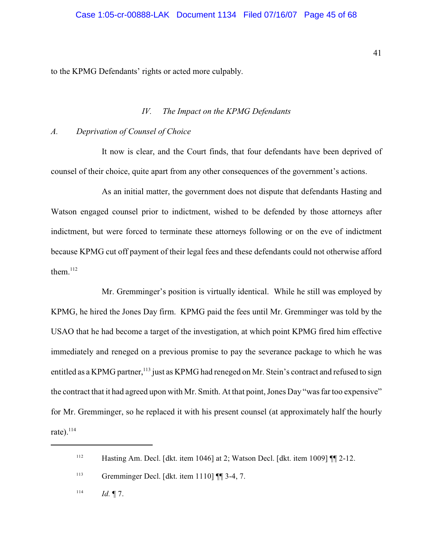to the KPMG Defendants' rights or acted more culpably.

# *IV. The Impact on the KPMG Defendants*

#### *A. Deprivation of Counsel of Choice*

It now is clear, and the Court finds, that four defendants have been deprived of counsel of their choice, quite apart from any other consequences of the government's actions.

As an initial matter, the government does not dispute that defendants Hasting and Watson engaged counsel prior to indictment, wished to be defended by those attorneys after indictment, but were forced to terminate these attorneys following or on the eve of indictment because KPMG cut off payment of their legal fees and these defendants could not otherwise afford them. $112$ 

Mr. Gremminger's position is virtually identical. While he still was employed by KPMG, he hired the Jones Day firm. KPMG paid the fees until Mr. Gremminger was told by the USAO that he had become a target of the investigation, at which point KPMG fired him effective immediately and reneged on a previous promise to pay the severance package to which he was entitled as a KPMG partner,<sup>113</sup> just as KPMG had reneged on Mr. Stein's contract and refused to sign the contract that it had agreed upon with Mr. Smith. At that point, Jones Day "was far too expensive" for Mr. Gremminger, so he replaced it with his present counsel (at approximately half the hourly rate). $^{114}$ 

41

 $\mu$ <sup>112</sup> Hasting Am. Decl. [dkt. item 1046] at 2; Watson Decl. [dkt. item 1009]  $\P$ [2-12.

<sup>&</sup>lt;sup>113</sup> Gremminger Decl. [dkt. item 1110]  $\P$  3-4, 7.

 $114$  *Id.* 17.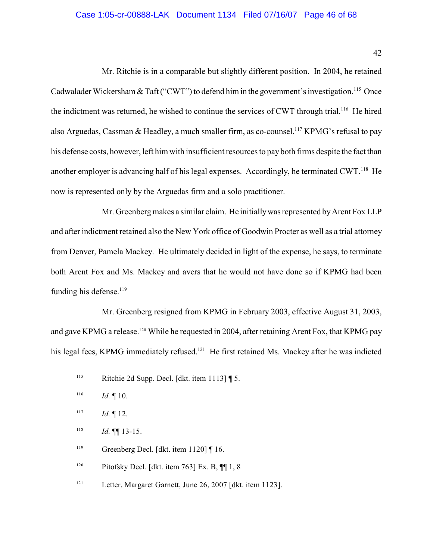## Case 1:05-cr-00888-LAK Document 1134 Filed 07/16/07 Page 46 of 68

42

Mr. Ritchie is in a comparable but slightly different position. In 2004, he retained Cadwalader Wickersham & Taft ("CWT") to defend him in the government's investigation.<sup>115</sup> Once the indictment was returned, he wished to continue the services of CWT through trial.<sup>116</sup> He hired also Arguedas, Cassman & Headley, a much smaller firm, as co-counsel.<sup>117</sup> KPMG's refusal to pay his defense costs, however, left him with insufficient resources to pay both firms despite the fact than another employer is advancing half of his legal expenses. Accordingly, he terminated  $CWT<sup>118</sup>$  He now is represented only by the Arguedas firm and a solo practitioner.

Mr. Greenberg makes a similar claim. He initially was represented by Arent Fox LLP and after indictment retained also the New York office of Goodwin Procter as well as a trial attorney from Denver, Pamela Mackey. He ultimately decided in light of the expense, he says, to terminate both Arent Fox and Ms. Mackey and avers that he would not have done so if KPMG had been funding his defense.<sup>119</sup>

Mr. Greenberg resigned from KPMG in February 2003, effective August 31, 2003, and gave KPMG a release.<sup>120</sup> While he requested in 2004, after retaining Arent Fox, that KPMG pay his legal fees, KPMG immediately refused.<sup>121</sup> He first retained Ms. Mackey after he was indicted

Letter, Margaret Garnett, June 26, 2007 [dkt. item 1123]. 121

<sup>&</sup>lt;sup>115</sup> Ritchie 2d Supp. Decl. [dkt. item 1113]  $\P$  5.

*Id.* ¶ 10. 116

*Id.* ¶ 12. 117

<sup>&</sup>lt;sup>118</sup> *Id.*  $\P\P$  13-15.

Greenberg Decl. [dkt. item 1120] ¶ 16. 119

<sup>&</sup>lt;sup>120</sup> Pitofsky Decl. [dkt. item 763] Ex. B,  $\P$  1, 8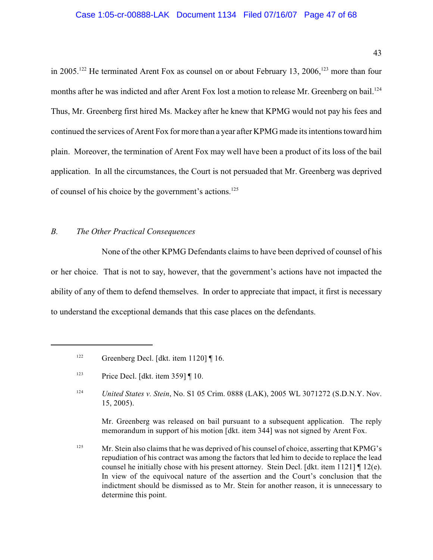43

in 2005.<sup>122</sup> He terminated Arent Fox as counsel on or about February 13, 2006.<sup>123</sup> more than four months after he was indicted and after Arent Fox lost a motion to release Mr. Greenberg on bail.<sup>124</sup> Thus, Mr. Greenberg first hired Ms. Mackey after he knew that KPMG would not pay his fees and continued the services of Arent Fox for more than a year after KPMG made its intentions toward him plain. Moreover, the termination of Arent Fox may well have been a product of its loss of the bail application. In all the circumstances, the Court is not persuaded that Mr. Greenberg was deprived of counsel of his choice by the government's actions.<sup>125</sup>

# *B. The Other Practical Consequences*

None of the other KPMG Defendants claims to have been deprived of counsel of his or her choice. That is not to say, however, that the government's actions have not impacted the ability of any of them to defend themselves. In order to appreciate that impact, it first is necessary to understand the exceptional demands that this case places on the defendants.

Mr. Greenberg was released on bail pursuant to a subsequent application. The reply memorandum in support of his motion [dkt. item 344] was not signed by Arent Fox.

Greenberg Decl. [dkt. item 1120] ¶ 16. 122

Price Decl. [dkt. item 359] ¶ 10. 123

<sup>&</sup>lt;sup>124</sup> *United States v. Stein, No. S1 05 Crim. 0888 (LAK), 2005 WL 3071272 (S.D.N.Y. Nov.* 15, 2005).

<sup>&</sup>lt;sup>125</sup> Mr. Stein also claims that he was deprived of his counsel of choice, asserting that KPMG's repudiation of his contract was among the factors that led him to decide to replace the lead counsel he initially chose with his present attorney. Stein Decl. [dkt. item 1121] ¶ 12(e). In view of the equivocal nature of the assertion and the Court's conclusion that the indictment should be dismissed as to Mr. Stein for another reason, it is unnecessary to determine this point.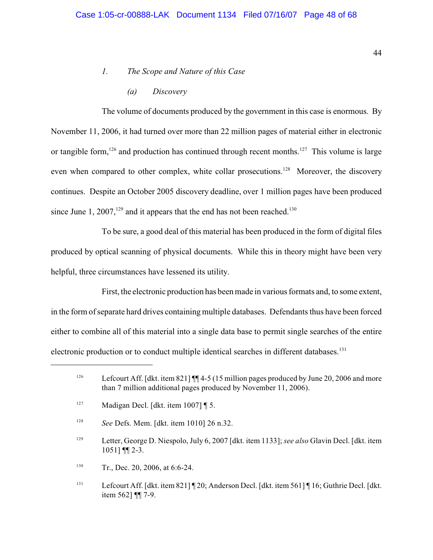# *1. The Scope and Nature of this Case*

*(a) Discovery*

The volume of documents produced by the government in this case is enormous. By November 11, 2006, it had turned over more than 22 million pages of material either in electronic or tangible form,  $126$  and production has continued through recent months.  $127$  This volume is large even when compared to other complex, white collar prosecutions.<sup>128</sup> Moreover, the discovery continues. Despite an October 2005 discovery deadline, over 1 million pages have been produced since June 1, 2007,<sup>129</sup> and it appears that the end has not been reached.<sup>130</sup>

To be sure, a good deal of this material has been produced in the form of digital files produced by optical scanning of physical documents. While this in theory might have been very helpful, three circumstances have lessened its utility.

First, the electronic production has been made in various formats and, to some extent, in the form of separate hard drives containing multiple databases. Defendants thus have been forced either to combine all of this material into a single data base to permit single searches of the entire electronic production or to conduct multiple identical searches in different databases.<sup>131</sup>

44

<sup>&</sup>lt;sup>126</sup> Lefcourt Aff. [dkt. item 821] ¶ 4-5 (15 million pages produced by June 20, 2006 and more than 7 million additional pages produced by November 11, 2006).

<sup>&</sup>lt;sup>127</sup> Madigan Decl. [dkt. item 1007]  $\sqrt{5}$ .

<sup>&</sup>lt;sup>128</sup> *See Defs. Mem.* [dkt. item 1010] 26 n.32.

Letter, George D. Niespolo, July 6, 2007 [dkt. item 1133]; *see also* Glavin Decl. [dkt. item <sup>129</sup> 1051] ¶¶ 2-3.

<sup>&</sup>lt;sup>130</sup> Tr., Dec. 20, 2006, at 6:6-24.

<sup>&</sup>lt;sup>131</sup> Lefcourt Aff. [dkt. item 821] [20; Anderson Decl. [dkt. item 561] [16; Guthrie Decl. [dkt. item 562] ¶¶ 7-9.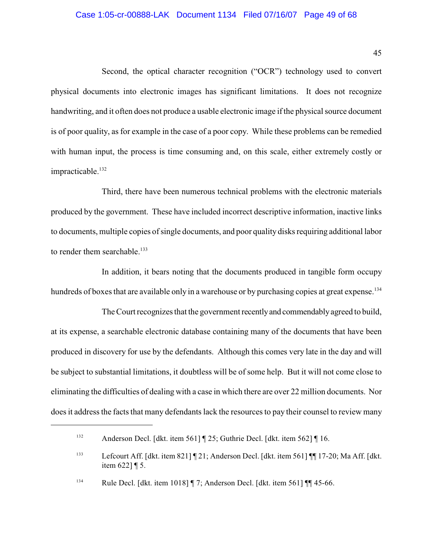### Case 1:05-cr-00888-LAK Document 1134 Filed 07/16/07 Page 49 of 68

45

Second, the optical character recognition ("OCR") technology used to convert physical documents into electronic images has significant limitations. It does not recognize handwriting, and it often does not produce a usable electronic image if the physical source document is of poor quality, as for example in the case of a poor copy. While these problems can be remedied with human input, the process is time consuming and, on this scale, either extremely costly or impracticable.<sup>132</sup>

Third, there have been numerous technical problems with the electronic materials produced by the government. These have included incorrect descriptive information, inactive links to documents, multiple copies of single documents, and poor quality disks requiring additional labor to render them searchable.<sup>133</sup>

In addition, it bears noting that the documents produced in tangible form occupy hundreds of boxes that are available only in a warehouse or by purchasing copies at great expense.<sup>134</sup>

The Court recognizes that the government recently and commendably agreed to build, at its expense, a searchable electronic database containing many of the documents that have been produced in discovery for use by the defendants. Although this comes very late in the day and will be subject to substantial limitations, it doubtless will be of some help. But it will not come close to eliminating the difficulties of dealing with a case in which there are over 22 million documents. Nor does it address the facts that many defendants lack the resources to pay their counsel to review many

Anderson Decl. [dkt. item 561] ¶ 25; Guthrie Decl. [dkt. item 562] ¶ 16. 132

<sup>&</sup>lt;sup>133</sup> Lefcourt Aff. [dkt. item 821] [21; Anderson Decl. [dkt. item 561] [[17-20; Ma Aff. [dkt. item 622] ¶ 5.

<sup>&</sup>lt;sup>134</sup> Rule Decl. [dkt. item 1018]  $\parallel$  7; Anderson Decl. [dkt. item 561]  $\parallel$  45-66.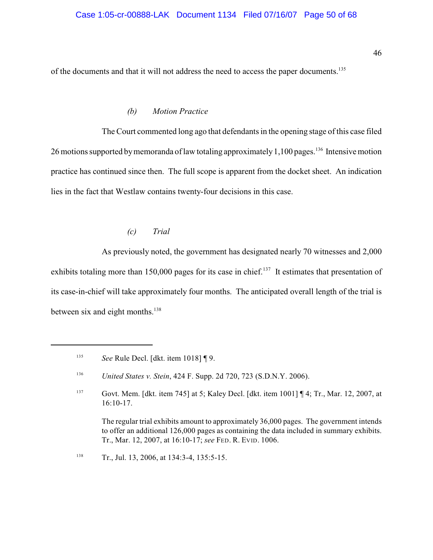of the documents and that it will not address the need to access the paper documents.<sup>135</sup>

#### *(b) Motion Practice*

The Court commented long ago that defendants in the opening stage of this case filed 26 motions supported by memoranda of law totaling approximately 1,100 pages.<sup>136</sup> Intensive motion practice has continued since then. The full scope is apparent from the docket sheet. An indication lies in the fact that Westlaw contains twenty-four decisions in this case.

#### *(c) Trial*

As previously noted, the government has designated nearly 70 witnesses and 2,000 exhibits totaling more than 150,000 pages for its case in chief.<sup>137</sup> It estimates that presentation of its case-in-chief will take approximately four months. The anticipated overall length of the trial is between six and eight months.<sup>138</sup>

The regular trial exhibits amount to approximately 36,000 pages. The government intends to offer an additional 126,000 pages as containing the data included in summary exhibits. Tr., Mar. 12, 2007, at 16:10-17; *see* FED. R. EVID. 1006.

<sup>138</sup> Tr., Jul. 13, 2006, at 134:3-4, 135:5-15.

<sup>&</sup>lt;sup>135</sup> See Rule Decl. [dkt. item 1018] [9.

<sup>&</sup>lt;sup>136</sup> *United States v. Stein, 424 F. Supp. 2d 720, 723 (S.D.N.Y. 2006).* 

 $G$  Govt. Mem. [dkt. item 745] at 5; Kaley Decl. [dkt. item 1001] [4; Tr., Mar. 12, 2007, at 16:10-17.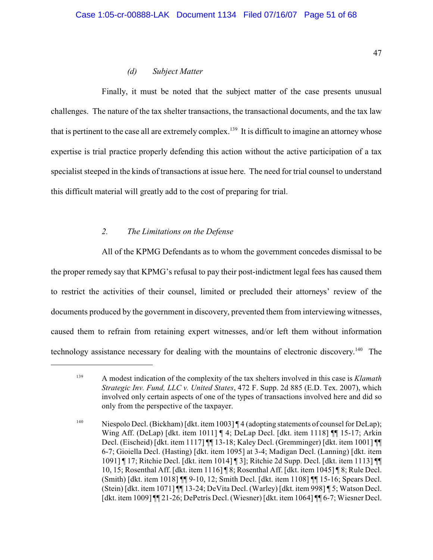# *(d) Subject Matter*

Finally, it must be noted that the subject matter of the case presents unusual challenges. The nature of the tax shelter transactions, the transactional documents, and the tax law that is pertinent to the case all are extremely complex.<sup>139</sup> It is difficult to imagine an attorney whose expertise is trial practice properly defending this action without the active participation of a tax specialist steeped in the kinds of transactions at issue here. The need for trial counsel to understand this difficult material will greatly add to the cost of preparing for trial.

# *2. The Limitations on the Defense*

All of the KPMG Defendants as to whom the government concedes dismissal to be the proper remedy say that KPMG's refusal to pay their post-indictment legal fees has caused them to restrict the activities of their counsel, limited or precluded their attorneys' review of the documents produced by the government in discovery, prevented them from interviewing witnesses, caused them to refrain from retaining expert witnesses, and/or left them without information technology assistance necessary for dealing with the mountains of electronic discovery.<sup>140</sup> The

A modest indication of the complexity of the tax shelters involved in this case is *Klamath* <sup>139</sup> *Strategic Inv. Fund, LLC v. United States*, 472 F. Supp. 2d 885 (E.D. Tex. 2007), which involved only certain aspects of one of the types of transactions involved here and did so only from the perspective of the taxpayer.

<sup>&</sup>lt;sup>140</sup> Niespolo Decl. (Bickham) [dkt. item 1003]  $\P$  4 (adopting statements of counsel for DeLap); Wing Aff. (DeLap) [dkt. item 1011] ¶ 4; DeLap Decl. [dkt. item 1118] ¶¶ 15-17; Arkin Decl. (Eischeid) [dkt. item 1117] ¶¶ 13-18; Kaley Decl. (Gremminger) [dkt. item 1001] ¶¶ 6-7; Gioiella Decl. (Hasting) [dkt. item 1095] at 3-4; Madigan Decl. (Lanning) [dkt. item 1091] ¶ 17; Ritchie Decl. [dkt. item 1014] ¶ 3]; Ritchie 2d Supp. Decl. [dkt. item 1113] ¶¶ 10, 15; Rosenthal Aff. [dkt. item 1116] ¶ 8; Rosenthal Aff. [dkt. item 1045] ¶ 8; Rule Decl. (Smith) [dkt. item 1018] ¶¶ 9-10, 12; Smith Decl. [dkt. item 1108] ¶¶ 15-16; Spears Decl. (Stein) [dkt. item 1071] ¶¶ 13-24; DeVita Decl. (Warley) [dkt. item 998] ¶ 5; Watson Decl. [dkt. item 1009] ¶¶ 21-26; DePetris Decl. (Wiesner) [dkt. item 1064] ¶¶ 6-7; Wiesner Decl.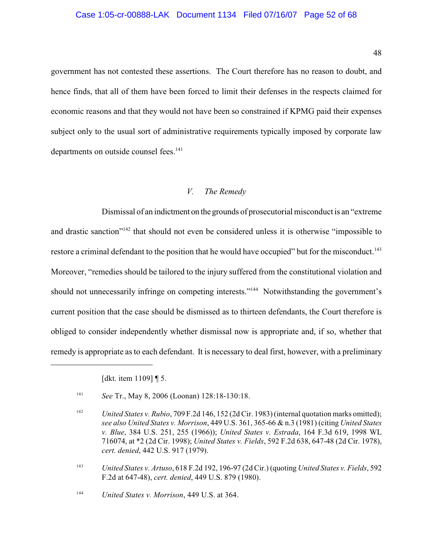### Case 1:05-cr-00888-LAK Document 1134 Filed 07/16/07 Page 52 of 68

government has not contested these assertions. The Court therefore has no reason to doubt, and hence finds, that all of them have been forced to limit their defenses in the respects claimed for economic reasons and that they would not have been so constrained if KPMG paid their expenses subject only to the usual sort of administrative requirements typically imposed by corporate law departments on outside counsel fees.<sup>141</sup>

# *V. The Remedy*

Dismissal of an indictment on the grounds of prosecutorial misconduct is an "extreme and drastic sanction"<sup> $142$ </sup> that should not even be considered unless it is otherwise "impossible to restore a criminal defendant to the position that he would have occupied" but for the misconduct.<sup>143</sup> Moreover, "remedies should be tailored to the injury suffered from the constitutional violation and should not unnecessarily infringe on competing interests."<sup>144</sup> Notwithstanding the government's current position that the case should be dismissed as to thirteen defendants, the Court therefore is obliged to consider independently whether dismissal now is appropriate and, if so, whether that remedy is appropriate as to each defendant. It is necessary to deal first, however, with a preliminary

[dkt. item 1109] ¶ 5.

<sup>&</sup>lt;sup>141</sup> *See Tr., May 8, 2006 (Loonan)* 128:18-130:18.

*United States v. Rubio*, 709 F.2d 146, 152 (2d Cir. 1983) (internal quotation marks omitted); 142 *see also United States v. Morrison*, 449 U.S. 361, 365-66 & n.3 (1981) (citing *United States v. Blue*, 384 U.S. 251, 255 (1966)); *United States v. Estrada*, 164 F.3d 619, 1998 WL 716074, at \*2 (2d Cir. 1998); *United States v. Fields*, 592 F.2d 638, 647-48 (2d Cir. 1978), *cert. denied*, 442 U.S. 917 (1979).

*United States v. Artuso*, 618 F.2d 192, 196-97 (2d Cir.) (quoting *United States v. Fields*, 592 <sup>143</sup> F.2d at 647-48), *cert. denied*, 449 U.S. 879 (1980).

<sup>&</sup>lt;sup>144</sup> *United States v. Morrison*, 449 U.S. at 364.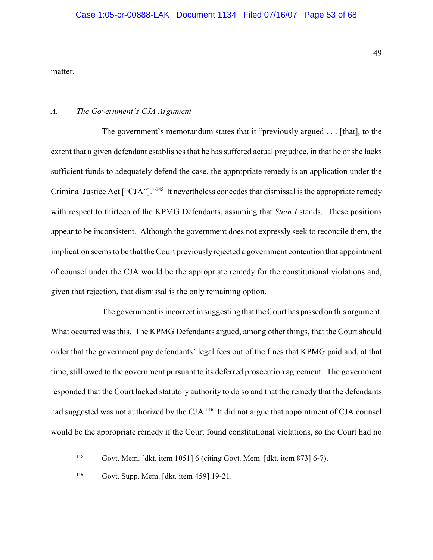matter.

#### *A. The Government's CJA Argument*

The government's memorandum states that it "previously argued . . . [that], to the extent that a given defendant establishes that he has suffered actual prejudice, in that he or she lacks sufficient funds to adequately defend the case, the appropriate remedy is an application under the Criminal Justice Act ["CJA"]."<sup>145</sup> It nevertheless concedes that dismissal is the appropriate remedy with respect to thirteen of the KPMG Defendants, assuming that *Stein I* stands. These positions appear to be inconsistent. Although the government does not expressly seek to reconcile them, the implication seems to be that the Court previously rejected a government contention that appointment of counsel under the CJA would be the appropriate remedy for the constitutional violations and, given that rejection, that dismissal is the only remaining option.

The government is incorrect in suggesting that the Court has passed on this argument. What occurred was this. The KPMG Defendants argued, among other things, that the Court should order that the government pay defendants' legal fees out of the fines that KPMG paid and, at that time, still owed to the government pursuant to its deferred prosecution agreement. The government responded that the Court lacked statutory authority to do so and that the remedy that the defendants had suggested was not authorized by the CJA.<sup>146</sup> It did not argue that appointment of CJA counsel would be the appropriate remedy if the Court found constitutional violations, so the Court had no

 $Govt$ . Mem. [dkt. item 1051] 6 (citing Govt. Mem. [dkt. item 873] 6-7).

<sup>&</sup>lt;sup>146</sup> Govt. Supp. Mem. [dkt. item 459] 19-21.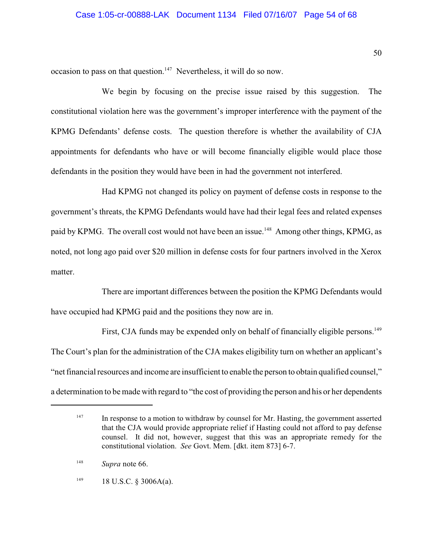occasion to pass on that question.<sup>147</sup> Nevertheless, it will do so now.

We begin by focusing on the precise issue raised by this suggestion. The constitutional violation here was the government's improper interference with the payment of the KPMG Defendants' defense costs. The question therefore is whether the availability of CJA appointments for defendants who have or will become financially eligible would place those defendants in the position they would have been in had the government not interfered.

Had KPMG not changed its policy on payment of defense costs in response to the government's threats, the KPMG Defendants would have had their legal fees and related expenses paid by KPMG. The overall cost would not have been an issue.<sup>148</sup> Among other things, KPMG, as noted, not long ago paid over \$20 million in defense costs for four partners involved in the Xerox matter.

There are important differences between the position the KPMG Defendants would have occupied had KPMG paid and the positions they now are in.

First, CJA funds may be expended only on behalf of financially eligible persons.<sup>149</sup> The Court's plan for the administration of the CJA makes eligibility turn on whether an applicant's "net financial resources and income are insufficient to enable the person to obtain qualified counsel," a determination to be made with regard to "the cost of providing the person and his or her dependents

50

 $\frac{147}{147}$  In response to a motion to withdraw by counsel for Mr. Hasting, the government asserted that the CJA would provide appropriate relief if Hasting could not afford to pay defense counsel. It did not, however, suggest that this was an appropriate remedy for the constitutional violation. *See* Govt. Mem. [dkt. item 873] 6-7.

*Supra* note 66. 148

<sup>18</sup> U.S.C. § 3006A(a). 149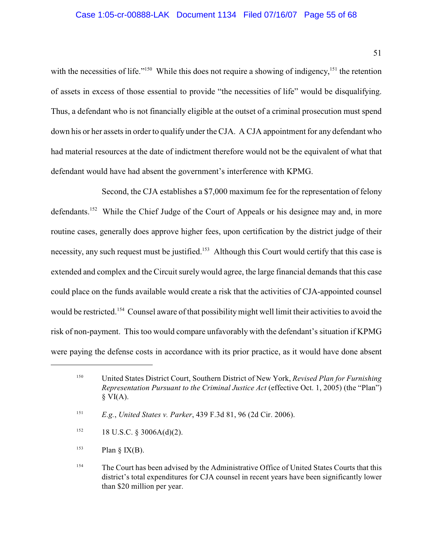with the necessities of life."<sup>150</sup> While this does not require a showing of indigency,<sup>151</sup> the retention of assets in excess of those essential to provide "the necessities of life" would be disqualifying. Thus, a defendant who is not financially eligible at the outset of a criminal prosecution must spend down his or her assets in order to qualify under the CJA. A CJA appointment for any defendant who had material resources at the date of indictment therefore would not be the equivalent of what that defendant would have had absent the government's interference with KPMG.

Second, the CJA establishes a \$7,000 maximum fee for the representation of felony defendants.<sup>152</sup> While the Chief Judge of the Court of Appeals or his designee may and, in more routine cases, generally does approve higher fees, upon certification by the district judge of their necessity, any such request must be justified.<sup>153</sup> Although this Court would certify that this case is extended and complex and the Circuit surely would agree, the large financial demands that this case could place on the funds available would create a risk that the activities of CJA-appointed counsel would be restricted.<sup>154</sup> Counsel aware of that possibility might well limit their activities to avoid the risk of non-payment. This too would compare unfavorably with the defendant's situation if KPMG were paying the defense costs in accordance with its prior practice, as it would have done absent

- 18 U.S.C. § 3006A(d)(2). 152
- Plan  $\S$  IX(B). 153

United States District Court, Southern District of New York, *Revised Plan for Furnishing* <sup>150</sup> *Representation Pursuant to the Criminal Justice Act* (effective Oct. 1, 2005) (the "Plan")  $\S$  VI(A).

<sup>&</sup>lt;sup>151</sup> *E.g.*, *United States v. Parker*, 439 F.3d 81, 96 (2d Cir. 2006).

<sup>&</sup>lt;sup>154</sup> The Court has been advised by the Administrative Office of United States Courts that this district's total expenditures for CJA counsel in recent years have been significantly lower than \$20 million per year.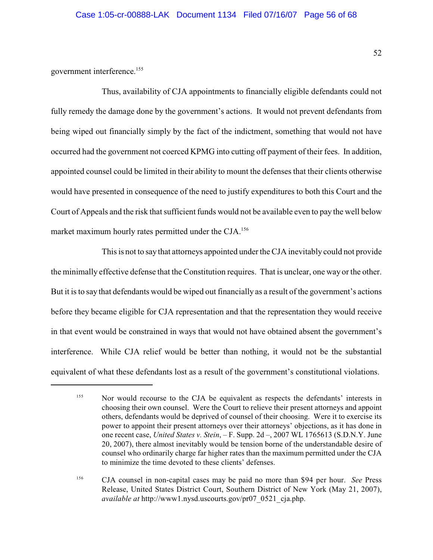government interference. 155

Thus, availability of CJA appointments to financially eligible defendants could not fully remedy the damage done by the government's actions. It would not prevent defendants from being wiped out financially simply by the fact of the indictment, something that would not have occurred had the government not coerced KPMG into cutting off payment of their fees. In addition, appointed counsel could be limited in their ability to mount the defenses that their clients otherwise would have presented in consequence of the need to justify expenditures to both this Court and the Court of Appeals and the risk that sufficient funds would not be available even to pay the well below market maximum hourly rates permitted under the CJA.<sup>156</sup>

This is not to say that attorneys appointed under the CJA inevitably could not provide the minimally effective defense that the Constitution requires. That is unclear, one way or the other. But it is to say that defendants would be wiped out financially as a result of the government's actions before they became eligible for CJA representation and that the representation they would receive in that event would be constrained in ways that would not have obtained absent the government's interference. While CJA relief would be better than nothing, it would not be the substantial equivalent of what these defendants lost as a result of the government's constitutional violations.

<sup>&</sup>lt;sup>155</sup> Nor would recourse to the CJA be equivalent as respects the defendants' interests in choosing their own counsel. Were the Court to relieve their present attorneys and appoint others, defendants would be deprived of counsel of their choosing. Were it to exercise its power to appoint their present attorneys over their attorneys' objections, as it has done in one recent case, *United States v. Stein*, – F. Supp. 2d –, 2007 WL 1765613 (S.D.N.Y. June 20, 2007), there almost inevitably would be tension borne of the understandable desire of counsel who ordinarily charge far higher rates than the maximum permitted under the CJA to minimize the time devoted to these clients' defenses.

<sup>&</sup>lt;sup>156</sup> CJA counsel in non-capital cases may be paid no more than \$94 per hour. *See* Press Release, United States District Court, Southern District of New York (May 21, 2007), *available at* http://www1.nysd.uscourts.gov/pr07\_0521\_cja.php.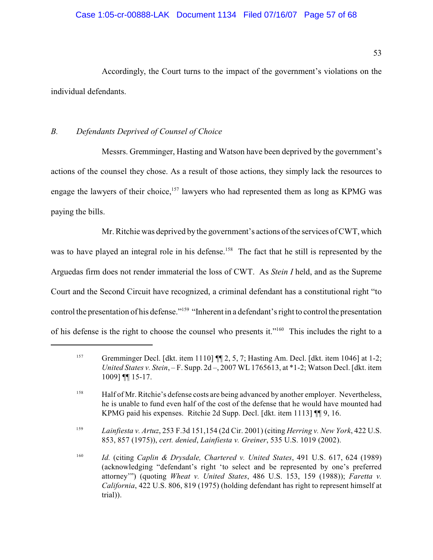Accordingly, the Court turns to the impact of the government's violations on the individual defendants.

# *B. Defendants Deprived of Counsel of Choice*

Messrs. Gremminger, Hasting and Watson have been deprived by the government's actions of the counsel they chose. As a result of those actions, they simply lack the resources to engage the lawyers of their choice,  $157$  lawyers who had represented them as long as KPMG was paying the bills.

Mr. Ritchie was deprived by the government's actions of the services of CWT, which was to have played an integral role in his defense.<sup>158</sup> The fact that he still is represented by the Arguedas firm does not render immaterial the loss of CWT. As *Stein I* held, and as the Supreme Court and the Second Circuit have recognized, a criminal defendant has a constitutional right "to control the presentation of his defense."<sup>159</sup> "Inherent in a defendant's right to control the presentation of his defense is the right to choose the counsel who presents it."<sup>160</sup> This includes the right to a

<sup>&</sup>lt;sup>157</sup> Gremminger Decl. [dkt. item 1110]  $\P$ [2, 5, 7; Hasting Am. Decl. [dkt. item 1046] at 1-2; *United States v. Stein*, – F. Supp. 2d –, 2007 WL 1765613, at \*1-2; Watson Decl. [dkt. item 1009] ¶¶ 15-17.

<sup>&</sup>lt;sup>158</sup> Half of Mr. Ritchie's defense costs are being advanced by another employer. Nevertheless, he is unable to fund even half of the cost of the defense that he would have mounted had KPMG paid his expenses. Ritchie 2d Supp. Decl. [dkt. item 1113] ¶¶ 9, 16.

*Lainfiesta v. Artuz*, 253 F.3d 151,154 (2d Cir. 2001) (citing *Herring v. New York*, 422 U.S. <sup>159</sup> 853, 857 (1975)), *cert. denied*, *Lainfiesta v. Greiner*, 535 U.S. 1019 (2002).

*Id.* (citing *Caplin & Drysdale, Chartered v. United States*, 491 U.S. 617, 624 (1989) 160 (acknowledging "defendant's right 'to select and be represented by one's preferred attorney'") (quoting *Wheat v. United States*, 486 U.S. 153, 159 (1988)); *Faretta v. California*, 422 U.S. 806, 819 (1975) (holding defendant has right to represent himself at trial)).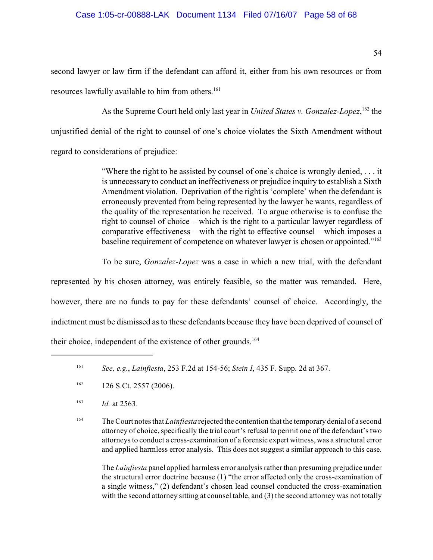second lawyer or law firm if the defendant can afford it, either from his own resources or from resources lawfully available to him from others. 161

As the Supreme Court held only last year in *United States v. Gonzalez-Lopez*, <sup>162</sup> the unjustified denial of the right to counsel of one's choice violates the Sixth Amendment without regard to considerations of prejudice:

> "Where the right to be assisted by counsel of one's choice is wrongly denied, . . . it is unnecessary to conduct an ineffectiveness or prejudice inquiry to establish a Sixth Amendment violation. Deprivation of the right is 'complete' when the defendant is erroneously prevented from being represented by the lawyer he wants, regardless of the quality of the representation he received. To argue otherwise is to confuse the right to counsel of choice – which is the right to a particular lawyer regardless of comparative effectiveness – with the right to effective counsel – which imposes a baseline requirement of competence on whatever lawyer is chosen or appointed."<sup>163</sup>

> To be sure, *Gonzalez-Lopez* was a case in which a new trial, with the defendant

represented by his chosen attorney, was entirely feasible, so the matter was remanded. Here, however, there are no funds to pay for these defendants' counsel of choice. Accordingly, the indictment must be dismissed as to these defendants because they have been deprived of counsel of their choice, independent of the existence of other grounds. 164

<sup>164</sup> The Court notes that *Lainfiesta* rejected the contention that the temporary denial of a second attorney of choice, specifically the trial court's refusal to permit one of the defendant's two attorneys to conduct a cross-examination of a forensic expert witness, was a structural error and applied harmless error analysis. This does not suggest a similar approach to this case.

The *Lainfiesta* panel applied harmless error analysis rather than presuming prejudice under the structural error doctrine because (1) "the error affected only the cross-examination of a single witness," (2) defendant's chosen lead counsel conducted the cross-examination with the second attorney sitting at counsel table, and (3) the second attorney was not totally

*See, e.g.*, *Lainfiesta*, 253 F.2d at 154-56; *Stein I*, 435 F. Supp. 2d at 367. <sup>161</sup>

 $126$  S.Ct. 2557 (2006).

 $163$  *Id.* at 2563.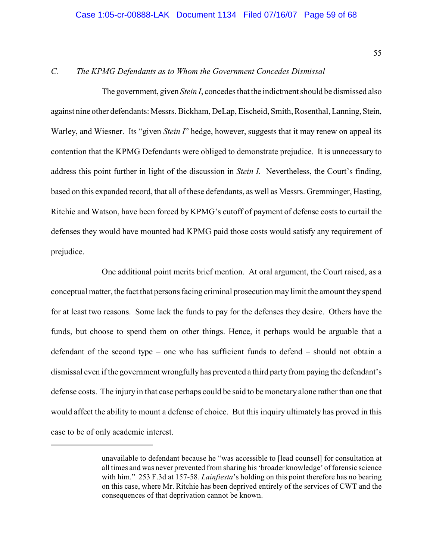# *C. The KPMG Defendants as to Whom the Government Concedes Dismissal*

The government, given *Stein I*, concedes that the indictment should be dismissed also against nine other defendants: Messrs. Bickham, DeLap, Eischeid, Smith, Rosenthal, Lanning, Stein, Warley, and Wiesner. Its "given *Stein I*" hedge, however, suggests that it may renew on appeal its contention that the KPMG Defendants were obliged to demonstrate prejudice. It is unnecessary to address this point further in light of the discussion in *Stein I.* Nevertheless, the Court's finding, based on this expanded record, that all of these defendants, as well as Messrs. Gremminger, Hasting, Ritchie and Watson, have been forced by KPMG's cutoff of payment of defense costs to curtail the defenses they would have mounted had KPMG paid those costs would satisfy any requirement of prejudice.

One additional point merits brief mention. At oral argument, the Court raised, as a conceptual matter, the fact that persons facing criminal prosecution may limit the amount they spend for at least two reasons. Some lack the funds to pay for the defenses they desire. Others have the funds, but choose to spend them on other things. Hence, it perhaps would be arguable that a defendant of the second type – one who has sufficient funds to defend – should not obtain a dismissal even if the government wrongfully has prevented a third party from paying the defendant's defense costs. The injury in that case perhaps could be said to be monetary alone rather than one that would affect the ability to mount a defense of choice. But this inquiry ultimately has proved in this case to be of only academic interest.

unavailable to defendant because he "was accessible to [lead counsel] for consultation at all times and was never prevented from sharing his 'broader knowledge' of forensic science with him." 253 F.3d at 157-58. *Lainfiesta*'s holding on this point therefore has no bearing on this case, where Mr. Ritchie has been deprived entirely of the services of CWT and the consequences of that deprivation cannot be known.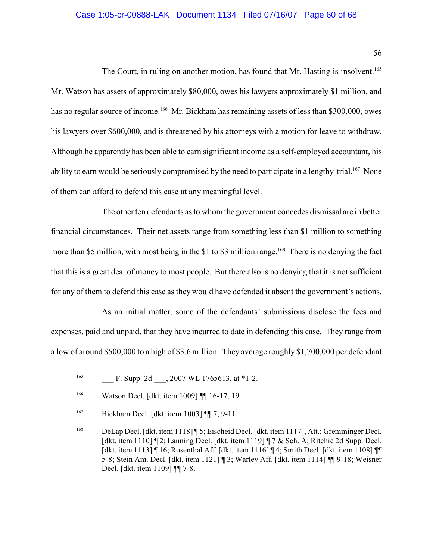## Case 1:05-cr-00888-LAK Document 1134 Filed 07/16/07 Page 60 of 68

56

The Court, in ruling on another motion, has found that Mr. Hasting is insolvent.<sup>165</sup> Mr. Watson has assets of approximately \$80,000, owes his lawyers approximately \$1 million, and has no regular source of income.<sup>166</sup> Mr. Bickham has remaining assets of less than \$300,000, owes his lawyers over \$600,000, and is threatened by his attorneys with a motion for leave to withdraw. Although he apparently has been able to earn significant income as a self-employed accountant, his ability to earn would be seriously compromised by the need to participate in a lengthy trial.<sup>167</sup> None of them can afford to defend this case at any meaningful level.

The other ten defendants as to whom the government concedes dismissal are in better financial circumstances. Their net assets range from something less than \$1 million to something more than \$5 million, with most being in the \$1 to \$3 million range.<sup>168</sup> There is no denying the fact that this is a great deal of money to most people. But there also is no denying that it is not sufficient for any of them to defend this case as they would have defended it absent the government's actions.

As an initial matter, some of the defendants' submissions disclose the fees and expenses, paid and unpaid, that they have incurred to date in defending this case. They range from a low of around \$500,000 to a high of \$3.6 million. They average roughly \$1,700,000 per defendant

 $^{165}$  F. Supp. 2d  $, 2007$  WL 1765613, at \*1-2.

Watson Decl. [dkt. item 1009] ¶¶ 16-17, 19. 166

<sup>&</sup>lt;sup>167</sup> Bickham Decl. [dkt. item 1003]  $\P\P$  7, 9-11.

DeLap Decl. [dkt. item 1118] ¶ 5; Eischeid Decl. [dkt. item 1117], Att.; Gremminger Decl. 168 [dkt. item 1110] ¶ 2; Lanning Decl. [dkt. item 1119] ¶ 7 & Sch. A; Ritchie 2d Supp. Decl. [dkt. item 1113] ¶ 16; Rosenthal Aff. [dkt. item 1116] ¶ 4; Smith Decl. [dkt. item 1108] ¶¶ 5-8; Stein Am. Decl. [dkt. item 1121] ¶ 3; Warley Aff. [dkt. item 1114] ¶¶ 9-18; Weisner Decl. [dkt. item 1109] ¶¶ 7-8.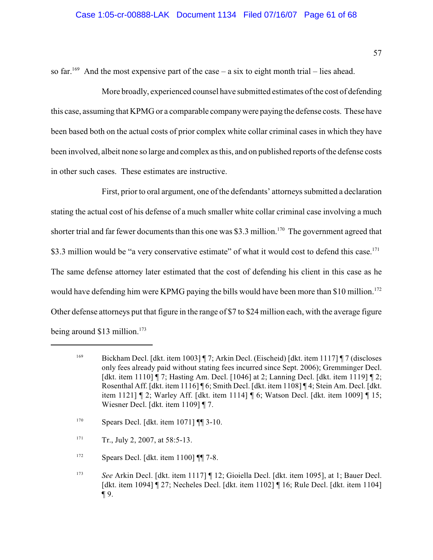so far.<sup>169</sup> And the most expensive part of the case – a six to eight month trial – lies ahead.

More broadly, experienced counsel have submitted estimates of the cost of defending this case, assuming that KPMG or a comparable companywere paying the defense costs. These have been based both on the actual costs of prior complex white collar criminal cases in which they have been involved, albeit none so large and complex as this, and on published reports of the defense costs in other such cases. These estimates are instructive.

First, prior to oral argument, one of the defendants' attorneys submitted a declaration stating the actual cost of his defense of a much smaller white collar criminal case involving a much shorter trial and far fewer documents than this one was \$3.3 million.<sup>170</sup> The government agreed that \$3.3 million would be "a very conservative estimate" of what it would cost to defend this case.<sup>171</sup> The same defense attorney later estimated that the cost of defending his client in this case as he would have defending him were KPMG paying the bills would have been more than \$10 million.<sup>172</sup> Other defense attorneys put that figure in the range of \$7 to \$24 million each, with the average figure being around  $$13$  million.<sup>173</sup>

- $Spears$  Decl. [dkt. item 1071]  $\P$  3-10.
- $T_{\text{r}}$ , July 2, 2007, at 58:5-13.
- $Spears$  Decl. [dkt. item 1100] [[17-8.]
- *See* Arkin Decl. [dkt. item 1117] ¶ 12; Gioiella Decl. [dkt. item 1095], at 1; Bauer Decl. 173 [dkt. item 1094] ¶ 27; Necheles Decl. [dkt. item 1102] ¶ 16; Rule Decl. [dkt. item 1104] ¶ 9.

 $Bickham Decl. [dkt. item 1003] \P 7; Arkin Decl. (Eischeid) [dkt. item 1117] \P 7 (discloses 1699]$ only fees already paid without stating fees incurred since Sept. 2006); Gremminger Decl. [dkt. item 1110] ¶ 7; Hasting Am. Decl. [1046] at 2; Lanning Decl. [dkt. item 1119] ¶ 2; Rosenthal Aff. [dkt. item 1116] ¶ 6; Smith Decl. [dkt. item 1108] ¶ 4; Stein Am. Decl. [dkt. item 1121] ¶ 2; Warley Aff. [dkt. item 1114] ¶ 6; Watson Decl. [dkt. item 1009] ¶ 15; Wiesner Decl. [dkt. item 1109] ¶ 7.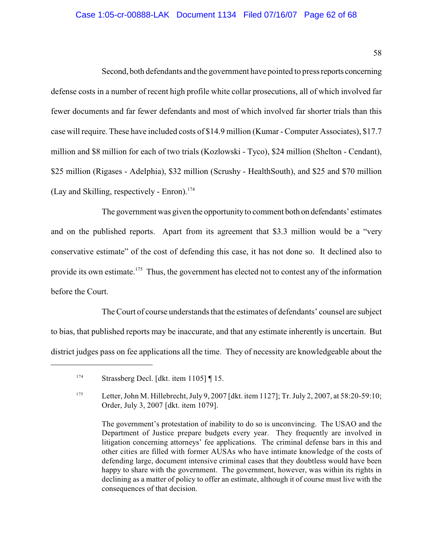# Case 1:05-cr-00888-LAK Document 1134 Filed 07/16/07 Page 62 of 68

58

Second, both defendants and the government have pointed to press reports concerning defense costs in a number of recent high profile white collar prosecutions, all of which involved far fewer documents and far fewer defendants and most of which involved far shorter trials than this case will require. These have included costs of \$14.9 million (Kumar - Computer Associates), \$17.7 million and \$8 million for each of two trials (Kozlowski - Tyco), \$24 million (Shelton - Cendant), \$25 million (Rigases - Adelphia), \$32 million (Scrushy - HealthSouth), and \$25 and \$70 million (Lay and Skilling, respectively - Enron). 174

The government was given the opportunity to comment both on defendants' estimates and on the published reports. Apart from its agreement that \$3.3 million would be a "very conservative estimate" of the cost of defending this case, it has not done so. It declined also to provide its own estimate.<sup>175</sup> Thus, the government has elected not to contest any of the information before the Court.

The Court of course understands that the estimates of defendants' counsel are subject to bias, that published reports may be inaccurate, and that any estimate inherently is uncertain. But district judges pass on fee applications all the time. They of necessity are knowledgeable about the

Strassberg Decl. [dkt. item 1105] ¶ 15. 174

<sup>175</sup> Letter, John M. Hillebrecht, July 9, 2007 [dkt. item 1127]; Tr. July 2, 2007, at 58:20-59:10; Order, July 3, 2007 [dkt. item 1079].

The government's protestation of inability to do so is unconvincing. The USAO and the Department of Justice prepare budgets every year. They frequently are involved in litigation concerning attorneys' fee applications. The criminal defense bars in this and other cities are filled with former AUSAs who have intimate knowledge of the costs of defending large, document intensive criminal cases that they doubtless would have been happy to share with the government. The government, however, was within its rights in declining as a matter of policy to offer an estimate, although it of course must live with the consequences of that decision.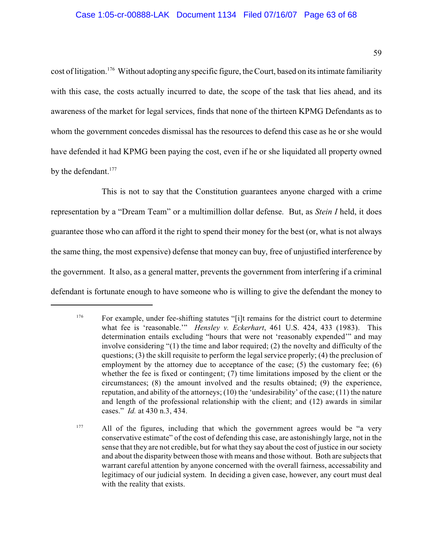cost of litigation.<sup>176</sup> Without adopting any specific figure, the Court, based on its intimate familiarity with this case, the costs actually incurred to date, the scope of the task that lies ahead, and its awareness of the market for legal services, finds that none of the thirteen KPMG Defendants as to whom the government concedes dismissal has the resources to defend this case as he or she would have defended it had KPMG been paying the cost, even if he or she liquidated all property owned by the defendant.<sup>177</sup>

This is not to say that the Constitution guarantees anyone charged with a crime representation by a "Dream Team" or a multimillion dollar defense. But, as *Stein I* held, it does guarantee those who can afford it the right to spend their money for the best (or, what is not always the same thing, the most expensive) defense that money can buy, free of unjustified interference by the government. It also, as a general matter, prevents the government from interfering if a criminal defendant is fortunate enough to have someone who is willing to give the defendant the money to

<sup>&</sup>lt;sup>176</sup> For example, under fee-shifting statutes "[i]t remains for the district court to determine what fee is 'reasonable.'" *Hensley v. Eckerhart*, 461 U.S. 424, 433 (1983). This determination entails excluding "hours that were not 'reasonably expended'" and may involve considering "(1) the time and labor required; (2) the novelty and difficulty of the questions; (3) the skill requisite to perform the legal service properly; (4) the preclusion of employment by the attorney due to acceptance of the case; (5) the customary fee; (6) whether the fee is fixed or contingent; (7) time limitations imposed by the client or the circumstances; (8) the amount involved and the results obtained; (9) the experience, reputation, and ability of the attorneys; (10) the 'undesirability' of the case; (11) the nature and length of the professional relationship with the client; and (12) awards in similar cases." *Id.* at 430 n.3, 434.

All of the figures, including that which the government agrees would be "a very 177 conservative estimate" of the cost of defending this case, are astonishingly large, not in the sense that they are not credible, but for what they say about the cost of justice in our society and about the disparity between those with means and those without. Both are subjects that warrant careful attention by anyone concerned with the overall fairness, accessability and legitimacy of our judicial system. In deciding a given case, however, any court must deal with the reality that exists.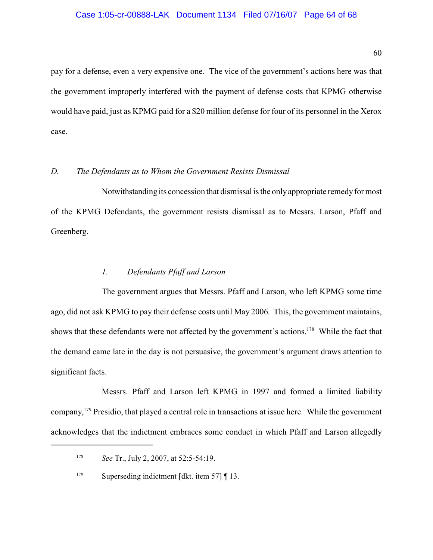#### Case 1:05-cr-00888-LAK Document 1134 Filed 07/16/07 Page 64 of 68

60

pay for a defense, even a very expensive one. The vice of the government's actions here was that the government improperly interfered with the payment of defense costs that KPMG otherwise would have paid, just as KPMG paid for a \$20 million defense for four of its personnel in the Xerox case.

# *D. The Defendants as to Whom the Government Resists Dismissal*

Notwithstanding its concession that dismissal is the only appropriate remedy for most of the KPMG Defendants, the government resists dismissal as to Messrs. Larson, Pfaff and Greenberg.

#### *1. Defendants Pfaff and Larson*

The government argues that Messrs. Pfaff and Larson, who left KPMG some time ago, did not ask KPMG to pay their defense costs until May 2006*.* This, the government maintains, shows that these defendants were not affected by the government's actions.<sup>178</sup> While the fact that the demand came late in the day is not persuasive, the government's argument draws attention to significant facts.

Messrs. Pfaff and Larson left KPMG in 1997 and formed a limited liability company, <sup>179</sup> Presidio, that played a central role in transactions at issue here. While the government acknowledges that the indictment embraces some conduct in which Pfaff and Larson allegedly

<sup>&</sup>lt;sup>178</sup> *See Tr., July 2, 2007, at 52:5-54:19.* 

Superseding indictment [dkt. item 57] ¶ 13. 179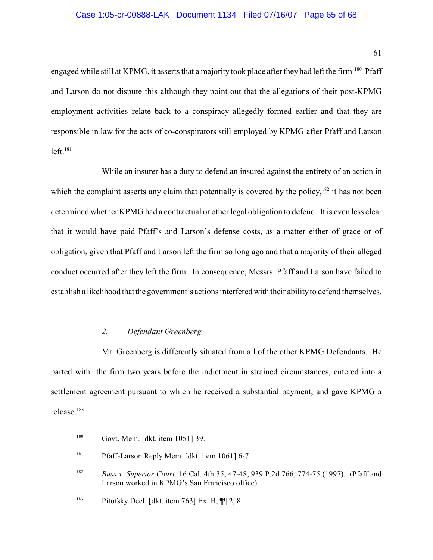#### Case 1:05-cr-00888-LAK Document 1134 Filed 07/16/07 Page 65 of 68

61

engaged while still at KPMG, it asserts that a majority took place after they had left the firm.<sup>180</sup> Pfaff and Larson do not dispute this although they point out that the allegations of their post-KPMG employment activities relate back to a conspiracy allegedly formed earlier and that they are responsible in law for the acts of co-conspirators still employed by KPMG after Pfaff and Larson left. 181

While an insurer has a duty to defend an insured against the entirety of an action in which the complaint asserts any claim that potentially is covered by the policy,  $182$  it has not been determined whether KPMG had a contractual or other legal obligation to defend. It is even less clear that it would have paid Pfaff's and Larson's defense costs, as a matter either of grace or of obligation, given that Pfaff and Larson left the firm so long ago and that a majority of their alleged conduct occurred after they left the firm. In consequence, Messrs. Pfaff and Larson have failed to establish a likelihood that the government's actions interfered with their ability to defend themselves.

# *2. Defendant Greenberg*

Mr. Greenberg is differently situated from all of the other KPMG Defendants. He parted with the firm two years before the indictment in strained circumstances, entered into a settlement agreement pursuant to which he received a substantial payment, and gave KPMG a release. 183

Govt. Mem. [dkt. item 1051] 39. 180

<sup>&</sup>lt;sup>181</sup> Pfaff-Larson Reply Mem. [dkt. item 1061] 6-7.

<sup>&</sup>lt;sup>182</sup> *Buss v. Superior Court*, 16 Cal. 4th 35, 47-48, 939 P.2d 766, 774-75 (1997). (Pfaff and Larson worked in KPMG's San Francisco office).

<sup>&</sup>lt;sup>183</sup> Pitofsky Decl. [dkt. item 763] Ex. B,  $\P$  12, 8.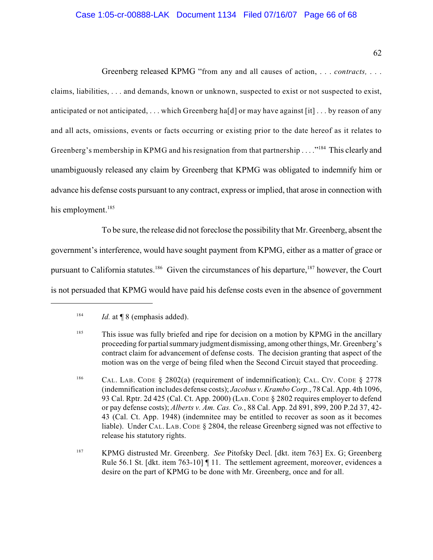# Case 1:05-cr-00888-LAK Document 1134 Filed 07/16/07 Page 66 of 68

62

Greenberg released KPMG "from any and all causes of action, . . . *contracts,* . . . claims, liabilities, . . . and demands, known or unknown, suspected to exist or not suspected to exist, anticipated or not anticipated, . . . which Greenberg ha[d] or may have against [it] . . . by reason of any and all acts, omissions, events or facts occurring or existing prior to the date hereof as it relates to Greenberg's membership in KPMG and his resignation from that partnership  $\ldots$ <sup>"184</sup>. This clearly and unambiguously released any claim by Greenberg that KPMG was obligated to indemnify him or advance his defense costs pursuant to any contract, express or implied, that arose in connection with his employment.<sup>185</sup>

To be sure, the release did not foreclose the possibility that Mr. Greenberg, absent the government's interference, would have sought payment from KPMG, either as a matter of grace or pursuant to California statutes.<sup>186</sup> Given the circumstances of his departure,  $187$  however, the Court is not persuaded that KPMG would have paid his defense costs even in the absence of government

<sup>&</sup>lt;sup>184</sup> *Id.* at  $\llbracket 8 \text{ (emphasis added)}.$ 

<sup>&</sup>lt;sup>185</sup> This issue was fully briefed and ripe for decision on a motion by KPMG in the ancillary proceeding for partial summary judgment dismissing, among other things, Mr. Greenberg's contract claim for advancement of defense costs. The decision granting that aspect of the motion was on the verge of being filed when the Second Circuit stayed that proceeding.

<sup>&</sup>lt;sup>186</sup> CAL. LAB. CODE § 2802(a) (requirement of indemnification); CAL. CIV. CODE § 2778 (indemnification includes defense costs); *Jacobus v. Krambo Corp.*, 78 Cal. App. 4th 1096, 93 Cal. Rptr. 2d 425 (Cal. Ct. App. 2000) (LAB.CODE § 2802 requires employer to defend or pay defense costs); *Alberts v. Am. Cas. Co.*, 88 Cal. App. 2d 891, 899, 200 P.2d 37, 42- 43 (Cal. Ct. App. 1948) (indemnitee may be entitled to recover as soon as it becomes liable). Under CAL. LAB. CODE § 2804, the release Greenberg signed was not effective to release his statutory rights.

<sup>&</sup>lt;sup>187</sup> KPMG distrusted Mr. Greenberg. *See* Pitofsky Decl. [dkt. item 763] Ex. G; Greenberg Rule 56.1 St. [dkt. item 763-10] ¶ 11. The settlement agreement, moreover, evidences a desire on the part of KPMG to be done with Mr. Greenberg, once and for all.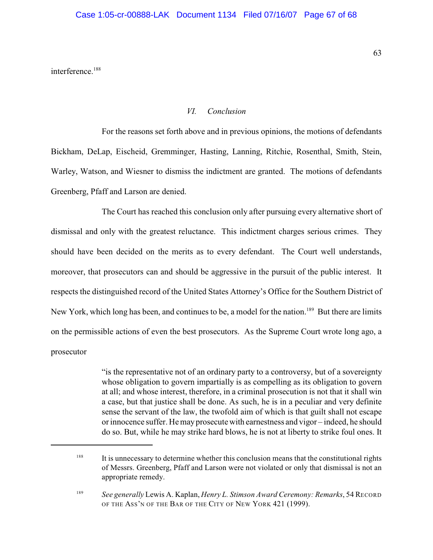interference.<sup>188</sup>

## *VI. Conclusion*

For the reasons set forth above and in previous opinions, the motions of defendants Bickham, DeLap, Eischeid, Gremminger, Hasting, Lanning, Ritchie, Rosenthal, Smith, Stein, Warley, Watson, and Wiesner to dismiss the indictment are granted. The motions of defendants Greenberg, Pfaff and Larson are denied.

The Court has reached this conclusion only after pursuing every alternative short of dismissal and only with the greatest reluctance. This indictment charges serious crimes. They should have been decided on the merits as to every defendant. The Court well understands, moreover, that prosecutors can and should be aggressive in the pursuit of the public interest. It respects the distinguished record of the United States Attorney's Office for the Southern District of New York, which long has been, and continues to be, a model for the nation.<sup>189</sup> But there are limits on the permissible actions of even the best prosecutors. As the Supreme Court wrote long ago, a prosecutor

> "is the representative not of an ordinary party to a controversy, but of a sovereignty whose obligation to govern impartially is as compelling as its obligation to govern at all; and whose interest, therefore, in a criminal prosecution is not that it shall win a case, but that justice shall be done. As such, he is in a peculiar and very definite sense the servant of the law, the twofold aim of which is that guilt shall not escape or innocence suffer. Hemayprosecutewith earnestness and vigor – indeed, he should do so. But, while he may strike hard blows, he is not at liberty to strike foul ones. It

<sup>&</sup>lt;sup>188</sup> It is unnecessary to determine whether this conclusion means that the constitutional rights of Messrs. Greenberg, Pfaff and Larson were not violated or only that dismissal is not an appropriate remedy.

<sup>&</sup>lt;sup>189</sup> See generally Lewis A. Kaplan, *Henry L. Stimson Award Ceremony: Remarks*, 54 RECORD OF THE ASS'N OF THE BAR OF THE CITY OF NEW YORK 421 (1999).